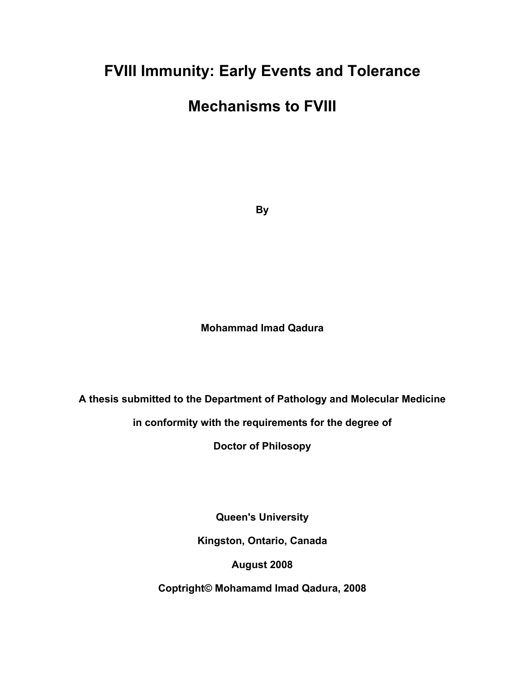# **FVIII Immunity: Early Events and Tolerance**

# **Mechanisms to FVIII**

**By** 

## **Mohammad Imad Qadura**

**A thesis submitted to the Department of Pathology and Molecular Medicine** 

**in conformity with the requirements for the degree of** 

**Doctor of Philosopy** 

**Queen's University** 

**Kingston, Ontario, Canada** 

**August 2008** 

**Coptright© Mohamamd Imad Qadura, 2008**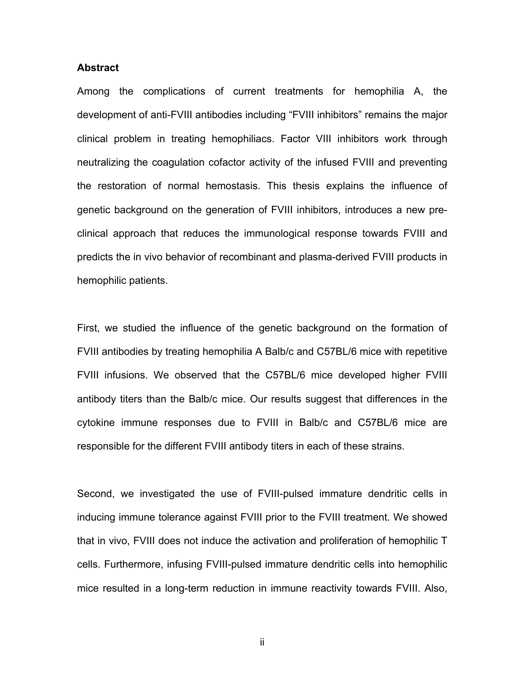#### **Abstract**

Among the complications of current treatments for hemophilia A, the development of anti-FVIII antibodies including "FVIII inhibitors" remains the major clinical problem in treating hemophiliacs. Factor VIII inhibitors work through neutralizing the coagulation cofactor activity of the infused FVIII and preventing the restoration of normal hemostasis. This thesis explains the influence of genetic background on the generation of FVIII inhibitors, introduces a new preclinical approach that reduces the immunological response towards FVIII and predicts the in vivo behavior of recombinant and plasma-derived FVIII products in hemophilic patients.

First, we studied the influence of the genetic background on the formation of FVIII antibodies by treating hemophilia A Balb/c and C57BL/6 mice with repetitive FVIII infusions. We observed that the C57BL/6 mice developed higher FVIII antibody titers than the Balb/c mice. Our results suggest that differences in the cytokine immune responses due to FVIII in Balb/c and C57BL/6 mice are responsible for the different FVIII antibody titers in each of these strains.

Second, we investigated the use of FVIII-pulsed immature dendritic cells in inducing immune tolerance against FVIII prior to the FVIII treatment. We showed that in vivo, FVIII does not induce the activation and proliferation of hemophilic T cells. Furthermore, infusing FVIII-pulsed immature dendritic cells into hemophilic mice resulted in a long-term reduction in immune reactivity towards FVIII. Also,

ii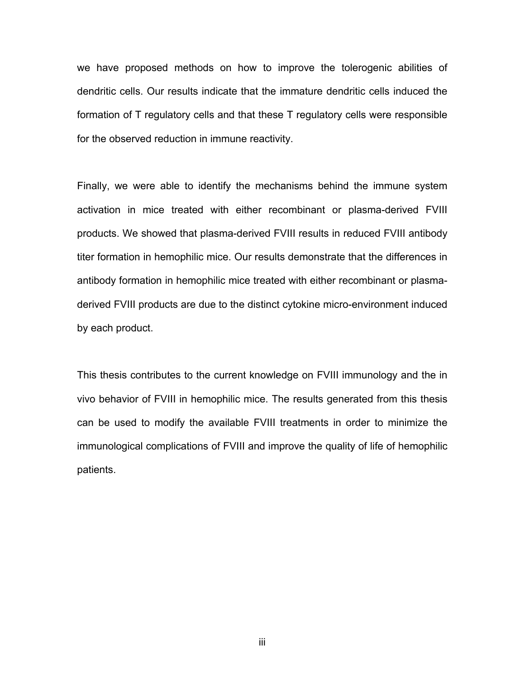we have proposed methods on how to improve the tolerogenic abilities of dendritic cells. Our results indicate that the immature dendritic cells induced the formation of T regulatory cells and that these T regulatory cells were responsible for the observed reduction in immune reactivity.

Finally, we were able to identify the mechanisms behind the immune system activation in mice treated with either recombinant or plasma-derived FVIII products. We showed that plasma-derived FVIII results in reduced FVIII antibody titer formation in hemophilic mice. Our results demonstrate that the differences in antibody formation in hemophilic mice treated with either recombinant or plasmaderived FVIII products are due to the distinct cytokine micro-environment induced by each product.

This thesis contributes to the current knowledge on FVIII immunology and the in vivo behavior of FVIII in hemophilic mice. The results generated from this thesis can be used to modify the available FVIII treatments in order to minimize the immunological complications of FVIII and improve the quality of life of hemophilic patients.

iii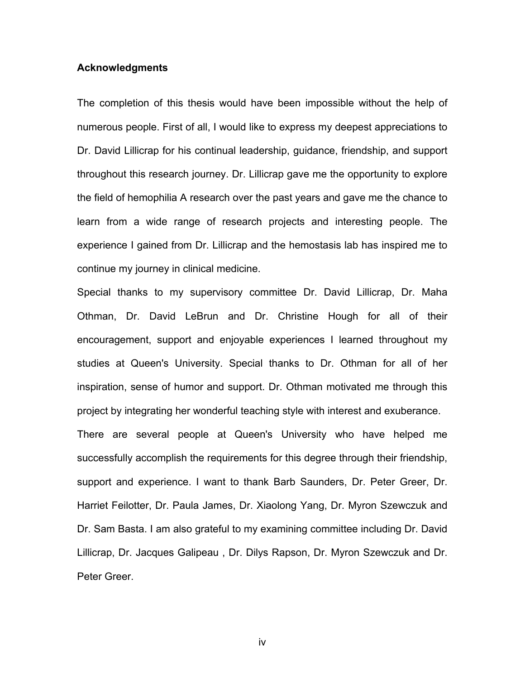#### **Acknowledgments**

The completion of this thesis would have been impossible without the help of numerous people. First of all, I would like to express my deepest appreciations to Dr. David Lillicrap for his continual leadership, guidance, friendship, and support throughout this research journey. Dr. Lillicrap gave me the opportunity to explore the field of hemophilia A research over the past years and gave me the chance to learn from a wide range of research projects and interesting people. The experience I gained from Dr. Lillicrap and the hemostasis lab has inspired me to continue my journey in clinical medicine.

Special thanks to my supervisory committee Dr. David Lillicrap, Dr. Maha Othman, Dr. David LeBrun and Dr. Christine Hough for all of their encouragement, support and enjoyable experiences I learned throughout my studies at Queen's University. Special thanks to Dr. Othman for all of her inspiration, sense of humor and support. Dr. Othman motivated me through this project by integrating her wonderful teaching style with interest and exuberance.

There are several people at Queen's University who have helped me successfully accomplish the requirements for this degree through their friendship, support and experience. I want to thank Barb Saunders, Dr. Peter Greer, Dr. Harriet Feilotter, Dr. Paula James, Dr. Xiaolong Yang, Dr. Myron Szewczuk and Dr. Sam Basta. I am also grateful to my examining committee including Dr. David Lillicrap, Dr. Jacques Galipeau , Dr. Dilys Rapson, Dr. Myron Szewczuk and Dr. Peter Greer.

iv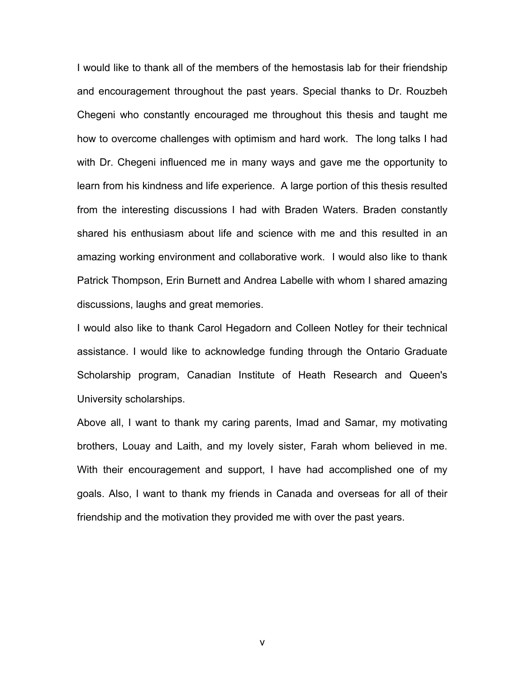I would like to thank all of the members of the hemostasis lab for their friendship and encouragement throughout the past years. Special thanks to Dr. Rouzbeh Chegeni who constantly encouraged me throughout this thesis and taught me how to overcome challenges with optimism and hard work. The long talks I had with Dr. Chegeni influenced me in many ways and gave me the opportunity to learn from his kindness and life experience. A large portion of this thesis resulted from the interesting discussions I had with Braden Waters. Braden constantly shared his enthusiasm about life and science with me and this resulted in an amazing working environment and collaborative work. I would also like to thank Patrick Thompson, Erin Burnett and Andrea Labelle with whom I shared amazing discussions, laughs and great memories.

I would also like to thank Carol Hegadorn and Colleen Notley for their technical assistance. I would like to acknowledge funding through the Ontario Graduate Scholarship program, Canadian Institute of Heath Research and Queen's University scholarships.

Above all, I want to thank my caring parents, Imad and Samar, my motivating brothers, Louay and Laith, and my lovely sister, Farah whom believed in me. With their encouragement and support, I have had accomplished one of my goals. Also, I want to thank my friends in Canada and overseas for all of their friendship and the motivation they provided me with over the past years.

v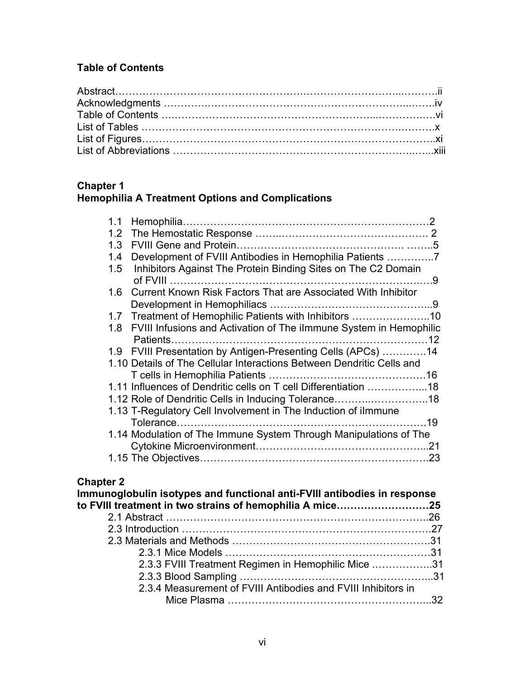## **Table of Contents**

#### **Chapter 1 Hemophilia A Treatment Options and Complications**

| 1.1                                                                         |
|-----------------------------------------------------------------------------|
| 1.2                                                                         |
| 1.3                                                                         |
| Development of FVIII Antibodies in Hemophilia Patients<br>1.4               |
| Inhibitors Against The Protein Binding Sites on The C2 Domain<br>1.5        |
|                                                                             |
| <b>Current Known Risk Factors That are Associated With Inhibitor</b><br>1.6 |
|                                                                             |
| Treatment of Hemophilic Patients with Inhibitors 10<br>1.7                  |
| FVIII Infusions and Activation of The ilmmune System in Hemophilic<br>1.8   |
|                                                                             |
| 1.9 FVIII Presentation by Antigen-Presenting Cells (APCs) 14                |
| 1.10 Details of The Cellular Interactions Between Dendritic Cells and       |
|                                                                             |
| 1.11 Influences of Dendritic cells on T cell Differentiation 18             |
| 1.12 Role of Dendritic Cells in Inducing Tolerance18                        |
| 1.13 T-Regulatory Cell Involvement in The Induction of ilmmune              |
|                                                                             |
| 1.14 Modulation of The Immune System Through Manipulations of The           |
|                                                                             |
|                                                                             |

## **Chapter 2**

| Immunoglobulin isotypes and functional anti-FVIII antibodies in response |  |
|--------------------------------------------------------------------------|--|
| to FVIII treatment in two strains of hemophilia A mice25                 |  |
|                                                                          |  |
|                                                                          |  |
|                                                                          |  |
|                                                                          |  |
| 2.3.3 FVIII Treatment Regimen in Hemophilic Mice 31                      |  |
|                                                                          |  |
| 2.3.4 Measurement of FVIII Antibodies and FVIII Inhibitors in            |  |
|                                                                          |  |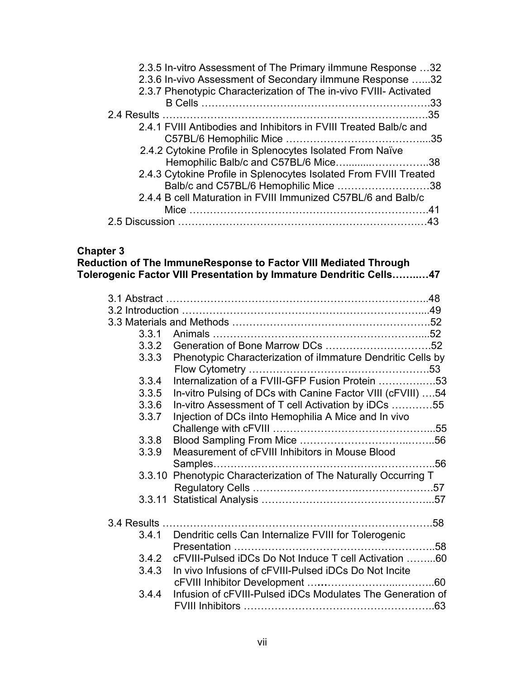| 2.3.5 In-vitro Assessment of The Primary ilmmune Response 32      |
|-------------------------------------------------------------------|
| 2.3.6 In-vivo Assessment of Secondary ilmmune Response 32         |
|                                                                   |
|                                                                   |
|                                                                   |
|                                                                   |
|                                                                   |
|                                                                   |
| Hemophilic Balb/c and C57BL/6 Mice38                              |
| 2.4.3 Cytokine Profile in Splenocytes Isolated From FVIII Treated |
| Balb/c and C57BL/6 Hemophilic Mice 38                             |
|                                                                   |
|                                                                   |
|                                                                   |
|                                                                   |

### **Chapter 3**

**Reduction of The ImmuneResponse to Factor VIII Mediated Through Tolerogenic Factor VIII Presentation by Immature Dendritic Cells……..…47** 

| 3.3.1 |                                                                 |
|-------|-----------------------------------------------------------------|
| 3.3.2 |                                                                 |
| 3.3.3 | Phenotypic Characterization of ilmmature Dendritic Cells by     |
| 3.3.4 | Internalization of a FVIII-GFP Fusion Protein 53                |
| 3.3.5 | In-vitro Pulsing of DCs with Canine Factor VIII (cFVIII) 54     |
| 3.3.6 | In-vitro Assessment of T cell Activation by iDCs 55             |
| 3.3.7 | Injection of DCs iInto Hemophilia A Mice and In vivo            |
| 3.3.8 |                                                                 |
| 3.3.9 | Measurement of cFVIII Inhibitors in Mouse Blood                 |
|       | 3.3.10 Phenotypic Characterization of The Naturally Occurring T |
|       |                                                                 |
|       |                                                                 |
| 3.4.1 | Dendritic cells Can Internalize FVIII for Tolerogenic           |
| 3.4.2 | cFVIII-Pulsed iDCs Do Not Induce T cell Activation 60           |
| 3.4.3 | In vivo Infusions of cFVIII-Pulsed iDCs Do Not Incite           |
| 3.4.4 | Infusion of cFVIII-Pulsed iDCs Modulates The Generation of      |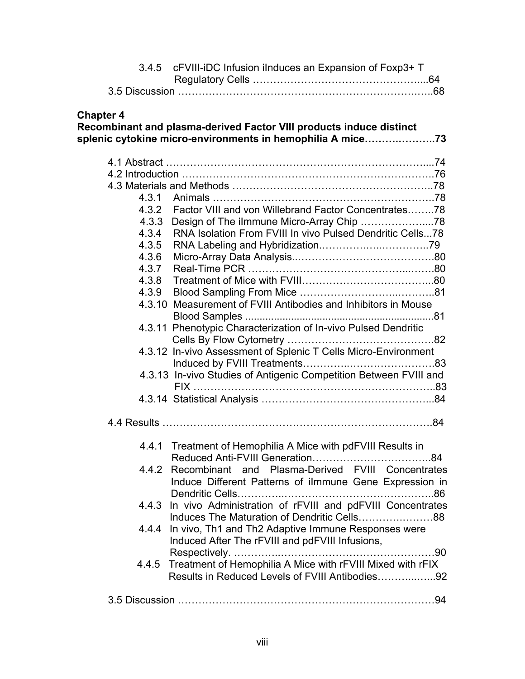|                  | 3.4.5 cFVIII-iDC Infusion iInduces an Expansion of Foxp3+ T                                                                       |  |
|------------------|-----------------------------------------------------------------------------------------------------------------------------------|--|
|                  |                                                                                                                                   |  |
| <b>Chapter 4</b> | Recombinant and plasma-derived Factor VIII products induce distinct<br>splenic cytokine micro-environments in hemophilia A mice73 |  |
|                  |                                                                                                                                   |  |
|                  |                                                                                                                                   |  |
|                  |                                                                                                                                   |  |
| 4.3.1            |                                                                                                                                   |  |
| 4.3.2            | Factor VIII and von Willebrand Factor Concentrates78                                                                              |  |
| 4.3.3            |                                                                                                                                   |  |
| 4.3.4            | RNA Isolation From FVIII In vivo Pulsed Dendritic Cells78                                                                         |  |
| 4.3.5            |                                                                                                                                   |  |
| 4.3.6            |                                                                                                                                   |  |
| 4.3.7            |                                                                                                                                   |  |
| 4.3.8            |                                                                                                                                   |  |
| 4.3.9            |                                                                                                                                   |  |
|                  | 4.3.10 Measurement of FVIII Antibodies and Inhibitors in Mouse                                                                    |  |
|                  |                                                                                                                                   |  |
|                  | 4.3.11 Phenotypic Characterization of In-vivo Pulsed Dendritic                                                                    |  |
|                  |                                                                                                                                   |  |
|                  | 4.3.12 In-vivo Assessment of Splenic T Cells Micro-Environment                                                                    |  |
|                  |                                                                                                                                   |  |
|                  | 4.3.13 In-vivo Studies of Antigenic Competition Between FVIII and                                                                 |  |
|                  |                                                                                                                                   |  |
|                  |                                                                                                                                   |  |
|                  |                                                                                                                                   |  |
|                  | 4.4.1 Treatment of Hemophilia A Mice with pdFVIII Results in                                                                      |  |
|                  | 4.4.2 Recombinant and Plasma-Derived FVIII Concentrates<br>Induce Different Patterns of ilmmune Gene Expression in                |  |
|                  | 4.4.3 In vivo Administration of rFVIII and pdFVIII Concentrates<br>Induces The Maturation of Dendritic Cells88                    |  |
|                  | 4.4.4 In vivo, Th1 and Th2 Adaptive Immune Responses were<br>Induced After The rFVIII and pdFVIII Infusions,                      |  |
| 4.4.5            | Treatment of Hemophilia A Mice with rFVIII Mixed with rFIX<br>Results in Reduced Levels of FVIII Antibodies92                     |  |
|                  |                                                                                                                                   |  |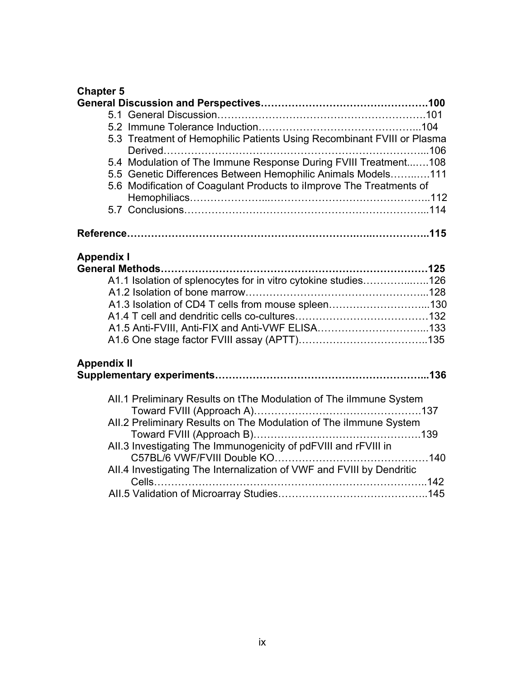## **Chapter 5**

| 5.3 Treatment of Hemophilic Patients Using Recombinant FVIII or Plasma<br>5.4 Modulation of The Immune Response During FVIII Treatment108<br>5.5 Genetic Differences Between Hemophilic Animals Models111<br>5.6 Modification of Coagulant Products to ilmprove The Treatments of<br><b>Appendix I</b><br>A1.1 Isolation of splenocytes for in vitro cytokine studies126<br>A1.3 Isolation of CD4 T cells from mouse spleen130<br>A1.5 Anti-FVIII, Anti-FIX and Anti-VWF ELISA133<br><b>Appendix II</b><br>All.1 Preliminary Results on tThe Modulation of The ilmmune System<br>All.2 Preliminary Results on The Modulation of The ilmmune System<br>All.3 Investigating The Immunogenicity of pdFVIII and rFVIII in<br>All.4 Investigating The Internalization of VWF and FVIII by Dendritic |  |
|------------------------------------------------------------------------------------------------------------------------------------------------------------------------------------------------------------------------------------------------------------------------------------------------------------------------------------------------------------------------------------------------------------------------------------------------------------------------------------------------------------------------------------------------------------------------------------------------------------------------------------------------------------------------------------------------------------------------------------------------------------------------------------------------|--|
|                                                                                                                                                                                                                                                                                                                                                                                                                                                                                                                                                                                                                                                                                                                                                                                                |  |
|                                                                                                                                                                                                                                                                                                                                                                                                                                                                                                                                                                                                                                                                                                                                                                                                |  |
|                                                                                                                                                                                                                                                                                                                                                                                                                                                                                                                                                                                                                                                                                                                                                                                                |  |
|                                                                                                                                                                                                                                                                                                                                                                                                                                                                                                                                                                                                                                                                                                                                                                                                |  |
|                                                                                                                                                                                                                                                                                                                                                                                                                                                                                                                                                                                                                                                                                                                                                                                                |  |
|                                                                                                                                                                                                                                                                                                                                                                                                                                                                                                                                                                                                                                                                                                                                                                                                |  |
|                                                                                                                                                                                                                                                                                                                                                                                                                                                                                                                                                                                                                                                                                                                                                                                                |  |
|                                                                                                                                                                                                                                                                                                                                                                                                                                                                                                                                                                                                                                                                                                                                                                                                |  |
|                                                                                                                                                                                                                                                                                                                                                                                                                                                                                                                                                                                                                                                                                                                                                                                                |  |
|                                                                                                                                                                                                                                                                                                                                                                                                                                                                                                                                                                                                                                                                                                                                                                                                |  |
|                                                                                                                                                                                                                                                                                                                                                                                                                                                                                                                                                                                                                                                                                                                                                                                                |  |
|                                                                                                                                                                                                                                                                                                                                                                                                                                                                                                                                                                                                                                                                                                                                                                                                |  |
|                                                                                                                                                                                                                                                                                                                                                                                                                                                                                                                                                                                                                                                                                                                                                                                                |  |
|                                                                                                                                                                                                                                                                                                                                                                                                                                                                                                                                                                                                                                                                                                                                                                                                |  |
|                                                                                                                                                                                                                                                                                                                                                                                                                                                                                                                                                                                                                                                                                                                                                                                                |  |
|                                                                                                                                                                                                                                                                                                                                                                                                                                                                                                                                                                                                                                                                                                                                                                                                |  |
|                                                                                                                                                                                                                                                                                                                                                                                                                                                                                                                                                                                                                                                                                                                                                                                                |  |
|                                                                                                                                                                                                                                                                                                                                                                                                                                                                                                                                                                                                                                                                                                                                                                                                |  |
|                                                                                                                                                                                                                                                                                                                                                                                                                                                                                                                                                                                                                                                                                                                                                                                                |  |
|                                                                                                                                                                                                                                                                                                                                                                                                                                                                                                                                                                                                                                                                                                                                                                                                |  |
|                                                                                                                                                                                                                                                                                                                                                                                                                                                                                                                                                                                                                                                                                                                                                                                                |  |
|                                                                                                                                                                                                                                                                                                                                                                                                                                                                                                                                                                                                                                                                                                                                                                                                |  |
|                                                                                                                                                                                                                                                                                                                                                                                                                                                                                                                                                                                                                                                                                                                                                                                                |  |
|                                                                                                                                                                                                                                                                                                                                                                                                                                                                                                                                                                                                                                                                                                                                                                                                |  |
|                                                                                                                                                                                                                                                                                                                                                                                                                                                                                                                                                                                                                                                                                                                                                                                                |  |
|                                                                                                                                                                                                                                                                                                                                                                                                                                                                                                                                                                                                                                                                                                                                                                                                |  |
|                                                                                                                                                                                                                                                                                                                                                                                                                                                                                                                                                                                                                                                                                                                                                                                                |  |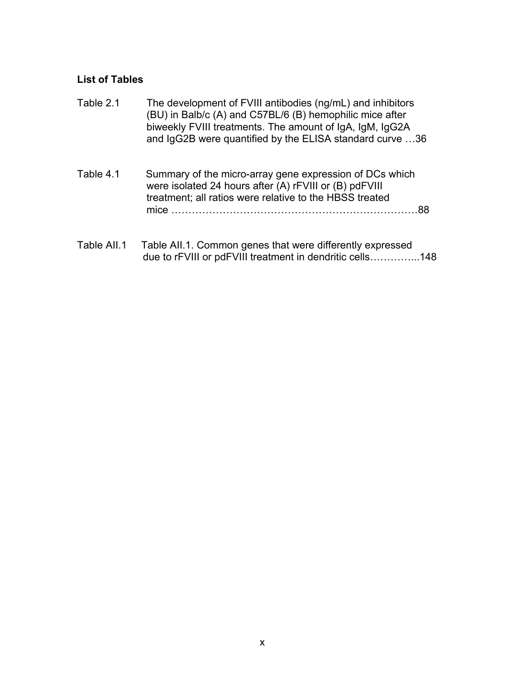## **List of Tables**

| Table 2.1   | The development of FVIII antibodies (ng/mL) and inhibitors<br>(BU) in Balb/c (A) and C57BL/6 (B) hemophilic mice after<br>biweekly FVIII treatments. The amount of IgA, IgM, IgG2A<br>and IgG2B were quantified by the ELISA standard curve 36 |
|-------------|------------------------------------------------------------------------------------------------------------------------------------------------------------------------------------------------------------------------------------------------|
| Table 4.1   | Summary of the micro-array gene expression of DCs which<br>were isolated 24 hours after (A) rFVIII or (B) pdFVIII<br>treatment; all ratios were relative to the HBSS treated                                                                   |
| Table All.1 | Table AII.1. Common genes that were differently expressed                                                                                                                                                                                      |

Table AII.1 Table AII.1. Common genes that were differently expressed due to rFVIII or pdFVIII treatment in dendritic cells…………...148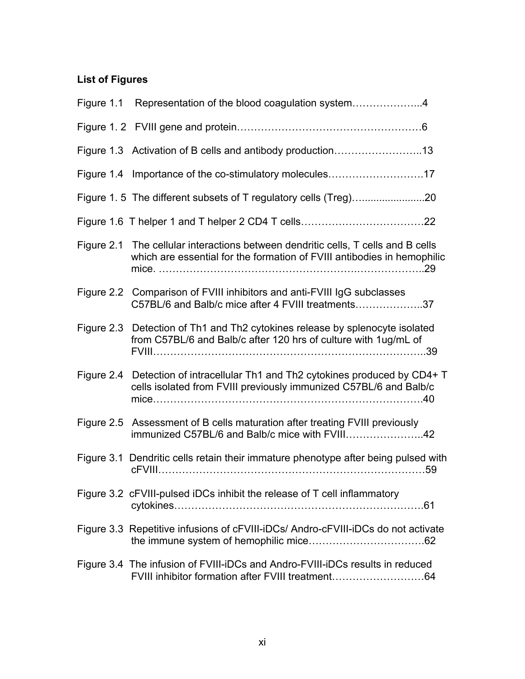## **List of Figures**

| Figure 1.1 Representation of the blood coagulation system4                                                                                                   |
|--------------------------------------------------------------------------------------------------------------------------------------------------------------|
|                                                                                                                                                              |
| Figure 1.3 Activation of B cells and antibody production13                                                                                                   |
| Figure 1.4 Importance of the co-stimulatory molecules17                                                                                                      |
|                                                                                                                                                              |
|                                                                                                                                                              |
| Figure 2.1 The cellular interactions between dendritic cells, T cells and B cells<br>which are essential for the formation of FVIII antibodies in hemophilic |
| Figure 2.2 Comparison of FVIII inhibitors and anti-FVIII IgG subclasses<br>C57BL/6 and Balb/c mice after 4 FVIII treatments37                                |
| Figure 2.3 Detection of Th1 and Th2 cytokines release by splenocyte isolated<br>from C57BL/6 and Balb/c after 120 hrs of culture with 1ug/mL of              |
| Figure 2.4 Detection of intracellular Th1 and Th2 cytokines produced by CD4+ T<br>cells isolated from FVIII previously immunized C57BL/6 and Balb/c          |
| Figure 2.5 Assessment of B cells maturation after treating FVIII previously<br>immunized C57BL/6 and Balb/c mice with FVIII42                                |
| Figure 3.1 Dendritic cells retain their immature phenotype after being pulsed with                                                                           |
| Figure 3.2 cFVIII-pulsed iDCs inhibit the release of T cell inflammatory                                                                                     |
| Figure 3.3 Repetitive infusions of cFVIII-iDCs/ Andro-cFVIII-iDCs do not activate                                                                            |
| Figure 3.4 The infusion of FVIII-iDCs and Andro-FVIII-iDCs results in reduced<br>FVIII inhibitor formation after FVIII treatment64                           |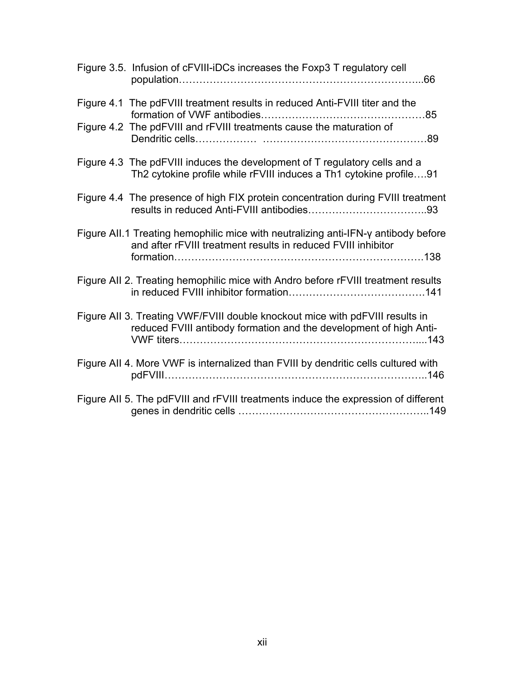| Figure 3.5. Infusion of cFVIII-iDCs increases the Foxp3 T regulatory cell                                                                           |
|-----------------------------------------------------------------------------------------------------------------------------------------------------|
| Figure 4.1 The pdFVIII treatment results in reduced Anti-FVIII titer and the                                                                        |
| Figure 4.2 The pdFVIII and rFVIII treatments cause the maturation of                                                                                |
| Figure 4.3 The pdFVIII induces the development of T regulatory cells and a<br>Th2 cytokine profile while rFVIII induces a Th1 cytokine profile91    |
| Figure 4.4 The presence of high FIX protein concentration during FVIII treatment                                                                    |
| Figure AII.1 Treating hemophilic mice with neutralizing anti-IFN-y antibody before<br>and after rFVIII treatment results in reduced FVIII inhibitor |
| Figure All 2. Treating hemophilic mice with Andro before rFVIII treatment results                                                                   |
| Figure AII 3. Treating VWF/FVIII double knockout mice with pdFVIII results in<br>reduced FVIII antibody formation and the development of high Anti- |
| Figure AII 4. More VWF is internalized than FVIII by dendritic cells cultured with                                                                  |
| Figure AII 5. The pdFVIII and rFVIII treatments induce the expression of different                                                                  |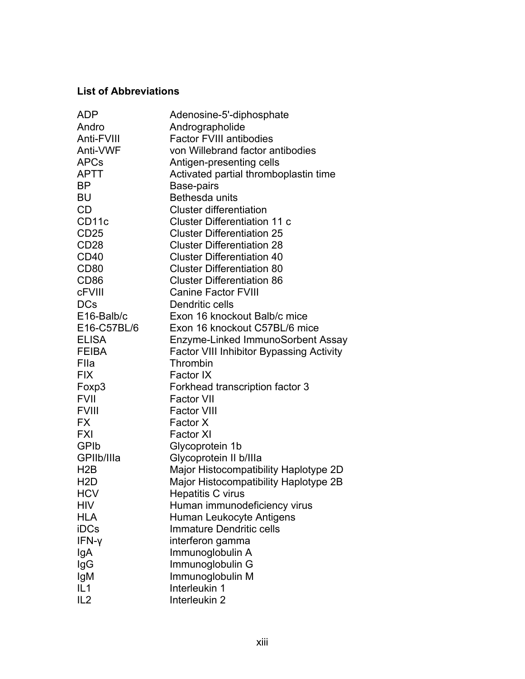## **List of Abbreviations**

| <b>ADP</b>       | Adenosine-5'-diphosphate                        |
|------------------|-------------------------------------------------|
| Andro            | Andrographolide                                 |
| Anti-FVIII       | <b>Factor FVIII antibodies</b>                  |
| Anti-VWF         | von Willebrand factor antibodies                |
| <b>APCs</b>      | Antigen-presenting cells                        |
| <b>APTT</b>      | Activated partial thromboplastin time           |
| <b>BP</b>        | Base-pairs                                      |
| BU               | Bethesda units                                  |
| <b>CD</b>        | <b>Cluster differentiation</b>                  |
| CD11c            | <b>Cluster Differentiation 11 c</b>             |
| <b>CD25</b>      | <b>Cluster Differentiation 25</b>               |
| CD <sub>28</sub> | <b>Cluster Differentiation 28</b>               |
| CD <sub>40</sub> | <b>Cluster Differentiation 40</b>               |
| CD <sub>80</sub> | <b>Cluster Differentiation 80</b>               |
| CD <sub>86</sub> | <b>Cluster Differentiation 86</b>               |
| <b>cFVIII</b>    | <b>Canine Factor FVIII</b>                      |
| <b>DCs</b>       | Dendritic cells                                 |
| E16-Balb/c       | Exon 16 knockout Balb/c mice                    |
| E16-C57BL/6      | Exon 16 knockout C57BL/6 mice                   |
| <b>ELISA</b>     | Enzyme-Linked ImmunoSorbent Assay               |
| <b>FEIBA</b>     | <b>Factor VIII Inhibitor Bypassing Activity</b> |
| Flla             | Thrombin                                        |
| <b>FIX</b>       | Factor IX                                       |
| Foxp3            | Forkhead transcription factor 3                 |
| <b>FVII</b>      | <b>Factor VII</b>                               |
| <b>FVIII</b>     | <b>Factor VIII</b>                              |
| <b>FX</b>        | Factor X                                        |
| <b>FXI</b>       | <b>Factor XI</b>                                |
| GPIb             | Glycoprotein 1b                                 |
| GPIIb/IIIa       | Glycoprotein II b/IIIa                          |
| H2B              | Major Histocompatibility Haplotype 2D           |
| H <sub>2</sub> D | Major Histocompatibility Haplotype 2B           |
| <b>HCV</b>       | Hepatitis C virus                               |
| <b>HIV</b>       | Human immunodeficiency virus                    |
| <b>HLA</b>       | Human Leukocyte Antigens                        |
| iDCs             | <b>Immature Dendritic cells</b>                 |
| IFN-y            | interferon gamma                                |
| lgA              | Immunoglobulin A                                |
| lgG              | Immunoglobulin G                                |
| lgM              | Immunoglobulin M                                |
| IL1              | Interleukin 1                                   |
| IL <sub>2</sub>  | Interleukin 2                                   |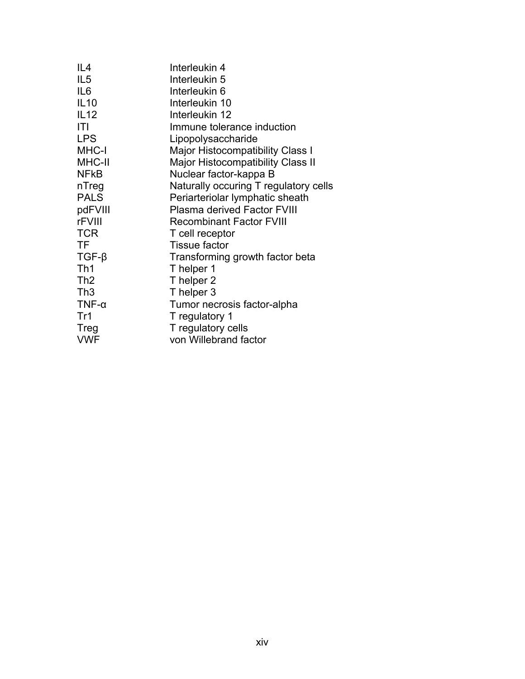| IL <sub>4</sub> | Interleukin 4                            |
|-----------------|------------------------------------------|
| IL <sub>5</sub> | Interleukin 5                            |
| IL <sub>6</sub> | Interleukin 6                            |
| <b>IL10</b>     | Interleukin 10                           |
| IL12            | Interleukin 12                           |
| ITI             | Immune tolerance induction               |
| <b>LPS</b>      | Lipopolysaccharide                       |
| MHC-I           | Major Histocompatibility Class I         |
| MHC-II          | <b>Major Histocompatibility Class II</b> |
| <b>NFKB</b>     | Nuclear factor-kappa B                   |
| nTreg           | Naturally occuring T regulatory cells    |
| <b>PALS</b>     | Periarteriolar lymphatic sheath          |
| pdFVIII         | <b>Plasma derived Factor FVIII</b>       |
| rFVIII          | <b>Recombinant Factor FVIII</b>          |
| <b>TCR</b>      | T cell receptor                          |
| TF              | <b>Tissue factor</b>                     |
| $TGF-\beta$     | Transforming growth factor beta          |
| Th1             | T helper 1                               |
| Th <sub>2</sub> | T helper 2                               |
| Th3             | T helper 3                               |
| $TNF-\alpha$    | Tumor necrosis factor-alpha              |
| Tr1             | T regulatory 1                           |
| Treg            | T regulatory cells                       |
| <b>VWF</b>      | von Willebrand factor                    |
|                 |                                          |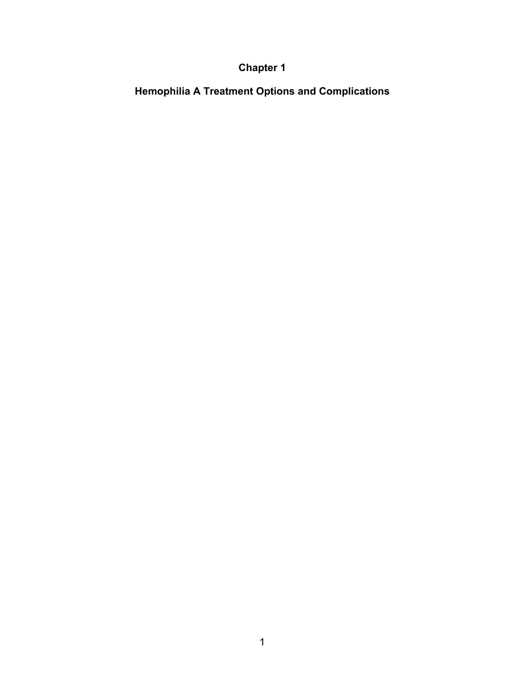## **Chapter 1**

**Hemophilia A Treatment Options and Complications**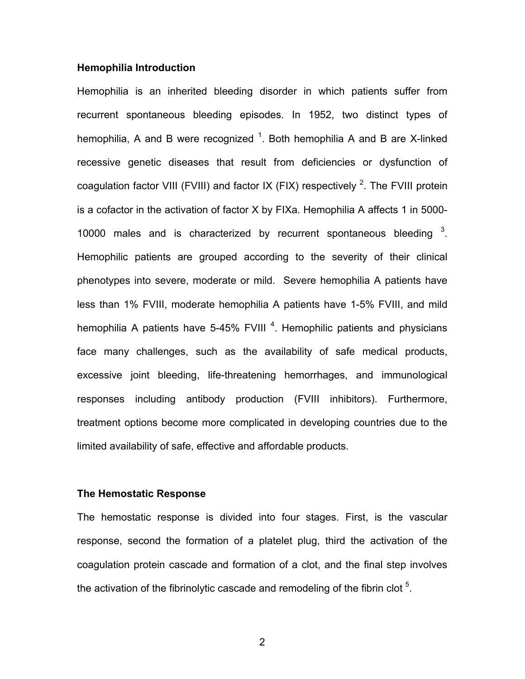#### **Hemophilia Introduction**

Hemophilia is an inherited bleeding disorder in which patients suffer from recurrent spontaneous bleeding episodes. In 1952, two distinct types of hemophilia, A and B were recognized  $1$ . Both hemophilia A and B are X-linked recessive genetic diseases that result from deficiencies or dysfunction of coagulation factor VIII (FVIII) and factor IX (FIX) respectively <sup>2</sup>. The FVIII protein is a cofactor in the activation of factor X by FIXa. Hemophilia A affects 1 in 5000- 10000 males and is characterized by recurrent spontaneous bleeding  $3$ . Hemophilic patients are grouped according to the severity of their clinical phenotypes into severe, moderate or mild. Severe hemophilia A patients have less than 1% FVIII, moderate hemophilia A patients have 1-5% FVIII, and mild hemophilia A patients have 5-45% FVIII<sup>4</sup>. Hemophilic patients and physicians face many challenges, such as the availability of safe medical products, excessive joint bleeding, life-threatening hemorrhages, and immunological responses including antibody production (FVIII inhibitors). Furthermore, treatment options become more complicated in developing countries due to the limited availability of safe, effective and affordable products.

#### **The Hemostatic Response**

The hemostatic response is divided into four stages. First, is the vascular response, second the formation of a platelet plug, third the activation of the coagulation protein cascade and formation of a clot, and the final step involves the activation of the fibrinolytic cascade and remodeling of the fibrin clot  $5$ .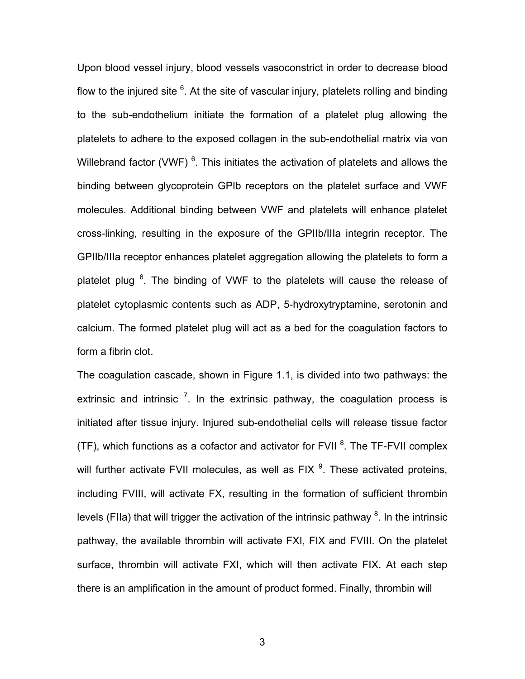Upon blood vessel injury, blood vessels vasoconstrict in order to decrease blood flow to the injured site  $6$ . At the site of vascular injury, platelets rolling and binding to the sub-endothelium initiate the formation of a platelet plug allowing the platelets to adhere to the exposed collagen in the sub-endothelial matrix via von Willebrand factor (VWF)  $<sup>6</sup>$ . This initiates the activation of platelets and allows the</sup> binding between glycoprotein GPIb receptors on the platelet surface and VWF molecules. Additional binding between VWF and platelets will enhance platelet cross-linking, resulting in the exposure of the GPIIb/IIIa integrin receptor. The GPIIb/IIIa receptor enhances platelet aggregation allowing the platelets to form a platelet plug <sup>6</sup>. The binding of VWF to the platelets will cause the release of platelet cytoplasmic contents such as ADP, 5-hydroxytryptamine, serotonin and calcium. The formed platelet plug will act as a bed for the coagulation factors to form a fibrin clot.

The coagulation cascade, shown in Figure 1.1, is divided into two pathways: the extrinsic and intrinsic  $<sup>7</sup>$ . In the extrinsic pathway, the coagulation process is</sup> initiated after tissue injury. Injured sub-endothelial cells will release tissue factor (TF), which functions as a cofactor and activator for FVII  ${}^{8}$ . The TF-FVII complex will further activate FVII molecules, as well as FIX  $^9$ . These activated proteins, including FVIII, will activate FX, resulting in the formation of sufficient thrombin levels (FIIa) that will trigger the activation of the intrinsic pathway  ${}^{8}$ . In the intrinsic pathway, the available thrombin will activate FXI, FIX and FVIII. On the platelet surface, thrombin will activate FXI, which will then activate FIX. At each step there is an amplification in the amount of product formed. Finally, thrombin will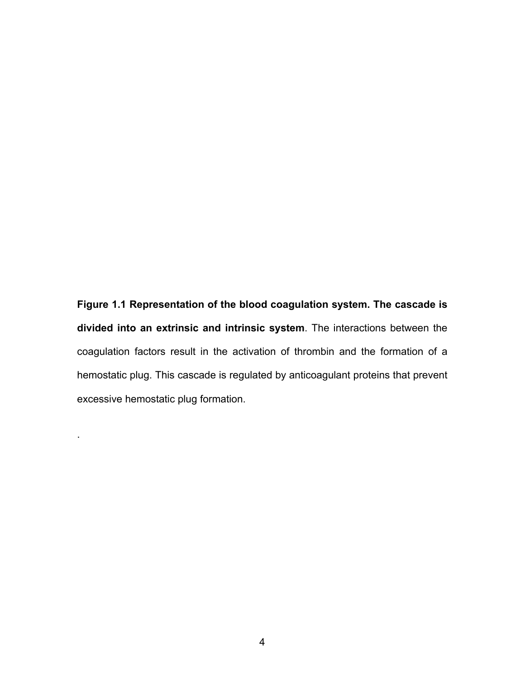**Figure 1.1 Representation of the blood coagulation system. The cascade is divided into an extrinsic and intrinsic system**. The interactions between the coagulation factors result in the activation of thrombin and the formation of a hemostatic plug. This cascade is regulated by anticoagulant proteins that prevent excessive hemostatic plug formation.

.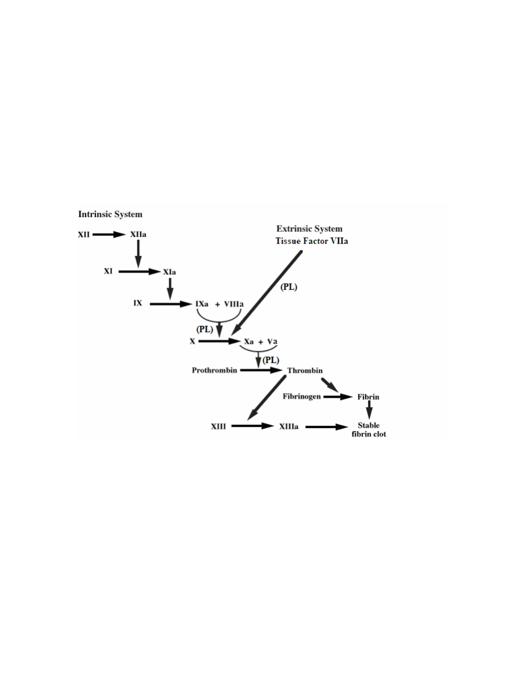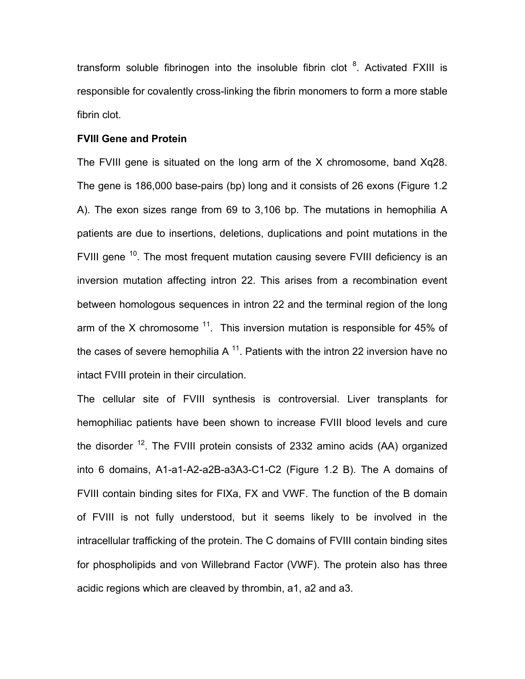transform soluble fibrinogen into the insoluble fibrin clot  $8$ . Activated FXIII is responsible for covalently cross-linking the fibrin monomers to form a more stable fibrin clot.

#### **FVIII Gene and Protein**

The FVIII gene is situated on the long arm of the X chromosome, band Xq28. The gene is 186,000 base-pairs (bp) long and it consists of 26 exons (Figure 1.2 A). The exon sizes range from 69 to 3,106 bp. The mutations in hemophilia A patients are due to insertions, deletions, duplications and point mutations in the FVIII gene <sup>10</sup>. The most frequent mutation causing severe FVIII deficiency is an inversion mutation affecting intron 22. This arises from a recombination event between homologous sequences in intron 22 and the terminal region of the long arm of the X chromosome  $11$ . This inversion mutation is responsible for 45% of the cases of severe hemophilia A  $<sup>11</sup>$ . Patients with the intron 22 inversion have no</sup> intact FVIII protein in their circulation.

The cellular site of FVIII synthesis is controversial. Liver transplants for hemophiliac patients have been shown to increase FVIII blood levels and cure the disorder  $^{12}$ . The FVIII protein consists of 2332 amino acids (AA) organized into 6 domains, A1-a1-A2-a2B-a3A3-C1-C2 (Figure 1.2 B). The A domains of FVIII contain binding sites for FIXa, FX and VWF. The function of the B domain of FVIII is not fully understood, but it seems likely to be involved in the intracellular trafficking of the protein. The C domains of FVIII contain binding sites for phospholipids and von Willebrand Factor (VWF). The protein also has three acidic regions which are cleaved by thrombin, a1, a2 and a3.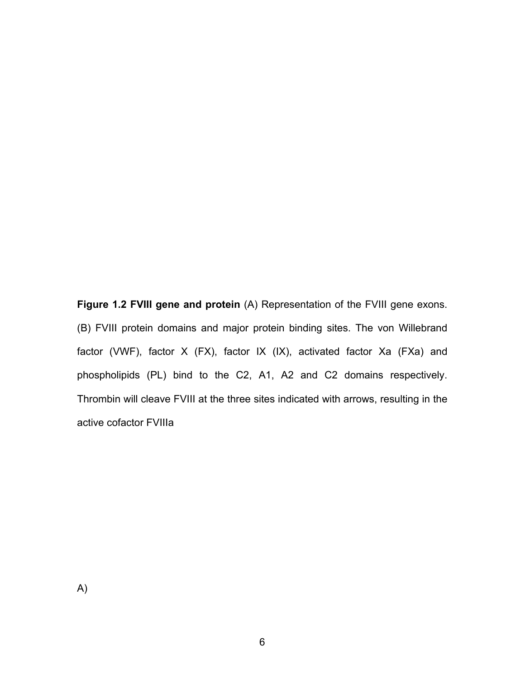**Figure 1.2 FVIII gene and protein** (A) Representation of the FVIII gene exons. (B) FVIII protein domains and major protein binding sites. The von Willebrand factor (VWF), factor X (FX), factor IX (IX), activated factor Xa (FXa) and phospholipids (PL) bind to the C2, A1, A2 and C2 domains respectively. Thrombin will cleave FVIII at the three sites indicated with arrows, resulting in the active cofactor FVIIIa

A)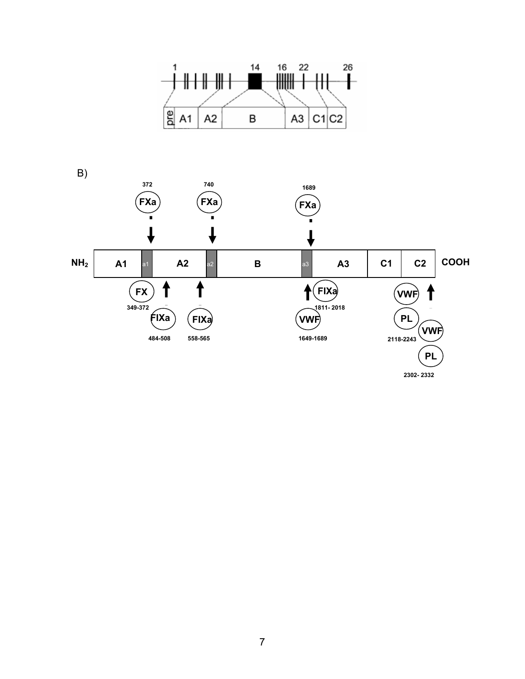

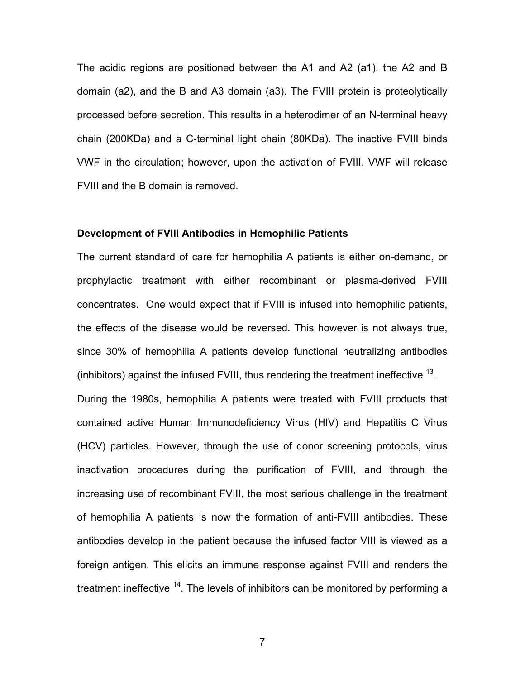The acidic regions are positioned between the A1 and A2 (a1), the A2 and B domain (a2), and the B and A3 domain (a3). The FVIII protein is proteolytically processed before secretion. This results in a heterodimer of an N-terminal heavy chain (200KDa) and a C-terminal light chain (80KDa). The inactive FVIII binds VWF in the circulation; however, upon the activation of FVIII, VWF will release FVIII and the B domain is removed.

#### **Development of FVIII Antibodies in Hemophilic Patients**

The current standard of care for hemophilia A patients is either on-demand, or prophylactic treatment with either recombinant or plasma-derived FVIII concentrates. One would expect that if FVIII is infused into hemophilic patients, the effects of the disease would be reversed. This however is not always true, since 30% of hemophilia A patients develop functional neutralizing antibodies (inhibitors) against the infused FVIII, thus rendering the treatment ineffective  $^{13}$ . During the 1980s, hemophilia A patients were treated with FVIII products that contained active Human Immunodeficiency Virus (HIV) and Hepatitis C Virus (HCV) particles. However, through the use of donor screening protocols, virus inactivation procedures during the purification of FVIII, and through the increasing use of recombinant FVIII, the most serious challenge in the treatment of hemophilia A patients is now the formation of anti-FVIII antibodies. These antibodies develop in the patient because the infused factor VIII is viewed as a foreign antigen. This elicits an immune response against FVIII and renders the treatment ineffective  $14$ . The levels of inhibitors can be monitored by performing a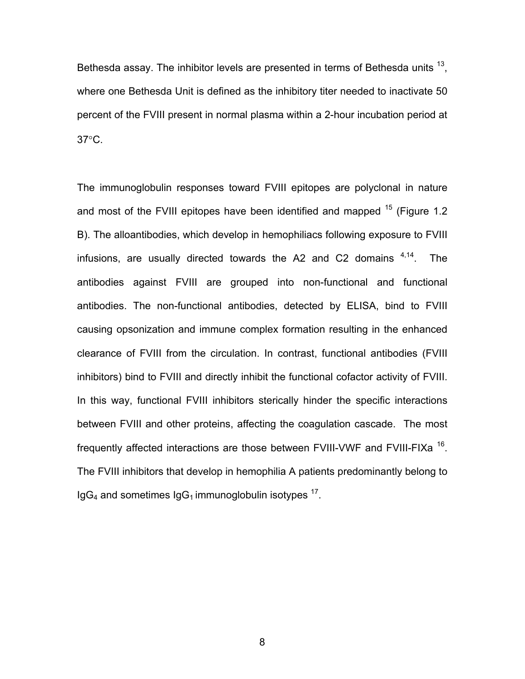Bethesda assay. The inhibitor levels are presented in terms of Bethesda units  $^{13}$ , where one Bethesda Unit is defined as the inhibitory titer needed to inactivate 50 percent of the FVIII present in normal plasma within a 2-hour incubation period at 37°C.

The immunoglobulin responses toward FVIII epitopes are polyclonal in nature and most of the FVIII epitopes have been identified and mapped  $15$  (Figure 1.2) B). The alloantibodies, which develop in hemophiliacs following exposure to FVIII infusions, are usually directed towards the A2 and C2 domains  $4.14$ . The antibodies against FVIII are grouped into non-functional and functional antibodies. The non-functional antibodies, detected by ELISA, bind to FVIII causing opsonization and immune complex formation resulting in the enhanced clearance of FVIII from the circulation. In contrast, functional antibodies (FVIII inhibitors) bind to FVIII and directly inhibit the functional cofactor activity of FVIII. In this way, functional FVIII inhibitors sterically hinder the specific interactions between FVIII and other proteins, affecting the coagulation cascade. The most frequently affected interactions are those between FVIII-VWF and FVIII-FIXa <sup>16</sup>. The FVIII inhibitors that develop in hemophilia A patients predominantly belong to  $IgG_4$  and sometimes  $IgG_1$  immunoglobulin isotypes  $^{17}$ .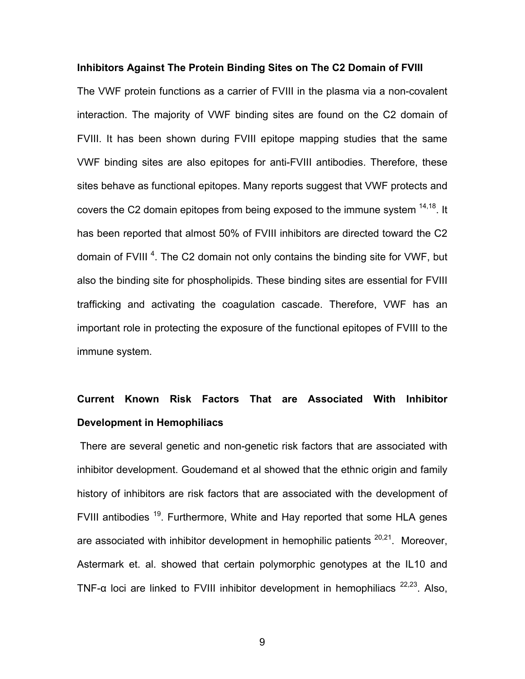#### **Inhibitors Against The Protein Binding Sites on The C2 Domain of FVIII**

The VWF protein functions as a carrier of FVIII in the plasma via a non-covalent interaction. The majority of VWF binding sites are found on the C2 domain of FVIII. It has been shown during FVIII epitope mapping studies that the same VWF binding sites are also epitopes for anti-FVIII antibodies. Therefore, these sites behave as functional epitopes. Many reports suggest that VWF protects and covers the C2 domain epitopes from being exposed to the immune system <sup>14,18</sup>. It has been reported that almost 50% of FVIII inhibitors are directed toward the C2 domain of FVIII<sup>4</sup>. The C2 domain not only contains the binding site for VWF, but also the binding site for phospholipids. These binding sites are essential for FVIII trafficking and activating the coagulation cascade. Therefore, VWF has an important role in protecting the exposure of the functional epitopes of FVIII to the immune system.

# **Current Known Risk Factors That are Associated With Inhibitor Development in Hemophiliacs**

 There are several genetic and non-genetic risk factors that are associated with inhibitor development. Goudemand et al showed that the ethnic origin and family history of inhibitors are risk factors that are associated with the development of FVIII antibodies <sup>19</sup>. Furthermore, White and Hay reported that some HLA genes are associated with inhibitor development in hemophilic patients  $20,21$ . Moreover, Astermark et. al. showed that certain polymorphic genotypes at the IL10 and TNF- $\alpha$  loci are linked to FVIII inhibitor development in hemophiliacs  $^{22,23}$ . Also,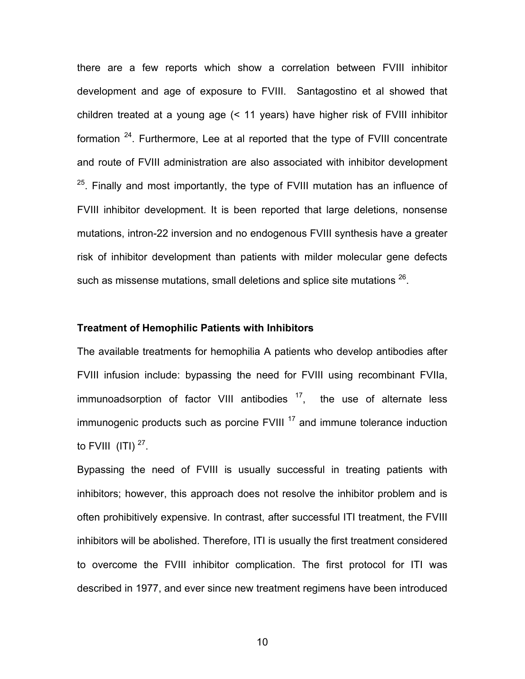there are a few reports which show a correlation between FVIII inhibitor development and age of exposure to FVIII. Santagostino et al showed that children treated at a young age (< 11 years) have higher risk of FVIII inhibitor formation  $24$ . Furthermore, Lee at al reported that the type of FVIII concentrate and route of FVIII administration are also associated with inhibitor development  $25$ . Finally and most importantly, the type of FVIII mutation has an influence of FVIII inhibitor development. It is been reported that large deletions, nonsense mutations, intron-22 inversion and no endogenous FVIII synthesis have a greater risk of inhibitor development than patients with milder molecular gene defects such as missense mutations, small deletions and splice site mutations  $^{26}$ .

#### **Treatment of Hemophilic Patients with Inhibitors**

The available treatments for hemophilia A patients who develop antibodies after FVIII infusion include: bypassing the need for FVIII using recombinant FVIIa, immunoadsorption of factor VIII antibodies  $17$ , the use of alternate less  $immunogenic$  products such as porcine  $FVIII$ <sup>17</sup> and immune tolerance induction to FVIII  $(ITI)$ <sup>27</sup>.

Bypassing the need of FVIII is usually successful in treating patients with inhibitors; however, this approach does not resolve the inhibitor problem and is often prohibitively expensive. In contrast, after successful ITI treatment, the FVIII inhibitors will be abolished. Therefore, ITI is usually the first treatment considered to overcome the FVIII inhibitor complication. The first protocol for ITI was described in 1977, and ever since new treatment regimens have been introduced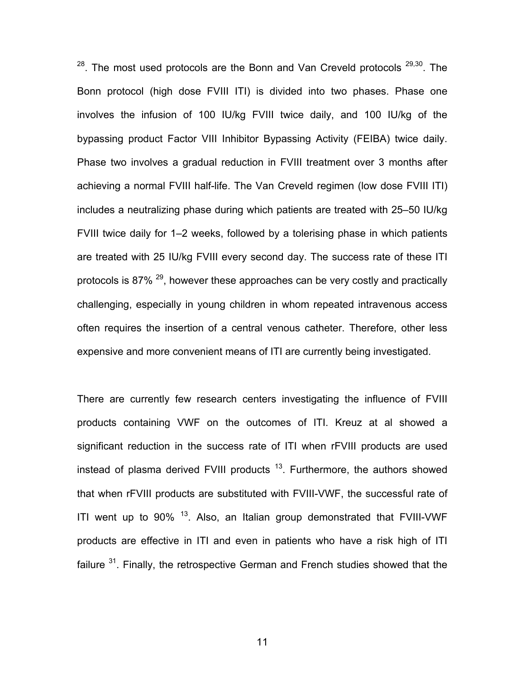$28$ . The most used protocols are the Bonn and Van Creveld protocols  $29,30$ . The Bonn protocol (high dose FVIII ITI) is divided into two phases. Phase one involves the infusion of 100 IU/kg FVIII twice daily, and 100 IU/kg of the bypassing product Factor VIII Inhibitor Bypassing Activity (FEIBA) twice daily. Phase two involves a gradual reduction in FVIII treatment over 3 months after achieving a normal FVIII half-life. The Van Creveld regimen (low dose FVIII ITI) includes a neutralizing phase during which patients are treated with 25–50 IU/kg FVIII twice daily for 1–2 weeks, followed by a tolerising phase in which patients are treated with 25 IU/kg FVIII every second day. The success rate of these ITI protocols is 87%  $^{29}$ , however these approaches can be very costly and practically challenging, especially in young children in whom repeated intravenous access often requires the insertion of a central venous catheter. Therefore, other less expensive and more convenient means of ITI are currently being investigated.

There are currently few research centers investigating the influence of FVIII products containing VWF on the outcomes of ITI. Kreuz at al showed a significant reduction in the success rate of ITI when rFVIII products are used instead of plasma derived FVIII products  $13$ . Furthermore, the authors showed that when rFVIII products are substituted with FVIII-VWF, the successful rate of ITI went up to  $90\%$ <sup>13</sup>. Also, an Italian group demonstrated that FVIII-VWF products are effective in ITI and even in patients who have a risk high of ITI failure  $31$ . Finally, the retrospective German and French studies showed that the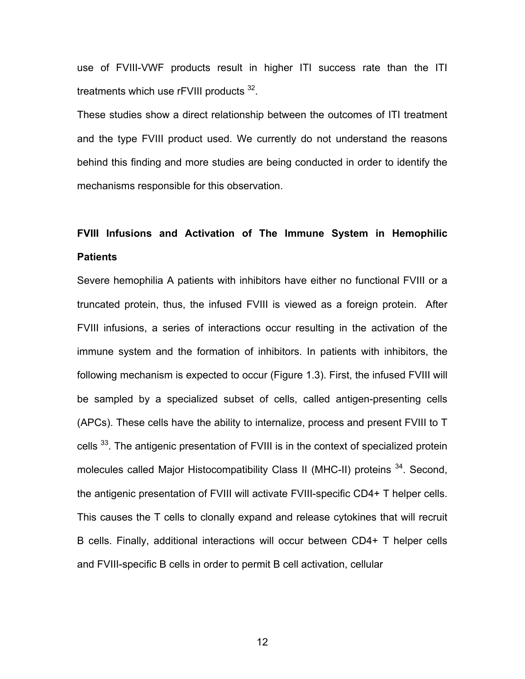use of FVIII-VWF products result in higher ITI success rate than the ITI treatments which use rFVIII products <sup>32</sup>.

These studies show a direct relationship between the outcomes of ITI treatment and the type FVIII product used. We currently do not understand the reasons behind this finding and more studies are being conducted in order to identify the mechanisms responsible for this observation.

# **FVIII Infusions and Activation of The Immune System in Hemophilic Patients**

Severe hemophilia A patients with inhibitors have either no functional FVIII or a truncated protein, thus, the infused FVIII is viewed as a foreign protein. After FVIII infusions, a series of interactions occur resulting in the activation of the immune system and the formation of inhibitors. In patients with inhibitors, the following mechanism is expected to occur (Figure 1.3). First, the infused FVIII will be sampled by a specialized subset of cells, called antigen-presenting cells (APCs). These cells have the ability to internalize, process and present FVIII to T cells <sup>33</sup>. The antigenic presentation of FVIII is in the context of specialized protein molecules called Major Histocompatibility Class II (MHC-II) proteins <sup>34</sup>. Second, the antigenic presentation of FVIII will activate FVIII-specific CD4+ T helper cells. This causes the T cells to clonally expand and release cytokines that will recruit B cells. Finally, additional interactions will occur between CD4+ T helper cells and FVIII-specific B cells in order to permit B cell activation, cellular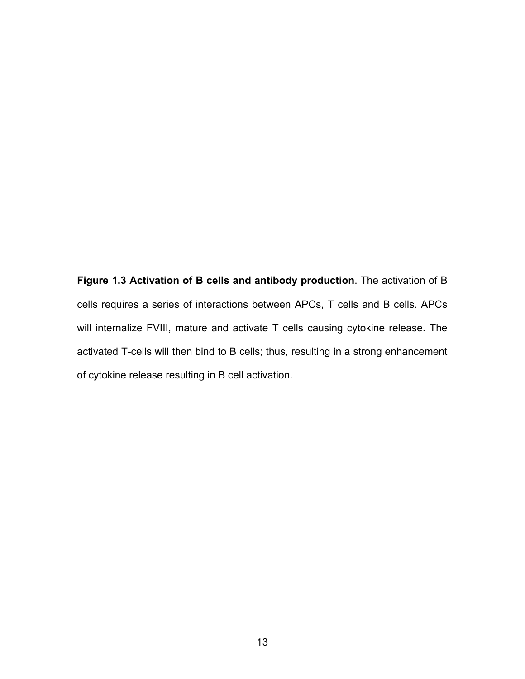**Figure 1.3 Activation of B cells and antibody production**. The activation of B cells requires a series of interactions between APCs, T cells and B cells. APCs will internalize FVIII, mature and activate T cells causing cytokine release. The activated T-cells will then bind to B cells; thus, resulting in a strong enhancement of cytokine release resulting in B cell activation.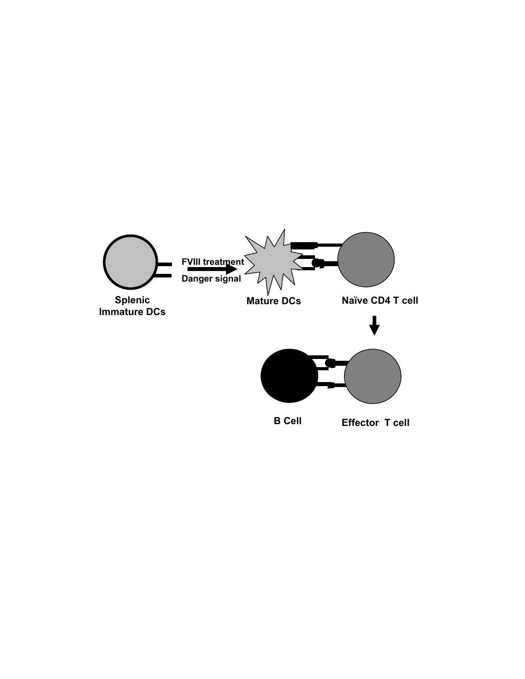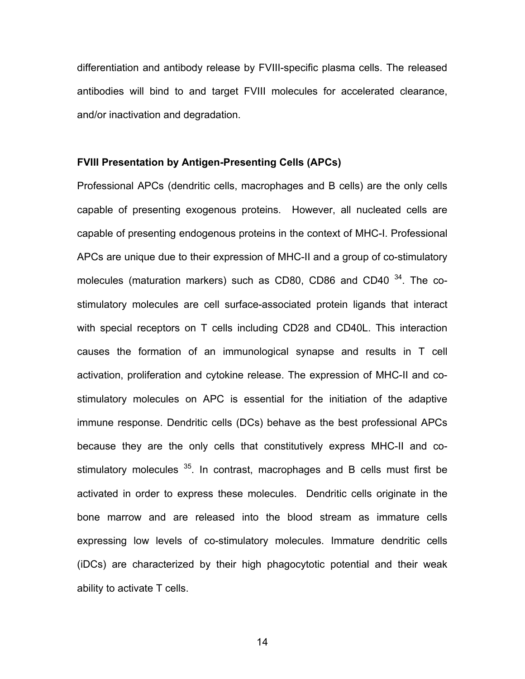differentiation and antibody release by FVIII-specific plasma cells. The released antibodies will bind to and target FVIII molecules for accelerated clearance, and/or inactivation and degradation.

#### **FVIII Presentation by Antigen-Presenting Cells (APCs)**

Professional APCs (dendritic cells, macrophages and B cells) are the only cells capable of presenting exogenous proteins. However, all nucleated cells are capable of presenting endogenous proteins in the context of MHC-I. Professional APCs are unique due to their expression of MHC-II and a group of co-stimulatory molecules (maturation markers) such as CD80, CD86 and CD40  $34$ . The costimulatory molecules are cell surface-associated protein ligands that interact with special receptors on T cells including CD28 and CD40L. This interaction causes the formation of an immunological synapse and results in T cell activation, proliferation and cytokine release. The expression of MHC-II and costimulatory molecules on APC is essential for the initiation of the adaptive immune response. Dendritic cells (DCs) behave as the best professional APCs because they are the only cells that constitutively express MHC-II and costimulatory molecules  $35$ . In contrast, macrophages and B cells must first be activated in order to express these molecules. Dendritic cells originate in the bone marrow and are released into the blood stream as immature cells expressing low levels of co-stimulatory molecules. Immature dendritic cells (iDCs) are characterized by their high phagocytotic potential and their weak ability to activate T cells.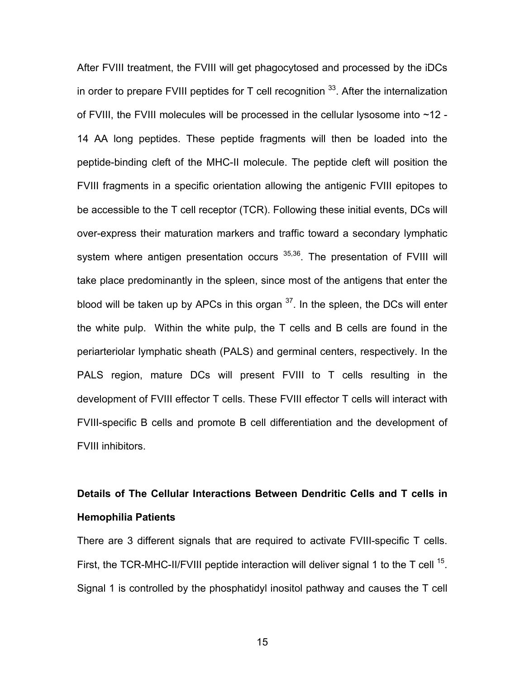After FVIII treatment, the FVIII will get phagocytosed and processed by the iDCs in order to prepare FVIII peptides for  $T$  cell recognition  $33$ . After the internalization of FVIII, the FVIII molecules will be processed in the cellular lysosome into ~12 - 14 AA long peptides. These peptide fragments will then be loaded into the peptide-binding cleft of the MHC-II molecule. The peptide cleft will position the FVIII fragments in a specific orientation allowing the antigenic FVIII epitopes to be accessible to the T cell receptor (TCR). Following these initial events, DCs will over-express their maturation markers and traffic toward a secondary lymphatic system where antigen presentation occurs <sup>35,36</sup>. The presentation of FVIII will take place predominantly in the spleen, since most of the antigens that enter the blood will be taken up by APCs in this organ  $37$ . In the spleen, the DCs will enter the white pulp. Within the white pulp, the T cells and B cells are found in the periarteriolar lymphatic sheath (PALS) and germinal centers, respectively. In the PALS region, mature DCs will present FVIII to T cells resulting in the development of FVIII effector T cells. These FVIII effector T cells will interact with FVIII-specific B cells and promote B cell differentiation and the development of FVIII inhibitors.

# **Details of The Cellular Interactions Between Dendritic Cells and T cells in Hemophilia Patients**

There are 3 different signals that are required to activate FVIII-specific T cells. First, the TCR-MHC-II/FVIII peptide interaction will deliver signal 1 to the T cell <sup>15</sup>. Signal 1 is controlled by the phosphatidyl inositol pathway and causes the T cell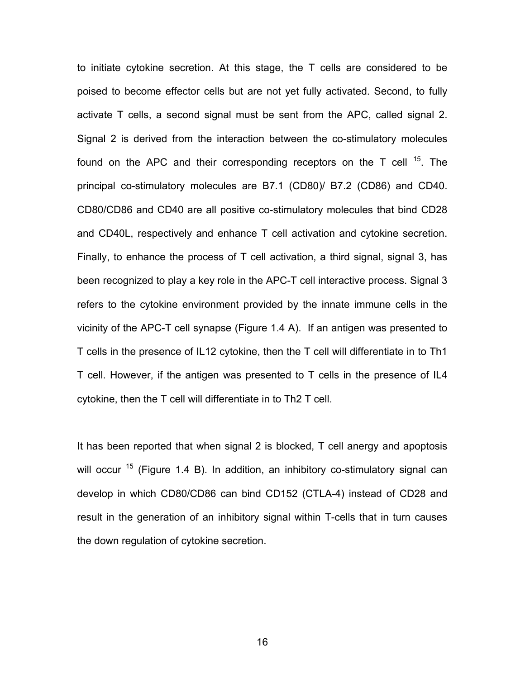to initiate cytokine secretion. At this stage, the T cells are considered to be poised to become effector cells but are not yet fully activated. Second, to fully activate T cells, a second signal must be sent from the APC, called signal 2. Signal 2 is derived from the interaction between the co-stimulatory molecules found on the APC and their corresponding receptors on the T cell  $^{15}$ . The principal co-stimulatory molecules are B7.1 (CD80)/ B7.2 (CD86) and CD40. CD80/CD86 and CD40 are all positive co-stimulatory molecules that bind CD28 and CD40L, respectively and enhance T cell activation and cytokine secretion. Finally, to enhance the process of T cell activation, a third signal, signal 3, has been recognized to play a key role in the APC-T cell interactive process. Signal 3 refers to the cytokine environment provided by the innate immune cells in the vicinity of the APC-T cell synapse (Figure 1.4 A). If an antigen was presented to T cells in the presence of IL12 cytokine, then the T cell will differentiate in to Th1 T cell. However, if the antigen was presented to T cells in the presence of IL4 cytokine, then the T cell will differentiate in to Th2 T cell.

It has been reported that when signal 2 is blocked, T cell anergy and apoptosis will occur  $15$  (Figure 1.4 B). In addition, an inhibitory co-stimulatory signal can develop in which CD80/CD86 can bind CD152 (CTLA-4) instead of CD28 and result in the generation of an inhibitory signal within T-cells that in turn causes the down regulation of cytokine secretion.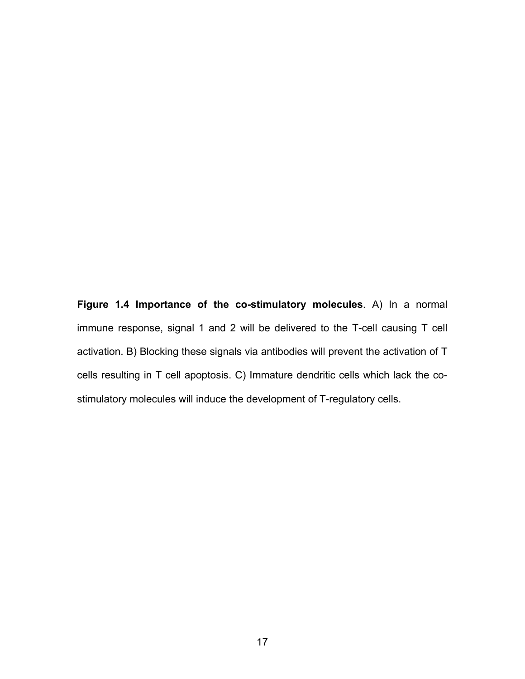**Figure 1.4 Importance of the co-stimulatory molecules**. A) In a normal immune response, signal 1 and 2 will be delivered to the T-cell causing T cell activation. B) Blocking these signals via antibodies will prevent the activation of T cells resulting in T cell apoptosis. C) Immature dendritic cells which lack the costimulatory molecules will induce the development of T-regulatory cells.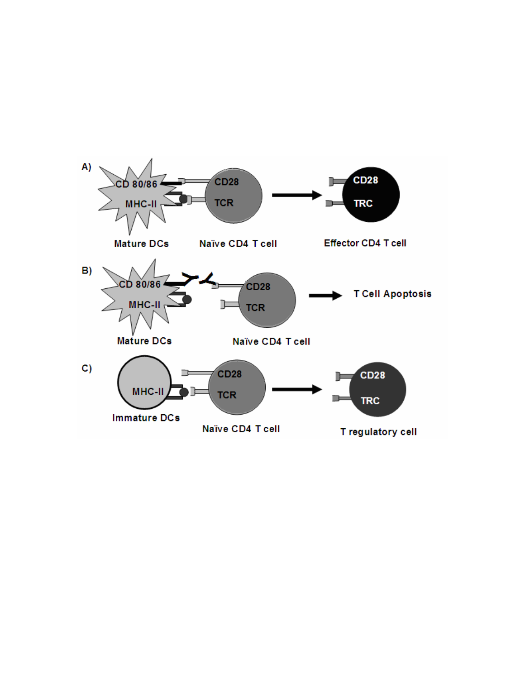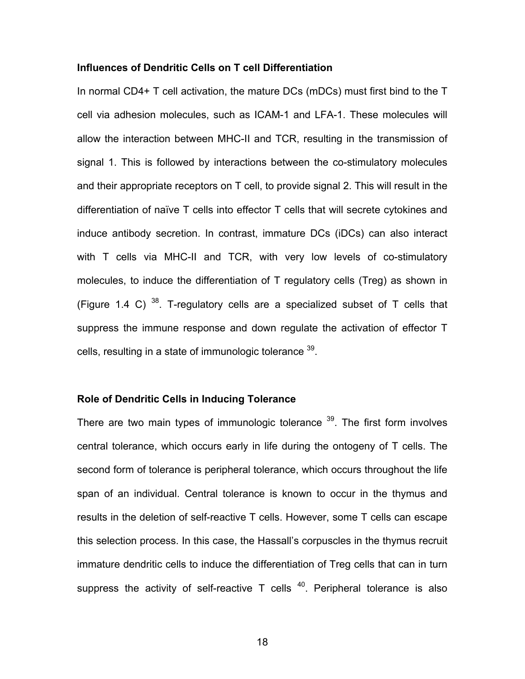#### **Influences of Dendritic Cells on T cell Differentiation**

In normal CD4+ T cell activation, the mature DCs (mDCs) must first bind to the T cell via adhesion molecules, such as ICAM-1 and LFA-1. These molecules will allow the interaction between MHC-II and TCR, resulting in the transmission of signal 1. This is followed by interactions between the co-stimulatory molecules and their appropriate receptors on T cell, to provide signal 2. This will result in the differentiation of naïve T cells into effector T cells that will secrete cytokines and induce antibody secretion. In contrast, immature DCs (iDCs) can also interact with T cells via MHC-II and TCR, with very low levels of co-stimulatory molecules, to induce the differentiation of T regulatory cells (Treg) as shown in (Figure 1.4 C)  $38$ . T-regulatory cells are a specialized subset of T cells that suppress the immune response and down regulate the activation of effector T cells, resulting in a state of immunologic tolerance <sup>39</sup>.

#### **Role of Dendritic Cells in Inducing Tolerance**

There are two main types of immunologic tolerance  $39$ . The first form involves central tolerance, which occurs early in life during the ontogeny of T cells. The second form of tolerance is peripheral tolerance, which occurs throughout the life span of an individual. Central tolerance is known to occur in the thymus and results in the deletion of self-reactive T cells. However, some T cells can escape this selection process. In this case, the Hassall's corpuscles in the thymus recruit immature dendritic cells to induce the differentiation of Treg cells that can in turn suppress the activity of self-reactive  $T$  cells  $40$ . Peripheral tolerance is also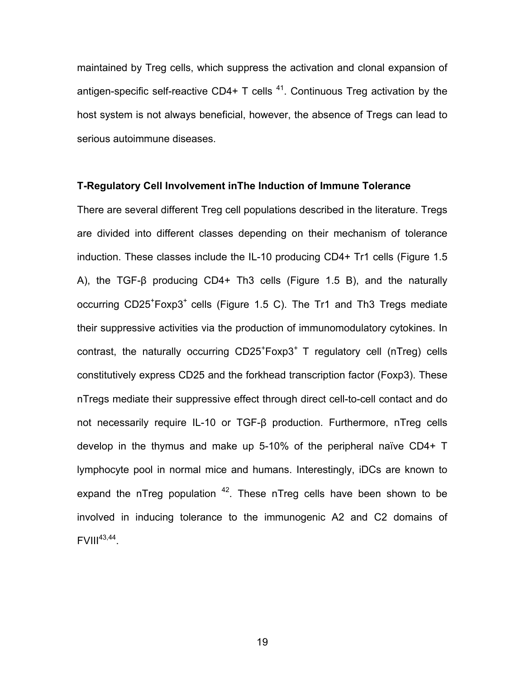maintained by Treg cells, which suppress the activation and clonal expansion of antigen-specific self-reactive CD4+ T cells  $41$ . Continuous Treg activation by the host system is not always beneficial, however, the absence of Tregs can lead to serious autoimmune diseases.

## **T-Regulatory Cell Involvement inThe Induction of Immune Tolerance**

There are several different Treg cell populations described in the literature. Tregs are divided into different classes depending on their mechanism of tolerance induction. These classes include the IL-10 producing CD4+ Tr1 cells (Figure 1.5 A), the TGF-β producing CD4+ Th3 cells (Figure 1.5 B), and the naturally occurring CD25<sup>+</sup>Foxp3<sup>+</sup> cells (Figure 1.5 C). The Tr1 and Th3 Tregs mediate their suppressive activities via the production of immunomodulatory cytokines. In contrast, the naturally occurring  $CD25+C$ Foxp $3+T$  regulatory cell (nTreg) cells constitutively express CD25 and the forkhead transcription factor (Foxp3). These nTregs mediate their suppressive effect through direct cell-to-cell contact and do not necessarily require IL-10 or TGF-β production. Furthermore, nTreg cells develop in the thymus and make up 5-10% of the peripheral naïve CD4+ T lymphocyte pool in normal mice and humans. Interestingly, iDCs are known to expand the nTreg population  $42$ . These nTreg cells have been shown to be involved in inducing tolerance to the immunogenic A2 and C2 domains of  $FVIII^{43,44}$ .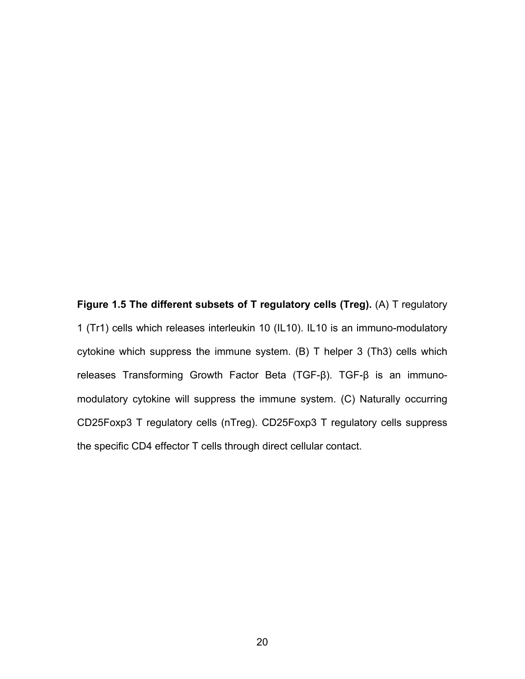**Figure 1.5 The different subsets of T regulatory cells (Treg).** (A) T regulatory 1 (Tr1) cells which releases interleukin 10 (IL10). IL10 is an immuno-modulatory cytokine which suppress the immune system. (B) T helper 3 (Th3) cells which releases Transforming Growth Factor Beta (TGF-β). TGF-β is an immunomodulatory cytokine will suppress the immune system. (C) Naturally occurring CD25Foxp3 T regulatory cells (nTreg). CD25Foxp3 T regulatory cells suppress the specific CD4 effector T cells through direct cellular contact.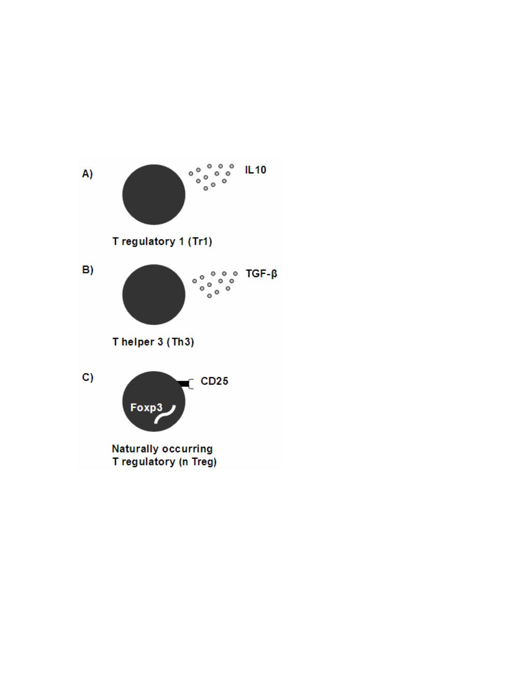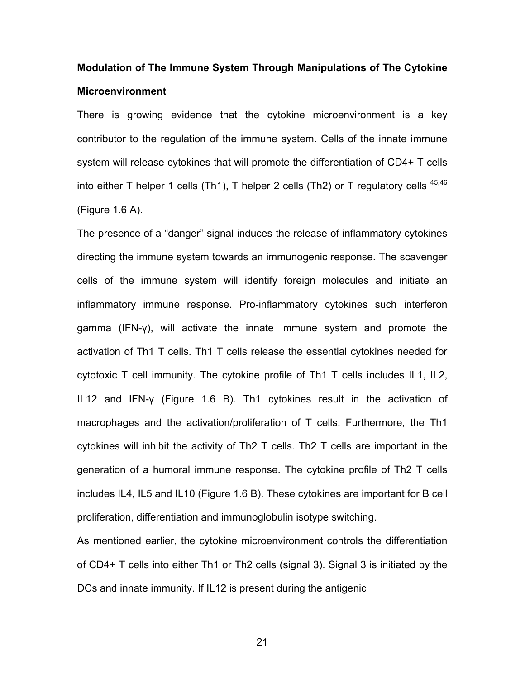# **Modulation of The Immune System Through Manipulations of The Cytokine Microenvironment**

There is growing evidence that the cytokine microenvironment is a key contributor to the regulation of the immune system. Cells of the innate immune system will release cytokines that will promote the differentiation of CD4+ T cells into either T helper 1 cells (Th1), T helper 2 cells (Th2) or T regulatory cells  $45,46$ (Figure 1.6 A).

The presence of a "danger" signal induces the release of inflammatory cytokines directing the immune system towards an immunogenic response. The scavenger cells of the immune system will identify foreign molecules and initiate an inflammatory immune response. Pro-inflammatory cytokines such interferon gamma (IFN-γ), will activate the innate immune system and promote the activation of Th1 T cells. Th1 T cells release the essential cytokines needed for cytotoxic T cell immunity. The cytokine profile of Th1 T cells includes IL1, IL2, IL12 and IFN-γ (Figure 1.6 B). Th1 cytokines result in the activation of macrophages and the activation/proliferation of T cells. Furthermore, the Th1 cytokines will inhibit the activity of Th2 T cells. Th2 T cells are important in the generation of a humoral immune response. The cytokine profile of Th2 T cells includes IL4, IL5 and IL10 (Figure 1.6 B). These cytokines are important for B cell proliferation, differentiation and immunoglobulin isotype switching.

As mentioned earlier, the cytokine microenvironment controls the differentiation of CD4+ T cells into either Th1 or Th2 cells (signal 3). Signal 3 is initiated by the DCs and innate immunity. If IL12 is present during the antigenic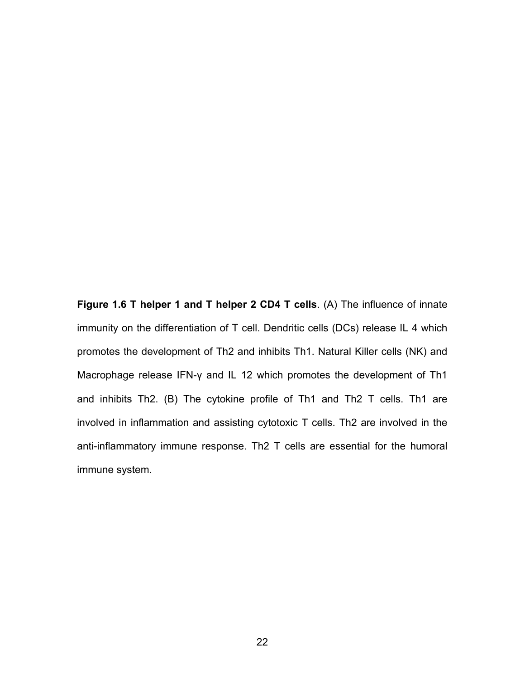**Figure 1.6 T helper 1 and T helper 2 CD4 T cells**. (A) The influence of innate immunity on the differentiation of T cell. Dendritic cells (DCs) release IL 4 which promotes the development of Th2 and inhibits Th1. Natural Killer cells (NK) and Macrophage release IFN-γ and IL 12 which promotes the development of Th1 and inhibits Th2. (B) The cytokine profile of Th1 and Th2 T cells. Th1 are involved in inflammation and assisting cytotoxic T cells. Th2 are involved in the anti-inflammatory immune response. Th2 T cells are essential for the humoral immune system.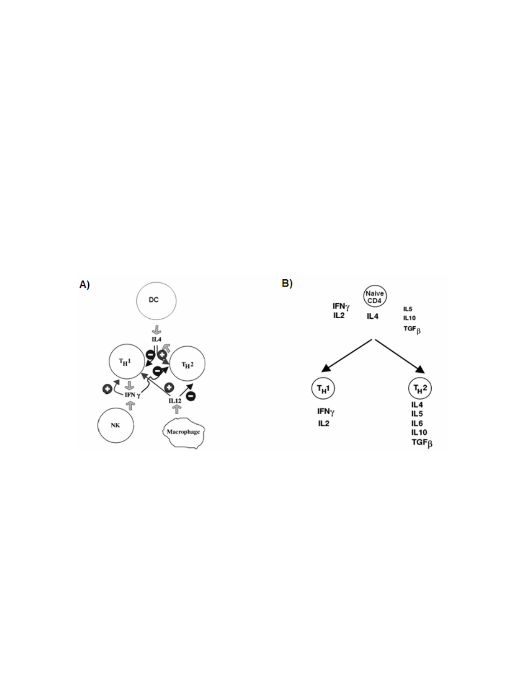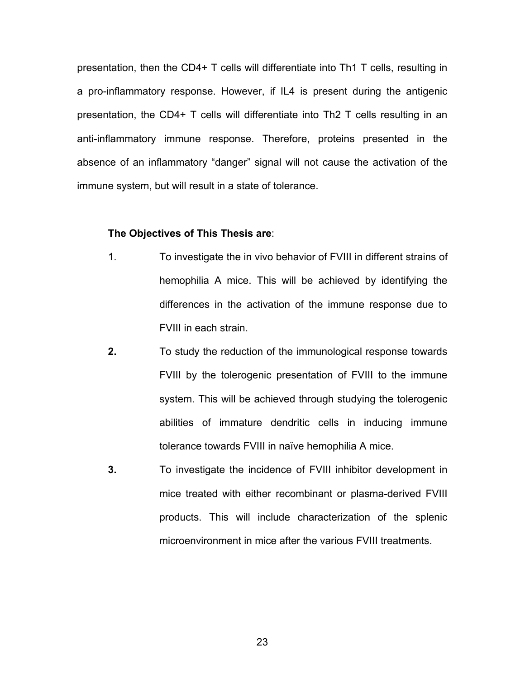presentation, then the CD4+ T cells will differentiate into Th1 T cells, resulting in a pro-inflammatory response. However, if IL4 is present during the antigenic presentation, the CD4+ T cells will differentiate into Th2 T cells resulting in an anti-inflammatory immune response. Therefore, proteins presented in the absence of an inflammatory "danger" signal will not cause the activation of the immune system, but will result in a state of tolerance.

#### **The Objectives of This Thesis are**:

- 1. To investigate the in vivo behavior of FVIII in different strains of hemophilia A mice. This will be achieved by identifying the differences in the activation of the immune response due to FVIII in each strain.
- **2.** To study the reduction of the immunological response towards FVIII by the tolerogenic presentation of FVIII to the immune system. This will be achieved through studying the tolerogenic abilities of immature dendritic cells in inducing immune tolerance towards FVIII in naïve hemophilia A mice.
- **3.** To investigate the incidence of FVIII inhibitor development in mice treated with either recombinant or plasma-derived FVIII products. This will include characterization of the splenic microenvironment in mice after the various FVIII treatments.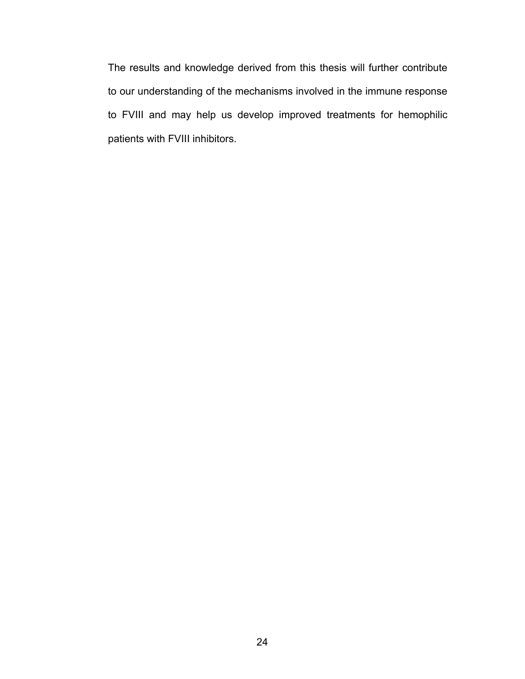The results and knowledge derived from this thesis will further contribute to our understanding of the mechanisms involved in the immune response to FVIII and may help us develop improved treatments for hemophilic patients with FVIII inhibitors.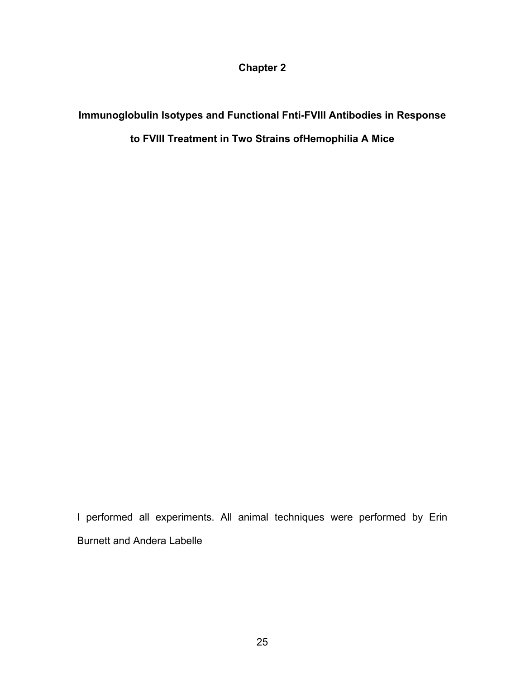**Chapter 2** 

**Immunoglobulin Isotypes and Functional Fnti-FVIII Antibodies in Response to FVIII Treatment in Two Strains ofHemophilia A Mice** 

I performed all experiments. All animal techniques were performed by Erin Burnett and Andera Labelle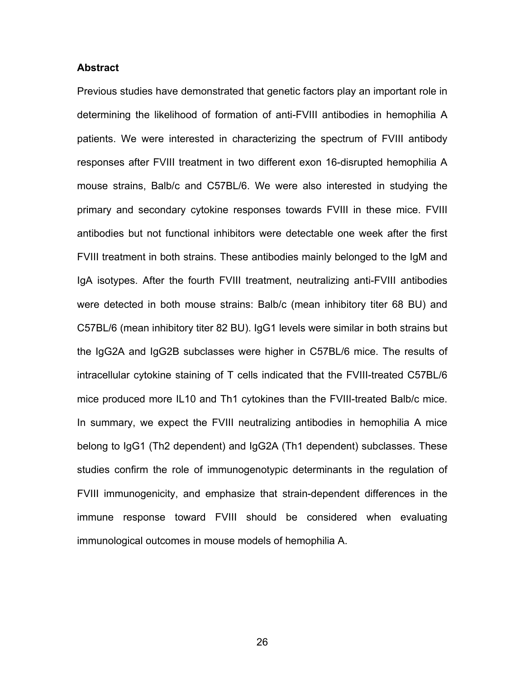#### **Abstract**

Previous studies have demonstrated that genetic factors play an important role in determining the likelihood of formation of anti-FVIII antibodies in hemophilia A patients. We were interested in characterizing the spectrum of FVIII antibody responses after FVIII treatment in two different exon 16-disrupted hemophilia A mouse strains, Balb/c and C57BL/6. We were also interested in studying the primary and secondary cytokine responses towards FVIII in these mice. FVIII antibodies but not functional inhibitors were detectable one week after the first FVIII treatment in both strains. These antibodies mainly belonged to the IgM and IgA isotypes. After the fourth FVIII treatment, neutralizing anti-FVIII antibodies were detected in both mouse strains: Balb/c (mean inhibitory titer 68 BU) and C57BL/6 (mean inhibitory titer 82 BU). IgG1 levels were similar in both strains but the IgG2A and IgG2B subclasses were higher in C57BL/6 mice. The results of intracellular cytokine staining of T cells indicated that the FVIII-treated C57BL/6 mice produced more IL10 and Th1 cytokines than the FVIII-treated Balb/c mice. In summary, we expect the FVIII neutralizing antibodies in hemophilia A mice belong to IgG1 (Th2 dependent) and IgG2A (Th1 dependent) subclasses. These studies confirm the role of immunogenotypic determinants in the regulation of FVIII immunogenicity, and emphasize that strain-dependent differences in the immune response toward FVIII should be considered when evaluating immunological outcomes in mouse models of hemophilia A.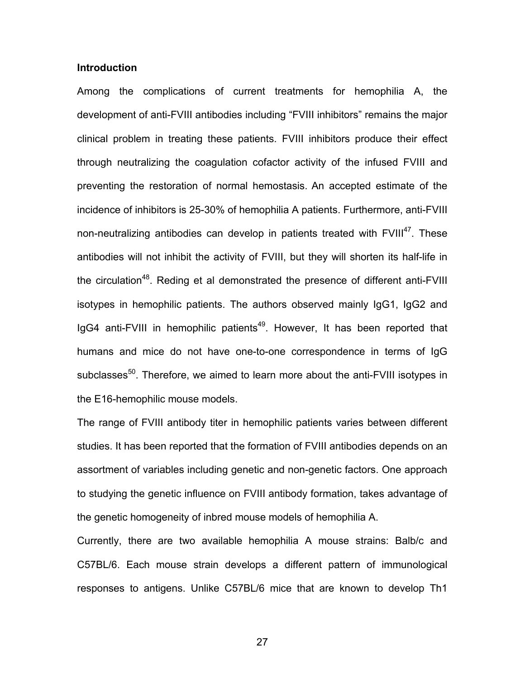## **Introduction**

Among the complications of current treatments for hemophilia A, the development of anti-FVIII antibodies including "FVIII inhibitors" remains the major clinical problem in treating these patients. FVIII inhibitors produce their effect through neutralizing the coagulation cofactor activity of the infused FVIII and preventing the restoration of normal hemostasis. An accepted estimate of the incidence of inhibitors is 25-30% of hemophilia A patients. Furthermore, anti-FVIII non-neutralizing antibodies can develop in patients treated with  $FVIII^{47}$ . These antibodies will not inhibit the activity of FVIII, but they will shorten its half-life in the circulation<sup>48</sup>. Reding et al demonstrated the presence of different anti-FVIII isotypes in hemophilic patients. The authors observed mainly IgG1, IgG2 and IgG4 anti-FVIII in hemophilic patients<sup>49</sup>. However, It has been reported that humans and mice do not have one-to-one correspondence in terms of IgG subclasses<sup>50</sup>. Therefore, we aimed to learn more about the anti-FVIII isotypes in the E16-hemophilic mouse models.

The range of FVIII antibody titer in hemophilic patients varies between different studies. It has been reported that the formation of FVIII antibodies depends on an assortment of variables including genetic and non-genetic factors. One approach to studying the genetic influence on FVIII antibody formation, takes advantage of the genetic homogeneity of inbred mouse models of hemophilia A.

Currently, there are two available hemophilia A mouse strains: Balb/c and C57BL/6. Each mouse strain develops a different pattern of immunological responses to antigens. Unlike C57BL/6 mice that are known to develop Th1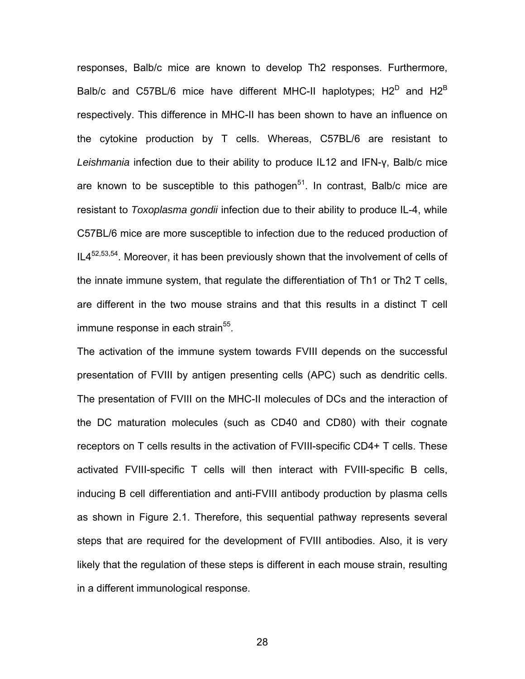responses, Balb/c mice are known to develop Th2 responses. Furthermore, Balb/c and C57BL/6 mice have different MHC-II haplotypes;  $H2^D$  and  $H2^B$ respectively. This difference in MHC-II has been shown to have an influence on the cytokine production by T cells. Whereas, C57BL/6 are resistant to *Leishmania* infection due to their ability to produce IL12 and IFN-γ, Balb/c mice are known to be susceptible to this pathogen $51$ . In contrast, Balb/c mice are resistant to *Toxoplasma gondii* infection due to their ability to produce IL-4, while C57BL/6 mice are more susceptible to infection due to the reduced production of  $IL4<sup>52,53,54</sup>$ . Moreover, it has been previously shown that the involvement of cells of the innate immune system, that regulate the differentiation of Th1 or Th2 T cells, are different in the two mouse strains and that this results in a distinct T cell immune response in each strain<sup>55</sup>.

The activation of the immune system towards FVIII depends on the successful presentation of FVIII by antigen presenting cells (APC) such as dendritic cells. The presentation of FVIII on the MHC-II molecules of DCs and the interaction of the DC maturation molecules (such as CD40 and CD80) with their cognate receptors on T cells results in the activation of FVIII-specific CD4+ T cells. These activated FVIII-specific T cells will then interact with FVIII-specific B cells, inducing B cell differentiation and anti-FVIII antibody production by plasma cells as shown in Figure 2.1. Therefore, this sequential pathway represents several steps that are required for the development of FVIII antibodies. Also, it is very likely that the regulation of these steps is different in each mouse strain, resulting in a different immunological response.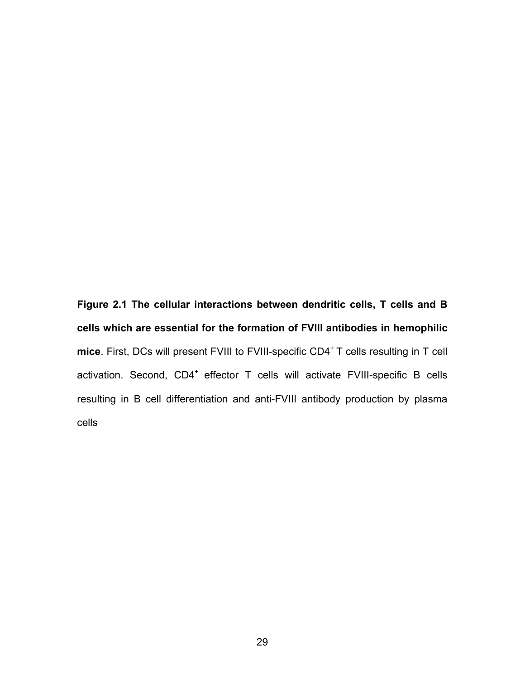**Figure 2.1 The cellular interactions between dendritic cells, T cells and B cells which are essential for the formation of FVIII antibodies in hemophilic**  mice. First, DCs will present FVIII to FVIII-specific CD4<sup>+</sup> T cells resulting in T cell activation. Second, CD4<sup>+</sup> effector T cells will activate FVIII-specific B cells resulting in B cell differentiation and anti-FVIII antibody production by plasma cells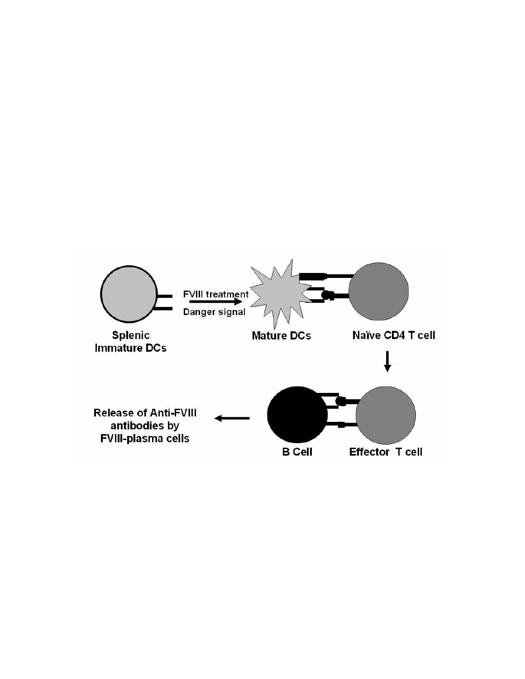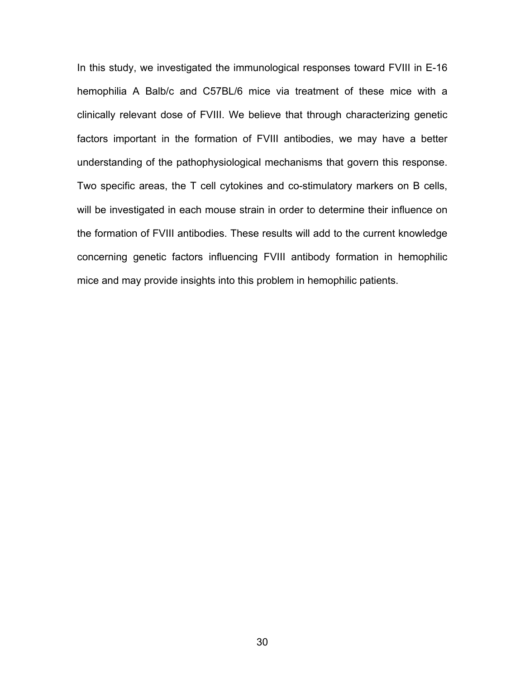In this study, we investigated the immunological responses toward FVIII in E-16 hemophilia A Balb/c and C57BL/6 mice via treatment of these mice with a clinically relevant dose of FVIII. We believe that through characterizing genetic factors important in the formation of FVIII antibodies, we may have a better understanding of the pathophysiological mechanisms that govern this response. Two specific areas, the T cell cytokines and co-stimulatory markers on B cells, will be investigated in each mouse strain in order to determine their influence on the formation of FVIII antibodies. These results will add to the current knowledge concerning genetic factors influencing FVIII antibody formation in hemophilic mice and may provide insights into this problem in hemophilic patients.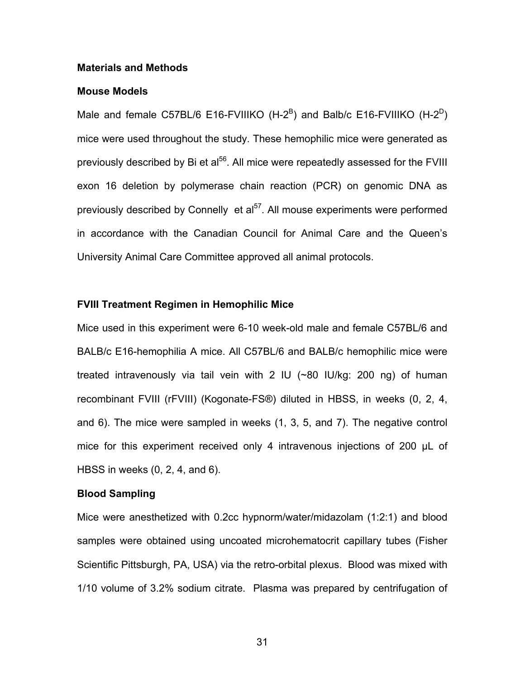#### **Materials and Methods**

### **Mouse Models**

Male and female C57BL/6 E16-FVIIIKO (H-2<sup>B</sup>) and Balb/c E16-FVIIIKO (H-2<sup>D</sup>) mice were used throughout the study. These hemophilic mice were generated as previously described by Bi et al<sup>56</sup>. All mice were repeatedly assessed for the FVIII exon 16 deletion by polymerase chain reaction (PCR) on genomic DNA as previously described by Connelly et al<sup>57</sup>. All mouse experiments were performed in accordance with the Canadian Council for Animal Care and the Queen's University Animal Care Committee approved all animal protocols.

# **FVIII Treatment Regimen in Hemophilic Mice**

Mice used in this experiment were 6-10 week-old male and female C57BL/6 and BALB/c E16-hemophilia A mice. All C57BL/6 and BALB/c hemophilic mice were treated intravenously via tail vein with 2 IU (~80 IU/kg: 200 ng) of human recombinant FVIII (rFVIII) (Kogonate-FS®) diluted in HBSS, in weeks (0, 2, 4, and 6). The mice were sampled in weeks (1, 3, 5, and 7). The negative control mice for this experiment received only 4 intravenous injections of 200 μL of HBSS in weeks (0, 2, 4, and 6).

#### **Blood Sampling**

Mice were anesthetized with 0.2cc hypnorm/water/midazolam (1:2:1) and blood samples were obtained using uncoated microhematocrit capillary tubes (Fisher Scientific Pittsburgh, PA, USA) via the retro-orbital plexus. Blood was mixed with 1/10 volume of 3.2% sodium citrate. Plasma was prepared by centrifugation of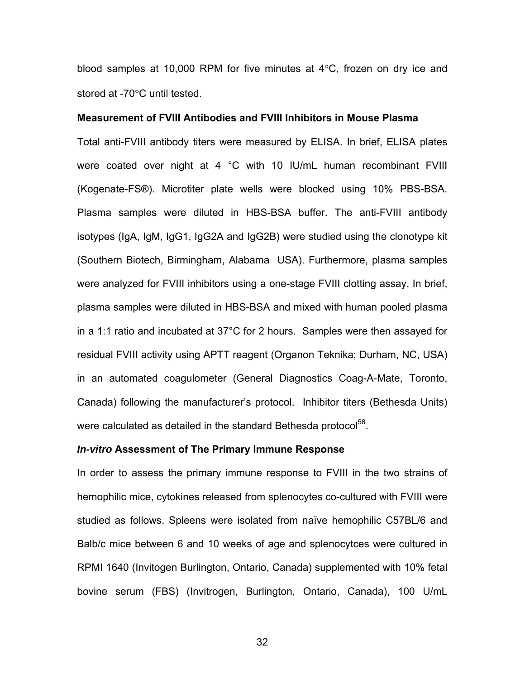blood samples at 10,000 RPM for five minutes at 4°C, frozen on dry ice and stored at -70°C until tested.

### **Measurement of FVIII Antibodies and FVIII Inhibitors in Mouse Plasma**

Total anti-FVIII antibody titers were measured by ELISA. In brief, ELISA plates were coated over night at 4 °C with 10 IU/mL human recombinant FVIII (Kogenate-FS®). Microtiter plate wells were blocked using 10% PBS-BSA. Plasma samples were diluted in HBS-BSA buffer. The anti-FVIII antibody isotypes (IgA, IgM, IgG1, IgG2A and IgG2B) were studied using the clonotype kit (Southern Biotech, Birmingham, Alabama USA). Furthermore, plasma samples were analyzed for FVIII inhibitors using a one-stage FVIII clotting assay. In brief, plasma samples were diluted in HBS-BSA and mixed with human pooled plasma in a 1:1 ratio and incubated at 37°C for 2 hours. Samples were then assayed for residual FVIII activity using APTT reagent (Organon Teknika; Durham, NC, USA) in an automated coagulometer (General Diagnostics Coag-A-Mate, Toronto, Canada) following the manufacturer's protocol. Inhibitor titers (Bethesda Units) were calculated as detailed in the standard Bethesda protocol<sup>58</sup>.

#### *In-vitro* **Assessment of The Primary Immune Response**

In order to assess the primary immune response to FVIII in the two strains of hemophilic mice, cytokines released from splenocytes co-cultured with FVIII were studied as follows. Spleens were isolated from naïve hemophilic C57BL/6 and Balb/c mice between 6 and 10 weeks of age and splenocytces were cultured in RPMI 1640 (Invitogen Burlington, Ontario, Canada) supplemented with 10% fetal bovine serum (FBS) (Invitrogen, Burlington, Ontario, Canada), 100 U/mL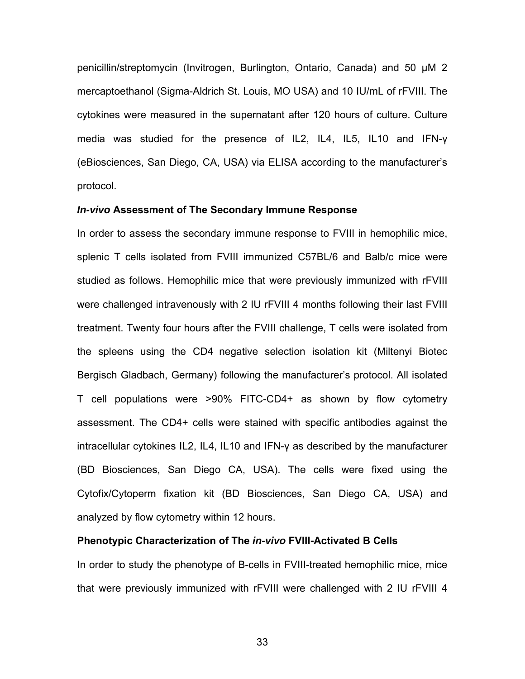penicillin/streptomycin (Invitrogen, Burlington, Ontario, Canada) and 50 μM 2 mercaptoethanol (Sigma-Aldrich St. Louis, MO USA) and 10 IU/mL of rFVIII. The cytokines were measured in the supernatant after 120 hours of culture. Culture media was studied for the presence of IL2, IL4, IL5, IL10 and IFN-γ (eBiosciences, San Diego, CA, USA) via ELISA according to the manufacturer's protocol.

#### *In-vivo* **Assessment of The Secondary Immune Response**

In order to assess the secondary immune response to FVIII in hemophilic mice, splenic T cells isolated from FVIII immunized C57BL/6 and Balb/c mice were studied as follows. Hemophilic mice that were previously immunized with rFVIII were challenged intravenously with 2 IU rFVIII 4 months following their last FVIII treatment. Twenty four hours after the FVIII challenge, T cells were isolated from the spleens using the CD4 negative selection isolation kit (Miltenyi Biotec Bergisch Gladbach, Germany) following the manufacturer's protocol. All isolated T cell populations were >90% FITC-CD4+ as shown by flow cytometry assessment. The CD4+ cells were stained with specific antibodies against the intracellular cytokines IL2, IL4, IL10 and IFN-γ as described by the manufacturer (BD Biosciences, San Diego CA, USA). The cells were fixed using the Cytofix/Cytoperm fixation kit (BD Biosciences, San Diego CA, USA) and analyzed by flow cytometry within 12 hours.

### **Phenotypic Characterization of The** *in-vivo* **FVIII-Activated B Cells**

In order to study the phenotype of B-cells in FVIII-treated hemophilic mice, mice that were previously immunized with rFVIII were challenged with 2 IU rFVIII 4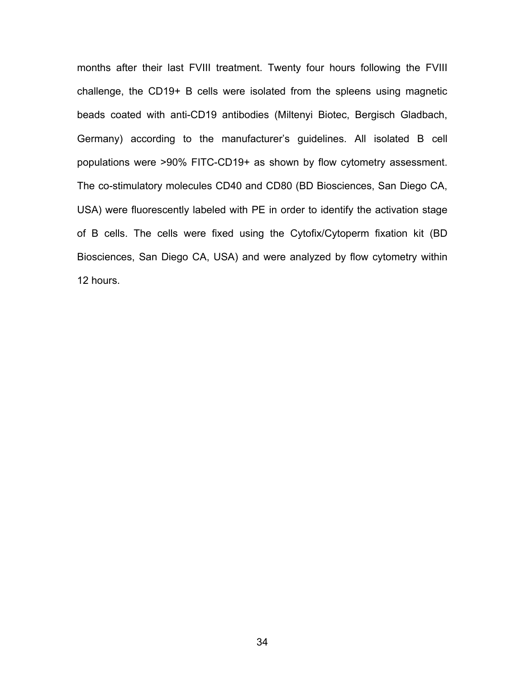months after their last FVIII treatment. Twenty four hours following the FVIII challenge, the CD19+ B cells were isolated from the spleens using magnetic beads coated with anti-CD19 antibodies (Miltenyi Biotec, Bergisch Gladbach, Germany) according to the manufacturer's guidelines. All isolated B cell populations were >90% FITC-CD19+ as shown by flow cytometry assessment. The co-stimulatory molecules CD40 and CD80 (BD Biosciences, San Diego CA, USA) were fluorescently labeled with PE in order to identify the activation stage of B cells. The cells were fixed using the Cytofix/Cytoperm fixation kit (BD Biosciences, San Diego CA, USA) and were analyzed by flow cytometry within 12 hours.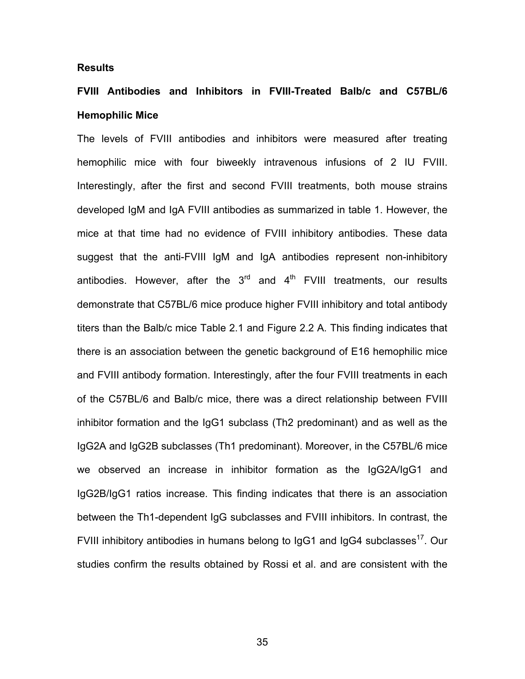### **Results**

# **FVIII Antibodies and Inhibitors in FVIII-Treated Balb/c and C57BL/6 Hemophilic Mice**

The levels of FVIII antibodies and inhibitors were measured after treating hemophilic mice with four biweekly intravenous infusions of 2 IU FVIII. Interestingly, after the first and second FVIII treatments, both mouse strains developed IgM and IgA FVIII antibodies as summarized in table 1. However, the mice at that time had no evidence of FVIII inhibitory antibodies. These data suggest that the anti-FVIII IgM and IgA antibodies represent non-inhibitory antibodies. However, after the  $3<sup>rd</sup>$  and  $4<sup>th</sup>$  FVIII treatments, our results demonstrate that C57BL/6 mice produce higher FVIII inhibitory and total antibody titers than the Balb/c mice Table 2.1 and Figure 2.2 A. This finding indicates that there is an association between the genetic background of E16 hemophilic mice and FVIII antibody formation. Interestingly, after the four FVIII treatments in each of the C57BL/6 and Balb/c mice, there was a direct relationship between FVIII inhibitor formation and the IgG1 subclass (Th2 predominant) and as well as the IgG2A and IgG2B subclasses (Th1 predominant). Moreover, in the C57BL/6 mice we observed an increase in inhibitor formation as the IgG2A/IgG1 and IgG2B/IgG1 ratios increase. This finding indicates that there is an association between the Th1-dependent IgG subclasses and FVIII inhibitors. In contrast, the FVIII inhibitory antibodies in humans belong to  $\lg G_1$  and  $\lg G_4$  subclasses<sup>17</sup>. Our studies confirm the results obtained by Rossi et al. and are consistent with the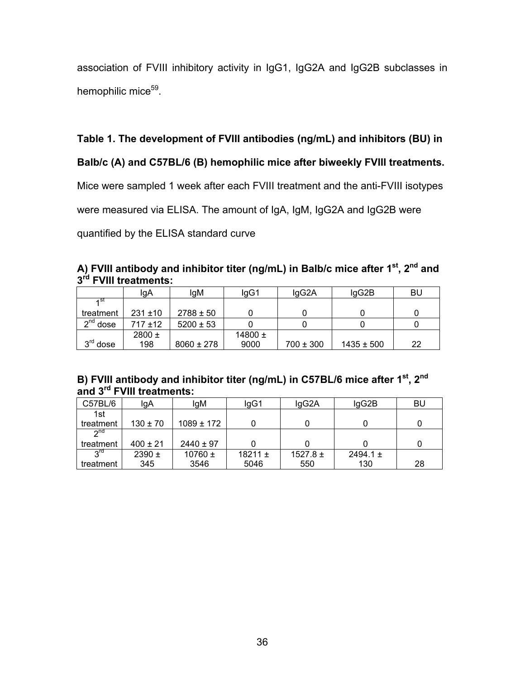association of FVIII inhibitory activity in IgG1, IgG2A and IgG2B subclasses in hemophilic mice<sup>59</sup>.

**Table 1. The development of FVIII antibodies (ng/mL) and inhibitors (BU) in** 

**Balb/c (A) and C57BL/6 (B) hemophilic mice after biweekly FVIII treatments.** 

Mice were sampled 1 week after each FVIII treatment and the anti-FVIII isotypes

were measured via ELISA. The amount of IgA, IgM, IgG2A and IgG2B were

quantified by the ELISA standard curve

|                                   | A) FVIII antibody and inhibitor titer (ng/mL) in Balb/c mice after 1 <sup>st</sup> , 2 <sup>nd</sup> and |  |  |  |
|-----------------------------------|----------------------------------------------------------------------------------------------------------|--|--|--|
| 3 <sup>rd</sup> FVIII treatments: |                                                                                                          |  |  |  |

|            | lgA          | lgM            | lgG1        | lgG2A         | lgG2B          | BU |
|------------|--------------|----------------|-------------|---------------|----------------|----|
|            |              |                |             |               |                |    |
| treatment  | $231 \pm 10$ | $2788 \pm 50$  |             |               |                |    |
| $2nd$ dose | $717 + 12$   | $5200 \pm 53$  |             |               |                |    |
|            | $2800 \pm$   |                | 14800 $\pm$ |               |                |    |
| $3rd$ dose | 198          | $8060 \pm 278$ | 9000        | $700 \pm 300$ | $1435 \pm 500$ | 22 |

# **B) FVIII antibody and inhibitor titer (ng/mL) in C57BL/6 mice after 1st, 2nd and 3rd FVIII treatments:**

| C57BL/6   | lgA          | lgM            | lgG1        | lgG2A        | lgG2B        | <b>BU</b> |
|-----------|--------------|----------------|-------------|--------------|--------------|-----------|
| 1st       |              |                |             |              |              |           |
| treatment | $130 \pm 70$ | $1089 \pm 172$ |             |              |              |           |
| $2^{nd}$  |              |                |             |              |              |           |
| treatment | $400 \pm 21$ | $2440 \pm 97$  |             |              |              |           |
| <b>Pu</b> | $2390 \pm$   | 10760 $\pm$    | 18211 $\pm$ | $1527.8 \pm$ | 2494.1 $\pm$ |           |
| treatment | 345          | 3546           | 5046        | 550          | 130          | 28        |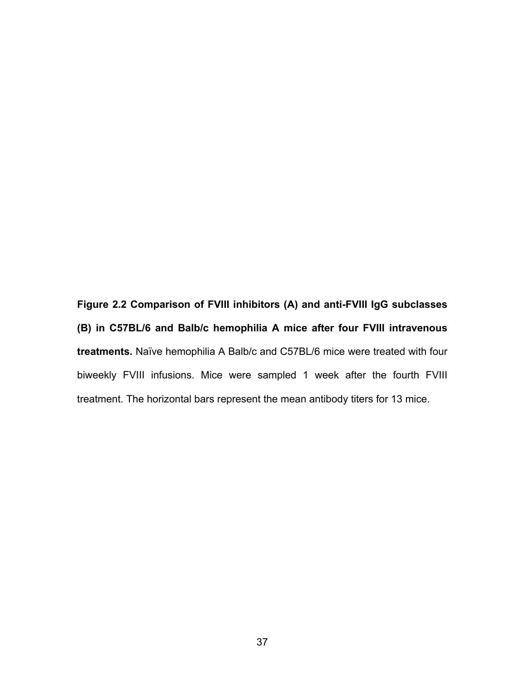**Figure 2.2 Comparison of FVIII inhibitors (A) and anti-FVIII IgG subclasses (B) in C57BL/6 and Balb/c hemophilia A mice after four FVIII intravenous treatments.** Naïve hemophilia A Balb/c and C57BL/6 mice were treated with four biweekly FVIII infusions. Mice were sampled 1 week after the fourth FVIII treatment. The horizontal bars represent the mean antibody titers for 13 mice.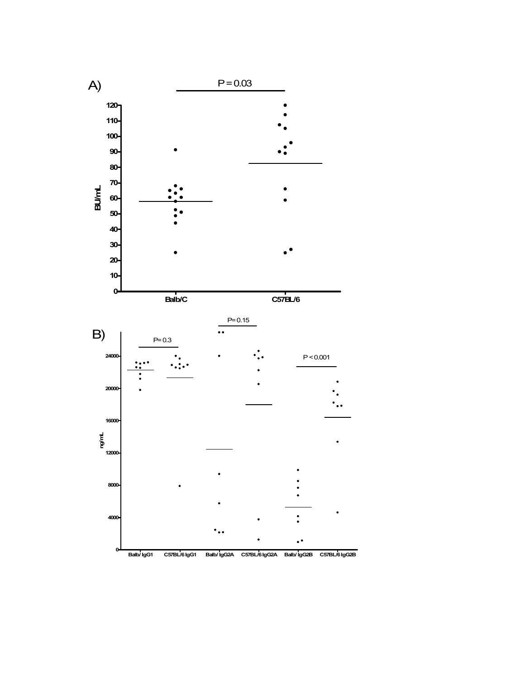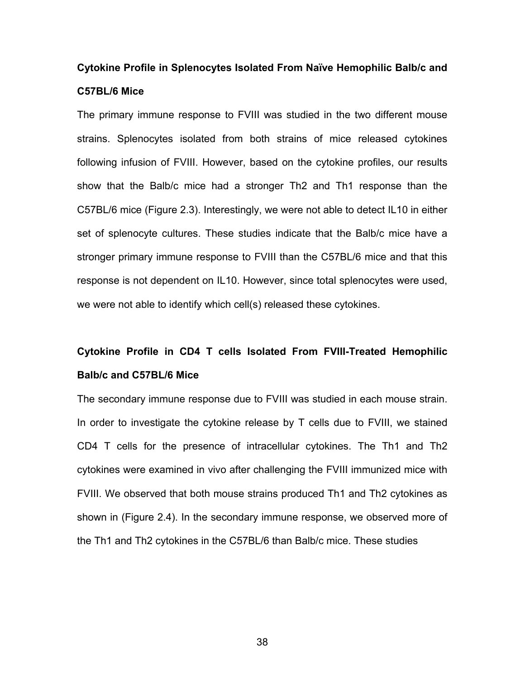# **Cytokine Profile in Splenocytes Isolated From Naïve Hemophilic Balb/c and C57BL/6 Mice**

The primary immune response to FVIII was studied in the two different mouse strains. Splenocytes isolated from both strains of mice released cytokines following infusion of FVIII. However, based on the cytokine profiles, our results show that the Balb/c mice had a stronger Th2 and Th1 response than the C57BL/6 mice (Figure 2.3). Interestingly, we were not able to detect IL10 in either set of splenocyte cultures. These studies indicate that the Balb/c mice have a stronger primary immune response to FVIII than the C57BL/6 mice and that this response is not dependent on IL10. However, since total splenocytes were used, we were not able to identify which cell(s) released these cytokines.

# **Cytokine Profile in CD4 T cells Isolated From FVIII-Treated Hemophilic Balb/c and C57BL/6 Mice**

The secondary immune response due to FVIII was studied in each mouse strain. In order to investigate the cytokine release by T cells due to FVIII, we stained CD4 T cells for the presence of intracellular cytokines. The Th1 and Th2 cytokines were examined in vivo after challenging the FVIII immunized mice with FVIII. We observed that both mouse strains produced Th1 and Th2 cytokines as shown in (Figure 2.4). In the secondary immune response, we observed more of the Th1 and Th2 cytokines in the C57BL/6 than Balb/c mice. These studies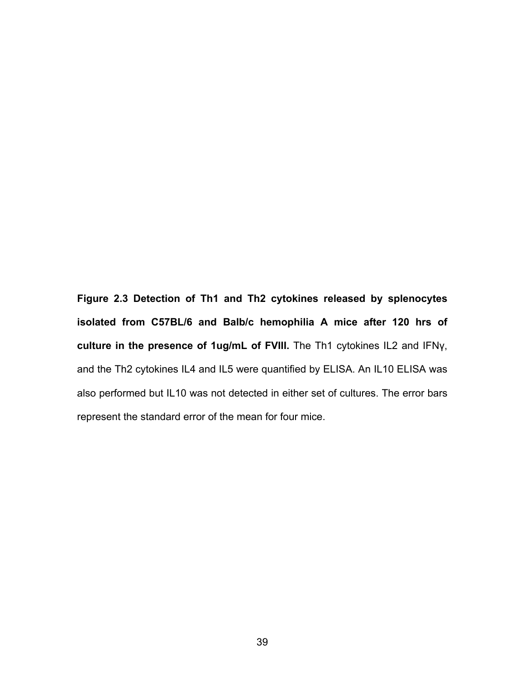**Figure 2.3 Detection of Th1 and Th2 cytokines released by splenocytes isolated from C57BL/6 and Balb/c hemophilia A mice after 120 hrs of culture in the presence of 1ug/mL of FVIII.** The Th1 cytokines IL2 and IFNγ, and the Th2 cytokines IL4 and IL5 were quantified by ELISA. An IL10 ELISA was also performed but IL10 was not detected in either set of cultures. The error bars represent the standard error of the mean for four mice.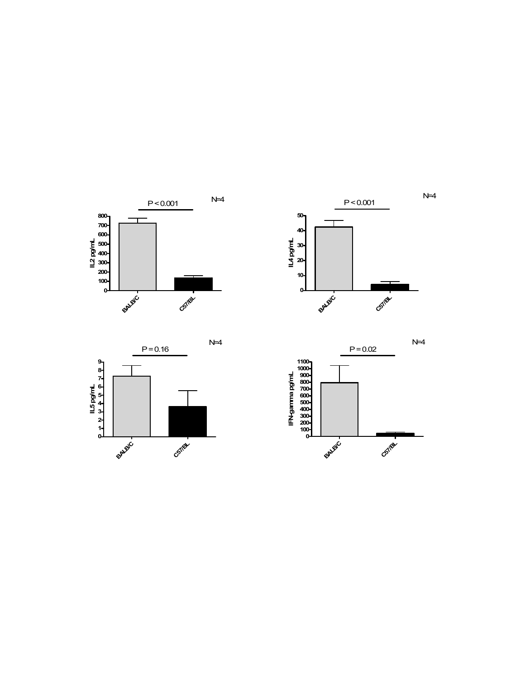





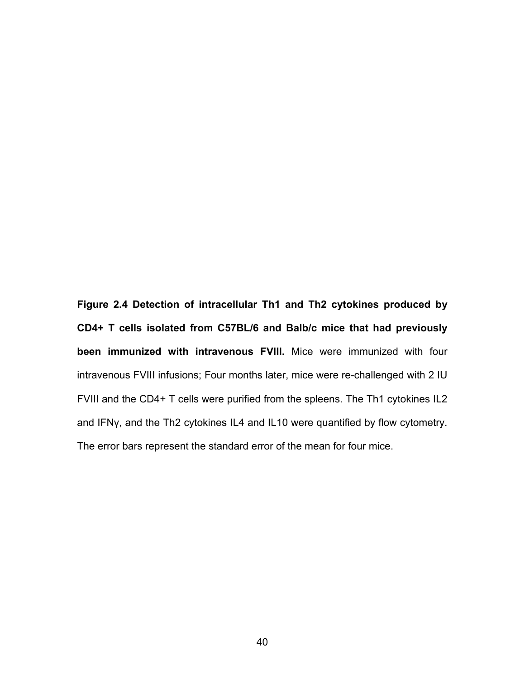**Figure 2.4 Detection of intracellular Th1 and Th2 cytokines produced by CD4+ T cells isolated from C57BL/6 and Balb/c mice that had previously been immunized with intravenous FVIII.** Mice were immunized with four intravenous FVIII infusions; Four months later, mice were re-challenged with 2 IU FVIII and the CD4+ T cells were purified from the spleens. The Th1 cytokines IL2 and IFNγ, and the Th2 cytokines IL4 and IL10 were quantified by flow cytometry. The error bars represent the standard error of the mean for four mice.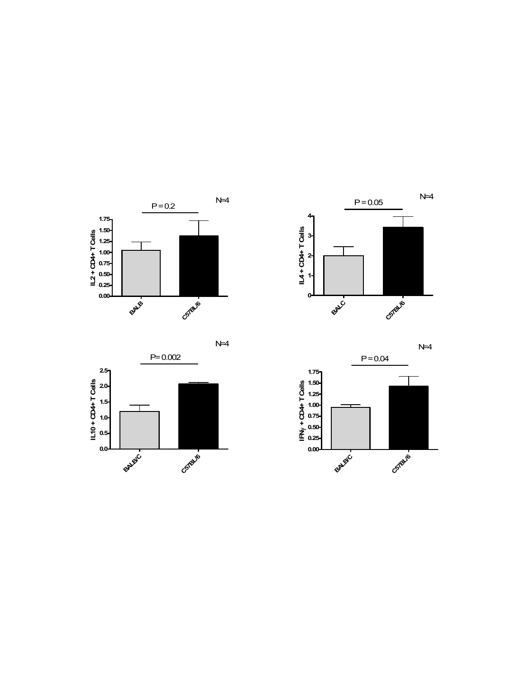

N=4





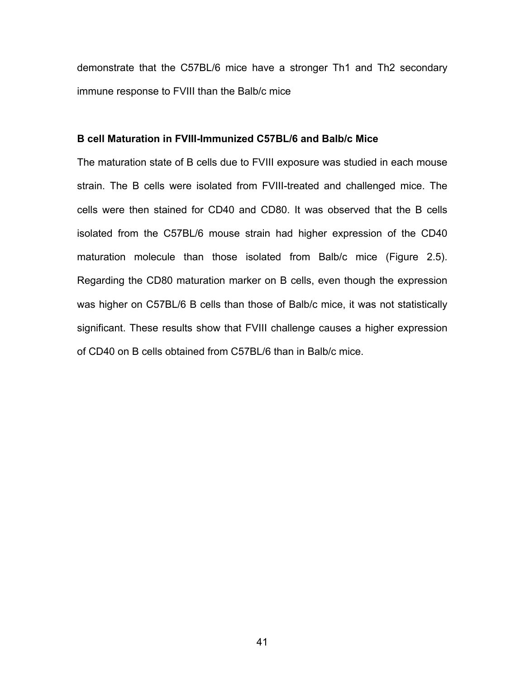demonstrate that the C57BL/6 mice have a stronger Th1 and Th2 secondary immune response to FVIII than the Balb/c mice

# **B cell Maturation in FVIII-Immunized C57BL/6 and Balb/c Mice**

The maturation state of B cells due to FVIII exposure was studied in each mouse strain. The B cells were isolated from FVIII-treated and challenged mice. The cells were then stained for CD40 and CD80. It was observed that the B cells isolated from the C57BL/6 mouse strain had higher expression of the CD40 maturation molecule than those isolated from Balb/c mice (Figure 2.5). Regarding the CD80 maturation marker on B cells, even though the expression was higher on C57BL/6 B cells than those of Balb/c mice, it was not statistically significant. These results show that FVIII challenge causes a higher expression of CD40 on B cells obtained from C57BL/6 than in Balb/c mice.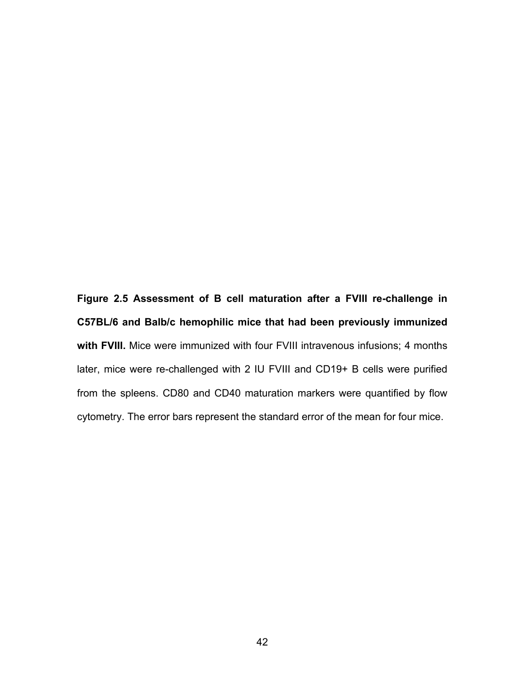**Figure 2.5 Assessment of B cell maturation after a FVIII re-challenge in C57BL/6 and Balb/c hemophilic mice that had been previously immunized**  with FVIII. Mice were immunized with four FVIII intravenous infusions; 4 months later, mice were re-challenged with 2 IU FVIII and CD19+ B cells were purified from the spleens. CD80 and CD40 maturation markers were quantified by flow cytometry. The error bars represent the standard error of the mean for four mice.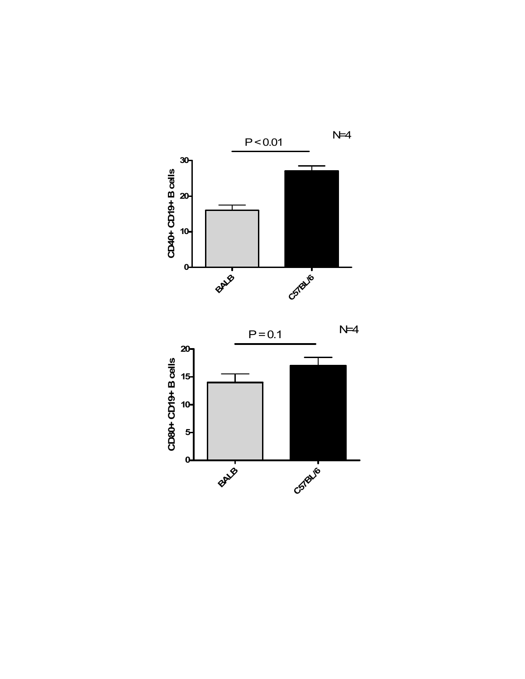

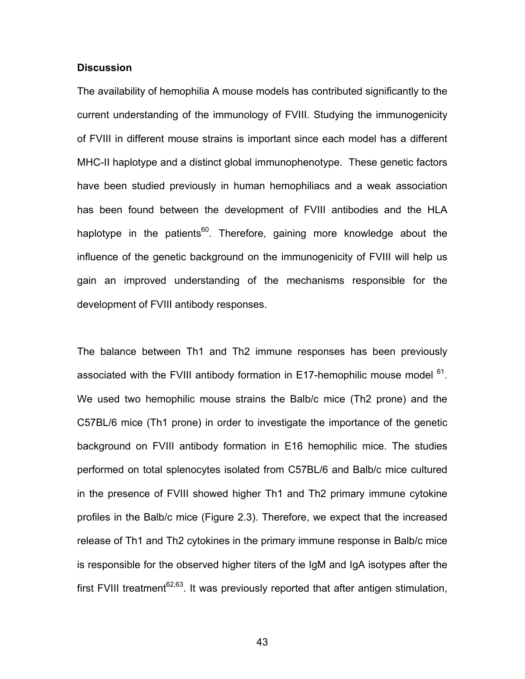# **Discussion**

The availability of hemophilia A mouse models has contributed significantly to the current understanding of the immunology of FVIII. Studying the immunogenicity of FVIII in different mouse strains is important since each model has a different MHC-II haplotype and a distinct global immunophenotype. These genetic factors have been studied previously in human hemophiliacs and a weak association has been found between the development of FVIII antibodies and the HLA haplotype in the patients<sup>60</sup>. Therefore, gaining more knowledge about the influence of the genetic background on the immunogenicity of FVIII will help us gain an improved understanding of the mechanisms responsible for the development of FVIII antibody responses.

The balance between Th1 and Th2 immune responses has been previously associated with the FVIII antibody formation in E17-hemophilic mouse model  $61$ . We used two hemophilic mouse strains the Balb/c mice (Th2 prone) and the C57BL/6 mice (Th1 prone) in order to investigate the importance of the genetic background on FVIII antibody formation in E16 hemophilic mice. The studies performed on total splenocytes isolated from C57BL/6 and Balb/c mice cultured in the presence of FVIII showed higher Th1 and Th2 primary immune cytokine profiles in the Balb/c mice (Figure 2.3). Therefore, we expect that the increased release of Th1 and Th2 cytokines in the primary immune response in Balb/c mice is responsible for the observed higher titers of the IgM and IgA isotypes after the first FVIII treatment<sup>62,63</sup>. It was previously reported that after antigen stimulation,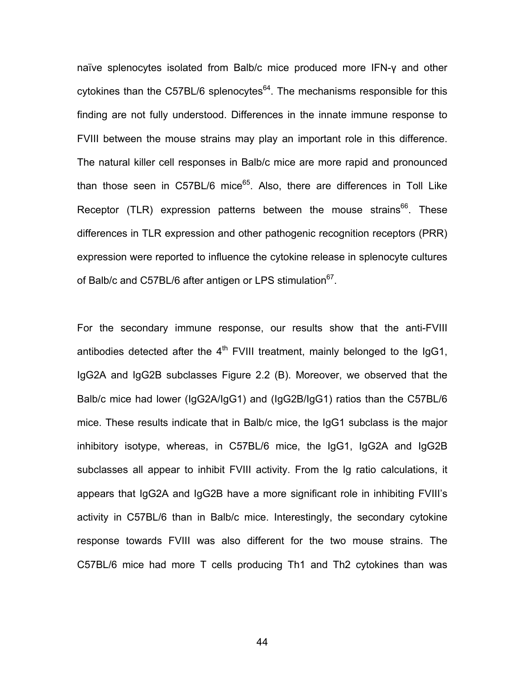naïve splenocytes isolated from Balb/c mice produced more IFN-γ and other cytokines than the C57BL/6 splenocytes $64$ . The mechanisms responsible for this finding are not fully understood. Differences in the innate immune response to FVIII between the mouse strains may play an important role in this difference. The natural killer cell responses in Balb/c mice are more rapid and pronounced than those seen in C57BL/6 mice $65$ . Also, there are differences in Toll Like Receptor (TLR) expression patterns between the mouse strains $^{66}$ . These differences in TLR expression and other pathogenic recognition receptors (PRR) expression were reported to influence the cytokine release in splenocyte cultures of Balb/c and C57BL/6 after antigen or LPS stimulation<sup>67</sup>.

For the secondary immune response, our results show that the anti-FVIII antibodies detected after the  $4<sup>th</sup>$  FVIII treatment, mainly belonged to the IgG1, IgG2A and IgG2B subclasses Figure 2.2 (B). Moreover, we observed that the Balb/c mice had lower (IgG2A/IgG1) and (IgG2B/IgG1) ratios than the C57BL/6 mice. These results indicate that in Balb/c mice, the IgG1 subclass is the major inhibitory isotype, whereas, in C57BL/6 mice, the IgG1, IgG2A and IgG2B subclasses all appear to inhibit FVIII activity. From the Ig ratio calculations, it appears that IgG2A and IgG2B have a more significant role in inhibiting FVIII's activity in C57BL/6 than in Balb/c mice. Interestingly, the secondary cytokine response towards FVIII was also different for the two mouse strains. The C57BL/6 mice had more T cells producing Th1 and Th2 cytokines than was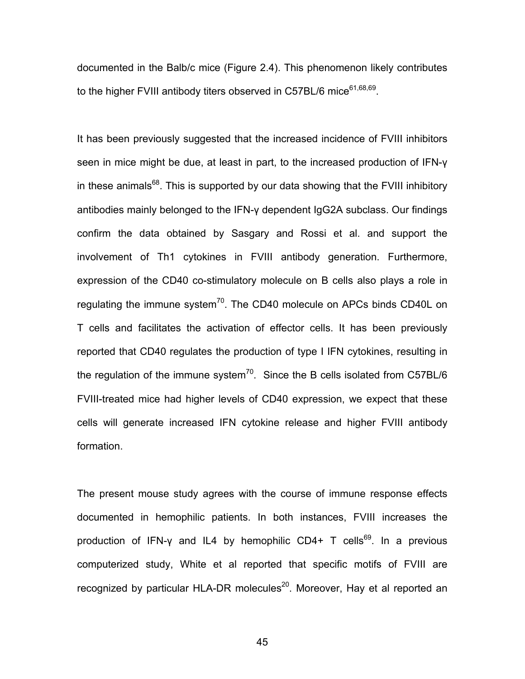documented in the Balb/c mice (Figure 2.4). This phenomenon likely contributes to the higher FVIII antibody titers observed in C57BL/6 mice $61,68,69$ .

It has been previously suggested that the increased incidence of FVIII inhibitors seen in mice might be due, at least in part, to the increased production of IFN-γ in these animals $<sup>68</sup>$ . This is supported by our data showing that the FVIII inhibitory</sup> antibodies mainly belonged to the IFN-γ dependent IgG2A subclass. Our findings confirm the data obtained by Sasgary and Rossi et al. and support the involvement of Th1 cytokines in FVIII antibody generation. Furthermore, expression of the CD40 co-stimulatory molecule on B cells also plays a role in regulating the immune system<sup>70</sup>. The CD40 molecule on APCs binds CD40L on T cells and facilitates the activation of effector cells. It has been previously reported that CD40 regulates the production of type I IFN cytokines, resulting in the regulation of the immune system<sup>70</sup>. Since the B cells isolated from C57BL/6 FVIII-treated mice had higher levels of CD40 expression, we expect that these cells will generate increased IFN cytokine release and higher FVIII antibody formation.

The present mouse study agrees with the course of immune response effects documented in hemophilic patients. In both instances, FVIII increases the production of IFN-y and IL4 by hemophilic CD4+ T cells<sup>69</sup>. In a previous computerized study, White et al reported that specific motifs of FVIII are recognized by particular HLA-DR molecules $^{20}$ . Moreover, Hay et al reported an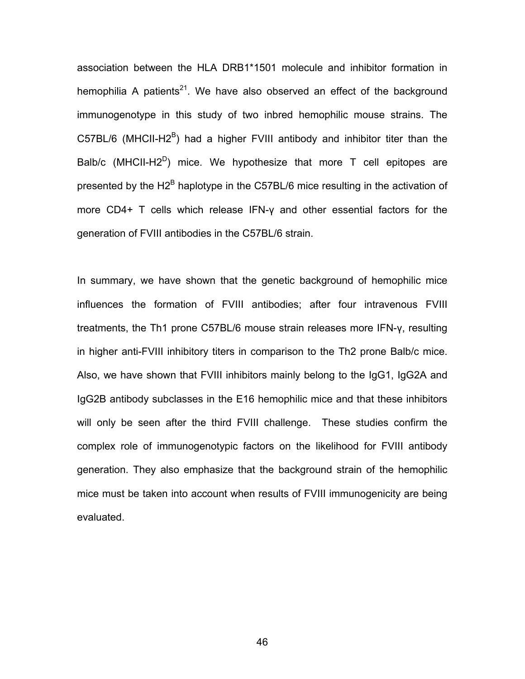association between the HLA DRB1\*1501 molecule and inhibitor formation in hemophilia A patients<sup>21</sup>. We have also observed an effect of the background immunogenotype in this study of two inbred hemophilic mouse strains. The C57BL/6 (MHCII-H2 $^{\text{B}}$ ) had a higher FVIII antibody and inhibitor titer than the Balb/c (MHCII-H2<sup>D</sup>) mice. We hypothesize that more T cell epitopes are presented by the H2<sup>B</sup> haplotype in the C57BL/6 mice resulting in the activation of more CD4+ T cells which release IFN-γ and other essential factors for the generation of FVIII antibodies in the C57BL/6 strain.

In summary, we have shown that the genetic background of hemophilic mice influences the formation of FVIII antibodies; after four intravenous FVIII treatments, the Th1 prone C57BL/6 mouse strain releases more IFN-γ, resulting in higher anti-FVIII inhibitory titers in comparison to the Th2 prone Balb/c mice. Also, we have shown that FVIII inhibitors mainly belong to the IgG1, IgG2A and IgG2B antibody subclasses in the E16 hemophilic mice and that these inhibitors will only be seen after the third FVIII challenge. These studies confirm the complex role of immunogenotypic factors on the likelihood for FVIII antibody generation. They also emphasize that the background strain of the hemophilic mice must be taken into account when results of FVIII immunogenicity are being evaluated.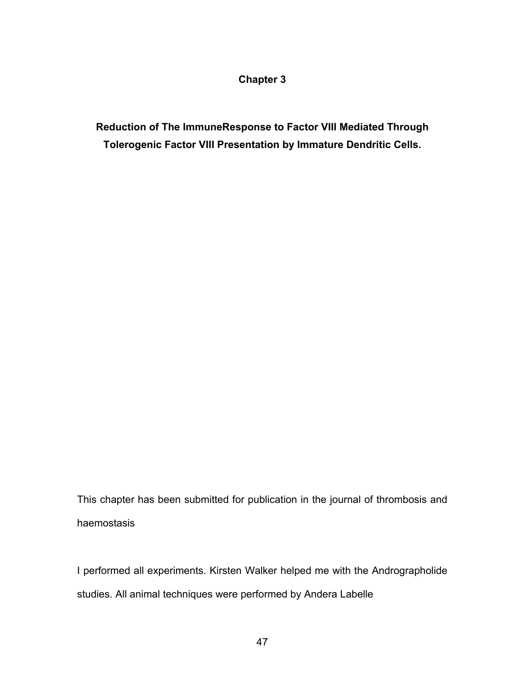# **Chapter 3**

**Reduction of The ImmuneResponse to Factor VIII Mediated Through Tolerogenic Factor VIII Presentation by Immature Dendritic Cells.** 

This chapter has been submitted for publication in the journal of thrombosis and haemostasis

I performed all experiments. Kirsten Walker helped me with the Andrographolide studies. All animal techniques were performed by Andera Labelle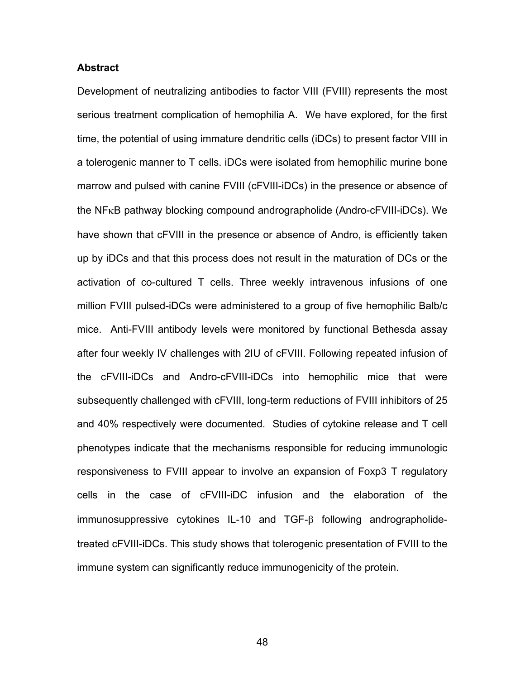# **Abstract**

Development of neutralizing antibodies to factor VIII (FVIII) represents the most serious treatment complication of hemophilia A. We have explored, for the first time, the potential of using immature dendritic cells (iDCs) to present factor VIII in a tolerogenic manner to T cells. iDCs were isolated from hemophilic murine bone marrow and pulsed with canine FVIII (cFVIII-iDCs) in the presence or absence of the NFκB pathway blocking compound andrographolide (Andro-cFVIII-iDCs). We have shown that cFVIII in the presence or absence of Andro, is efficiently taken up by iDCs and that this process does not result in the maturation of DCs or the activation of co-cultured T cells. Three weekly intravenous infusions of one million FVIII pulsed-iDCs were administered to a group of five hemophilic Balb/c mice. Anti-FVIII antibody levels were monitored by functional Bethesda assay after four weekly IV challenges with 2IU of cFVIII. Following repeated infusion of the cFVIII-iDCs and Andro-cFVIII-iDCs into hemophilic mice that were subsequently challenged with cFVIII, long-term reductions of FVIII inhibitors of 25 and 40% respectively were documented. Studies of cytokine release and T cell phenotypes indicate that the mechanisms responsible for reducing immunologic responsiveness to FVIII appear to involve an expansion of Foxp3 T regulatory cells in the case of cFVIII-iDC infusion and the elaboration of the immunosuppressive cytokines IL-10 and TGF-β following andrographolidetreated cFVIII-iDCs. This study shows that tolerogenic presentation of FVIII to the immune system can significantly reduce immunogenicity of the protein.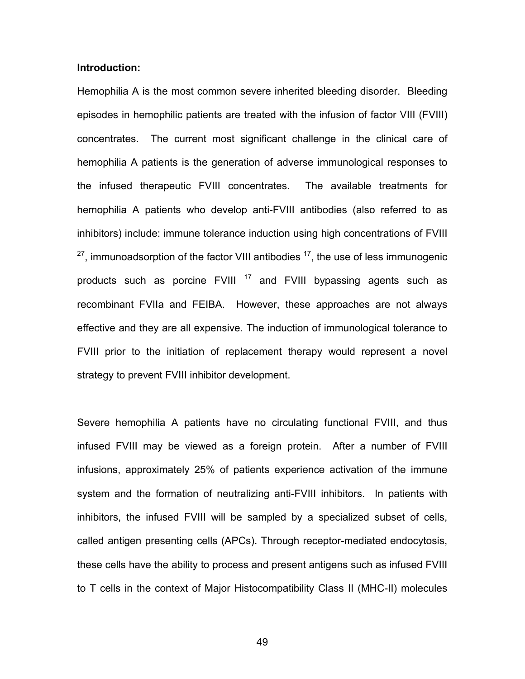# **Introduction:**

Hemophilia A is the most common severe inherited bleeding disorder. Bleeding episodes in hemophilic patients are treated with the infusion of factor VIII (FVIII) concentrates. The current most significant challenge in the clinical care of hemophilia A patients is the generation of adverse immunological responses to the infused therapeutic FVIII concentrates. The available treatments for hemophilia A patients who develop anti-FVIII antibodies (also referred to as inhibitors) include: immune tolerance induction using high concentrations of FVIII  $27$ , immunoadsorption of the factor VIII antibodies  $17$ , the use of less immunogenic products such as porcine  $FVIII$ <sup>17</sup> and  $FVIII$  bypassing agents such as recombinant FVIIa and FEIBA. However, these approaches are not always effective and they are all expensive. The induction of immunological tolerance to FVIII prior to the initiation of replacement therapy would represent a novel strategy to prevent FVIII inhibitor development.

Severe hemophilia A patients have no circulating functional FVIII, and thus infused FVIII may be viewed as a foreign protein. After a number of FVIII infusions, approximately 25% of patients experience activation of the immune system and the formation of neutralizing anti-FVIII inhibitors. In patients with inhibitors, the infused FVIII will be sampled by a specialized subset of cells, called antigen presenting cells (APCs). Through receptor-mediated endocytosis, these cells have the ability to process and present antigens such as infused FVIII to T cells in the context of Major Histocompatibility Class II (MHC-II) molecules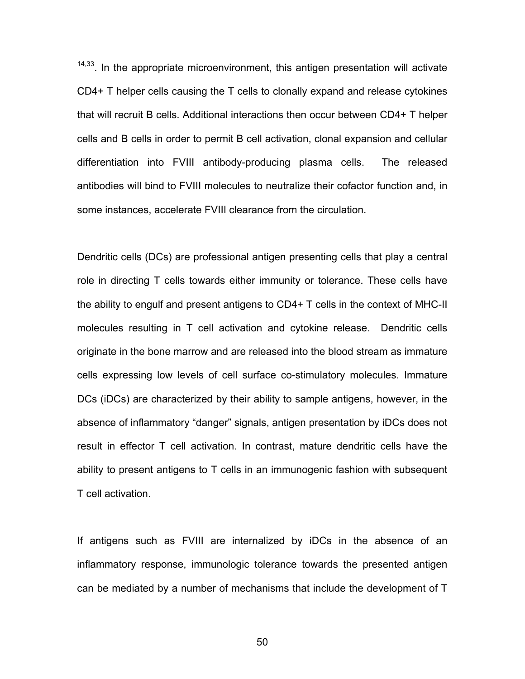<sup>14,33</sup>. In the appropriate microenvironment, this antigen presentation will activate CD4+ T helper cells causing the T cells to clonally expand and release cytokines that will recruit B cells. Additional interactions then occur between CD4+ T helper cells and B cells in order to permit B cell activation, clonal expansion and cellular differentiation into FVIII antibody-producing plasma cells. The released antibodies will bind to FVIII molecules to neutralize their cofactor function and, in some instances, accelerate FVIII clearance from the circulation.

Dendritic cells (DCs) are professional antigen presenting cells that play a central role in directing T cells towards either immunity or tolerance. These cells have the ability to engulf and present antigens to CD4+ T cells in the context of MHC-II molecules resulting in T cell activation and cytokine release. Dendritic cells originate in the bone marrow and are released into the blood stream as immature cells expressing low levels of cell surface co-stimulatory molecules. Immature DCs (iDCs) are characterized by their ability to sample antigens, however, in the absence of inflammatory "danger" signals, antigen presentation by iDCs does not result in effector T cell activation. In contrast, mature dendritic cells have the ability to present antigens to T cells in an immunogenic fashion with subsequent T cell activation.

If antigens such as FVIII are internalized by iDCs in the absence of an inflammatory response, immunologic tolerance towards the presented antigen can be mediated by a number of mechanisms that include the development of T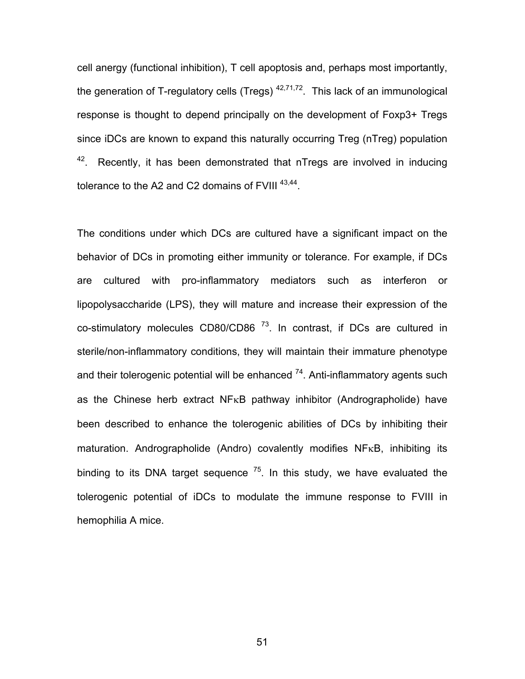cell anergy (functional inhibition), T cell apoptosis and, perhaps most importantly, the generation of T-regulatory cells (Tregs)  $42,71,72$ . This lack of an immunological response is thought to depend principally on the development of Foxp3+ Tregs since iDCs are known to expand this naturally occurring Treg (nTreg) population  $42$ . Recently, it has been demonstrated that nTregs are involved in inducing tolerance to the A2 and C2 domains of FVIII<sup>43,44</sup>.

The conditions under which DCs are cultured have a significant impact on the behavior of DCs in promoting either immunity or tolerance. For example, if DCs are cultured with pro-inflammatory mediators such as interferon or lipopolysaccharide (LPS), they will mature and increase their expression of the co-stimulatory molecules CD80/CD86 $<sup>73</sup>$ . In contrast, if DCs are cultured in</sup> sterile/non-inflammatory conditions, they will maintain their immature phenotype and their tolerogenic potential will be enhanced  $74$ . Anti-inflammatory agents such as the Chinese herb extract  $NF<sub>K</sub>B$  pathway inhibitor (Andrographolide) have been described to enhance the tolerogenic abilities of DCs by inhibiting their maturation. Andrographolide (Andro) covalently modifies NF<sub>K</sub>B, inhibiting its binding to its DNA target sequence  $^{75}$ . In this study, we have evaluated the tolerogenic potential of iDCs to modulate the immune response to FVIII in hemophilia A mice.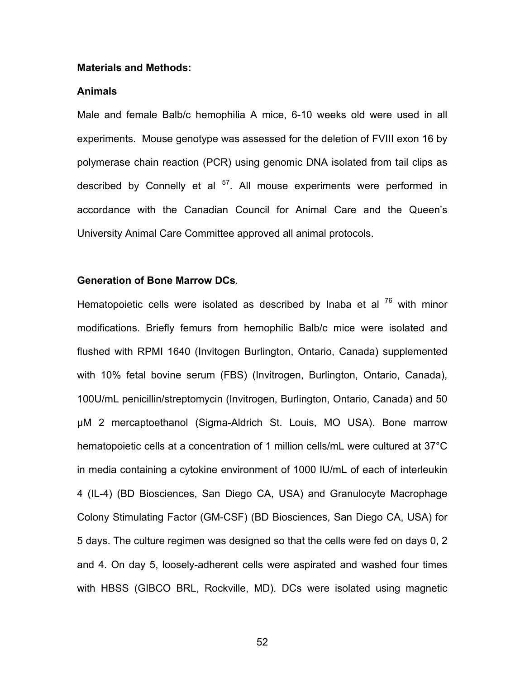#### **Materials and Methods:**

# **Animals**

Male and female Balb/c hemophilia A mice, 6-10 weeks old were used in all experiments. Mouse genotype was assessed for the deletion of FVIII exon 16 by polymerase chain reaction (PCR) using genomic DNA isolated from tail clips as described by Connelly et al  $57$ . All mouse experiments were performed in accordance with the Canadian Council for Animal Care and the Queen's University Animal Care Committee approved all animal protocols.

#### **Generation of Bone Marrow DCs***.*

Hematopoietic cells were isolated as described by Inaba et al  $^{76}$  with minor modifications. Briefly femurs from hemophilic Balb/c mice were isolated and flushed with RPMI 1640 (Invitogen Burlington, Ontario, Canada) supplemented with 10% fetal bovine serum (FBS) (Invitrogen, Burlington, Ontario, Canada), 100U/mL penicillin/streptomycin (Invitrogen, Burlington, Ontario, Canada) and 50 μM 2 mercaptoethanol (Sigma-Aldrich St. Louis, MO USA). Bone marrow hematopoietic cells at a concentration of 1 million cells/mL were cultured at 37°C in media containing a cytokine environment of 1000 IU/mL of each of interleukin 4 (IL-4) (BD Biosciences, San Diego CA, USA) and Granulocyte Macrophage Colony Stimulating Factor (GM-CSF) (BD Biosciences, San Diego CA, USA) for 5 days. The culture regimen was designed so that the cells were fed on days 0, 2 and 4. On day 5, loosely-adherent cells were aspirated and washed four times with HBSS (GIBCO BRL, Rockville, MD). DCs were isolated using magnetic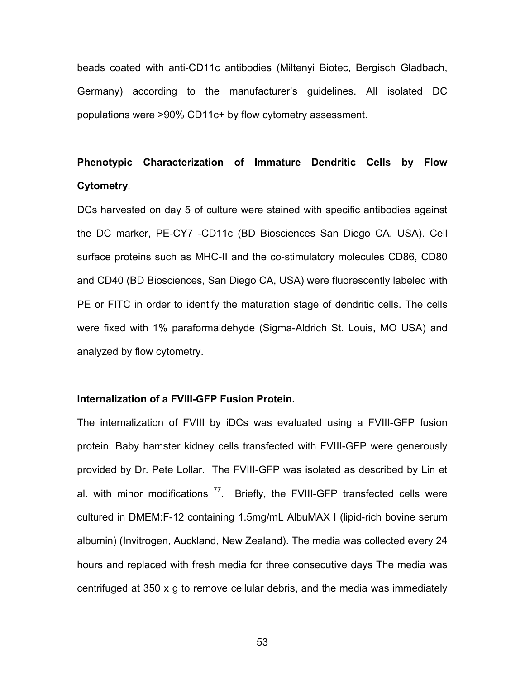beads coated with anti-CD11c antibodies (Miltenyi Biotec, Bergisch Gladbach, Germany) according to the manufacturer's guidelines. All isolated DC populations were >90% CD11c+ by flow cytometry assessment.

# **Phenotypic Characterization of Immature Dendritic Cells by Flow Cytometry***.*

DCs harvested on day 5 of culture were stained with specific antibodies against the DC marker, PE-CY7 -CD11c (BD Biosciences San Diego CA, USA). Cell surface proteins such as MHC-II and the co-stimulatory molecules CD86, CD80 and CD40 (BD Biosciences, San Diego CA, USA) were fluorescently labeled with PE or FITC in order to identify the maturation stage of dendritic cells. The cells were fixed with 1% paraformaldehyde (Sigma-Aldrich St. Louis, MO USA) and analyzed by flow cytometry.

#### **Internalization of a FVIII-GFP Fusion Protein.**

The internalization of FVIII by iDCs was evaluated using a FVIII-GFP fusion protein. Baby hamster kidney cells transfected with FVIII-GFP were generously provided by Dr. Pete Lollar. The FVIII-GFP was isolated as described by Lin et al. with minor modifications  $^{77}$ . Briefly, the FVIII-GFP transfected cells were cultured in DMEM:F-12 containing 1.5mg/mL AlbuMAX I (lipid-rich bovine serum albumin) (Invitrogen, Auckland, New Zealand). The media was collected every 24 hours and replaced with fresh media for three consecutive days The media was centrifuged at 350 x g to remove cellular debris, and the media was immediately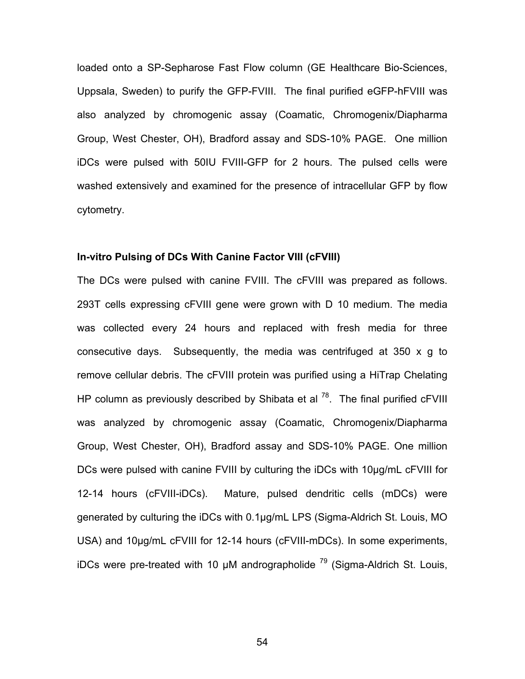loaded onto a SP-Sepharose Fast Flow column (GE Healthcare Bio-Sciences, Uppsala, Sweden) to purify the GFP-FVIII. The final purified eGFP-hFVIII was also analyzed by chromogenic assay (Coamatic, Chromogenix/Diapharma Group, West Chester, OH), Bradford assay and SDS-10% PAGE. One million iDCs were pulsed with 50IU FVIII-GFP for 2 hours. The pulsed cells were washed extensively and examined for the presence of intracellular GFP by flow cytometry.

# **In-vitro Pulsing of DCs With Canine Factor VIII (cFVIII)**

The DCs were pulsed with canine FVIII. The cFVIII was prepared as follows. 293T cells expressing cFVIII gene were grown with D 10 medium. The media was collected every 24 hours and replaced with fresh media for three consecutive days. Subsequently, the media was centrifuged at 350 x g to remove cellular debris. The cFVIII protein was purified using a HiTrap Chelating HP column as previously described by Shibata et al  $^{78}$ . The final purified cFVIII was analyzed by chromogenic assay (Coamatic, Chromogenix/Diapharma Group, West Chester, OH), Bradford assay and SDS-10% PAGE. One million DCs were pulsed with canine FVIII by culturing the iDCs with 10μg/mL cFVIII for 12-14 hours (cFVIII-iDCs). Mature, pulsed dendritic cells (mDCs) were generated by culturing the iDCs with 0.1µg/mL LPS (Sigma-Aldrich St. Louis, MO USA) and 10 µg/mL cFVIII for 12-14 hours (cFVIII-mDCs). In some experiments, iDCs were pre-treated with 10  $\mu$ M andrographolide <sup>79</sup> (Sigma-Aldrich St. Louis,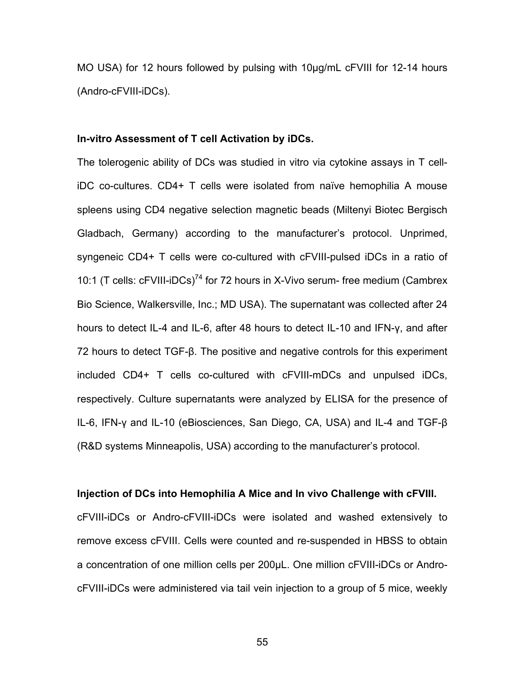MO USA) for 12 hours followed by pulsing with 10μg/mL cFVIII for 12-14 hours (Andro-cFVIII-iDCs).

#### **In-vitro Assessment of T cell Activation by iDCs.**

The tolerogenic ability of DCs was studied in vitro via cytokine assays in T celliDC co-cultures. CD4+ T cells were isolated from naïve hemophilia A mouse spleens using CD4 negative selection magnetic beads (Miltenyi Biotec Bergisch Gladbach, Germany) according to the manufacturer's protocol. Unprimed, syngeneic CD4+ T cells were co-cultured with cFVIII-pulsed iDCs in a ratio of 10:1 (T cells: cFVIII-iDCs)<sup>74</sup> for 72 hours in X-Vivo serum- free medium (Cambrex Bio Science, Walkersville, Inc.; MD USA). The supernatant was collected after 24 hours to detect IL-4 and IL-6, after 48 hours to detect IL-10 and IFN-γ, and after 72 hours to detect TGF-β. The positive and negative controls for this experiment included CD4+ T cells co-cultured with cFVIII-mDCs and unpulsed iDCs, respectively. Culture supernatants were analyzed by ELISA for the presence of IL-6, IFN-γ and IL-10 (eBiosciences, San Diego, CA, USA) and IL-4 and TGF-β (R&D systems Minneapolis, USA) according to the manufacturer's protocol.

#### **Injection of DCs into Hemophilia A Mice and In vivo Challenge with cFVIII.**

cFVIII-iDCs or Andro-cFVIII-iDCs were isolated and washed extensively to remove excess cFVIII. Cells were counted and re-suspended in HBSS to obtain a concentration of one million cells per 200μL. One million cFVIII-iDCs or AndrocFVIII-iDCs were administered via tail vein injection to a group of 5 mice, weekly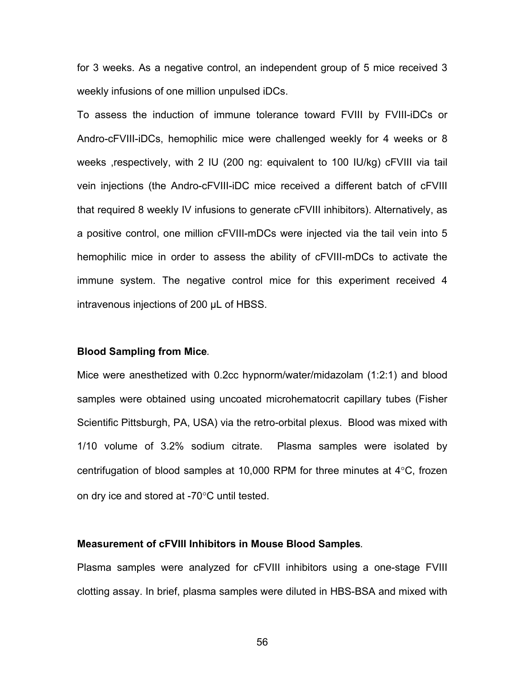for 3 weeks. As a negative control, an independent group of 5 mice received 3 weekly infusions of one million unpulsed iDCs.

To assess the induction of immune tolerance toward FVIII by FVIII-iDCs or Andro-cFVIII-iDCs, hemophilic mice were challenged weekly for 4 weeks or 8 weeks ,respectively, with 2 IU (200 ng: equivalent to 100 IU/kg) cFVIII via tail vein injections (the Andro-cFVIII-iDC mice received a different batch of cFVIII that required 8 weekly IV infusions to generate cFVIII inhibitors). Alternatively, as a positive control, one million cFVIII-mDCs were injected via the tail vein into 5 hemophilic mice in order to assess the ability of cFVIII-mDCs to activate the immune system. The negative control mice for this experiment received 4 intravenous injections of 200 μL of HBSS.

#### **Blood Sampling from Mice***.*

Mice were anesthetized with 0.2cc hypnorm/water/midazolam (1:2:1) and blood samples were obtained using uncoated microhematocrit capillary tubes (Fisher Scientific Pittsburgh, PA, USA) via the retro-orbital plexus. Blood was mixed with 1/10 volume of 3.2% sodium citrate. Plasma samples were isolated by centrifugation of blood samples at 10,000 RPM for three minutes at 4°C, frozen on dry ice and stored at -70°C until tested.

# **Measurement of cFVIII Inhibitors in Mouse Blood Samples***.*

Plasma samples were analyzed for cFVIII inhibitors using a one-stage FVIII clotting assay. In brief, plasma samples were diluted in HBS-BSA and mixed with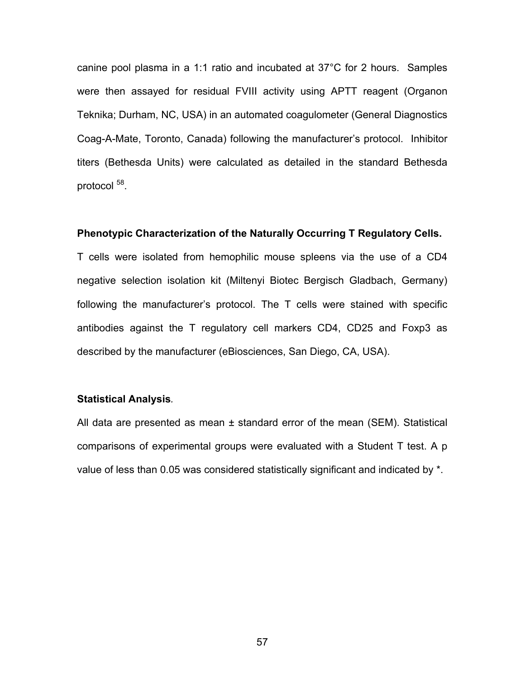canine pool plasma in a 1:1 ratio and incubated at 37°C for 2 hours. Samples were then assayed for residual FVIII activity using APTT reagent (Organon Teknika; Durham, NC, USA) in an automated coagulometer (General Diagnostics Coag-A-Mate, Toronto, Canada) following the manufacturer's protocol. Inhibitor titers (Bethesda Units) were calculated as detailed in the standard Bethesda protocol  $58$ .

#### **Phenotypic Characterization of the Naturally Occurring T Regulatory Cells.**

T cells were isolated from hemophilic mouse spleens via the use of a CD4 negative selection isolation kit (Miltenyi Biotec Bergisch Gladbach, Germany) following the manufacturer's protocol. The T cells were stained with specific antibodies against the T regulatory cell markers CD4, CD25 and Foxp3 as described by the manufacturer (eBiosciences, San Diego, CA, USA).

#### **Statistical Analysis***.*

All data are presented as mean ± standard error of the mean (SEM). Statistical comparisons of experimental groups were evaluated with a Student T test. A p value of less than 0.05 was considered statistically significant and indicated by \*.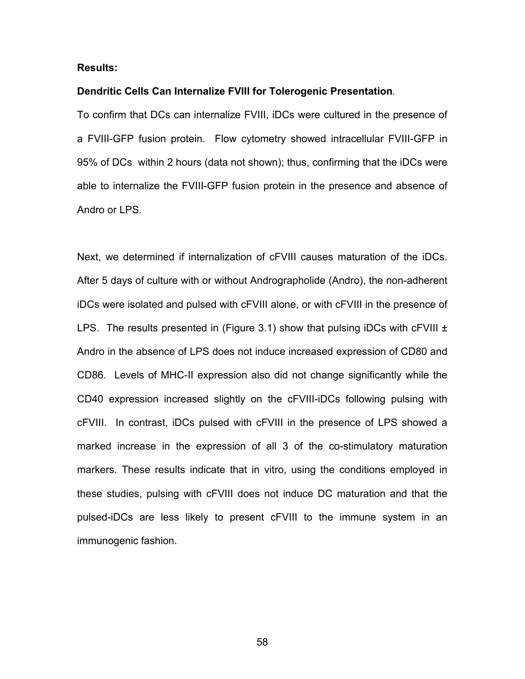# **Results:**

#### **Dendritic Cells Can Internalize FVIII for Tolerogenic Presentation***.*

To confirm that DCs can internalize FVIII, iDCs were cultured in the presence of a FVIII-GFP fusion protein. Flow cytometry showed intracellular FVIII-GFP in 95% of DCs within 2 hours (data not shown); thus, confirming that the iDCs were able to internalize the FVIII-GFP fusion protein in the presence and absence of Andro or LPS.

Next, we determined if internalization of cFVIII causes maturation of the iDCs. After 5 days of culture with or without Andrographolide (Andro), the non-adherent iDCs were isolated and pulsed with cFVIII alone, or with cFVIII in the presence of LPS. The results presented in (Figure 3.1) show that pulsing iDCs with cFVIII  $\pm$ Andro in the absence of LPS does not induce increased expression of CD80 and CD86. Levels of MHC-II expression also did not change significantly while the CD40 expression increased slightly on the cFVIII-iDCs following pulsing with cFVIII. In contrast, iDCs pulsed with cFVIII in the presence of LPS showed a marked increase in the expression of all 3 of the co-stimulatory maturation markers. These results indicate that in vitro, using the conditions employed in these studies, pulsing with cFVIII does not induce DC maturation and that the pulsed-iDCs are less likely to present cFVIII to the immune system in an immunogenic fashion.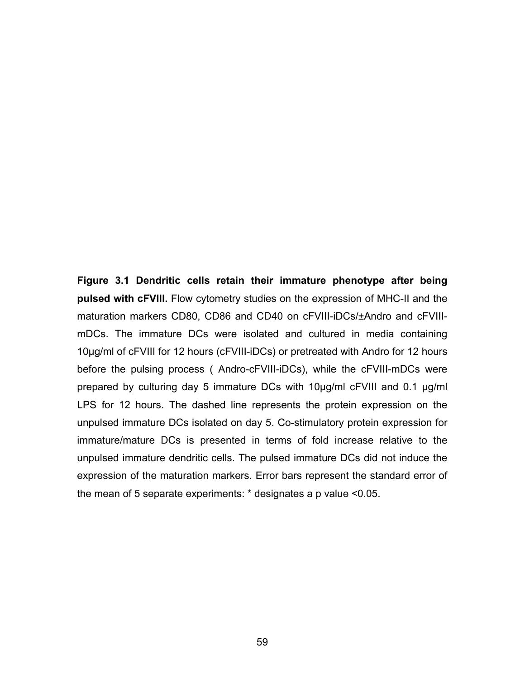**Figure 3.1 Dendritic cells retain their immature phenotype after being pulsed with cFVIII.** Flow cytometry studies on the expression of MHC-II and the maturation markers CD80, CD86 and CD40 on cFVIII-iDCs/±Andro and cFVIIImDCs. The immature DCs were isolated and cultured in media containing 10µg/ml of cFVIII for 12 hours (cFVIII-iDCs) or pretreated with Andro for 12 hours before the pulsing process ( Andro-cFVIII-iDCs), while the cFVIII-mDCs were prepared by culturing day 5 immature DCs with 10µg/ml cFVIII and 0.1 µg/ml LPS for 12 hours. The dashed line represents the protein expression on the unpulsed immature DCs isolated on day 5. Co-stimulatory protein expression for immature/mature DCs is presented in terms of fold increase relative to the unpulsed immature dendritic cells. The pulsed immature DCs did not induce the expression of the maturation markers. Error bars represent the standard error of the mean of 5 separate experiments: \* designates a p value <0.05.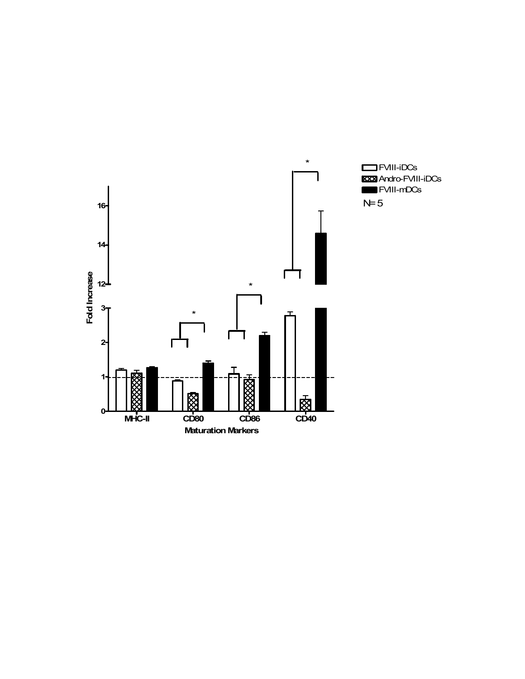

FVIII-iDCs **KXX** Andro-FVIII-iDCs FVIII-mDCs  $N= 5$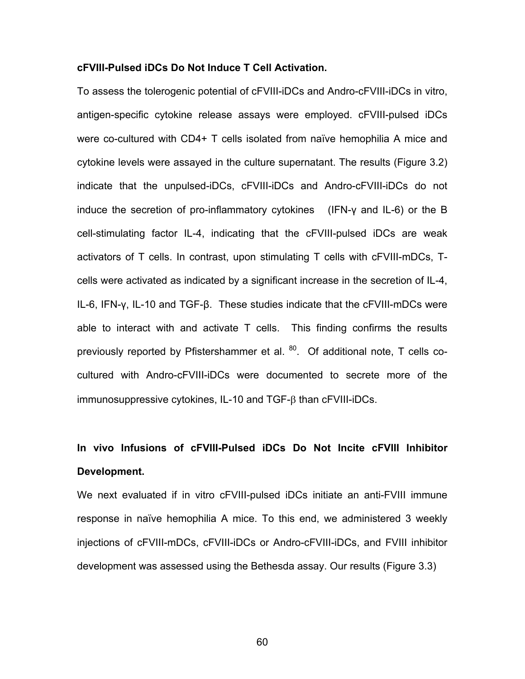# **cFVIII-Pulsed iDCs Do Not Induce T Cell Activation.**

To assess the tolerogenic potential of cFVIII-iDCs and Andro-cFVIII-iDCs in vitro, antigen-specific cytokine release assays were employed. cFVIII-pulsed iDCs were co-cultured with CD4+ T cells isolated from naïve hemophilia A mice and cytokine levels were assayed in the culture supernatant. The results (Figure 3.2) indicate that the unpulsed-iDCs, cFVIII-iDCs and Andro-cFVIII-iDCs do not induce the secretion of pro-inflammatory cytokines (IFN-γ and IL-6) or the B cell-stimulating factor IL-4, indicating that the cFVIII-pulsed iDCs are weak activators of T cells. In contrast, upon stimulating T cells with cFVIII-mDCs, Tcells were activated as indicated by a significant increase in the secretion of IL-4, IL-6, IFN-γ, IL-10 and TGF-β. These studies indicate that the cFVIII-mDCs were able to interact with and activate T cells. This finding confirms the results previously reported by Pfistershammer et al. <sup>80</sup>. Of additional note, T cells cocultured with Andro-cFVIII-iDCs were documented to secrete more of the immunosuppressive cytokines, IL-10 and TGF-β than cFVIII-iDCs.

# **In vivo Infusions of cFVIII-Pulsed iDCs Do Not Incite cFVIII Inhibitor Development.**

We next evaluated if in vitro cFVIII-pulsed iDCs initiate an anti-FVIII immune response in naïve hemophilia A mice. To this end, we administered 3 weekly injections of cFVIII-mDCs, cFVIII-iDCs or Andro-cFVIII-iDCs, and FVIII inhibitor development was assessed using the Bethesda assay. Our results (Figure 3.3)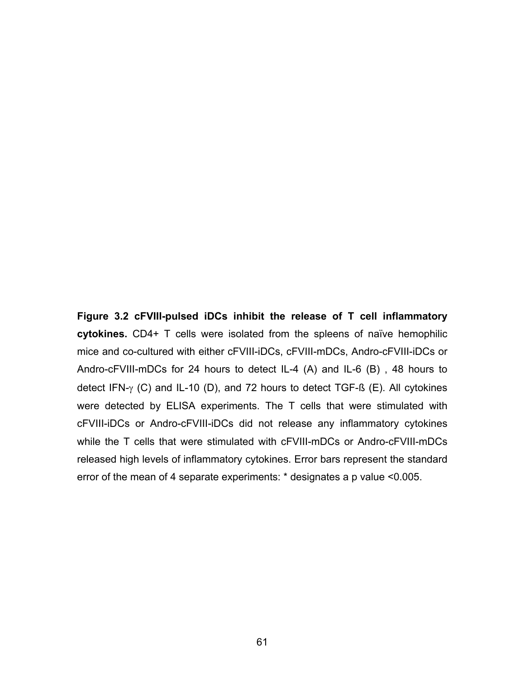**Figure 3.2 cFVIII-pulsed iDCs inhibit the release of T cell inflammatory cytokines.** CD4+ T cells were isolated from the spleens of naïve hemophilic mice and co-cultured with either cFVIII-iDCs, cFVIII-mDCs, Andro-cFVIII-iDCs or Andro-cFVIII-mDCs for 24 hours to detect IL-4 (A) and IL-6 (B) , 48 hours to detect IFN- $\gamma$  (C) and IL-10 (D), and 72 hours to detect TGF-ß (E). All cytokines were detected by ELISA experiments. The T cells that were stimulated with cFVIII-iDCs or Andro-cFVIII-iDCs did not release any inflammatory cytokines while the T cells that were stimulated with cFVIII-mDCs or Andro-cFVIII-mDCs released high levels of inflammatory cytokines. Error bars represent the standard error of the mean of 4 separate experiments: \* designates a p value <0.005.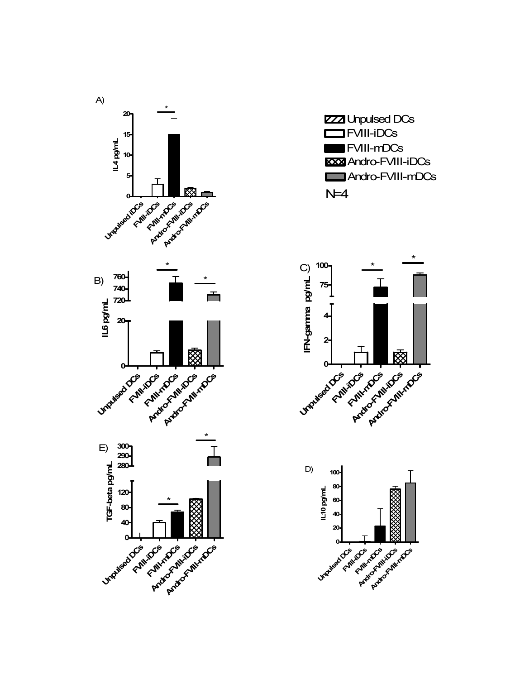





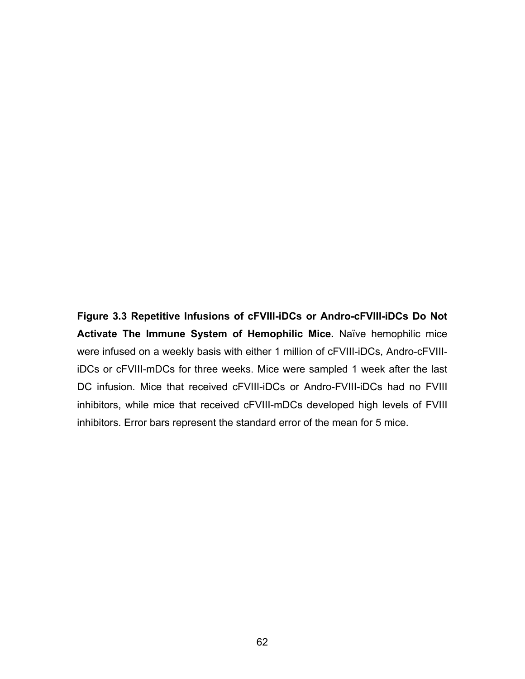**Figure 3.3 Repetitive Infusions of cFVIII-iDCs or Andro-cFVIII-iDCs Do Not Activate The Immune System of Hemophilic Mice.** Naïve hemophilic mice were infused on a weekly basis with either 1 million of cFVIII-iDCs, Andro-cFVIIIiDCs or cFVIII-mDCs for three weeks. Mice were sampled 1 week after the last DC infusion. Mice that received cFVIII-iDCs or Andro-FVIII-iDCs had no FVIII inhibitors, while mice that received cFVIII-mDCs developed high levels of FVIII inhibitors. Error bars represent the standard error of the mean for 5 mice.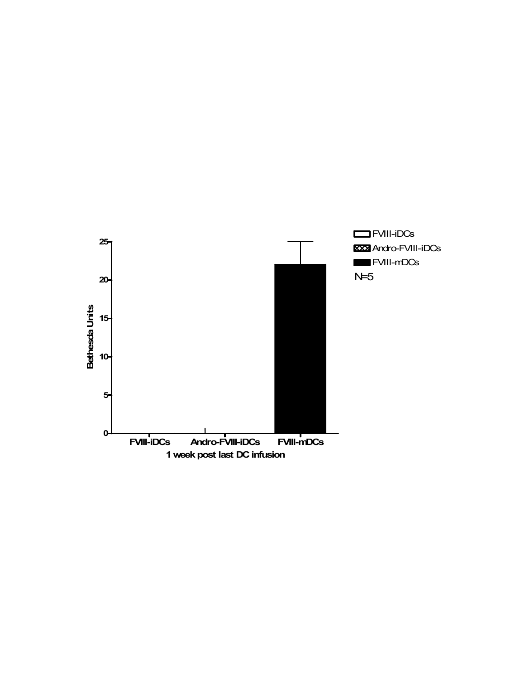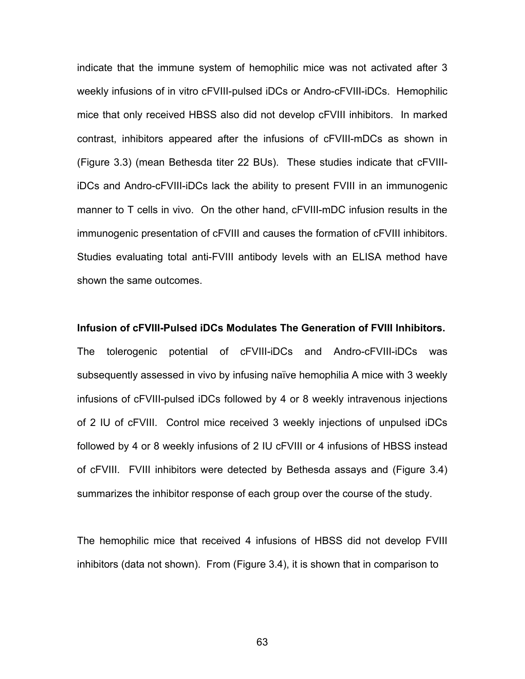indicate that the immune system of hemophilic mice was not activated after 3 weekly infusions of in vitro cFVIII-pulsed iDCs or Andro-cFVIII-iDCs. Hemophilic mice that only received HBSS also did not develop cFVIII inhibitors. In marked contrast, inhibitors appeared after the infusions of cFVIII-mDCs as shown in (Figure 3.3) (mean Bethesda titer 22 BUs). These studies indicate that cFVIIIiDCs and Andro-cFVIII-iDCs lack the ability to present FVIII in an immunogenic manner to T cells in vivo. On the other hand, cFVIII-mDC infusion results in the immunogenic presentation of cFVIII and causes the formation of cFVIII inhibitors. Studies evaluating total anti-FVIII antibody levels with an ELISA method have shown the same outcomes.

#### **Infusion of cFVIII-Pulsed iDCs Modulates The Generation of FVIII Inhibitors.**

The tolerogenic potential of cFVIII-iDCs and Andro-cFVIII-iDCs was subsequently assessed in vivo by infusing naïve hemophilia A mice with 3 weekly infusions of cFVIII-pulsed iDCs followed by 4 or 8 weekly intravenous injections of 2 IU of cFVIII. Control mice received 3 weekly injections of unpulsed iDCs followed by 4 or 8 weekly infusions of 2 IU cFVIII or 4 infusions of HBSS instead of cFVIII. FVIII inhibitors were detected by Bethesda assays and (Figure 3.4) summarizes the inhibitor response of each group over the course of the study.

The hemophilic mice that received 4 infusions of HBSS did not develop FVIII inhibitors (data not shown). From (Figure 3.4), it is shown that in comparison to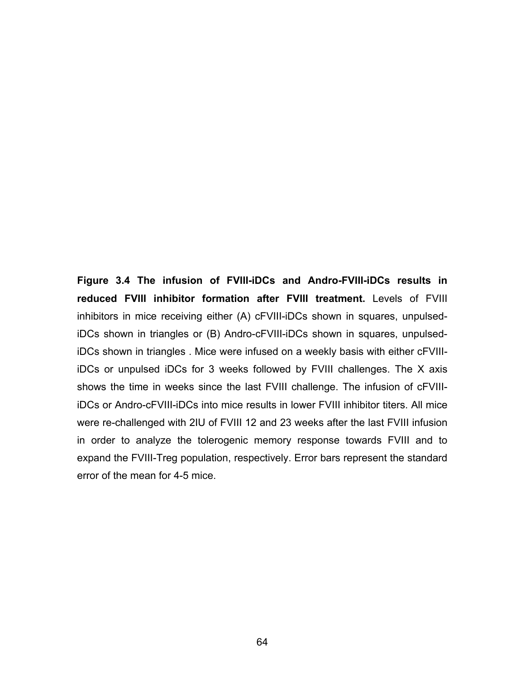**Figure 3.4 The infusion of FVIII-iDCs and Andro-FVIII-iDCs results in reduced FVIII inhibitor formation after FVIII treatment.** Levels of FVIII inhibitors in mice receiving either (A) cFVIII-iDCs shown in squares, unpulsediDCs shown in triangles or (B) Andro-cFVIII-iDCs shown in squares, unpulsediDCs shown in triangles . Mice were infused on a weekly basis with either cFVIIIiDCs or unpulsed iDCs for 3 weeks followed by FVIII challenges. The X axis shows the time in weeks since the last FVIII challenge. The infusion of cFVIIIiDCs or Andro-cFVIII-iDCs into mice results in lower FVIII inhibitor titers. All mice were re-challenged with 2IU of FVIII 12 and 23 weeks after the last FVIII infusion in order to analyze the tolerogenic memory response towards FVIII and to expand the FVIII-Treg population, respectively. Error bars represent the standard error of the mean for 4-5 mice.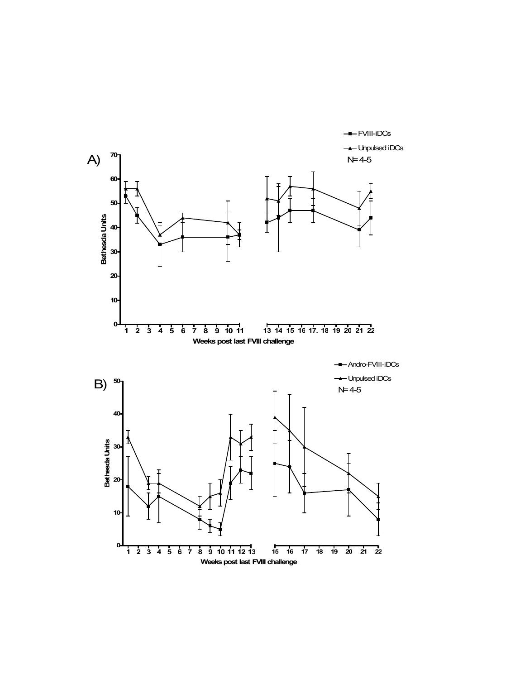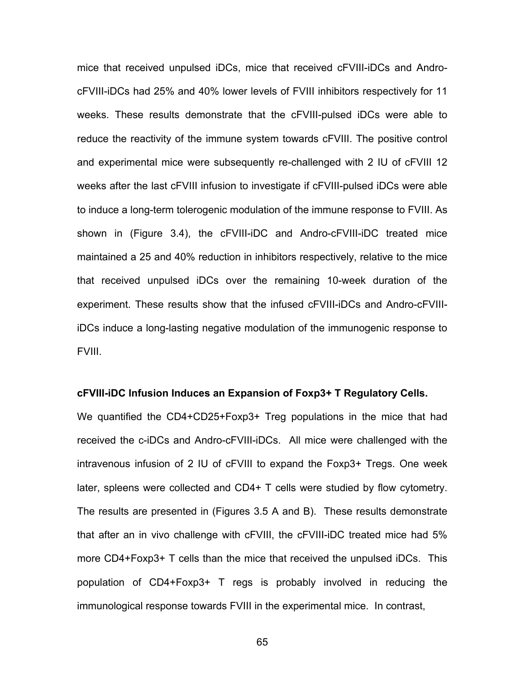mice that received unpulsed iDCs, mice that received cFVIII-iDCs and AndrocFVIII-iDCs had 25% and 40% lower levels of FVIII inhibitors respectively for 11 weeks. These results demonstrate that the cFVIII-pulsed iDCs were able to reduce the reactivity of the immune system towards cFVIII. The positive control and experimental mice were subsequently re-challenged with 2 IU of cFVIII 12 weeks after the last cFVIII infusion to investigate if cFVIII-pulsed iDCs were able to induce a long-term tolerogenic modulation of the immune response to FVIII. As shown in (Figure 3.4), the cFVIII-iDC and Andro-cFVIII-iDC treated mice maintained a 25 and 40% reduction in inhibitors respectively, relative to the mice that received unpulsed iDCs over the remaining 10-week duration of the experiment. These results show that the infused cFVIII-iDCs and Andro-cFVIIIiDCs induce a long-lasting negative modulation of the immunogenic response to FVIII.

# **cFVIII-iDC Infusion Induces an Expansion of Foxp3+ T Regulatory Cells.**

We quantified the CD4+CD25+Foxp3+ Treg populations in the mice that had received the c-iDCs and Andro-cFVIII-iDCs. All mice were challenged with the intravenous infusion of 2 IU of cFVIII to expand the Foxp3+ Tregs. One week later, spleens were collected and CD4+ T cells were studied by flow cytometry. The results are presented in (Figures 3.5 A and B). These results demonstrate that after an in vivo challenge with cFVIII, the cFVIII-iDC treated mice had 5% more CD4+Foxp3+ T cells than the mice that received the unpulsed iDCs. This population of CD4+Foxp3+ T regs is probably involved in reducing the immunological response towards FVIII in the experimental mice. In contrast,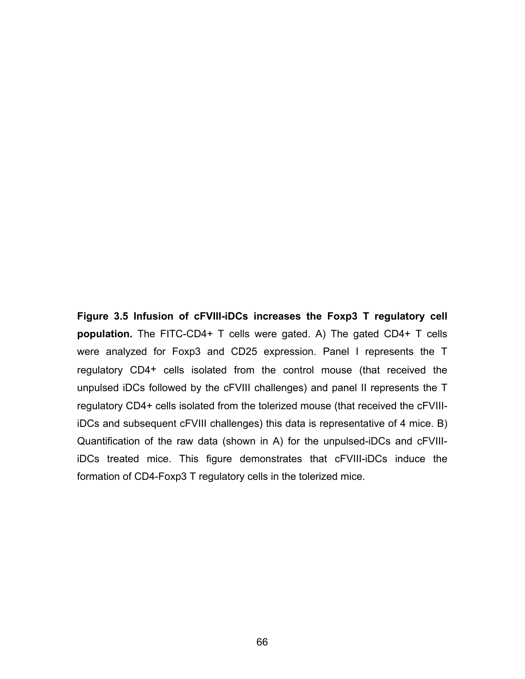**Figure 3.5 Infusion of cFVIII-iDCs increases the Foxp3 T regulatory cell population.** The FITC-CD4+ T cells were gated. A) The gated CD4+ T cells were analyzed for Foxp3 and CD25 expression. Panel I represents the T regulatory CD4+ cells isolated from the control mouse (that received the unpulsed iDCs followed by the cFVIII challenges) and panel II represents the T regulatory CD4+ cells isolated from the tolerized mouse (that received the cFVIIIiDCs and subsequent cFVIII challenges) this data is representative of 4 mice. B) Quantification of the raw data (shown in A) for the unpulsed-iDCs and cFVIIIiDCs treated mice. This figure demonstrates that cFVIII-iDCs induce the formation of CD4-Foxp3 T regulatory cells in the tolerized mice.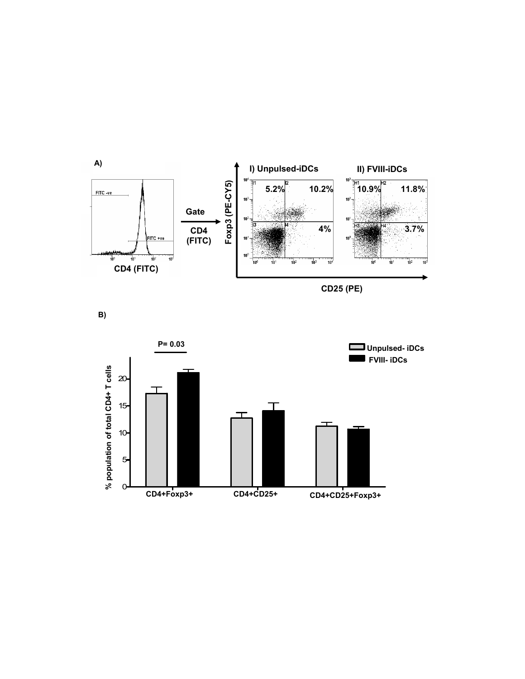

**B)** 

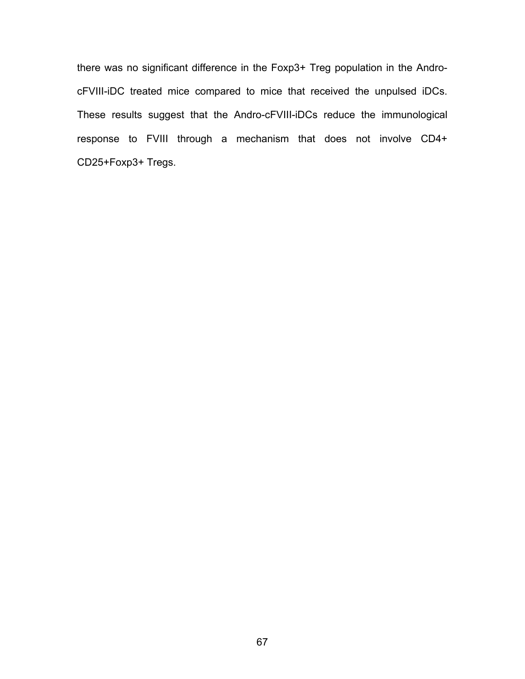there was no significant difference in the Foxp3+ Treg population in the AndrocFVIII-iDC treated mice compared to mice that received the unpulsed iDCs. These results suggest that the Andro-cFVIII-iDCs reduce the immunological response to FVIII through a mechanism that does not involve CD4+ CD25+Foxp3+ Tregs.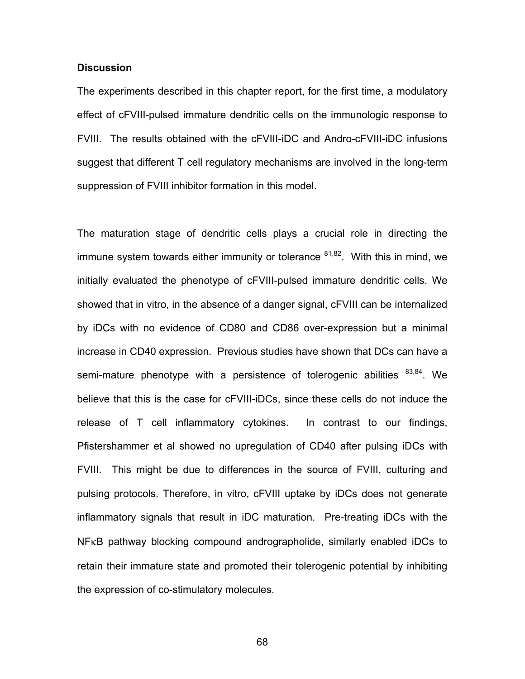# **Discussion**

The experiments described in this chapter report, for the first time, a modulatory effect of cFVIII-pulsed immature dendritic cells on the immunologic response to FVIII. The results obtained with the cFVIII-iDC and Andro-cFVIII-iDC infusions suggest that different T cell regulatory mechanisms are involved in the long-term suppression of FVIII inhibitor formation in this model.

The maturation stage of dendritic cells plays a crucial role in directing the immune system towards either immunity or tolerance  $81,82$ . With this in mind, we initially evaluated the phenotype of cFVIII-pulsed immature dendritic cells. We showed that in vitro, in the absence of a danger signal, cFVIII can be internalized by iDCs with no evidence of CD80 and CD86 over-expression but a minimal increase in CD40 expression. Previous studies have shown that DCs can have a semi-mature phenotype with a persistence of tolerogenic abilities  $83,84$ . We believe that this is the case for cFVIII-iDCs, since these cells do not induce the release of T cell inflammatory cytokines. In contrast to our findings, Pfistershammer et al showed no upregulation of CD40 after pulsing iDCs with FVIII. This might be due to differences in the source of FVIII, culturing and pulsing protocols. Therefore, in vitro, cFVIII uptake by iDCs does not generate inflammatory signals that result in iDC maturation. Pre-treating iDCs with the NFκB pathway blocking compound andrographolide, similarly enabled iDCs to retain their immature state and promoted their tolerogenic potential by inhibiting the expression of co-stimulatory molecules.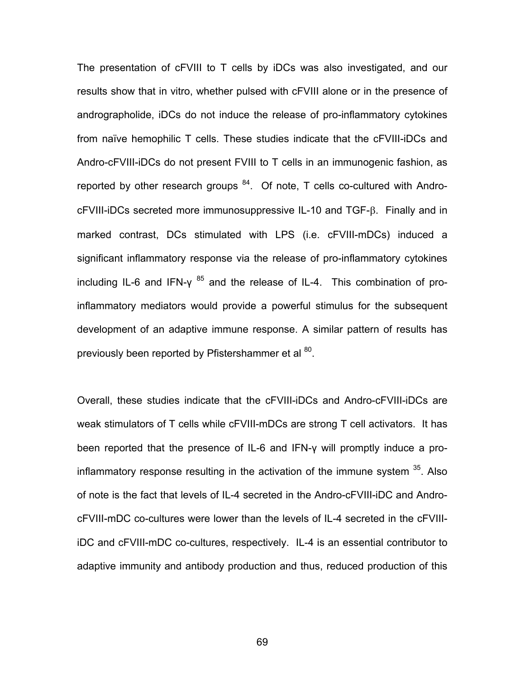The presentation of cFVIII to T cells by iDCs was also investigated, and our results show that in vitro, whether pulsed with cFVIII alone or in the presence of andrographolide, iDCs do not induce the release of pro-inflammatory cytokines from naïve hemophilic T cells. These studies indicate that the cFVIII-iDCs and Andro-cFVIII-iDCs do not present FVIII to T cells in an immunogenic fashion, as reported by other research groups  $84$ . Of note, T cells co-cultured with AndrocFVIII-iDCs secreted more immunosuppressive IL-10 and TGF-β. Finally and in marked contrast, DCs stimulated with LPS (i.e. cFVIII-mDCs) induced a significant inflammatory response via the release of pro-inflammatory cytokines including IL-6 and IFN- $\gamma^{85}$  and the release of IL-4. This combination of proinflammatory mediators would provide a powerful stimulus for the subsequent development of an adaptive immune response. A similar pattern of results has previously been reported by Pfistershammer et al <sup>80</sup>.

Overall, these studies indicate that the cFVIII-iDCs and Andro-cFVIII-iDCs are weak stimulators of T cells while cFVIII-mDCs are strong T cell activators. It has been reported that the presence of IL-6 and IFN-γ will promptly induce a proinflammatory response resulting in the activation of the immune system <sup>35</sup>. Also of note is the fact that levels of IL-4 secreted in the Andro-cFVIII-iDC and AndrocFVIII-mDC co-cultures were lower than the levels of IL-4 secreted in the cFVIIIiDC and cFVIII-mDC co-cultures, respectively. IL-4 is an essential contributor to adaptive immunity and antibody production and thus, reduced production of this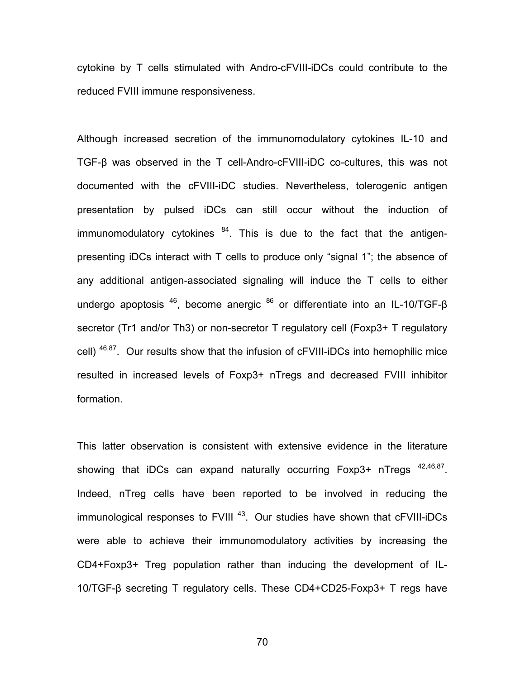cytokine by T cells stimulated with Andro-cFVIII-iDCs could contribute to the reduced FVIII immune responsiveness.

Although increased secretion of the immunomodulatory cytokines IL-10 and TGF-β was observed in the T cell-Andro-cFVIII-iDC co-cultures, this was not documented with the cFVIII-iDC studies. Nevertheless, tolerogenic antigen presentation by pulsed iDCs can still occur without the induction of immunomodulatory cytokines  $84$ . This is due to the fact that the antigenpresenting iDCs interact with T cells to produce only "signal 1"; the absence of any additional antigen-associated signaling will induce the T cells to either undergo apoptosis  $46$ , become anergic  $86$  or differentiate into an IL-10/TGF- $\beta$ secretor (Tr1 and/or Th3) or non-secretor T regulatory cell (Foxp3+ T regulatory cell) <sup>46,87</sup>. Our results show that the infusion of cFVIII-iDCs into hemophilic mice resulted in increased levels of Foxp3+ nTregs and decreased FVIII inhibitor formation.

This latter observation is consistent with extensive evidence in the literature showing that iDCs can expand naturally occurring  $F\alpha p3$ + nTregs  $42,46,87$ . Indeed, nTreg cells have been reported to be involved in reducing the immunological responses to  $FVIII$ <sup>43</sup>. Our studies have shown that  $cFVIII$ -iDCs were able to achieve their immunomodulatory activities by increasing the CD4+Foxp3+ Treg population rather than inducing the development of IL-10/TGF-β secreting T regulatory cells. These CD4+CD25-Foxp3+ T regs have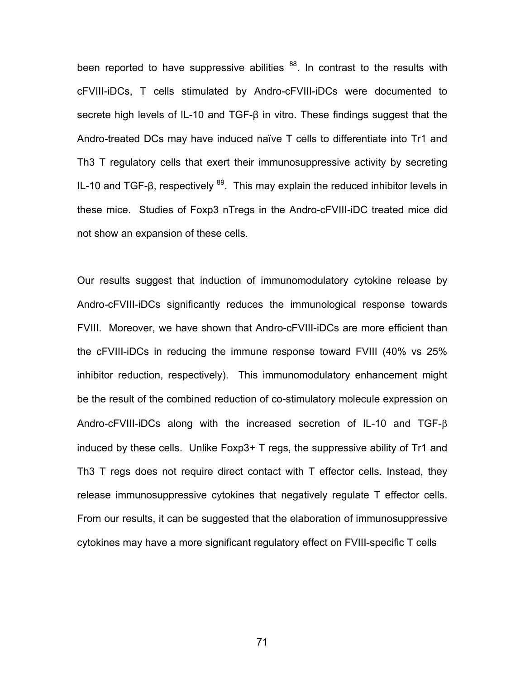been reported to have suppressive abilities  $88$ . In contrast to the results with cFVIII-iDCs, T cells stimulated by Andro-cFVIII-iDCs were documented to secrete high levels of IL-10 and TGF-β in vitro. These findings suggest that the Andro-treated DCs may have induced naïve T cells to differentiate into Tr1 and Th3 T regulatory cells that exert their immunosuppressive activity by secreting IL-10 and TGF-β, respectively  $89$ . This may explain the reduced inhibitor levels in these mice. Studies of Foxp3 nTregs in the Andro-cFVIII-iDC treated mice did not show an expansion of these cells.

Our results suggest that induction of immunomodulatory cytokine release by Andro-cFVIII-iDCs significantly reduces the immunological response towards FVIII. Moreover, we have shown that Andro-cFVIII-iDCs are more efficient than the cFVIII-iDCs in reducing the immune response toward FVIII (40% vs 25% inhibitor reduction, respectively). This immunomodulatory enhancement might be the result of the combined reduction of co-stimulatory molecule expression on Andro-cFVIII-iDCs along with the increased secretion of IL-10 and TGF-β induced by these cells. Unlike Foxp3+ T regs, the suppressive ability of Tr1 and Th3 T regs does not require direct contact with T effector cells. Instead, they release immunosuppressive cytokines that negatively regulate T effector cells. From our results, it can be suggested that the elaboration of immunosuppressive cytokines may have a more significant regulatory effect on FVIII-specific T cells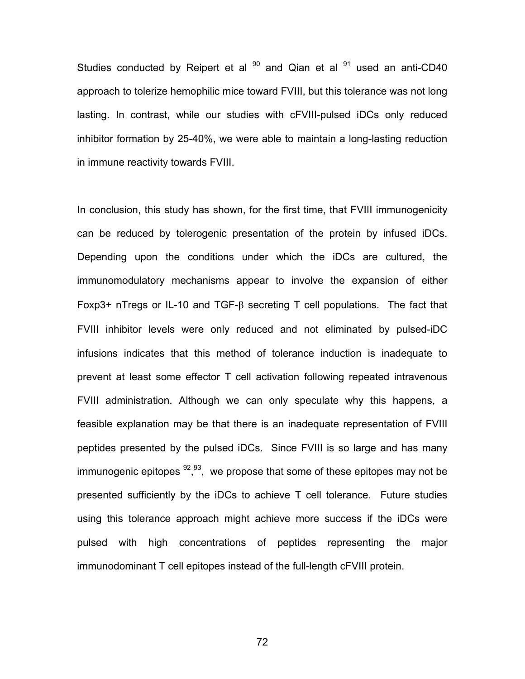Studies conducted by Reipert et al  $90$  and Qian et al  $91$  used an anti-CD40 approach to tolerize hemophilic mice toward FVIII, but this tolerance was not long lasting. In contrast, while our studies with cFVIII-pulsed iDCs only reduced inhibitor formation by 25-40%, we were able to maintain a long-lasting reduction in immune reactivity towards FVIII.

In conclusion, this study has shown, for the first time, that FVIII immunogenicity can be reduced by tolerogenic presentation of the protein by infused iDCs. Depending upon the conditions under which the iDCs are cultured, the immunomodulatory mechanisms appear to involve the expansion of either Foxp3+ nTregs or IL-10 and TGF-β secreting T cell populations. The fact that FVIII inhibitor levels were only reduced and not eliminated by pulsed-iDC infusions indicates that this method of tolerance induction is inadequate to prevent at least some effector T cell activation following repeated intravenous FVIII administration. Although we can only speculate why this happens, a feasible explanation may be that there is an inadequate representation of FVIII peptides presented by the pulsed iDCs. Since FVIII is so large and has many immunogenic epitopes  $92,93,$  we propose that some of these epitopes may not be presented sufficiently by the iDCs to achieve T cell tolerance. Future studies using this tolerance approach might achieve more success if the iDCs were pulsed with high concentrations of peptides representing the major immunodominant T cell epitopes instead of the full-length cFVIII protein.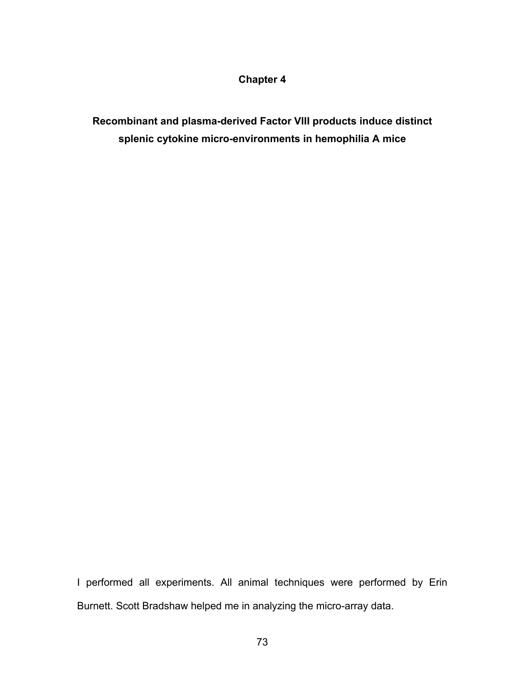# **Chapter 4**

**Recombinant and plasma-derived Factor VIII products induce distinct splenic cytokine micro-environments in hemophilia A mice** 

I performed all experiments. All animal techniques were performed by Erin Burnett. Scott Bradshaw helped me in analyzing the micro-array data.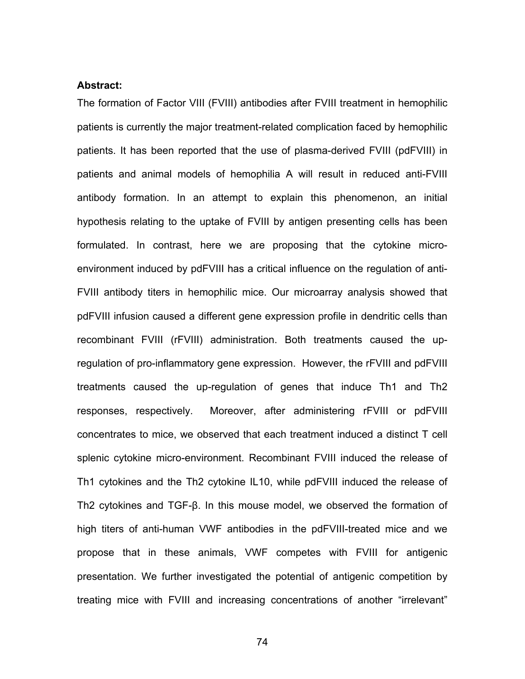# **Abstract:**

The formation of Factor VIII (FVIII) antibodies after FVIII treatment in hemophilic patients is currently the major treatment-related complication faced by hemophilic patients. It has been reported that the use of plasma-derived FVIII (pdFVIII) in patients and animal models of hemophilia A will result in reduced anti-FVIII antibody formation. In an attempt to explain this phenomenon, an initial hypothesis relating to the uptake of FVIII by antigen presenting cells has been formulated. In contrast, here we are proposing that the cytokine microenvironment induced by pdFVIII has a critical influence on the regulation of anti-FVIII antibody titers in hemophilic mice. Our microarray analysis showed that pdFVIII infusion caused a different gene expression profile in dendritic cells than recombinant FVIII (rFVIII) administration. Both treatments caused the upregulation of pro-inflammatory gene expression. However, the rFVIII and pdFVIII treatments caused the up-regulation of genes that induce Th1 and Th2 responses, respectively. Moreover, after administering rFVIII or pdFVIII concentrates to mice, we observed that each treatment induced a distinct T cell splenic cytokine micro-environment. Recombinant FVIII induced the release of Th1 cytokines and the Th2 cytokine IL10, while pdFVIII induced the release of Th2 cytokines and TGF-β. In this mouse model, we observed the formation of high titers of anti-human VWF antibodies in the pdFVIII-treated mice and we propose that in these animals, VWF competes with FVIII for antigenic presentation. We further investigated the potential of antigenic competition by treating mice with FVIII and increasing concentrations of another "irrelevant"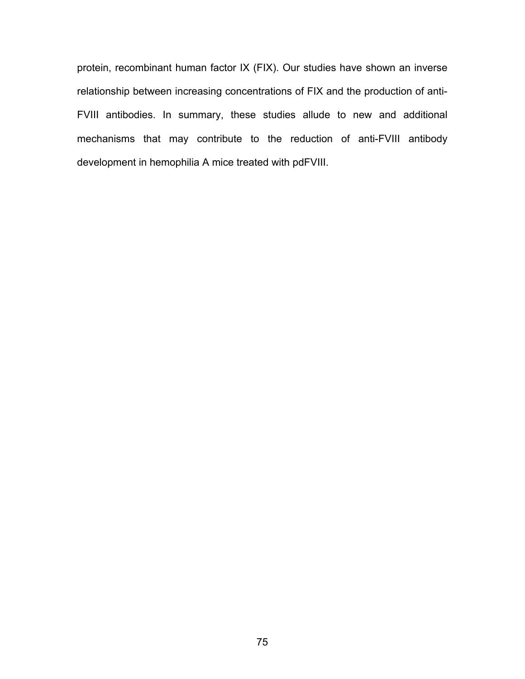protein, recombinant human factor IX (FIX). Our studies have shown an inverse relationship between increasing concentrations of FIX and the production of anti-FVIII antibodies. In summary, these studies allude to new and additional mechanisms that may contribute to the reduction of anti-FVIII antibody development in hemophilia A mice treated with pdFVIII.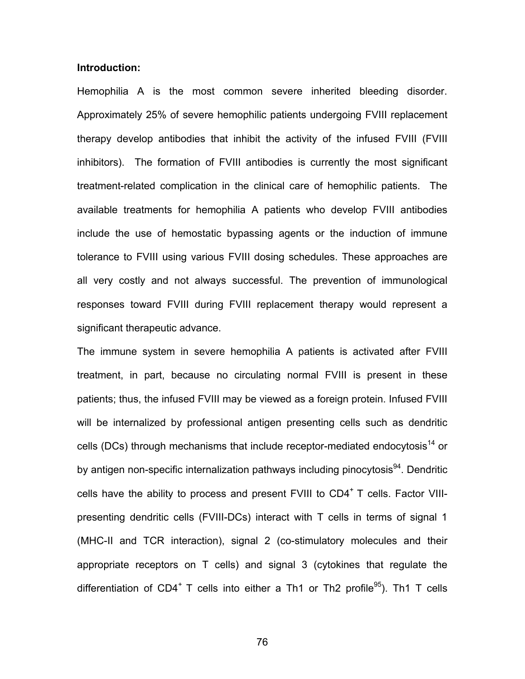# **Introduction:**

Hemophilia A is the most common severe inherited bleeding disorder. Approximately 25% of severe hemophilic patients undergoing FVIII replacement therapy develop antibodies that inhibit the activity of the infused FVIII (FVIII inhibitors). The formation of FVIII antibodies is currently the most significant treatment-related complication in the clinical care of hemophilic patients. The available treatments for hemophilia A patients who develop FVIII antibodies include the use of hemostatic bypassing agents or the induction of immune tolerance to FVIII using various FVIII dosing schedules. These approaches are all very costly and not always successful. The prevention of immunological responses toward FVIII during FVIII replacement therapy would represent a significant therapeutic advance.

The immune system in severe hemophilia A patients is activated after FVIII treatment, in part, because no circulating normal FVIII is present in these patients; thus, the infused FVIII may be viewed as a foreign protein. Infused FVIII will be internalized by professional antigen presenting cells such as dendritic cells (DCs) through mechanisms that include receptor-mediated endocytosis<sup>14</sup> or by antigen non-specific internalization pathways including pinocytosis<sup>94</sup>. Dendritic cells have the ability to process and present  $FVIII$  to  $CD4^+T$  cells. Factor VIIIpresenting dendritic cells (FVIII-DCs) interact with T cells in terms of signal 1 (MHC-II and TCR interaction), signal 2 (co-stimulatory molecules and their appropriate receptors on T cells) and signal 3 (cytokines that regulate the differentiation of CD4<sup>+</sup> T cells into either a Th1 or Th2 profile<sup>95</sup>). Th1 T cells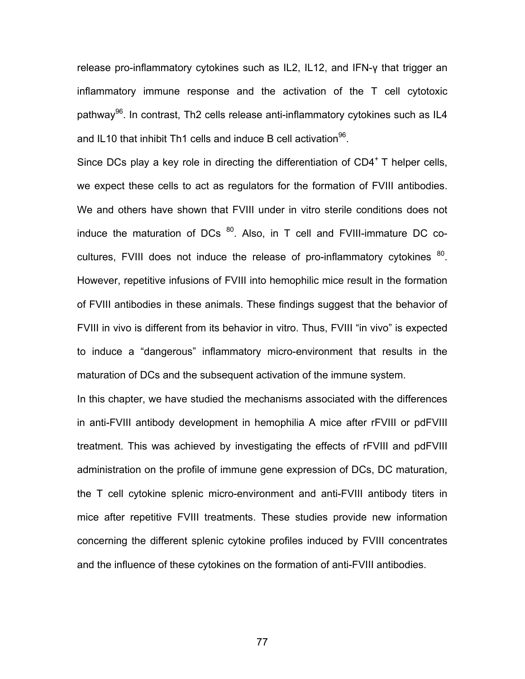release pro-inflammatory cytokines such as IL2, IL12, and IFN-γ that trigger an inflammatory immune response and the activation of the T cell cytotoxic pathway<sup>96</sup>. In contrast, Th2 cells release anti-inflammatory cytokines such as IL4 and IL10 that inhibit Th1 cells and induce B cell activation  $96$ .

Since DCs play a key role in directing the differentiation of  $CD4<sup>+</sup>$  T helper cells, we expect these cells to act as regulators for the formation of FVIII antibodies. We and others have shown that FVIII under in vitro sterile conditions does not induce the maturation of DCs  $^{80}$ . Also, in T cell and FVIII-immature DC cocultures, FVIII does not induce the release of pro-inflammatory cytokines  $80$ . However, repetitive infusions of FVIII into hemophilic mice result in the formation of FVIII antibodies in these animals. These findings suggest that the behavior of FVIII in vivo is different from its behavior in vitro. Thus, FVIII "in vivo" is expected to induce a "dangerous" inflammatory micro-environment that results in the maturation of DCs and the subsequent activation of the immune system.

In this chapter, we have studied the mechanisms associated with the differences in anti-FVIII antibody development in hemophilia A mice after rFVIII or pdFVIII treatment. This was achieved by investigating the effects of rFVIII and pdFVIII administration on the profile of immune gene expression of DCs, DC maturation, the T cell cytokine splenic micro-environment and anti-FVIII antibody titers in mice after repetitive FVIII treatments. These studies provide new information concerning the different splenic cytokine profiles induced by FVIII concentrates and the influence of these cytokines on the formation of anti-FVIII antibodies.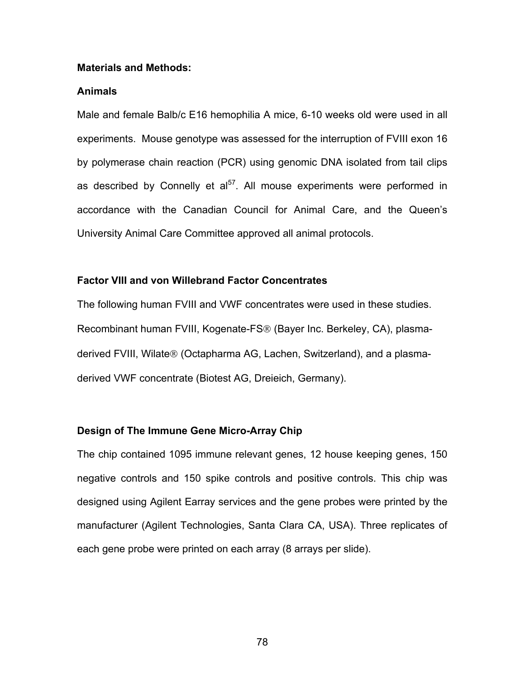#### **Materials and Methods:**

# **Animals**

Male and female Balb/c E16 hemophilia A mice, 6-10 weeks old were used in all experiments. Mouse genotype was assessed for the interruption of FVIII exon 16 by polymerase chain reaction (PCR) using genomic DNA isolated from tail clips as described by Connelly et  $a^{57}$ . All mouse experiments were performed in accordance with the Canadian Council for Animal Care, and the Queen's University Animal Care Committee approved all animal protocols.

# **Factor VIII and von Willebrand Factor Concentrates**

The following human FVIII and VWF concentrates were used in these studies. Recombinant human FVIII, Kogenate-FS® (Bayer Inc. Berkeley, CA), plasmaderived FVIII, Wilate® (Octapharma AG, Lachen, Switzerland), and a plasmaderived VWF concentrate (Biotest AG, Dreieich, Germany).

# **Design of The Immune Gene Micro-Array Chip**

The chip contained 1095 immune relevant genes, 12 house keeping genes, 150 negative controls and 150 spike controls and positive controls. This chip was designed using Agilent Earray services and the gene probes were printed by the manufacturer (Agilent Technologies, Santa Clara CA, USA). Three replicates of each gene probe were printed on each array (8 arrays per slide).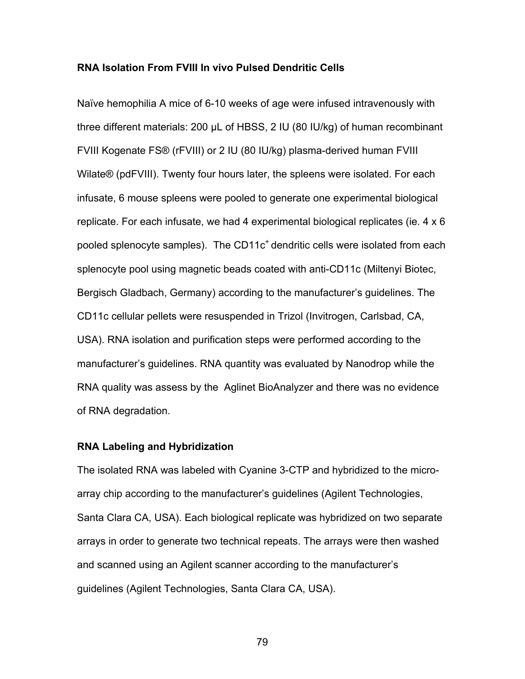### **RNA Isolation From FVIII In vivo Pulsed Dendritic Cells**

Naïve hemophilia A mice of 6-10 weeks of age were infused intravenously with three different materials: 200 μL of HBSS, 2 IU (80 IU/kg) of human recombinant FVIII Kogenate FS® (rFVIII) or 2 IU (80 IU/kg) plasma-derived human FVIII Wilate® (pdFVIII). Twenty four hours later, the spleens were isolated. For each infusate, 6 mouse spleens were pooled to generate one experimental biological replicate. For each infusate, we had 4 experimental biological replicates (ie. 4 x 6 pooled splenocyte samples). The CD11 $c<sup>+</sup>$  dendritic cells were isolated from each splenocyte pool using magnetic beads coated with anti-CD11c (Miltenyi Biotec, Bergisch Gladbach, Germany) according to the manufacturer's guidelines. The CD11c cellular pellets were resuspended in Trizol (Invitrogen, Carlsbad, CA, USA). RNA isolation and purification steps were performed according to the manufacturer's guidelines. RNA quantity was evaluated by Nanodrop while the RNA quality was assess by the Aglinet BioAnalyzer and there was no evidence of RNA degradation.

#### **RNA Labeling and Hybridization**

The isolated RNA was labeled with Cyanine 3-CTP and hybridized to the microarray chip according to the manufacturer's guidelines (Agilent Technologies, Santa Clara CA, USA). Each biological replicate was hybridized on two separate arrays in order to generate two technical repeats. The arrays were then washed and scanned using an Agilent scanner according to the manufacturer's guidelines (Agilent Technologies, Santa Clara CA, USA).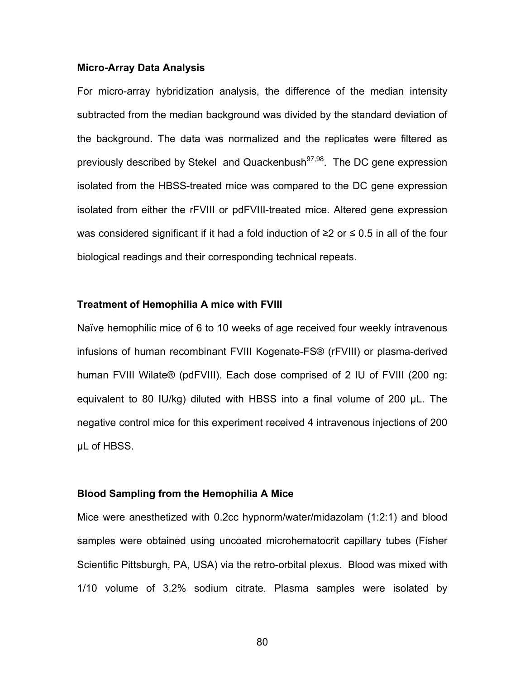#### **Micro-Array Data Analysis**

For micro-array hybridization analysis, the difference of the median intensity subtracted from the median background was divided by the standard deviation of the background. The data was normalized and the replicates were filtered as previously described by Stekel and Quackenbush $97,98$ . The DC gene expression isolated from the HBSS-treated mice was compared to the DC gene expression isolated from either the rFVIII or pdFVIII-treated mice. Altered gene expression was considered significant if it had a fold induction of ≥2 or ≤ 0.5 in all of the four biological readings and their corresponding technical repeats.

#### **Treatment of Hemophilia A mice with FVIII**

Naïve hemophilic mice of 6 to 10 weeks of age received four weekly intravenous infusions of human recombinant FVIII Kogenate-FS® (rFVIII) or plasma-derived human FVIII Wilate® (pdFVIII). Each dose comprised of 2 IU of FVIII (200 ng: equivalent to 80 IU/kg) diluted with HBSS into a final volume of 200 μL. The negative control mice for this experiment received 4 intravenous injections of 200 μL of HBSS.

#### **Blood Sampling from the Hemophilia A Mice**

Mice were anesthetized with 0.2cc hypnorm/water/midazolam (1:2:1) and blood samples were obtained using uncoated microhematocrit capillary tubes (Fisher Scientific Pittsburgh, PA, USA) via the retro-orbital plexus. Blood was mixed with 1/10 volume of 3.2% sodium citrate. Plasma samples were isolated by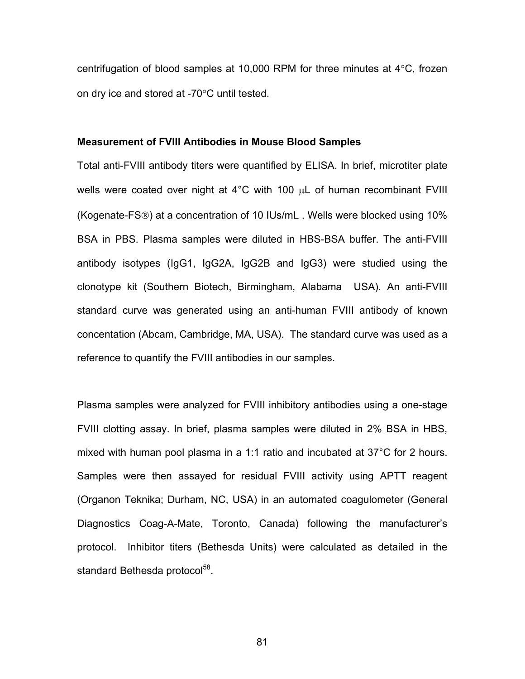centrifugation of blood samples at 10,000 RPM for three minutes at 4°C, frozen on dry ice and stored at -70°C until tested.

### **Measurement of FVIII Antibodies in Mouse Blood Samples**

Total anti-FVIII antibody titers were quantified by ELISA. In brief, microtiter plate wells were coated over night at 4°C with 100 μL of human recombinant FVIII (Kogenate-FS®) at a concentration of 10 IUs/mL . Wells were blocked using 10% BSA in PBS. Plasma samples were diluted in HBS-BSA buffer. The anti-FVIII antibody isotypes (IgG1, IgG2A, IgG2B and IgG3) were studied using the clonotype kit (Southern Biotech, Birmingham, Alabama USA). An anti-FVIII standard curve was generated using an anti-human FVIII antibody of known concentation (Abcam, Cambridge, MA, USA). The standard curve was used as a reference to quantify the FVIII antibodies in our samples.

Plasma samples were analyzed for FVIII inhibitory antibodies using a one-stage FVIII clotting assay. In brief, plasma samples were diluted in 2% BSA in HBS, mixed with human pool plasma in a 1:1 ratio and incubated at 37°C for 2 hours. Samples were then assayed for residual FVIII activity using APTT reagent (Organon Teknika; Durham, NC, USA) in an automated coagulometer (General Diagnostics Coag-A-Mate, Toronto, Canada) following the manufacturer's protocol. Inhibitor titers (Bethesda Units) were calculated as detailed in the standard Bethesda protocol<sup>58</sup>.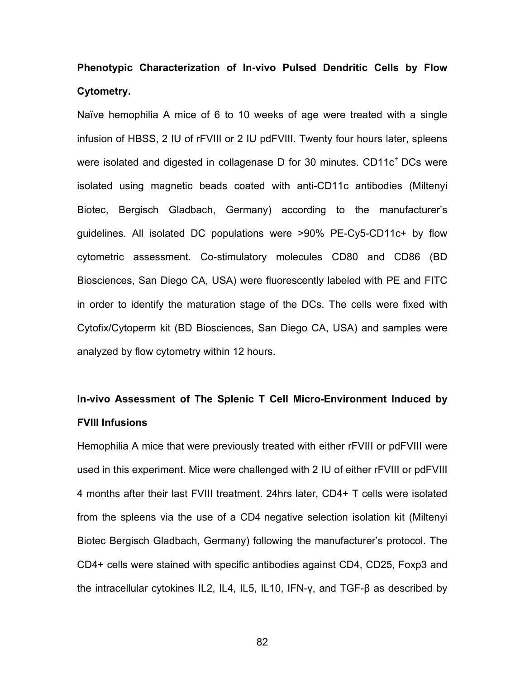# **Phenotypic Characterization of In-vivo Pulsed Dendritic Cells by Flow Cytometry.**

Naïve hemophilia A mice of 6 to 10 weeks of age were treated with a single infusion of HBSS, 2 IU of rFVIII or 2 IU pdFVIII. Twenty four hours later, spleens were isolated and digested in collagenase D for 30 minutes.  $CD11c<sup>+</sup>DCs$  were isolated using magnetic beads coated with anti-CD11c antibodies (Miltenyi Biotec, Bergisch Gladbach, Germany) according to the manufacturer's guidelines. All isolated DC populations were >90% PE-Cy5-CD11c+ by flow cytometric assessment. Co-stimulatory molecules CD80 and CD86 (BD Biosciences, San Diego CA, USA) were fluorescently labeled with PE and FITC in order to identify the maturation stage of the DCs. The cells were fixed with Cytofix/Cytoperm kit (BD Biosciences, San Diego CA, USA) and samples were analyzed by flow cytometry within 12 hours.

## **In-vivo Assessment of The Splenic T Cell Micro-Environment Induced by FVIII Infusions**

Hemophilia A mice that were previously treated with either rFVIII or pdFVIII were used in this experiment. Mice were challenged with 2 IU of either rFVIII or pdFVIII 4 months after their last FVIII treatment. 24hrs later, CD4+ T cells were isolated from the spleens via the use of a CD4 negative selection isolation kit (Miltenyi Biotec Bergisch Gladbach, Germany) following the manufacturer's protocol. The CD4+ cells were stained with specific antibodies against CD4, CD25, Foxp3 and the intracellular cytokines IL2, IL4, IL5, IL10, IFN-γ, and TGF-β as described by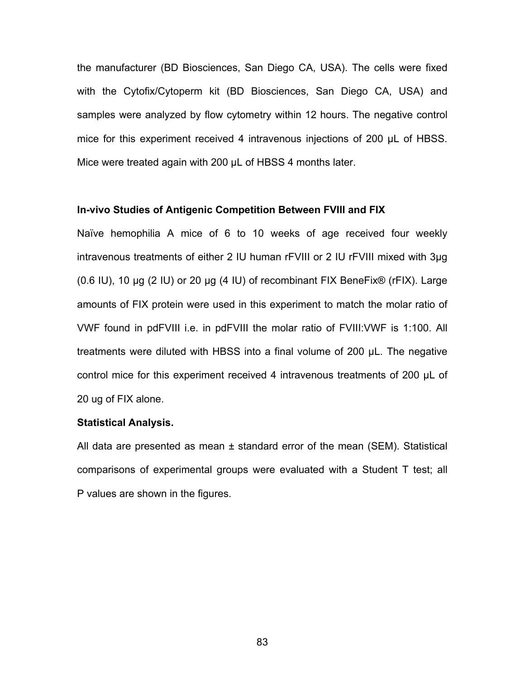the manufacturer (BD Biosciences, San Diego CA, USA). The cells were fixed with the Cytofix/Cytoperm kit (BD Biosciences, San Diego CA, USA) and samples were analyzed by flow cytometry within 12 hours. The negative control mice for this experiment received 4 intravenous injections of 200 μL of HBSS. Mice were treated again with 200 μL of HBSS 4 months later.

### **In-vivo Studies of Antigenic Competition Between FVIII and FIX**

Naïve hemophilia A mice of 6 to 10 weeks of age received four weekly intravenous treatments of either 2 IU human rFVIII or 2 IU rFVIII mixed with 3µg (0.6 IU), 10 µg (2 IU) or 20 µg (4 IU) of recombinant FIX BeneFix® (rFIX). Large amounts of FIX protein were used in this experiment to match the molar ratio of VWF found in pdFVIII i.e. in pdFVIII the molar ratio of FVIII:VWF is 1:100. All treatments were diluted with HBSS into a final volume of 200 μL. The negative control mice for this experiment received 4 intravenous treatments of 200 μL of 20 ug of FIX alone.

#### **Statistical Analysis.**

All data are presented as mean ± standard error of the mean (SEM). Statistical comparisons of experimental groups were evaluated with a Student T test; all P values are shown in the figures.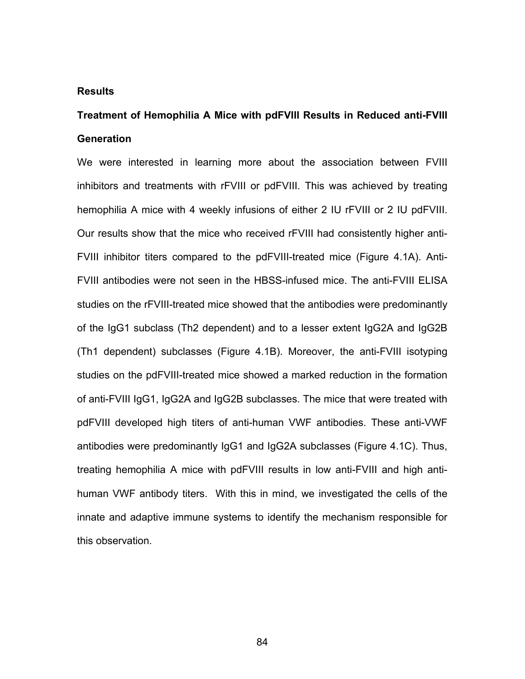### **Results**

## **Treatment of Hemophilia A Mice with pdFVIII Results in Reduced anti-FVIII Generation**

We were interested in learning more about the association between FVIII inhibitors and treatments with rFVIII or pdFVIII. This was achieved by treating hemophilia A mice with 4 weekly infusions of either 2 IU rFVIII or 2 IU pdFVIII. Our results show that the mice who received rFVIII had consistently higher anti-FVIII inhibitor titers compared to the pdFVIII-treated mice (Figure 4.1A). Anti-FVIII antibodies were not seen in the HBSS-infused mice. The anti-FVIII ELISA studies on the rFVIII-treated mice showed that the antibodies were predominantly of the IgG1 subclass (Th2 dependent) and to a lesser extent IgG2A and IgG2B (Th1 dependent) subclasses (Figure 4.1B). Moreover, the anti-FVIII isotyping studies on the pdFVIII-treated mice showed a marked reduction in the formation of anti-FVIII IgG1, IgG2A and IgG2B subclasses. The mice that were treated with pdFVIII developed high titers of anti-human VWF antibodies. These anti-VWF antibodies were predominantly IgG1 and IgG2A subclasses (Figure 4.1C). Thus, treating hemophilia A mice with pdFVIII results in low anti-FVIII and high antihuman VWF antibody titers. With this in mind, we investigated the cells of the innate and adaptive immune systems to identify the mechanism responsible for this observation.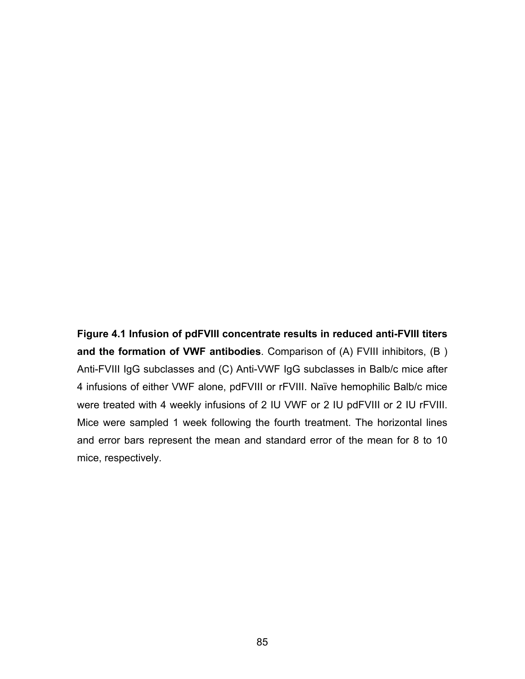**Figure 4.1 Infusion of pdFVIII concentrate results in reduced anti-FVIII titers and the formation of VWF antibodies**. Comparison of (A) FVIII inhibitors, (B ) Anti-FVIII IgG subclasses and (C) Anti-VWF IgG subclasses in Balb/c mice after 4 infusions of either VWF alone, pdFVIII or rFVIII. Naïve hemophilic Balb/c mice were treated with 4 weekly infusions of 2 IU VWF or 2 IU pdFVIII or 2 IU rFVIII. Mice were sampled 1 week following the fourth treatment. The horizontal lines and error bars represent the mean and standard error of the mean for 8 to 10 mice, respectively.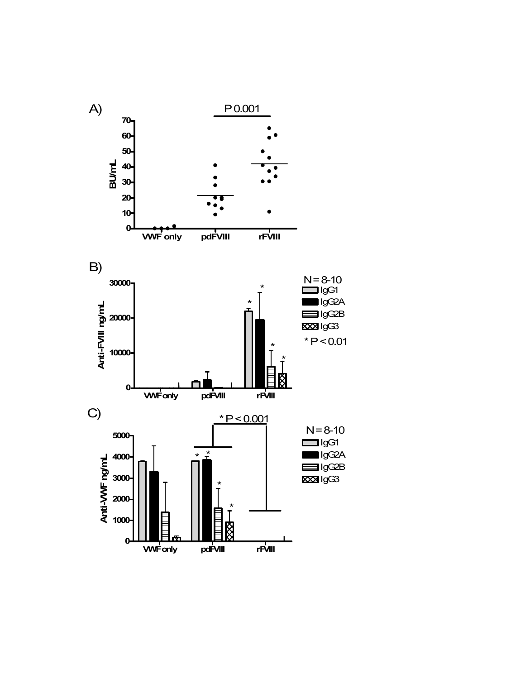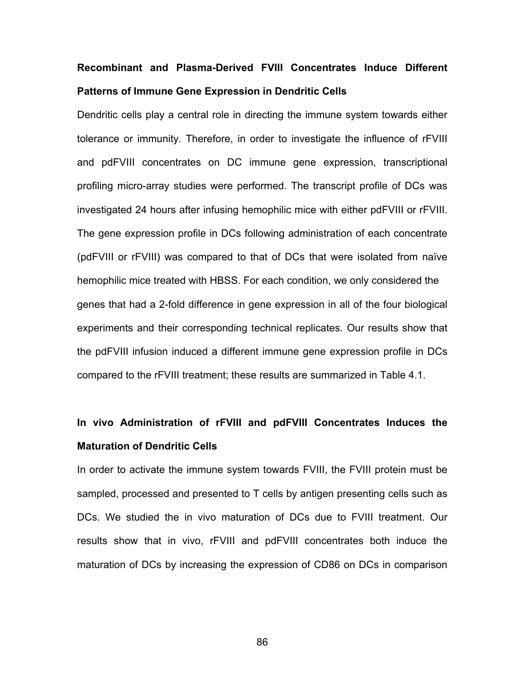# **Recombinant and Plasma-Derived FVIII Concentrates Induce Different Patterns of Immune Gene Expression in Dendritic Cells**

Dendritic cells play a central role in directing the immune system towards either tolerance or immunity. Therefore, in order to investigate the influence of rFVIII and pdFVIII concentrates on DC immune gene expression, transcriptional profiling micro-array studies were performed. The transcript profile of DCs was investigated 24 hours after infusing hemophilic mice with either pdFVIII or rFVIII. The gene expression profile in DCs following administration of each concentrate (pdFVIII or rFVIII) was compared to that of DCs that were isolated from naïve hemophilic mice treated with HBSS. For each condition, we only considered the genes that had a 2-fold difference in gene expression in all of the four biological experiments and their corresponding technical replicates. Our results show that the pdFVIII infusion induced a different immune gene expression profile in DCs compared to the rFVIII treatment; these results are summarized in Table 4.1.

## **In vivo Administration of rFVIII and pdFVIII Concentrates Induces the Maturation of Dendritic Cells**

In order to activate the immune system towards FVIII, the FVIII protein must be sampled, processed and presented to T cells by antigen presenting cells such as DCs. We studied the in vivo maturation of DCs due to FVIII treatment. Our results show that in vivo, rFVIII and pdFVIII concentrates both induce the maturation of DCs by increasing the expression of CD86 on DCs in comparison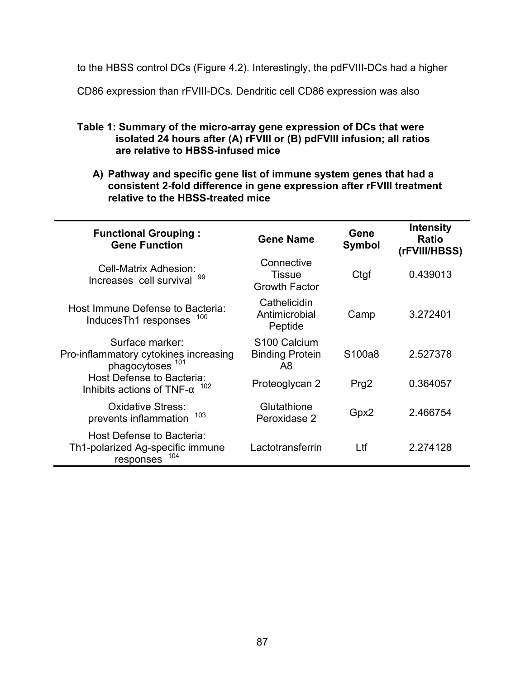to the HBSS control DCs (Figure 4.2). Interestingly, the pdFVIII-DCs had a higher

CD86 expression than rFVIII-DCs. Dendritic cell CD86 expression was also

- **Table 1: Summary of the micro-array gene expression of DCs that were isolated 24 hours after (A) rFVIII or (B) pdFVIII infusion; all ratios are relative to HBSS-infused mice** 
	- **A) Pathway and specific gene list of immune system genes that had a consistent 2-fold difference in gene expression after rFVIII treatment relative to the HBSS-treated mice**

| <b>Functional Grouping:</b><br><b>Gene Function</b>                                     | <b>Gene Name</b>                                         | Gene<br><b>Symbol</b> | <b>Intensity</b><br><b>Ratio</b><br>(rFVIII/HBSS) |
|-----------------------------------------------------------------------------------------|----------------------------------------------------------|-----------------------|---------------------------------------------------|
| Cell-Matrix Adhesion:<br>Increases cell survival 99                                     | Connective<br><b>Tissue</b><br><b>Growth Factor</b>      | Ctgf                  | 0.439013                                          |
| Host Immune Defense to Bacteria:<br>100<br>InducesTh1 responses                         | Cathelicidin<br>Antimicrobial<br>Peptide                 | Camp                  | 3.272401                                          |
| Surface marker:<br>Pro-inflammatory cytokines increasing<br>phagocytoses <sup>101</sup> | S <sub>100</sub> Calcium<br><b>Binding Protein</b><br>A8 | S <sub>100a8</sub>    | 2.527378                                          |
| Host Defense to Bacteria:<br>102<br>Inhibits actions of TNF- $\alpha$                   | Proteoglycan 2                                           | Prg <sub>2</sub>      | 0.364057                                          |
| <b>Oxidative Stress:</b><br>103<br>prevents inflammation                                | Glutathione<br>Peroxidase 2                              | Gpx2                  | 2.466754                                          |
| Host Defense to Bacteria:<br>Th1-polarized Ag-specific immune<br>104<br>responses       | Lactotransferrin                                         | Ltf                   | 2.274128                                          |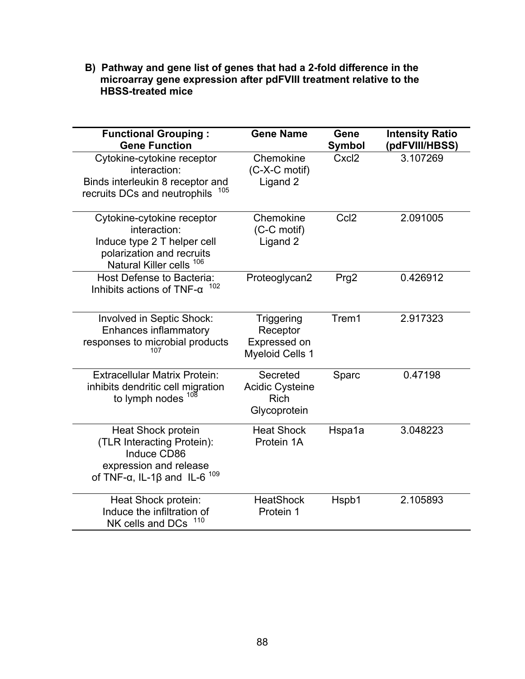**B) Pathway and gene list of genes that had a 2-fold difference in the microarray gene expression after pdFVIII treatment relative to the HBSS-treated mice** 

| <b>Functional Grouping:</b><br><b>Gene Function</b>                                                                                                         | <b>Gene Name</b>                                                        | Gene<br><b>Symbol</b> | <b>Intensity Ratio</b><br>(pdFVIII/HBSS) |
|-------------------------------------------------------------------------------------------------------------------------------------------------------------|-------------------------------------------------------------------------|-----------------------|------------------------------------------|
| Cytokine-cytokine receptor<br>interaction:<br>Binds interleukin 8 receptor and<br>105<br>recruits DCs and neutrophils                                       | Chemokine<br>(C-X-C motif)<br>Ligand 2                                  | Cxcl <sub>2</sub>     | 3.107269                                 |
| Cytokine-cytokine receptor<br>interaction:<br>Induce type 2 T helper cell<br>polarization and recruits<br>Natural Killer cells 106                          | Chemokine<br>(C-C motif)<br>Ligand 2                                    | Ccl <sub>2</sub>      | 2.091005                                 |
| Host Defense to Bacteria:<br>Inhibits actions of TNF- $\alpha$                                                                                              | Proteoglycan2                                                           | Prg <sub>2</sub>      | 0.426912                                 |
| Involved in Septic Shock:<br>Enhances inflammatory<br>responses to microbial products<br>107                                                                | <b>Triggering</b><br>Receptor<br>Expressed on<br><b>Myeloid Cells 1</b> | Trem1                 | 2.917323                                 |
| <b>Extracellular Matrix Protein:</b><br>inhibits dendritic cell migration<br>to lymph nodes $108$                                                           | Secreted<br><b>Acidic Cysteine</b><br><b>Rich</b><br>Glycoprotein       | Sparc                 | 0.47198                                  |
| <b>Heat Shock protein</b><br>(TLR Interacting Protein):<br>Induce CD86<br>expression and release<br>of TNF- $\alpha$ , IL-1 $\beta$ and IL-6 <sup>109</sup> | <b>Heat Shock</b><br>Protein 1A                                         | Hspa1a                | 3.048223                                 |
| Heat Shock protein:<br>Induce the infiltration of<br>110<br>NK cells and DCs                                                                                | <b>HeatShock</b><br>Protein 1                                           | Hspb1                 | 2.105893                                 |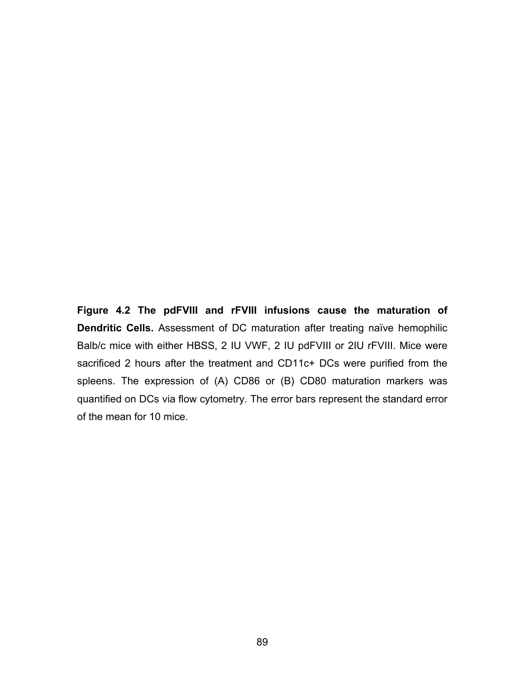**Figure 4.2 The pdFVIII and rFVIII infusions cause the maturation of Dendritic Cells.** Assessment of DC maturation after treating naïve hemophilic Balb/c mice with either HBSS, 2 IU VWF, 2 IU pdFVIII or 2IU rFVIII. Mice were sacrificed 2 hours after the treatment and CD11c+ DCs were purified from the spleens. The expression of (A) CD86 or (B) CD80 maturation markers was quantified on DCs via flow cytometry. The error bars represent the standard error of the mean for 10 mice.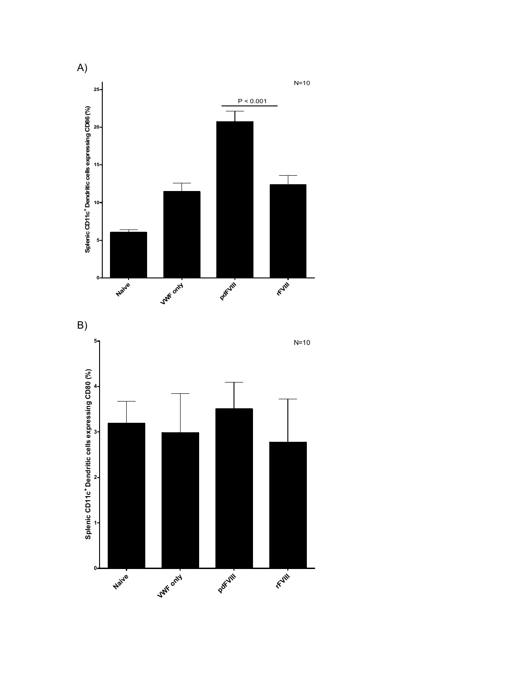

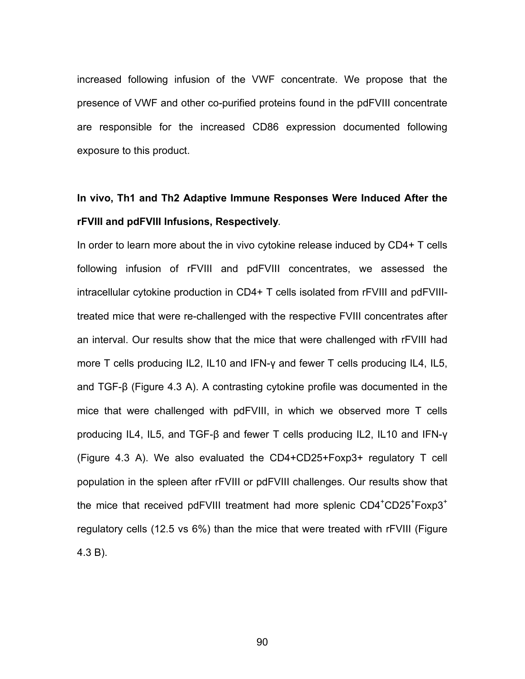increased following infusion of the VWF concentrate. We propose that the presence of VWF and other co-purified proteins found in the pdFVIII concentrate are responsible for the increased CD86 expression documented following exposure to this product.

# **In vivo, Th1 and Th2 Adaptive Immune Responses Were Induced After the rFVIII and pdFVIII Infusions, Respectively***.*

In order to learn more about the in vivo cytokine release induced by CD4+ T cells following infusion of rFVIII and pdFVIII concentrates, we assessed the intracellular cytokine production in CD4+ T cells isolated from rFVIII and pdFVIIItreated mice that were re-challenged with the respective FVIII concentrates after an interval. Our results show that the mice that were challenged with rFVIII had more T cells producing IL2, IL10 and IFN-γ and fewer T cells producing IL4, IL5, and TGF-β (Figure 4.3 A). A contrasting cytokine profile was documented in the mice that were challenged with pdFVIII, in which we observed more T cells producing IL4, IL5, and TGF-β and fewer T cells producing IL2, IL10 and IFN-γ (Figure 4.3 A). We also evaluated the CD4+CD25+Foxp3+ regulatory T cell population in the spleen after rFVIII or pdFVIII challenges. Our results show that the mice that received pdFVIII treatment had more splenic  $CD4\textsuperscript{+}CD25\textsuperscript{+}Foxp3\textsuperscript{+}$ regulatory cells (12.5 vs 6%) than the mice that were treated with rFVIII (Figure 4.3 B).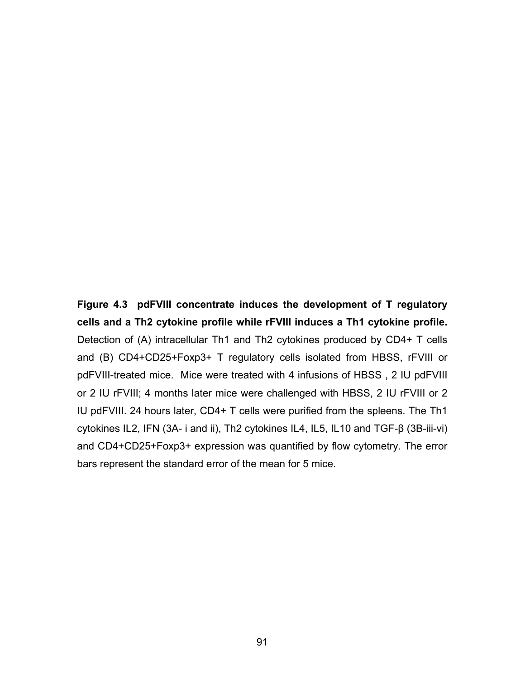**Figure 4.3 pdFVIII concentrate induces the development of T regulatory cells and a Th2 cytokine profile while rFVIII induces a Th1 cytokine profile.** Detection of (A) intracellular Th1 and Th2 cytokines produced by CD4+ T cells and (B) CD4+CD25+Foxp3+ T regulatory cells isolated from HBSS, rFVIII or pdFVIII-treated mice. Mice were treated with 4 infusions of HBSS , 2 IU pdFVIII or 2 IU rFVIII; 4 months later mice were challenged with HBSS, 2 IU rFVIII or 2 IU pdFVIII. 24 hours later, CD4+ T cells were purified from the spleens. The Th1 cytokines IL2, IFN (3A- i and ii), Th2 cytokines IL4, IL5, IL10 and TGF-β (3B-iii-vi) and CD4+CD25+Foxp3+ expression was quantified by flow cytometry. The error bars represent the standard error of the mean for 5 mice.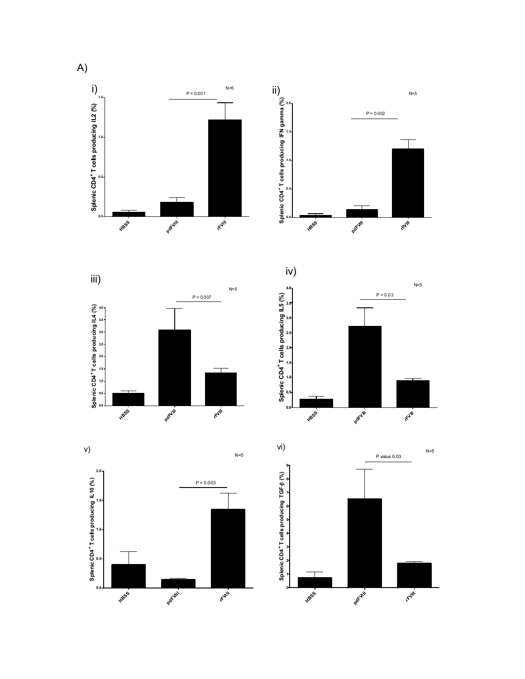











A)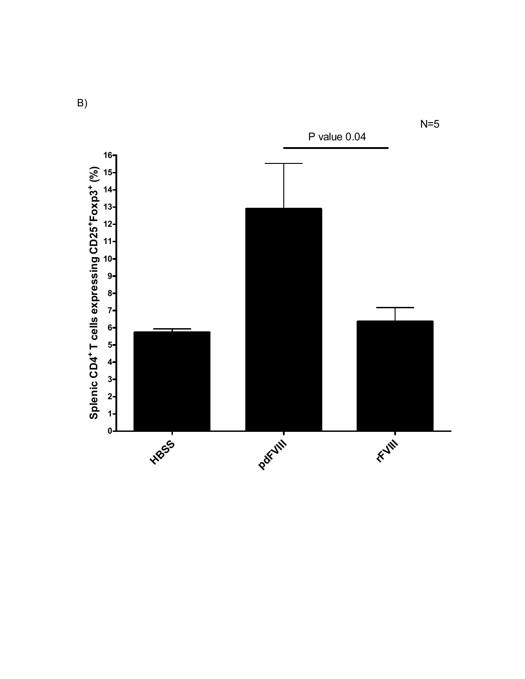

B)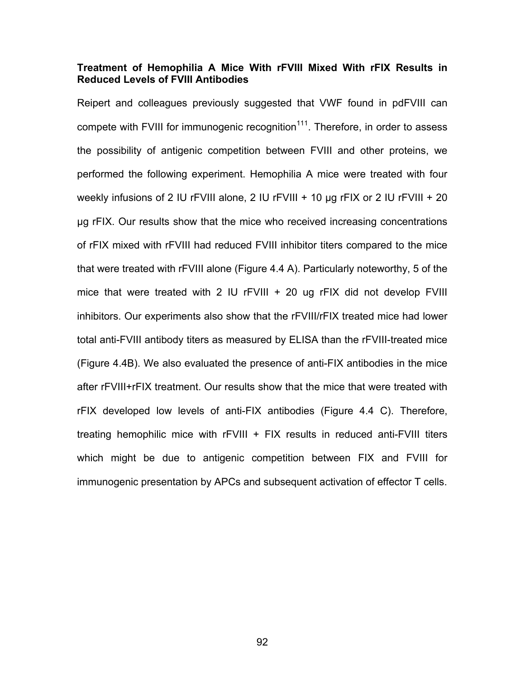## **Treatment of Hemophilia A Mice With rFVIII Mixed With rFIX Results in Reduced Levels of FVIII Antibodies**

Reipert and colleagues previously suggested that VWF found in pdFVIII can compete with FVIII for immunogenic recognition $111$ . Therefore, in order to assess the possibility of antigenic competition between FVIII and other proteins, we performed the following experiment. Hemophilia A mice were treated with four weekly infusions of 2 IU rFVIII alone, 2 IU rFVIII + 10 μg rFIX or 2 IU rFVIII + 20 μg rFIX. Our results show that the mice who received increasing concentrations of rFIX mixed with rFVIII had reduced FVIII inhibitor titers compared to the mice that were treated with rFVIII alone (Figure 4.4 A). Particularly noteworthy, 5 of the mice that were treated with 2 IU rFVIII  $+$  20 ug rFIX did not develop FVIII inhibitors. Our experiments also show that the rFVIII/rFIX treated mice had lower total anti-FVIII antibody titers as measured by ELISA than the rFVIII-treated mice (Figure 4.4B). We also evaluated the presence of anti-FIX antibodies in the mice after rFVIII+rFIX treatment. Our results show that the mice that were treated with rFIX developed low levels of anti-FIX antibodies (Figure 4.4 C). Therefore, treating hemophilic mice with rFVIII + FIX results in reduced anti-FVIII titers which might be due to antigenic competition between FIX and FVIII for immunogenic presentation by APCs and subsequent activation of effector T cells.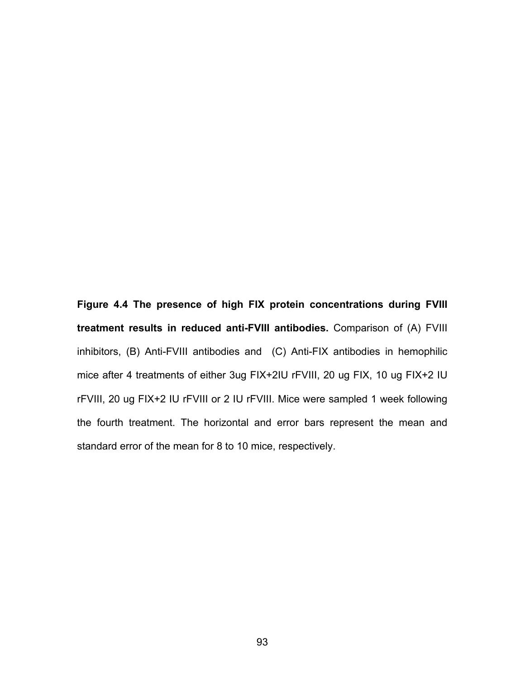**Figure 4.4 The presence of high FIX protein concentrations during FVIII treatment results in reduced anti-FVIII antibodies.** Comparison of (A) FVIII inhibitors, (B) Anti-FVIII antibodies and (C) Anti-FIX antibodies in hemophilic mice after 4 treatments of either 3ug FIX+2IU rFVIII, 20 ug FIX, 10 ug FIX+2 IU rFVIII, 20 ug FIX+2 IU rFVIII or 2 IU rFVIII. Mice were sampled 1 week following the fourth treatment. The horizontal and error bars represent the mean and standard error of the mean for 8 to 10 mice, respectively.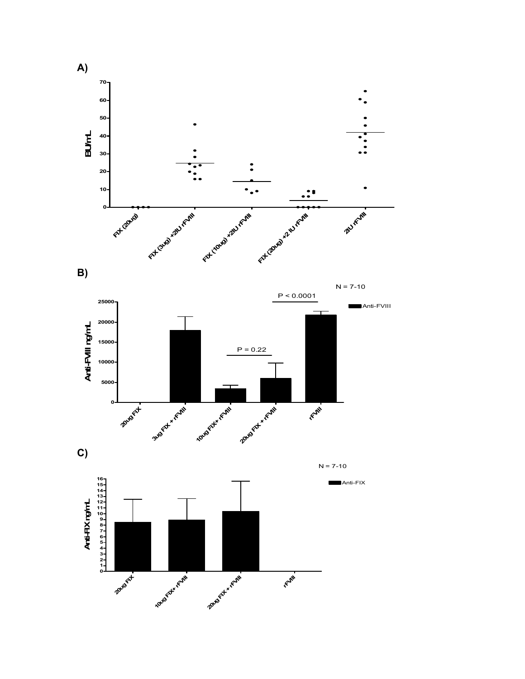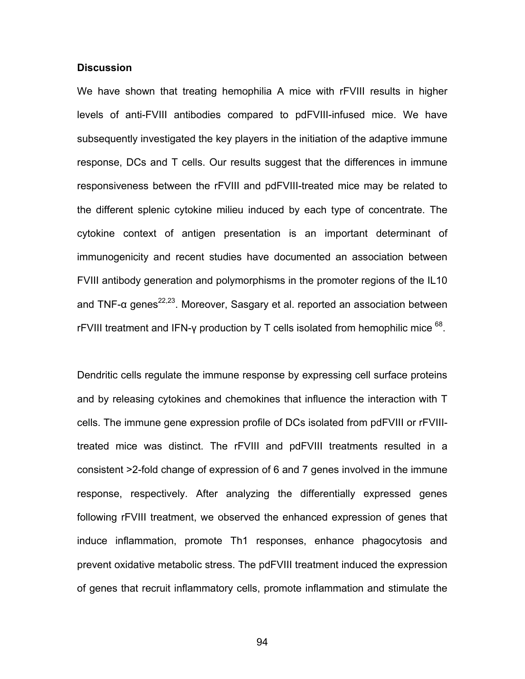### **Discussion**

We have shown that treating hemophilia A mice with rFVIII results in higher levels of anti-FVIII antibodies compared to pdFVIII-infused mice. We have subsequently investigated the key players in the initiation of the adaptive immune response, DCs and T cells. Our results suggest that the differences in immune responsiveness between the rFVIII and pdFVIII-treated mice may be related to the different splenic cytokine milieu induced by each type of concentrate. The cytokine context of antigen presentation is an important determinant of immunogenicity and recent studies have documented an association between FVIII antibody generation and polymorphisms in the promoter regions of the IL10 and TNF- $\alpha$  genes<sup>22,23</sup>. Moreover, Sasgary et al. reported an association between rFVIII treatment and IFN- $\gamma$  production by T cells isolated from hemophilic mice  $^{68}$ .

Dendritic cells regulate the immune response by expressing cell surface proteins and by releasing cytokines and chemokines that influence the interaction with T cells. The immune gene expression profile of DCs isolated from pdFVIII or rFVIIItreated mice was distinct. The rFVIII and pdFVIII treatments resulted in a consistent >2-fold change of expression of 6 and 7 genes involved in the immune response, respectively. After analyzing the differentially expressed genes following rFVIII treatment, we observed the enhanced expression of genes that induce inflammation, promote Th1 responses, enhance phagocytosis and prevent oxidative metabolic stress. The pdFVIII treatment induced the expression of genes that recruit inflammatory cells, promote inflammation and stimulate the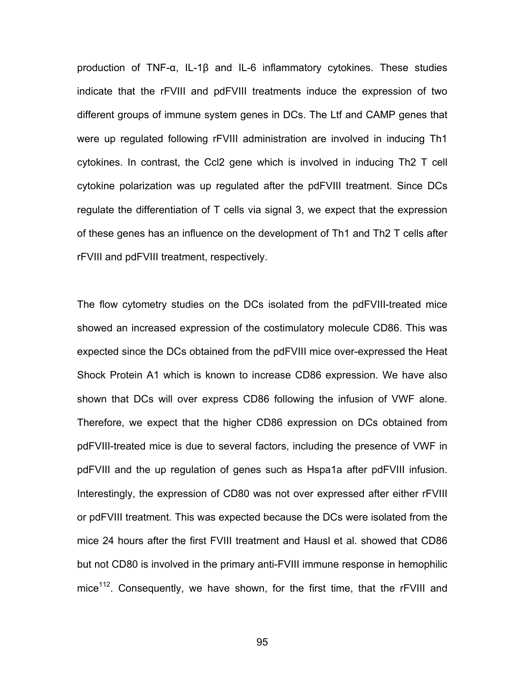production of TNF-α, IL-1β and IL-6 inflammatory cytokines. These studies indicate that the rFVIII and pdFVIII treatments induce the expression of two different groups of immune system genes in DCs. The Ltf and CAMP genes that were up regulated following rFVIII administration are involved in inducing Th1 cytokines. In contrast, the Ccl2 gene which is involved in inducing Th2 T cell cytokine polarization was up regulated after the pdFVIII treatment. Since DCs regulate the differentiation of T cells via signal 3, we expect that the expression of these genes has an influence on the development of Th1 and Th2 T cells after rFVIII and pdFVIII treatment, respectively.

The flow cytometry studies on the DCs isolated from the pdFVIII-treated mice showed an increased expression of the costimulatory molecule CD86. This was expected since the DCs obtained from the pdFVIII mice over-expressed the Heat Shock Protein A1 which is known to increase CD86 expression. We have also shown that DCs will over express CD86 following the infusion of VWF alone. Therefore, we expect that the higher CD86 expression on DCs obtained from pdFVIII-treated mice is due to several factors, including the presence of VWF in pdFVIII and the up regulation of genes such as Hspa1a after pdFVIII infusion. Interestingly, the expression of CD80 was not over expressed after either rFVIII or pdFVIII treatment. This was expected because the DCs were isolated from the mice 24 hours after the first FVIII treatment and Hausl et al. showed that CD86 but not CD80 is involved in the primary anti-FVIII immune response in hemophilic mice $112$ . Consequently, we have shown, for the first time, that the rFVIII and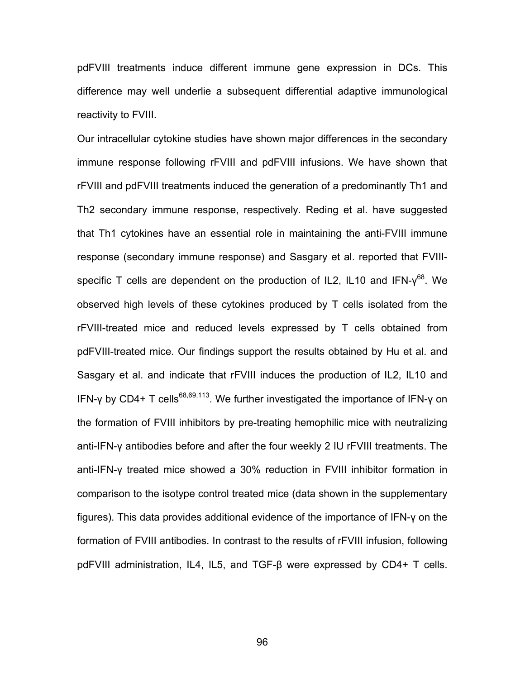pdFVIII treatments induce different immune gene expression in DCs. This difference may well underlie a subsequent differential adaptive immunological reactivity to FVIII.

Our intracellular cytokine studies have shown major differences in the secondary immune response following rFVIII and pdFVIII infusions. We have shown that rFVIII and pdFVIII treatments induced the generation of a predominantly Th1 and Th2 secondary immune response, respectively. Reding et al. have suggested that Th1 cytokines have an essential role in maintaining the anti-FVIII immune response (secondary immune response) and Sasgary et al. reported that FVIIIspecific T cells are dependent on the production of IL2, IL10 and IFN- $v^{68}$ . We observed high levels of these cytokines produced by T cells isolated from the rFVIII-treated mice and reduced levels expressed by T cells obtained from pdFVIII-treated mice. Our findings support the results obtained by Hu et al. and Sasgary et al. and indicate that rFVIII induces the production of IL2, IL10 and IFN-γ by CD4+ T cells<sup>68,69,113</sup>. We further investigated the importance of IFN-γ on the formation of FVIII inhibitors by pre-treating hemophilic mice with neutralizing anti-IFN-γ antibodies before and after the four weekly 2 IU rFVIII treatments. The anti-IFN-γ treated mice showed a 30% reduction in FVIII inhibitor formation in comparison to the isotype control treated mice (data shown in the supplementary figures). This data provides additional evidence of the importance of IFN-γ on the formation of FVIII antibodies. In contrast to the results of rFVIII infusion, following pdFVIII administration, IL4, IL5, and TGF-β were expressed by CD4+ T cells.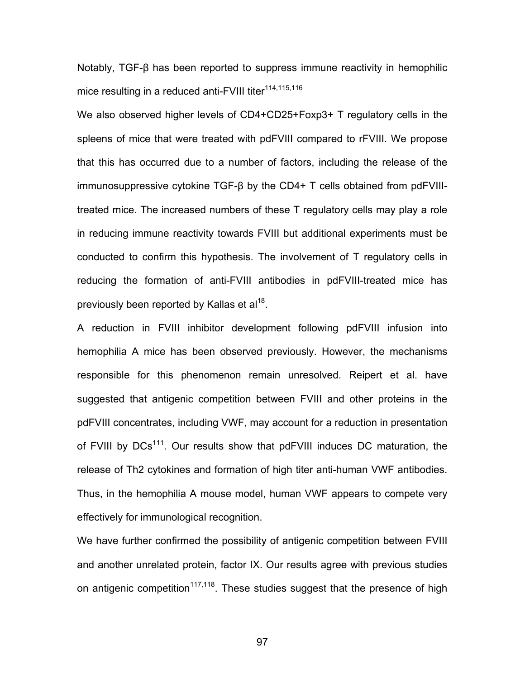Notably, TGF-β has been reported to suppress immune reactivity in hemophilic mice resulting in a reduced anti-FVIII titer<sup>114,115,116</sup>

We also observed higher levels of CD4+CD25+Foxp3+ T regulatory cells in the spleens of mice that were treated with pdFVIII compared to rFVIII. We propose that this has occurred due to a number of factors, including the release of the immunosuppressive cytokine TGF-β by the CD4+ T cells obtained from pdFVIIItreated mice. The increased numbers of these T regulatory cells may play a role in reducing immune reactivity towards FVIII but additional experiments must be conducted to confirm this hypothesis. The involvement of T regulatory cells in reducing the formation of anti-FVIII antibodies in pdFVIII-treated mice has previously been reported by Kallas et al<sup>18</sup>.

A reduction in FVIII inhibitor development following pdFVIII infusion into hemophilia A mice has been observed previously. However, the mechanisms responsible for this phenomenon remain unresolved. Reipert et al. have suggested that antigenic competition between FVIII and other proteins in the pdFVIII concentrates, including VWF, may account for a reduction in presentation of FVIII by DCs<sup>111</sup>. Our results show that pdFVIII induces DC maturation, the release of Th2 cytokines and formation of high titer anti-human VWF antibodies. Thus, in the hemophilia A mouse model, human VWF appears to compete very effectively for immunological recognition.

We have further confirmed the possibility of antigenic competition between FVIII and another unrelated protein, factor IX. Our results agree with previous studies on antigenic competition<sup>117,118</sup>. These studies suggest that the presence of high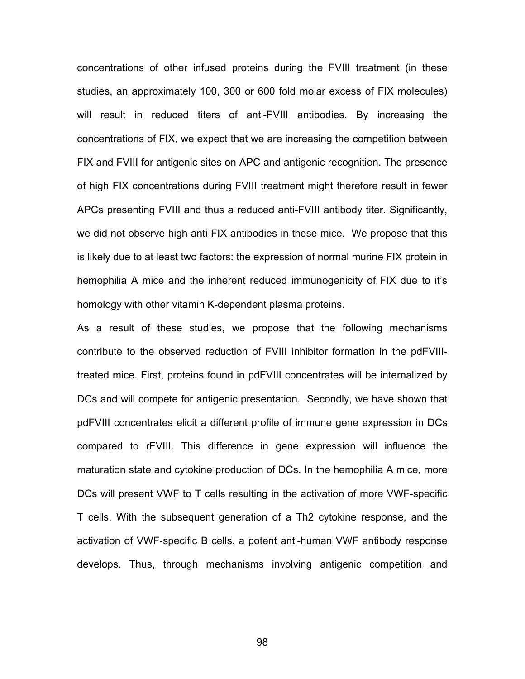concentrations of other infused proteins during the FVIII treatment (in these studies, an approximately 100, 300 or 600 fold molar excess of FIX molecules) will result in reduced titers of anti-FVIII antibodies. By increasing the concentrations of FIX, we expect that we are increasing the competition between FIX and FVIII for antigenic sites on APC and antigenic recognition. The presence of high FIX concentrations during FVIII treatment might therefore result in fewer APCs presenting FVIII and thus a reduced anti-FVIII antibody titer. Significantly, we did not observe high anti-FIX antibodies in these mice. We propose that this is likely due to at least two factors: the expression of normal murine FIX protein in hemophilia A mice and the inherent reduced immunogenicity of FIX due to it's homology with other vitamin K-dependent plasma proteins.

As a result of these studies, we propose that the following mechanisms contribute to the observed reduction of FVIII inhibitor formation in the pdFVIIItreated mice. First, proteins found in pdFVIII concentrates will be internalized by DCs and will compete for antigenic presentation. Secondly, we have shown that pdFVIII concentrates elicit a different profile of immune gene expression in DCs compared to rFVIII. This difference in gene expression will influence the maturation state and cytokine production of DCs. In the hemophilia A mice, more DCs will present VWF to T cells resulting in the activation of more VWF-specific T cells. With the subsequent generation of a Th2 cytokine response, and the activation of VWF-specific B cells, a potent anti-human VWF antibody response develops. Thus, through mechanisms involving antigenic competition and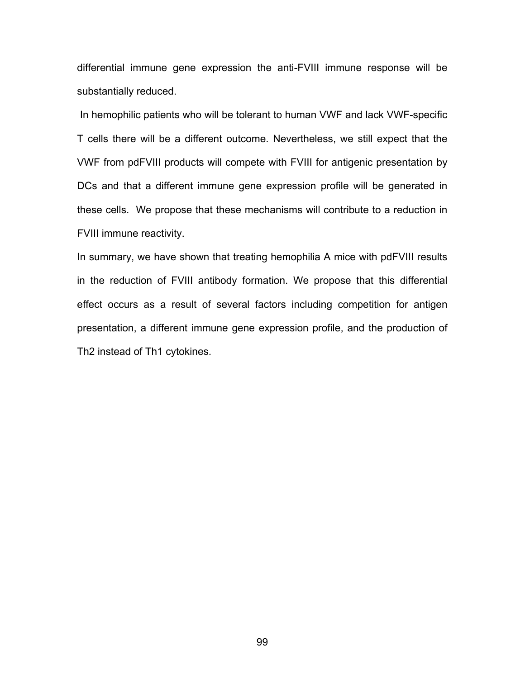differential immune gene expression the anti-FVIII immune response will be substantially reduced.

 In hemophilic patients who will be tolerant to human VWF and lack VWF-specific T cells there will be a different outcome. Nevertheless, we still expect that the VWF from pdFVIII products will compete with FVIII for antigenic presentation by DCs and that a different immune gene expression profile will be generated in these cells. We propose that these mechanisms will contribute to a reduction in FVIII immune reactivity.

In summary, we have shown that treating hemophilia A mice with pdFVIII results in the reduction of FVIII antibody formation. We propose that this differential effect occurs as a result of several factors including competition for antigen presentation, a different immune gene expression profile, and the production of Th2 instead of Th1 cytokines.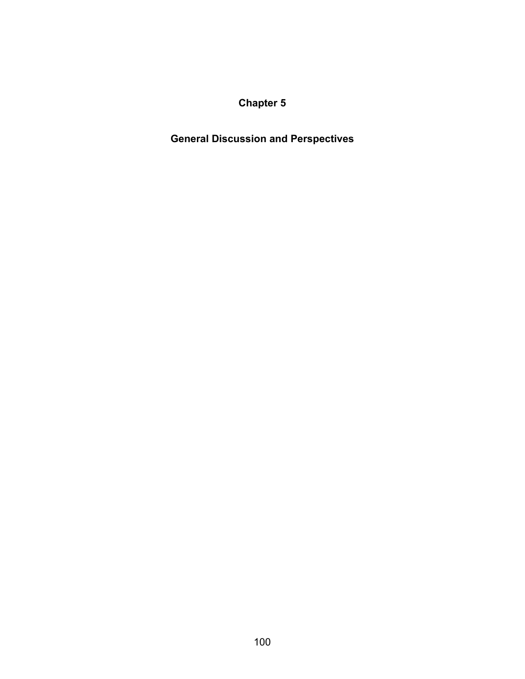**Chapter 5** 

**General Discussion and Perspectives**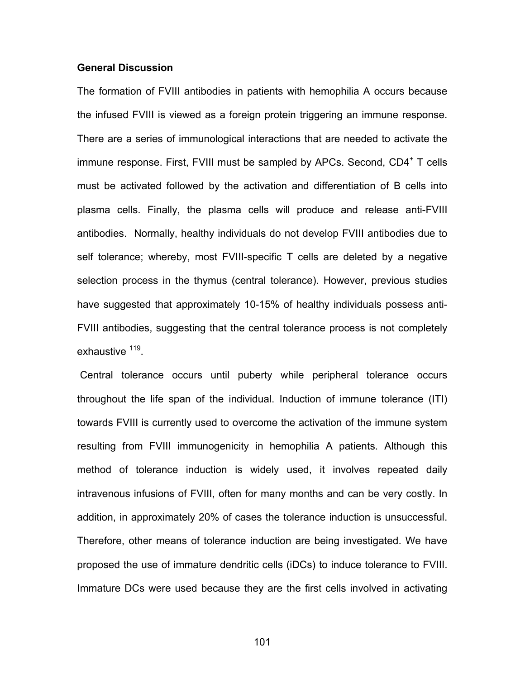#### **General Discussion**

The formation of FVIII antibodies in patients with hemophilia A occurs because the infused FVIII is viewed as a foreign protein triggering an immune response. There are a series of immunological interactions that are needed to activate the immune response. First, FVIII must be sampled by APCs. Second, CD4<sup>+</sup> T cells must be activated followed by the activation and differentiation of B cells into plasma cells. Finally, the plasma cells will produce and release anti-FVIII antibodies. Normally, healthy individuals do not develop FVIII antibodies due to self tolerance; whereby, most FVIII-specific T cells are deleted by a negative selection process in the thymus (central tolerance). However, previous studies have suggested that approximately 10-15% of healthy individuals possess anti-FVIII antibodies, suggesting that the central tolerance process is not completely exhaustive <sup>119</sup>.

 Central tolerance occurs until puberty while peripheral tolerance occurs throughout the life span of the individual. Induction of immune tolerance (ITI) towards FVIII is currently used to overcome the activation of the immune system resulting from FVIII immunogenicity in hemophilia A patients. Although this method of tolerance induction is widely used, it involves repeated daily intravenous infusions of FVIII, often for many months and can be very costly. In addition, in approximately 20% of cases the tolerance induction is unsuccessful. Therefore, other means of tolerance induction are being investigated. We have proposed the use of immature dendritic cells (iDCs) to induce tolerance to FVIII. Immature DCs were used because they are the first cells involved in activating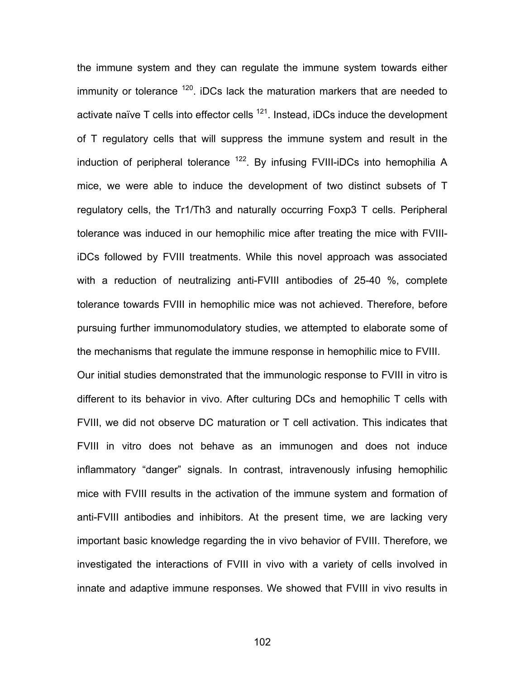the immune system and they can regulate the immune system towards either immunity or tolerance  $120$ . iDCs lack the maturation markers that are needed to activate naïve  $T$  cells into effector cells  $^{121}$ . Instead, iDCs induce the development of T regulatory cells that will suppress the immune system and result in the induction of peripheral tolerance  $122$ . By infusing FVIII-iDCs into hemophilia A mice, we were able to induce the development of two distinct subsets of T regulatory cells, the Tr1/Th3 and naturally occurring Foxp3 T cells. Peripheral tolerance was induced in our hemophilic mice after treating the mice with FVIIIiDCs followed by FVIII treatments. While this novel approach was associated with a reduction of neutralizing anti-FVIII antibodies of 25-40 %, complete tolerance towards FVIII in hemophilic mice was not achieved. Therefore, before pursuing further immunomodulatory studies, we attempted to elaborate some of the mechanisms that regulate the immune response in hemophilic mice to FVIII. Our initial studies demonstrated that the immunologic response to FVIII in vitro is different to its behavior in vivo. After culturing DCs and hemophilic T cells with FVIII, we did not observe DC maturation or T cell activation. This indicates that FVIII in vitro does not behave as an immunogen and does not induce inflammatory "danger" signals. In contrast, intravenously infusing hemophilic mice with FVIII results in the activation of the immune system and formation of anti-FVIII antibodies and inhibitors. At the present time, we are lacking very important basic knowledge regarding the in vivo behavior of FVIII. Therefore, we investigated the interactions of FVIII in vivo with a variety of cells involved in innate and adaptive immune responses. We showed that FVIII in vivo results in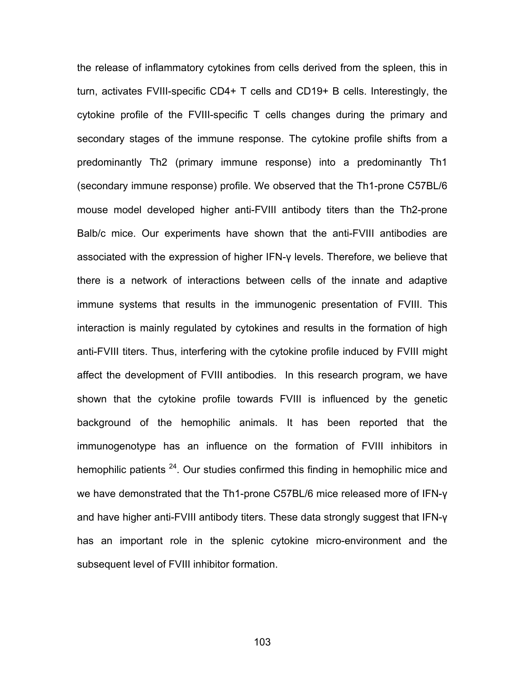the release of inflammatory cytokines from cells derived from the spleen, this in turn, activates FVIII-specific CD4+ T cells and CD19+ B cells. Interestingly, the cytokine profile of the FVIII-specific T cells changes during the primary and secondary stages of the immune response. The cytokine profile shifts from a predominantly Th2 (primary immune response) into a predominantly Th1 (secondary immune response) profile. We observed that the Th1-prone C57BL/6 mouse model developed higher anti-FVIII antibody titers than the Th2-prone Balb/c mice. Our experiments have shown that the anti-FVIII antibodies are associated with the expression of higher IFN-γ levels. Therefore, we believe that there is a network of interactions between cells of the innate and adaptive immune systems that results in the immunogenic presentation of FVIII. This interaction is mainly regulated by cytokines and results in the formation of high anti-FVIII titers. Thus, interfering with the cytokine profile induced by FVIII might affect the development of FVIII antibodies. In this research program, we have shown that the cytokine profile towards FVIII is influenced by the genetic background of the hemophilic animals. It has been reported that the immunogenotype has an influence on the formation of FVIII inhibitors in hemophilic patients <sup>24</sup>. Our studies confirmed this finding in hemophilic mice and we have demonstrated that the Th1-prone C57BL/6 mice released more of IFN-γ and have higher anti-FVIII antibody titers. These data strongly suggest that IFN-γ has an important role in the splenic cytokine micro-environment and the subsequent level of FVIII inhibitor formation.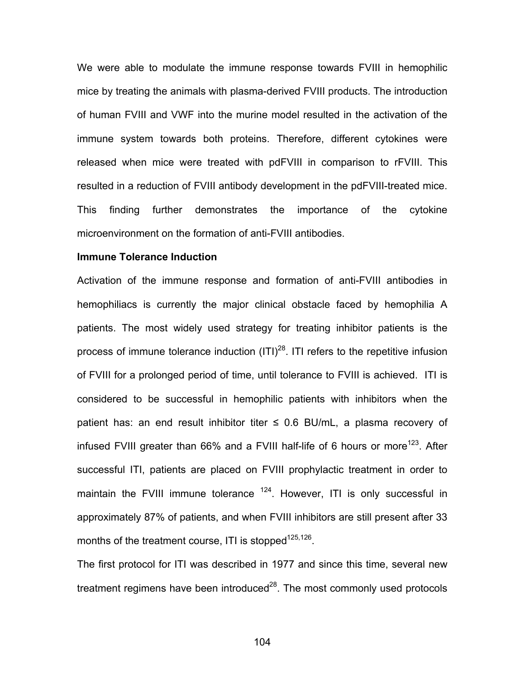We were able to modulate the immune response towards FVIII in hemophilic mice by treating the animals with plasma-derived FVIII products. The introduction of human FVIII and VWF into the murine model resulted in the activation of the immune system towards both proteins. Therefore, different cytokines were released when mice were treated with pdFVIII in comparison to rFVIII. This resulted in a reduction of FVIII antibody development in the pdFVIII-treated mice. This finding further demonstrates the importance of the cytokine microenvironment on the formation of anti-FVIII antibodies.

### **Immune Tolerance Induction**

Activation of the immune response and formation of anti-FVIII antibodies in hemophiliacs is currently the major clinical obstacle faced by hemophilia A patients. The most widely used strategy for treating inhibitor patients is the process of immune tolerance induction  $(ITI)<sup>28</sup>$ . ITI refers to the repetitive infusion of FVIII for a prolonged period of time, until tolerance to FVIII is achieved. ITI is considered to be successful in hemophilic patients with inhibitors when the patient has: an end result inhibitor titer  $\leq$  0.6 BU/mL, a plasma recovery of infused FVIII greater than 66% and a FVIII half-life of 6 hours or more<sup>123</sup>. After successful ITI, patients are placed on FVIII prophylactic treatment in order to maintain the FVIII immune tolerance  $124$ . However, ITI is only successful in approximately 87% of patients, and when FVIII inhibitors are still present after 33 months of the treatment course, ITI is stopped<sup>125,126</sup>.

The first protocol for ITI was described in 1977 and since this time, several new treatment regimens have been introduced $^{28}$ . The most commonly used protocols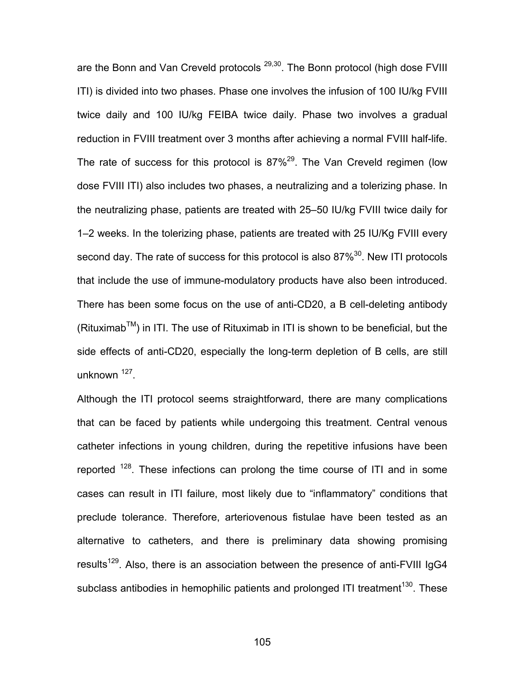are the Bonn and Van Creveld protocols <sup>29,30</sup>. The Bonn protocol (high dose FVIII ITI) is divided into two phases. Phase one involves the infusion of 100 IU/kg FVIII twice daily and 100 IU/kg FEIBA twice daily. Phase two involves a gradual reduction in FVIII treatment over 3 months after achieving a normal FVIII half-life. The rate of success for this protocol is  $87\%^{29}$ . The Van Creveld regimen (low dose FVIII ITI) also includes two phases, a neutralizing and a tolerizing phase. In the neutralizing phase, patients are treated with 25–50 IU/kg FVIII twice daily for 1–2 weeks. In the tolerizing phase, patients are treated with 25 IU/Kg FVIII every second day. The rate of success for this protocol is also  $87\%^{30}$ . New ITI protocols that include the use of immune-modulatory products have also been introduced. There has been some focus on the use of anti-CD20, a B cell-deleting antibody  $(Rituximab<sup>TM</sup>)$  in ITI. The use of Rituximab in ITI is shown to be beneficial, but the side effects of anti-CD20, especially the long-term depletion of B cells, are still unknown 127.

Although the ITI protocol seems straightforward, there are many complications that can be faced by patients while undergoing this treatment. Central venous catheter infections in young children, during the repetitive infusions have been reported  $128$ . These infections can prolong the time course of ITI and in some cases can result in ITI failure, most likely due to "inflammatory" conditions that preclude tolerance. Therefore, arteriovenous fistulae have been tested as an alternative to catheters, and there is preliminary data showing promising results<sup>129</sup>. Also, there is an association between the presence of anti-FVIII IgG4 subclass antibodies in hemophilic patients and prolonged ITI treatment<sup>130</sup>. These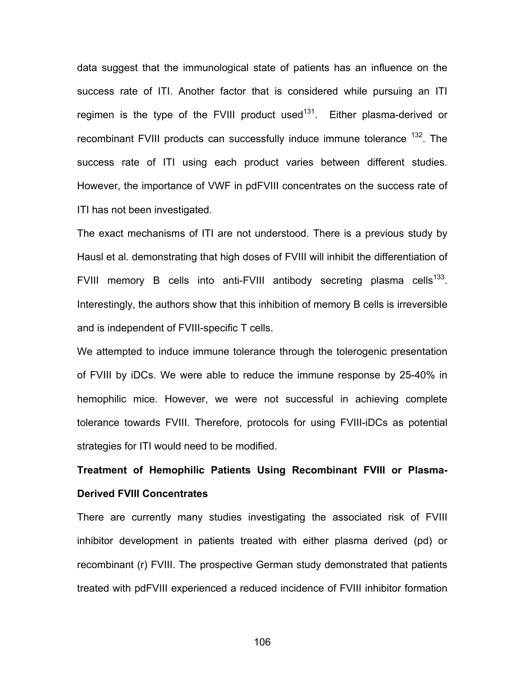data suggest that the immunological state of patients has an influence on the success rate of ITI. Another factor that is considered while pursuing an ITI regimen is the type of the FVIII product used<sup>131</sup>. Either plasma-derived or recombinant FVIII products can successfully induce immune tolerance <sup>132</sup>. The success rate of ITI using each product varies between different studies. However, the importance of VWF in pdFVIII concentrates on the success rate of ITI has not been investigated.

The exact mechanisms of ITI are not understood. There is a previous study by Hausl et al. demonstrating that high doses of FVIII will inhibit the differentiation of FVIII memory B cells into anti-FVIII antibody secreting plasma cells<sup>133</sup>. Interestingly, the authors show that this inhibition of memory B cells is irreversible and is independent of FVIII-specific T cells.

We attempted to induce immune tolerance through the tolerogenic presentation of FVIII by iDCs. We were able to reduce the immune response by 25-40% in hemophilic mice. However, we were not successful in achieving complete tolerance towards FVIII. Therefore, protocols for using FVIII-iDCs as potential strategies for ITI would need to be modified.

**Treatment of Hemophilic Patients Using Recombinant FVIII or Plasma-Derived FVIII Concentrates** 

There are currently many studies investigating the associated risk of FVIII inhibitor development in patients treated with either plasma derived (pd) or recombinant (r) FVIII. The prospective German study demonstrated that patients treated with pdFVIII experienced a reduced incidence of FVIII inhibitor formation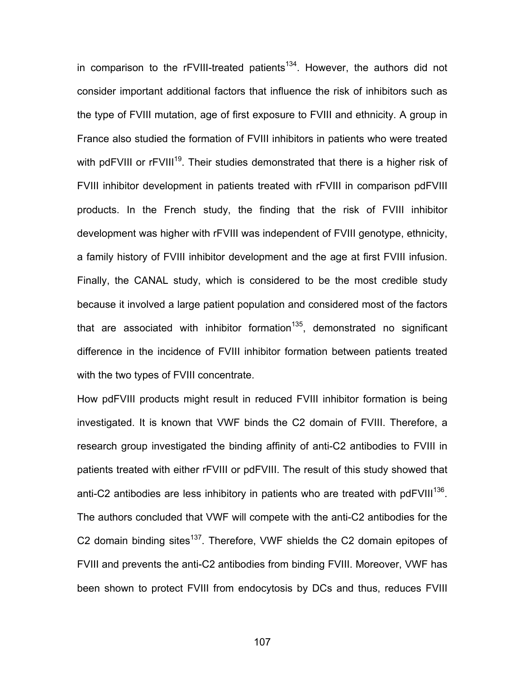in comparison to the  $r$ FVIII-treated patients<sup>134</sup>. However, the authors did not consider important additional factors that influence the risk of inhibitors such as the type of FVIII mutation, age of first exposure to FVIII and ethnicity. A group in France also studied the formation of FVIII inhibitors in patients who were treated with pdFVIII or rFVIII<sup>19</sup>. Their studies demonstrated that there is a higher risk of FVIII inhibitor development in patients treated with rFVIII in comparison pdFVIII products. In the French study, the finding that the risk of FVIII inhibitor development was higher with rFVIII was independent of FVIII genotype, ethnicity, a family history of FVIII inhibitor development and the age at first FVIII infusion. Finally, the CANAL study, which is considered to be the most credible study because it involved a large patient population and considered most of the factors that are associated with inhibitor formation<sup>135</sup>, demonstrated no significant difference in the incidence of FVIII inhibitor formation between patients treated with the two types of FVIII concentrate.

How pdFVIII products might result in reduced FVIII inhibitor formation is being investigated. It is known that VWF binds the C2 domain of FVIII. Therefore, a research group investigated the binding affinity of anti-C2 antibodies to FVIII in patients treated with either rFVIII or pdFVIII. The result of this study showed that anti-C2 antibodies are less inhibitory in patients who are treated with pdFVIII $^{136}$ . The authors concluded that VWF will compete with the anti-C2 antibodies for the C2 domain binding sites<sup>137</sup>. Therefore, VWF shields the C2 domain epitopes of FVIII and prevents the anti-C2 antibodies from binding FVIII. Moreover, VWF has been shown to protect FVIII from endocytosis by DCs and thus, reduces FVIII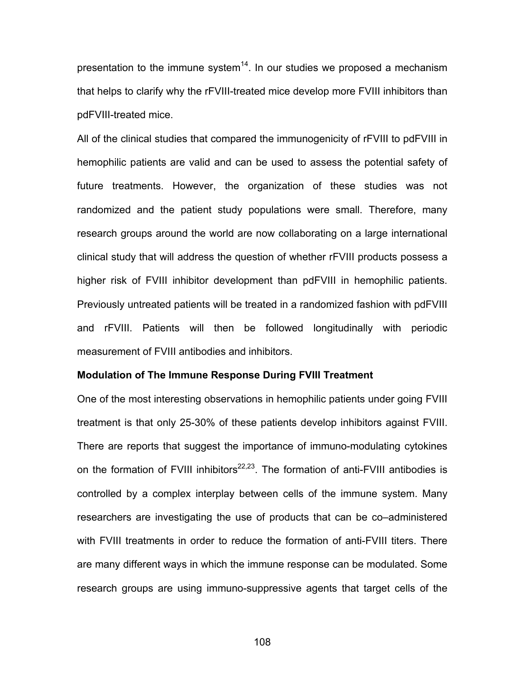presentation to the immune system $14$ . In our studies we proposed a mechanism that helps to clarify why the rFVIII-treated mice develop more FVIII inhibitors than pdFVIII-treated mice.

All of the clinical studies that compared the immunogenicity of rFVIII to pdFVIII in hemophilic patients are valid and can be used to assess the potential safety of future treatments. However, the organization of these studies was not randomized and the patient study populations were small. Therefore, many research groups around the world are now collaborating on a large international clinical study that will address the question of whether rFVIII products possess a higher risk of FVIII inhibitor development than pdFVIII in hemophilic patients. Previously untreated patients will be treated in a randomized fashion with pdFVIII and rFVIII. Patients will then be followed longitudinally with periodic measurement of FVIII antibodies and inhibitors.

#### **Modulation of The Immune Response During FVIII Treatment**

One of the most interesting observations in hemophilic patients under going FVIII treatment is that only 25-30% of these patients develop inhibitors against FVIII. There are reports that suggest the importance of immuno-modulating cytokines on the formation of FVIII inhibitors $^{22,23}$ . The formation of anti-FVIII antibodies is controlled by a complex interplay between cells of the immune system. Many researchers are investigating the use of products that can be co–administered with FVIII treatments in order to reduce the formation of anti-FVIII titers. There are many different ways in which the immune response can be modulated. Some research groups are using immuno-suppressive agents that target cells of the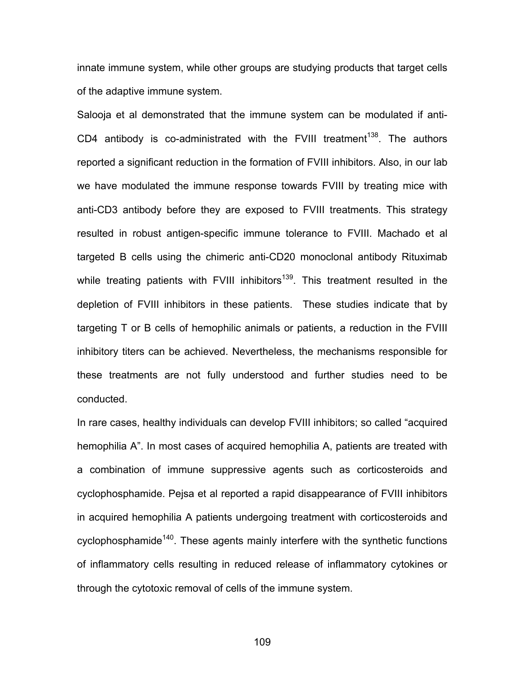innate immune system, while other groups are studying products that target cells of the adaptive immune system.

Salooja et al demonstrated that the immune system can be modulated if anti-CD4 antibody is co-administrated with the FVIII treatment<sup>138</sup>. The authors reported a significant reduction in the formation of FVIII inhibitors. Also, in our lab we have modulated the immune response towards FVIII by treating mice with anti-CD3 antibody before they are exposed to FVIII treatments. This strategy resulted in robust antigen-specific immune tolerance to FVIII. Machado et al targeted B cells using the chimeric anti-CD20 monoclonal antibody Rituximab while treating patients with FVIII inhibitors<sup>139</sup>. This treatment resulted in the depletion of FVIII inhibitors in these patients. These studies indicate that by targeting T or B cells of hemophilic animals or patients, a reduction in the FVIII inhibitory titers can be achieved. Nevertheless, the mechanisms responsible for these treatments are not fully understood and further studies need to be conducted.

In rare cases, healthy individuals can develop FVIII inhibitors; so called "acquired hemophilia A". In most cases of acquired hemophilia A, patients are treated with a combination of immune suppressive agents such as corticosteroids and cyclophosphamide. Pejsa et al reported a rapid disappearance of FVIII inhibitors in acquired hemophilia A patients undergoing treatment with corticosteroids and cyclophosphamide<sup>140</sup>. These agents mainly interfere with the synthetic functions of inflammatory cells resulting in reduced release of inflammatory cytokines or through the cytotoxic removal of cells of the immune system.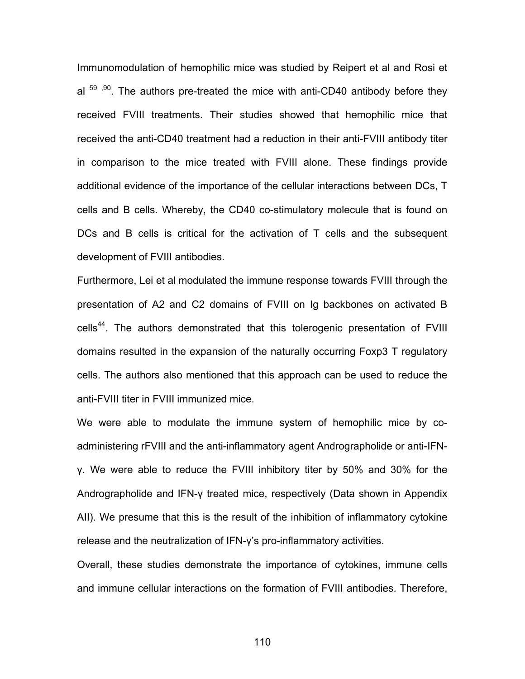Immunomodulation of hemophilic mice was studied by Reipert et al and Rosi et al  $59$ ,  $90$ . The authors pre-treated the mice with anti-CD40 antibody before they received FVIII treatments. Their studies showed that hemophilic mice that received the anti-CD40 treatment had a reduction in their anti-FVIII antibody titer in comparison to the mice treated with FVIII alone. These findings provide additional evidence of the importance of the cellular interactions between DCs, T cells and B cells. Whereby, the CD40 co-stimulatory molecule that is found on DCs and B cells is critical for the activation of T cells and the subsequent development of FVIII antibodies.

Furthermore, Lei et al modulated the immune response towards FVIII through the presentation of A2 and C2 domains of FVIII on Ig backbones on activated B cells<sup>44</sup>. The authors demonstrated that this tolerogenic presentation of FVIII domains resulted in the expansion of the naturally occurring Foxp3 T regulatory cells. The authors also mentioned that this approach can be used to reduce the anti-FVIII titer in FVIII immunized mice.

We were able to modulate the immune system of hemophilic mice by coadministering rFVIII and the anti-inflammatory agent Andrographolide or anti-IFNγ. We were able to reduce the FVIII inhibitory titer by 50% and 30% for the Andrographolide and IFN-γ treated mice, respectively (Data shown in Appendix AII). We presume that this is the result of the inhibition of inflammatory cytokine release and the neutralization of IFN-γ's pro-inflammatory activities.

Overall, these studies demonstrate the importance of cytokines, immune cells and immune cellular interactions on the formation of FVIII antibodies. Therefore,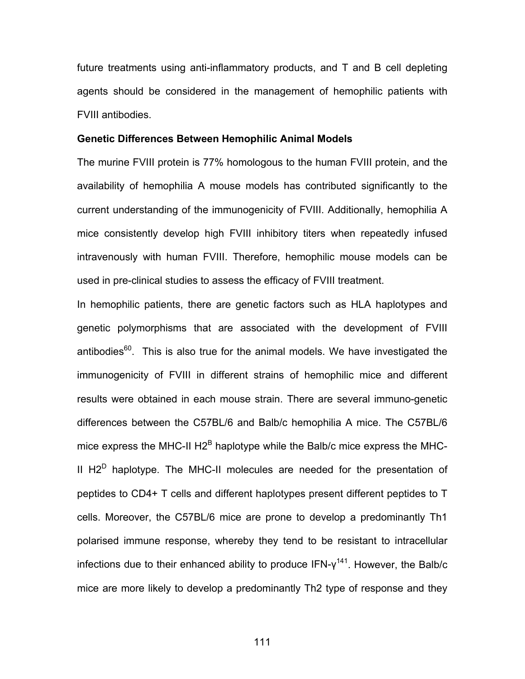future treatments using anti-inflammatory products, and T and B cell depleting agents should be considered in the management of hemophilic patients with FVIII antibodies.

#### **Genetic Differences Between Hemophilic Animal Models**

The murine FVIII protein is 77% homologous to the human FVIII protein, and the availability of hemophilia A mouse models has contributed significantly to the current understanding of the immunogenicity of FVIII. Additionally, hemophilia A mice consistently develop high FVIII inhibitory titers when repeatedly infused intravenously with human FVIII. Therefore, hemophilic mouse models can be used in pre-clinical studies to assess the efficacy of FVIII treatment.

In hemophilic patients, there are genetic factors such as HLA haplotypes and genetic polymorphisms that are associated with the development of FVIII antibodies $60$ . This is also true for the animal models. We have investigated the immunogenicity of FVIII in different strains of hemophilic mice and different results were obtained in each mouse strain. There are several immuno-genetic differences between the C57BL/6 and Balb/c hemophilia A mice. The C57BL/6 mice express the MHC-II H2<sup>B</sup> haplotype while the Balb/c mice express the MHC-II  $H2^D$  haplotype. The MHC-II molecules are needed for the presentation of peptides to CD4+ T cells and different haplotypes present different peptides to T cells. Moreover, the C57BL/6 mice are prone to develop a predominantly Th1 polarised immune response, whereby they tend to be resistant to intracellular infections due to their enhanced ability to produce  $IFN-y^{141}$ . However, the Balb/c mice are more likely to develop a predominantly Th2 type of response and they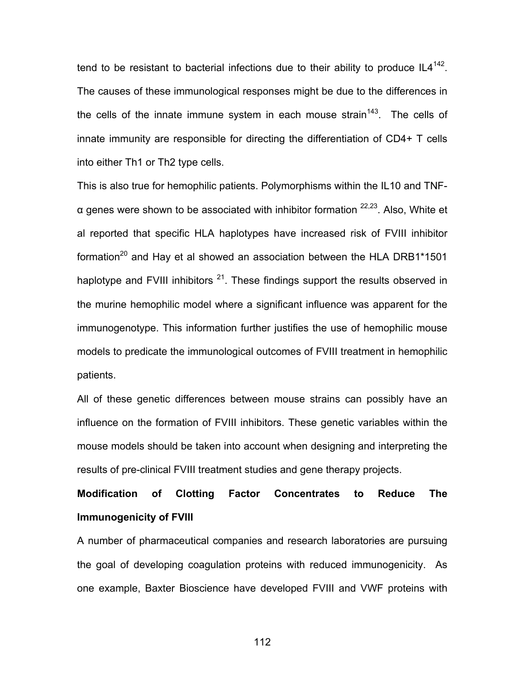tend to be resistant to bacterial infections due to their ability to produce  $IL4^{142}$ . The causes of these immunological responses might be due to the differences in the cells of the innate immune system in each mouse strain<sup>143</sup>. The cells of innate immunity are responsible for directing the differentiation of CD4+ T cells into either Th1 or Th2 type cells.

This is also true for hemophilic patients. Polymorphisms within the IL10 and TNF $α$  genes were shown to be associated with inhibitor formation  $22,23$ . Also, White et al reported that specific HLA haplotypes have increased risk of FVIII inhibitor formation<sup>20</sup> and Hay et al showed an association between the HLA DRB1\*1501 haplotype and FVIII inhibitors  $21$ . These findings support the results observed in the murine hemophilic model where a significant influence was apparent for the immunogenotype. This information further justifies the use of hemophilic mouse models to predicate the immunological outcomes of FVIII treatment in hemophilic patients.

All of these genetic differences between mouse strains can possibly have an influence on the formation of FVIII inhibitors. These genetic variables within the mouse models should be taken into account when designing and interpreting the results of pre-clinical FVIII treatment studies and gene therapy projects.

# **Modification of Clotting Factor Concentrates to Reduce The Immunogenicity of FVIII**

A number of pharmaceutical companies and research laboratories are pursuing the goal of developing coagulation proteins with reduced immunogenicity. As one example, Baxter Bioscience have developed FVIII and VWF proteins with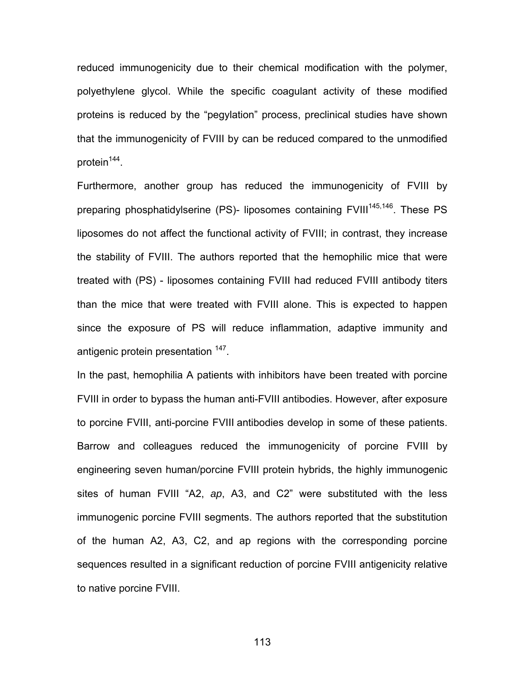reduced immunogenicity due to their chemical modification with the polymer, polyethylene glycol. While the specific coagulant activity of these modified proteins is reduced by the "pegylation" process, preclinical studies have shown that the immunogenicity of FVIII by can be reduced compared to the unmodified protein<sup>144</sup>.

Furthermore, another group has reduced the immunogenicity of FVIII by preparing phosphatidylserine (PS)- liposomes containing FVIII<sup>145,146</sup>. These PS liposomes do not affect the functional activity of FVIII; in contrast, they increase the stability of FVIII. The authors reported that the hemophilic mice that were treated with (PS) - liposomes containing FVIII had reduced FVIII antibody titers than the mice that were treated with FVIII alone. This is expected to happen since the exposure of PS will reduce inflammation, adaptive immunity and antigenic protein presentation <sup>147</sup>.

In the past, hemophilia A patients with inhibitors have been treated with porcine FVIII in order to bypass the human anti-FVIII antibodies. However, after exposure to porcine FVIII, anti-porcine FVIII antibodies develop in some of these patients. Barrow and colleagues reduced the immunogenicity of porcine FVIII by engineering seven human/porcine FVIII protein hybrids, the highly immunogenic sites of human FVIII "A2, *ap*, A3, and C2" were substituted with the less immunogenic porcine FVIII segments. The authors reported that the substitution of the human A2, A3, C2, and ap regions with the corresponding porcine sequences resulted in a significant reduction of porcine FVIII antigenicity relative to native porcine FVIII.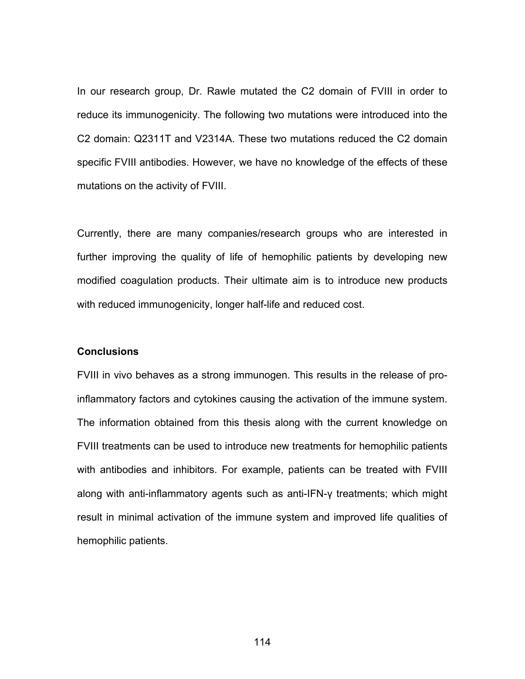In our research group, Dr. Rawle mutated the C2 domain of FVIII in order to reduce its immunogenicity. The following two mutations were introduced into the C2 domain: Q2311T and V2314A. These two mutations reduced the C2 domain specific FVIII antibodies. However, we have no knowledge of the effects of these mutations on the activity of FVIII.

Currently, there are many companies/research groups who are interested in further improving the quality of life of hemophilic patients by developing new modified coagulation products. Their ultimate aim is to introduce new products with reduced immunogenicity, longer half-life and reduced cost.

#### **Conclusions**

FVIII in vivo behaves as a strong immunogen. This results in the release of proinflammatory factors and cytokines causing the activation of the immune system. The information obtained from this thesis along with the current knowledge on FVIII treatments can be used to introduce new treatments for hemophilic patients with antibodies and inhibitors. For example, patients can be treated with FVIII along with anti-inflammatory agents such as anti-IFN-γ treatments; which might result in minimal activation of the immune system and improved life qualities of hemophilic patients.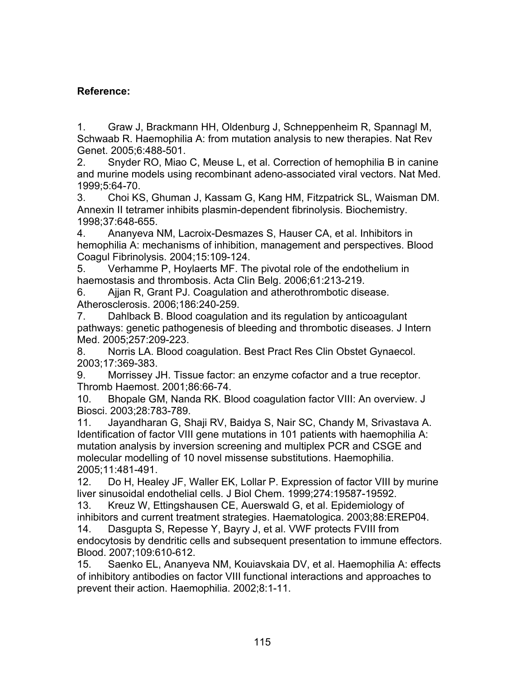## **Reference:**

1. Graw J, Brackmann HH, Oldenburg J, Schneppenheim R, Spannagl M, Schwaab R. Haemophilia A: from mutation analysis to new therapies. Nat Rev Genet. 2005;6:488-501.

2. Snyder RO, Miao C, Meuse L, et al. Correction of hemophilia B in canine and murine models using recombinant adeno-associated viral vectors. Nat Med. 1999;5:64-70.

3. Choi KS, Ghuman J, Kassam G, Kang HM, Fitzpatrick SL, Waisman DM. Annexin II tetramer inhibits plasmin-dependent fibrinolysis. Biochemistry. 1998;37:648-655.

4. Ananyeva NM, Lacroix-Desmazes S, Hauser CA, et al. Inhibitors in hemophilia A: mechanisms of inhibition, management and perspectives. Blood Coagul Fibrinolysis. 2004;15:109-124.

5. Verhamme P, Hoylaerts MF. The pivotal role of the endothelium in haemostasis and thrombosis. Acta Clin Belg. 2006;61:213-219.

6. Ajjan R, Grant PJ. Coagulation and atherothrombotic disease. Atherosclerosis. 2006;186:240-259.

7. Dahlback B. Blood coagulation and its regulation by anticoagulant pathways: genetic pathogenesis of bleeding and thrombotic diseases. J Intern Med. 2005;257:209-223.

8. Norris LA. Blood coagulation. Best Pract Res Clin Obstet Gynaecol. 2003;17:369-383.

9. Morrissey JH. Tissue factor: an enzyme cofactor and a true receptor. Thromb Haemost. 2001;86:66-74.

10. Bhopale GM, Nanda RK. Blood coagulation factor VIII: An overview. J Biosci. 2003;28:783-789.

11. Jayandharan G, Shaji RV, Baidya S, Nair SC, Chandy M, Srivastava A. Identification of factor VIII gene mutations in 101 patients with haemophilia A: mutation analysis by inversion screening and multiplex PCR and CSGE and molecular modelling of 10 novel missense substitutions. Haemophilia. 2005;11:481-491.

12. Do H, Healey JF, Waller EK, Lollar P. Expression of factor VIII by murine liver sinusoidal endothelial cells. J Biol Chem. 1999;274:19587-19592.

13. Kreuz W, Ettingshausen CE, Auerswald G, et al. Epidemiology of inhibitors and current treatment strategies. Haematologica. 2003;88:EREP04.

14. Dasgupta S, Repesse Y, Bayry J, et al. VWF protects FVIII from endocytosis by dendritic cells and subsequent presentation to immune effectors. Blood. 2007;109:610-612.

15. Saenko EL, Ananyeva NM, Kouiavskaia DV, et al. Haemophilia A: effects of inhibitory antibodies on factor VIII functional interactions and approaches to prevent their action. Haemophilia. 2002;8:1-11.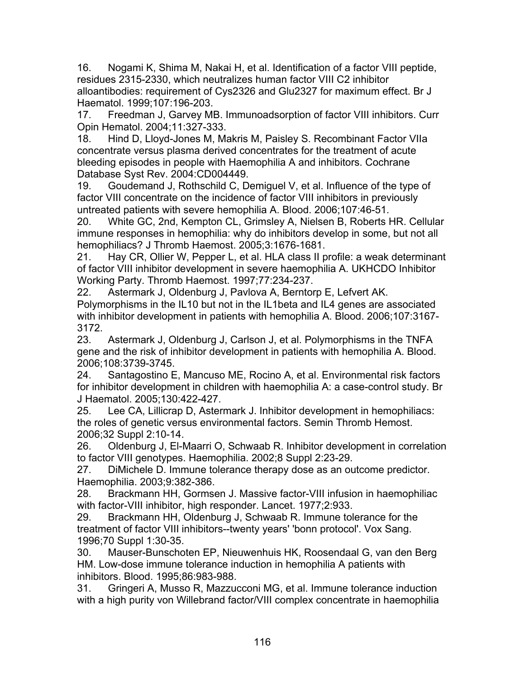16. Nogami K, Shima M, Nakai H, et al. Identification of a factor VIII peptide, residues 2315-2330, which neutralizes human factor VIII C2 inhibitor alloantibodies: requirement of Cys2326 and Glu2327 for maximum effect. Br J Haematol. 1999;107:196-203.

17. Freedman J, Garvey MB. Immunoadsorption of factor VIII inhibitors. Curr Opin Hematol. 2004;11:327-333.

18. Hind D, Lloyd-Jones M, Makris M, Paisley S. Recombinant Factor VIIa concentrate versus plasma derived concentrates for the treatment of acute bleeding episodes in people with Haemophilia A and inhibitors. Cochrane Database Syst Rev. 2004:CD004449.

19. Goudemand J, Rothschild C, Demiguel V, et al. Influence of the type of factor VIII concentrate on the incidence of factor VIII inhibitors in previously untreated patients with severe hemophilia A. Blood. 2006;107:46-51.

20. White GC, 2nd, Kempton CL, Grimsley A, Nielsen B, Roberts HR. Cellular immune responses in hemophilia: why do inhibitors develop in some, but not all hemophiliacs? J Thromb Haemost. 2005;3:1676-1681.

21. Hay CR, Ollier W, Pepper L, et al. HLA class II profile: a weak determinant of factor VIII inhibitor development in severe haemophilia A. UKHCDO Inhibitor Working Party. Thromb Haemost. 1997;77:234-237.

22. Astermark J, Oldenburg J, Pavlova A, Berntorp E, Lefvert AK. Polymorphisms in the IL10 but not in the IL1beta and IL4 genes are associated with inhibitor development in patients with hemophilia A. Blood. 2006;107:3167- 3172.

23. Astermark J, Oldenburg J, Carlson J, et al. Polymorphisms in the TNFA gene and the risk of inhibitor development in patients with hemophilia A. Blood. 2006;108:3739-3745.

24. Santagostino E, Mancuso ME, Rocino A, et al. Environmental risk factors for inhibitor development in children with haemophilia A: a case-control study. Br J Haematol. 2005;130:422-427.

25. Lee CA, Lillicrap D, Astermark J. Inhibitor development in hemophiliacs: the roles of genetic versus environmental factors. Semin Thromb Hemost. 2006;32 Suppl 2:10-14.

26. Oldenburg J, El-Maarri O, Schwaab R. Inhibitor development in correlation to factor VIII genotypes. Haemophilia. 2002;8 Suppl 2:23-29.

27. DiMichele D. Immune tolerance therapy dose as an outcome predictor. Haemophilia. 2003;9:382-386.

28. Brackmann HH, Gormsen J. Massive factor-VIII infusion in haemophiliac with factor-VIII inhibitor, high responder. Lancet. 1977;2:933.

29. Brackmann HH, Oldenburg J, Schwaab R. Immune tolerance for the treatment of factor VIII inhibitors--twenty years' 'bonn protocol'. Vox Sang. 1996;70 Suppl 1:30-35.

30. Mauser-Bunschoten EP, Nieuwenhuis HK, Roosendaal G, van den Berg HM. Low-dose immune tolerance induction in hemophilia A patients with inhibitors. Blood. 1995;86:983-988.

31. Gringeri A, Musso R, Mazzucconi MG, et al. Immune tolerance induction with a high purity von Willebrand factor/VIII complex concentrate in haemophilia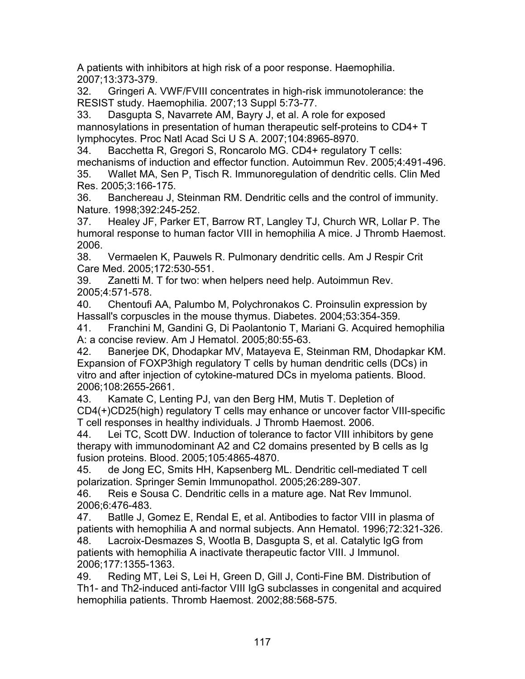A patients with inhibitors at high risk of a poor response. Haemophilia. 2007;13:373-379.

32. Gringeri A. VWF/FVIII concentrates in high-risk immunotolerance: the RESIST study. Haemophilia. 2007;13 Suppl 5:73-77.

33. Dasgupta S, Navarrete AM, Bayry J, et al. A role for exposed mannosylations in presentation of human therapeutic self-proteins to CD4+ T lymphocytes. Proc Natl Acad Sci U S A. 2007;104:8965-8970.

34. Bacchetta R, Gregori S, Roncarolo MG. CD4+ regulatory T cells: mechanisms of induction and effector function. Autoimmun Rev. 2005;4:491-496.

35. Wallet MA, Sen P, Tisch R. Immunoregulation of dendritic cells. Clin Med Res. 2005;3:166-175.

36. Banchereau J, Steinman RM. Dendritic cells and the control of immunity. Nature. 1998;392:245-252.

37. Healey JF, Parker ET, Barrow RT, Langley TJ, Church WR, Lollar P. The humoral response to human factor VIII in hemophilia A mice. J Thromb Haemost. 2006.

38. Vermaelen K, Pauwels R. Pulmonary dendritic cells. Am J Respir Crit Care Med. 2005;172:530-551.

39. Zanetti M. T for two: when helpers need help. Autoimmun Rev. 2005;4:571-578.

40. Chentoufi AA, Palumbo M, Polychronakos C. Proinsulin expression by Hassall's corpuscles in the mouse thymus. Diabetes. 2004;53:354-359.

41. Franchini M, Gandini G, Di Paolantonio T, Mariani G. Acquired hemophilia A: a concise review. Am J Hematol. 2005;80:55-63.

42. Banerjee DK, Dhodapkar MV, Matayeva E, Steinman RM, Dhodapkar KM. Expansion of FOXP3high regulatory T cells by human dendritic cells (DCs) in vitro and after injection of cytokine-matured DCs in myeloma patients. Blood. 2006;108:2655-2661.

43. Kamate C, Lenting PJ, van den Berg HM, Mutis T. Depletion of CD4(+)CD25(high) regulatory T cells may enhance or uncover factor VIII-specific T cell responses in healthy individuals. J Thromb Haemost. 2006.

44. Lei TC, Scott DW. Induction of tolerance to factor VIII inhibitors by gene therapy with immunodominant A2 and C2 domains presented by B cells as Ig fusion proteins. Blood. 2005;105:4865-4870.

45. de Jong EC, Smits HH, Kapsenberg ML. Dendritic cell-mediated T cell polarization. Springer Semin Immunopathol. 2005;26:289-307.

46. Reis e Sousa C. Dendritic cells in a mature age. Nat Rev Immunol. 2006;6:476-483.

47. Batlle J, Gomez E, Rendal E, et al. Antibodies to factor VIII in plasma of patients with hemophilia A and normal subjects. Ann Hematol. 1996;72:321-326. 48. Lacroix-Desmazes S, Wootla B, Dasgupta S, et al. Catalytic IgG from patients with hemophilia A inactivate therapeutic factor VIII. J Immunol.

2006;177:1355-1363.

49. Reding MT, Lei S, Lei H, Green D, Gill J, Conti-Fine BM. Distribution of Th1- and Th2-induced anti-factor VIII IgG subclasses in congenital and acquired hemophilia patients. Thromb Haemost. 2002;88:568-575.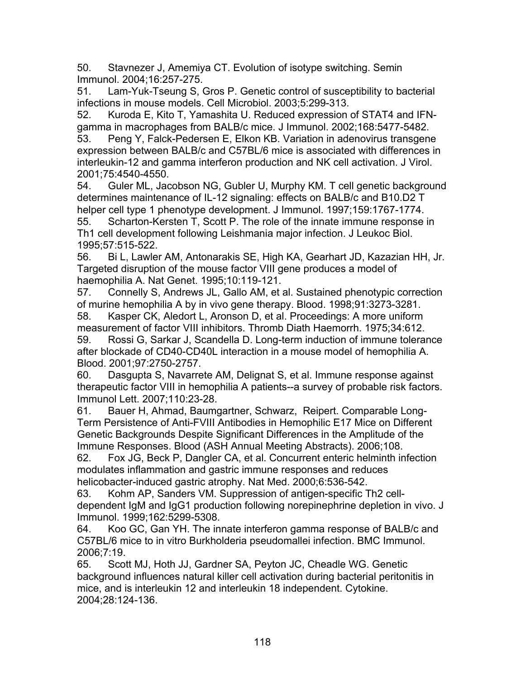50. Stavnezer J, Amemiya CT. Evolution of isotype switching. Semin Immunol. 2004;16:257-275.

51. Lam-Yuk-Tseung S, Gros P. Genetic control of susceptibility to bacterial infections in mouse models. Cell Microbiol. 2003;5:299-313.

52. Kuroda E, Kito T, Yamashita U. Reduced expression of STAT4 and IFNgamma in macrophages from BALB/c mice. J Immunol. 2002;168:5477-5482.

53. Peng Y, Falck-Pedersen E, Elkon KB. Variation in adenovirus transgene expression between BALB/c and C57BL/6 mice is associated with differences in interleukin-12 and gamma interferon production and NK cell activation. J Virol. 2001;75:4540-4550.

54. Guler ML, Jacobson NG, Gubler U, Murphy KM. T cell genetic background determines maintenance of IL-12 signaling: effects on BALB/c and B10.D2 T helper cell type 1 phenotype development. J Immunol. 1997;159:1767-1774. 55. Scharton-Kersten T, Scott P. The role of the innate immune response in

Th1 cell development following Leishmania major infection. J Leukoc Biol. 1995;57:515-522.

56. Bi L, Lawler AM, Antonarakis SE, High KA, Gearhart JD, Kazazian HH, Jr. Targeted disruption of the mouse factor VIII gene produces a model of haemophilia A. Nat Genet. 1995;10:119-121.

57. Connelly S, Andrews JL, Gallo AM, et al. Sustained phenotypic correction of murine hemophilia A by in vivo gene therapy. Blood. 1998;91:3273-3281.

58. Kasper CK, Aledort L, Aronson D, et al. Proceedings: A more uniform measurement of factor VIII inhibitors. Thromb Diath Haemorrh. 1975;34:612. 59. Rossi G, Sarkar J, Scandella D. Long-term induction of immune tolerance after blockade of CD40-CD40L interaction in a mouse model of hemophilia A. Blood. 2001;97:2750-2757.

60. Dasgupta S, Navarrete AM, Delignat S, et al. Immune response against therapeutic factor VIII in hemophilia A patients--a survey of probable risk factors. Immunol Lett. 2007;110:23-28.

61. Bauer H, Ahmad, Baumgartner, Schwarz, Reipert. Comparable Long-Term Persistence of Anti-FVIII Antibodies in Hemophilic E17 Mice on Different Genetic Backgrounds Despite Significant Differences in the Amplitude of the Immune Responses. Blood (ASH Annual Meeting Abstracts). 2006;108.

62. Fox JG, Beck P, Dangler CA, et al. Concurrent enteric helminth infection modulates inflammation and gastric immune responses and reduces helicobacter-induced gastric atrophy. Nat Med. 2000;6:536-542.

63. Kohm AP, Sanders VM. Suppression of antigen-specific Th2 celldependent IgM and IgG1 production following norepinephrine depletion in vivo. J Immunol. 1999;162:5299-5308.

64. Koo GC, Gan YH. The innate interferon gamma response of BALB/c and C57BL/6 mice to in vitro Burkholderia pseudomallei infection. BMC Immunol. 2006;7:19.

65. Scott MJ, Hoth JJ, Gardner SA, Peyton JC, Cheadle WG. Genetic background influences natural killer cell activation during bacterial peritonitis in mice, and is interleukin 12 and interleukin 18 independent. Cytokine. 2004;28:124-136.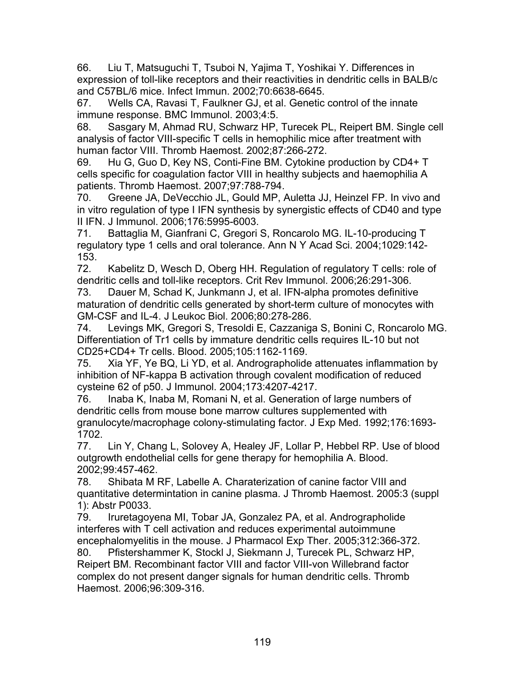66. Liu T, Matsuguchi T, Tsuboi N, Yajima T, Yoshikai Y. Differences in expression of toll-like receptors and their reactivities in dendritic cells in BALB/c and C57BL/6 mice. Infect Immun. 2002;70:6638-6645.

67. Wells CA, Ravasi T, Faulkner GJ, et al. Genetic control of the innate immune response. BMC Immunol. 2003;4:5.

68. Sasgary M, Ahmad RU, Schwarz HP, Turecek PL, Reipert BM. Single cell analysis of factor VIII-specific T cells in hemophilic mice after treatment with human factor VIII. Thromb Haemost. 2002;87:266-272.

69. Hu G, Guo D, Key NS, Conti-Fine BM. Cytokine production by CD4+ T cells specific for coagulation factor VIII in healthy subjects and haemophilia A patients. Thromb Haemost. 2007;97:788-794.

70. Greene JA, DeVecchio JL, Gould MP, Auletta JJ, Heinzel FP. In vivo and in vitro regulation of type I IFN synthesis by synergistic effects of CD40 and type II IFN. J Immunol. 2006;176:5995-6003.

71. Battaglia M, Gianfrani C, Gregori S, Roncarolo MG. IL-10-producing T regulatory type 1 cells and oral tolerance. Ann N Y Acad Sci. 2004;1029:142- 153.

72. Kabelitz D, Wesch D, Oberg HH. Regulation of regulatory T cells: role of dendritic cells and toll-like receptors. Crit Rev Immunol. 2006;26:291-306.

73. Dauer M, Schad K, Junkmann J, et al. IFN-alpha promotes definitive maturation of dendritic cells generated by short-term culture of monocytes with GM-CSF and IL-4. J Leukoc Biol. 2006;80:278-286.

74. Levings MK, Gregori S, Tresoldi E, Cazzaniga S, Bonini C, Roncarolo MG. Differentiation of Tr1 cells by immature dendritic cells requires IL-10 but not CD25+CD4+ Tr cells. Blood. 2005;105:1162-1169.

75. Xia YF, Ye BQ, Li YD, et al. Andrographolide attenuates inflammation by inhibition of NF-kappa B activation through covalent modification of reduced cysteine 62 of p50. J Immunol. 2004;173:4207-4217.

76. Inaba K, Inaba M, Romani N, et al. Generation of large numbers of dendritic cells from mouse bone marrow cultures supplemented with granulocyte/macrophage colony-stimulating factor. J Exp Med. 1992;176:1693- 1702.

77. Lin Y, Chang L, Solovey A, Healey JF, Lollar P, Hebbel RP. Use of blood outgrowth endothelial cells for gene therapy for hemophilia A. Blood. 2002;99:457-462.

78. Shibata M RF, Labelle A. Charaterization of canine factor VIII and quantitative determintation in canine plasma. J Thromb Haemost. 2005:3 (suppl 1): Abstr P0033.

79. Iruretagoyena MI, Tobar JA, Gonzalez PA, et al. Andrographolide interferes with T cell activation and reduces experimental autoimmune encephalomyelitis in the mouse. J Pharmacol Exp Ther. 2005;312:366-372.

80. Pfistershammer K, Stockl J, Siekmann J, Turecek PL, Schwarz HP, Reipert BM. Recombinant factor VIII and factor VIII-von Willebrand factor complex do not present danger signals for human dendritic cells. Thromb Haemost. 2006;96:309-316.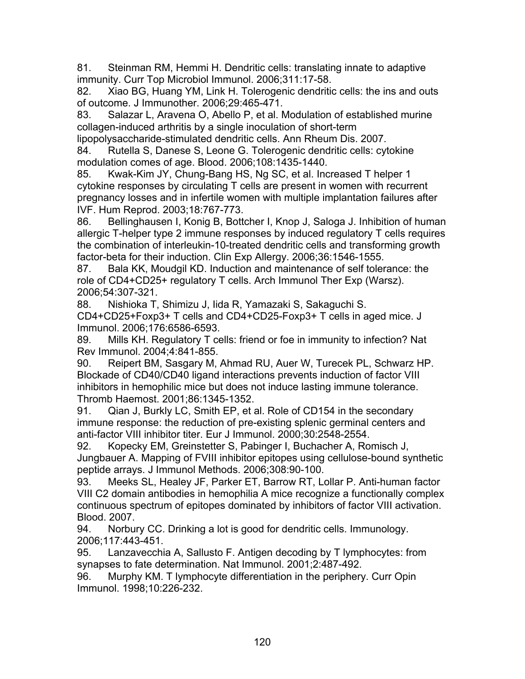81. Steinman RM, Hemmi H. Dendritic cells: translating innate to adaptive immunity. Curr Top Microbiol Immunol. 2006;311:17-58.

82. Xiao BG, Huang YM, Link H. Tolerogenic dendritic cells: the ins and outs of outcome. J Immunother. 2006;29:465-471.

83. Salazar L, Aravena O, Abello P, et al. Modulation of established murine collagen-induced arthritis by a single inoculation of short-term

lipopolysaccharide-stimulated dendritic cells. Ann Rheum Dis. 2007.

84. Rutella S, Danese S, Leone G. Tolerogenic dendritic cells: cytokine modulation comes of age. Blood. 2006;108:1435-1440.

85. Kwak-Kim JY, Chung-Bang HS, Ng SC, et al. Increased T helper 1 cytokine responses by circulating T cells are present in women with recurrent pregnancy losses and in infertile women with multiple implantation failures after IVF. Hum Reprod. 2003;18:767-773.

86. Bellinghausen I, Konig B, Bottcher I, Knop J, Saloga J. Inhibition of human allergic T-helper type 2 immune responses by induced regulatory T cells requires the combination of interleukin-10-treated dendritic cells and transforming growth factor-beta for their induction. Clin Exp Allergy. 2006;36:1546-1555.

87. Bala KK, Moudgil KD. Induction and maintenance of self tolerance: the role of CD4+CD25+ regulatory T cells. Arch Immunol Ther Exp (Warsz). 2006;54:307-321.

88. Nishioka T, Shimizu J, Iida R, Yamazaki S, Sakaguchi S.

CD4+CD25+Foxp3+ T cells and CD4+CD25-Foxp3+ T cells in aged mice. J Immunol. 2006;176:6586-6593.

89. Mills KH. Regulatory T cells: friend or foe in immunity to infection? Nat Rev Immunol. 2004;4:841-855.

90. Reipert BM, Sasgary M, Ahmad RU, Auer W, Turecek PL, Schwarz HP. Blockade of CD40/CD40 ligand interactions prevents induction of factor VIII inhibitors in hemophilic mice but does not induce lasting immune tolerance. Thromb Haemost. 2001;86:1345-1352.

91. Qian J, Burkly LC, Smith EP, et al. Role of CD154 in the secondary immune response: the reduction of pre-existing splenic germinal centers and anti-factor VIII inhibitor titer. Eur J Immunol. 2000;30:2548-2554.

92. Kopecky EM, Greinstetter S, Pabinger I, Buchacher A, Romisch J, Jungbauer A. Mapping of FVIII inhibitor epitopes using cellulose-bound synthetic peptide arrays. J Immunol Methods. 2006;308:90-100.

93. Meeks SL, Healey JF, Parker ET, Barrow RT, Lollar P. Anti-human factor VIII C2 domain antibodies in hemophilia A mice recognize a functionally complex continuous spectrum of epitopes dominated by inhibitors of factor VIII activation. Blood. 2007.

94. Norbury CC. Drinking a lot is good for dendritic cells. Immunology. 2006;117:443-451.

95. Lanzavecchia A, Sallusto F. Antigen decoding by T lymphocytes: from synapses to fate determination. Nat Immunol. 2001;2:487-492.

96. Murphy KM. T lymphocyte differentiation in the periphery. Curr Opin Immunol. 1998;10:226-232.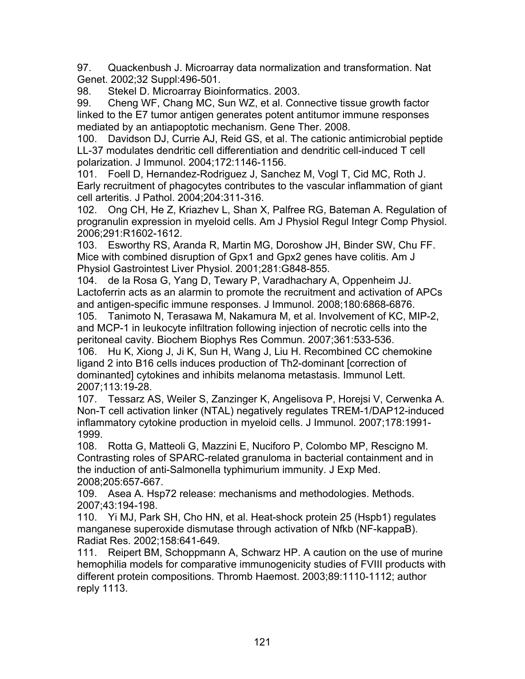97. Quackenbush J. Microarray data normalization and transformation. Nat Genet. 2002;32 Suppl:496-501.

98. Stekel D. Microarray Bioinformatics. 2003.

99. Cheng WF, Chang MC, Sun WZ, et al. Connective tissue growth factor linked to the E7 tumor antigen generates potent antitumor immune responses mediated by an antiapoptotic mechanism. Gene Ther. 2008.

100. Davidson DJ, Currie AJ, Reid GS, et al. The cationic antimicrobial peptide LL-37 modulates dendritic cell differentiation and dendritic cell-induced T cell polarization. J Immunol. 2004;172:1146-1156.

101. Foell D, Hernandez-Rodriguez J, Sanchez M, Vogl T, Cid MC, Roth J. Early recruitment of phagocytes contributes to the vascular inflammation of giant cell arteritis. J Pathol. 2004;204:311-316.

102. Ong CH, He Z, Kriazhev L, Shan X, Palfree RG, Bateman A. Regulation of progranulin expression in myeloid cells. Am J Physiol Regul Integr Comp Physiol. 2006;291:R1602-1612.

103. Esworthy RS, Aranda R, Martin MG, Doroshow JH, Binder SW, Chu FF. Mice with combined disruption of Gpx1 and Gpx2 genes have colitis. Am J Physiol Gastrointest Liver Physiol. 2001;281:G848-855.

104. de la Rosa G, Yang D, Tewary P, Varadhachary A, Oppenheim JJ. Lactoferrin acts as an alarmin to promote the recruitment and activation of APCs and antigen-specific immune responses. J Immunol. 2008;180:6868-6876.

105. Tanimoto N, Terasawa M, Nakamura M, et al. Involvement of KC, MIP-2, and MCP-1 in leukocyte infiltration following injection of necrotic cells into the peritoneal cavity. Biochem Biophys Res Commun. 2007;361:533-536.

106. Hu K, Xiong J, Ji K, Sun H, Wang J, Liu H. Recombined CC chemokine ligand 2 into B16 cells induces production of Th2-dominant [correction of dominanted] cytokines and inhibits melanoma metastasis. Immunol Lett. 2007;113:19-28.

107. Tessarz AS, Weiler S, Zanzinger K, Angelisova P, Horejsi V, Cerwenka A. Non-T cell activation linker (NTAL) negatively regulates TREM-1/DAP12-induced inflammatory cytokine production in myeloid cells. J Immunol. 2007;178:1991- 1999.

108. Rotta G, Matteoli G, Mazzini E, Nuciforo P, Colombo MP, Rescigno M. Contrasting roles of SPARC-related granuloma in bacterial containment and in the induction of anti-Salmonella typhimurium immunity. J Exp Med. 2008;205:657-667.

109. Asea A. Hsp72 release: mechanisms and methodologies. Methods. 2007;43:194-198.

110. Yi MJ, Park SH, Cho HN, et al. Heat-shock protein 25 (Hspb1) regulates manganese superoxide dismutase through activation of Nfkb (NF-kappaB). Radiat Res. 2002;158:641-649.

111. Reipert BM, Schoppmann A, Schwarz HP. A caution on the use of murine hemophilia models for comparative immunogenicity studies of FVIII products with different protein compositions. Thromb Haemost. 2003;89:1110-1112; author reply 1113.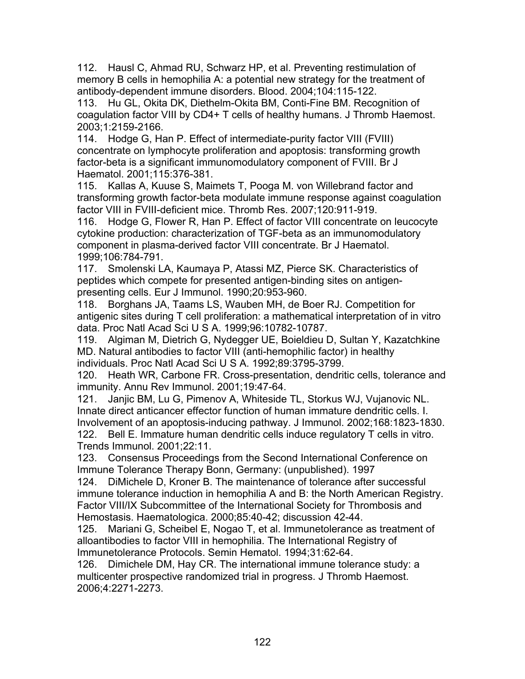112. Hausl C, Ahmad RU, Schwarz HP, et al. Preventing restimulation of memory B cells in hemophilia A: a potential new strategy for the treatment of antibody-dependent immune disorders. Blood. 2004;104:115-122.

113. Hu GL, Okita DK, Diethelm-Okita BM, Conti-Fine BM. Recognition of coagulation factor VIII by CD4+ T cells of healthy humans. J Thromb Haemost. 2003;1:2159-2166.

114. Hodge G, Han P. Effect of intermediate-purity factor VIII (FVIII) concentrate on lymphocyte proliferation and apoptosis: transforming growth factor-beta is a significant immunomodulatory component of FVIII. Br J Haematol. 2001;115:376-381.

115. Kallas A, Kuuse S, Maimets T, Pooga M. von Willebrand factor and transforming growth factor-beta modulate immune response against coagulation factor VIII in FVIII-deficient mice. Thromb Res. 2007;120:911-919.

116. Hodge G, Flower R, Han P. Effect of factor VIII concentrate on leucocyte cytokine production: characterization of TGF-beta as an immunomodulatory component in plasma-derived factor VIII concentrate. Br J Haematol. 1999;106:784-791.

117. Smolenski LA, Kaumaya P, Atassi MZ, Pierce SK. Characteristics of peptides which compete for presented antigen-binding sites on antigenpresenting cells. Eur J Immunol. 1990;20:953-960.

118. Borghans JA, Taams LS, Wauben MH, de Boer RJ. Competition for antigenic sites during T cell proliferation: a mathematical interpretation of in vitro data. Proc Natl Acad Sci U S A. 1999;96:10782-10787.

119. Algiman M, Dietrich G, Nydegger UE, Boieldieu D, Sultan Y, Kazatchkine MD. Natural antibodies to factor VIII (anti-hemophilic factor) in healthy individuals. Proc Natl Acad Sci U S A. 1992;89:3795-3799.

120. Heath WR, Carbone FR. Cross-presentation, dendritic cells, tolerance and immunity. Annu Rev Immunol. 2001;19:47-64.

121. Janjic BM, Lu G, Pimenov A, Whiteside TL, Storkus WJ, Vujanovic NL. Innate direct anticancer effector function of human immature dendritic cells. I. Involvement of an apoptosis-inducing pathway. J Immunol. 2002;168:1823-1830. 122. Bell E. Immature human dendritic cells induce regulatory T cells in vitro. Trends Immunol. 2001;22:11.

123. Consensus Proceedings from the Second International Conference on Immune Tolerance Therapy Bonn, Germany: (unpublished). 1997

124. DiMichele D, Kroner B. The maintenance of tolerance after successful immune tolerance induction in hemophilia A and B: the North American Registry. Factor VIII/IX Subcommittee of the International Society for Thrombosis and Hemostasis. Haematologica. 2000;85:40-42; discussion 42-44.

125. Mariani G, Scheibel E, Nogao T, et al. Immunetolerance as treatment of alloantibodies to factor VIII in hemophilia. The International Registry of Immunetolerance Protocols. Semin Hematol. 1994;31:62-64.

126. Dimichele DM, Hay CR. The international immune tolerance study: a multicenter prospective randomized trial in progress. J Thromb Haemost. 2006;4:2271-2273.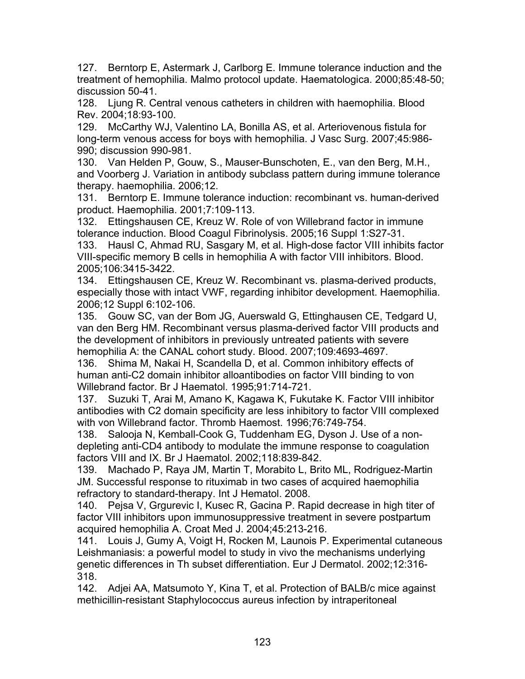127. Berntorp E, Astermark J, Carlborg E. Immune tolerance induction and the treatment of hemophilia. Malmo protocol update. Haematologica. 2000;85:48-50; discussion 50-41.

128. Ljung R. Central venous catheters in children with haemophilia. Blood Rev. 2004;18:93-100.

129. McCarthy WJ, Valentino LA, Bonilla AS, et al. Arteriovenous fistula for long-term venous access for boys with hemophilia. J Vasc Surg. 2007;45:986- 990; discussion 990-981.

130. Van Helden P, Gouw, S., Mauser-Bunschoten, E., van den Berg, M.H., and Voorberg J. Variation in antibody subclass pattern during immune tolerance therapy. haemophilia. 2006;12.

131. Berntorp E. Immune tolerance induction: recombinant vs. human-derived product. Haemophilia. 2001;7:109-113.

132. Ettingshausen CE, Kreuz W. Role of von Willebrand factor in immune tolerance induction. Blood Coagul Fibrinolysis. 2005;16 Suppl 1:S27-31.

133. Hausl C, Ahmad RU, Sasgary M, et al. High-dose factor VIII inhibits factor VIII-specific memory B cells in hemophilia A with factor VIII inhibitors. Blood. 2005;106:3415-3422.

134. Ettingshausen CE, Kreuz W. Recombinant vs. plasma-derived products, especially those with intact VWF, regarding inhibitor development. Haemophilia. 2006;12 Suppl 6:102-106.

135. Gouw SC, van der Bom JG, Auerswald G, Ettinghausen CE, Tedgard U, van den Berg HM. Recombinant versus plasma-derived factor VIII products and the development of inhibitors in previously untreated patients with severe hemophilia A: the CANAL cohort study. Blood. 2007;109:4693-4697.

136. Shima M, Nakai H, Scandella D, et al. Common inhibitory effects of human anti-C2 domain inhibitor alloantibodies on factor VIII binding to von Willebrand factor. Br J Haematol. 1995;91:714-721.

137. Suzuki T, Arai M, Amano K, Kagawa K, Fukutake K. Factor VIII inhibitor antibodies with C2 domain specificity are less inhibitory to factor VIII complexed with von Willebrand factor. Thromb Haemost. 1996;76:749-754.

138. Salooja N, Kemball-Cook G, Tuddenham EG, Dyson J. Use of a nondepleting anti-CD4 antibody to modulate the immune response to coagulation factors VIII and IX. Br J Haematol. 2002;118:839-842.

139. Machado P, Raya JM, Martin T, Morabito L, Brito ML, Rodriguez-Martin JM. Successful response to rituximab in two cases of acquired haemophilia refractory to standard-therapy. Int J Hematol. 2008.

140. Pejsa V, Grgurevic I, Kusec R, Gacina P. Rapid decrease in high titer of factor VIII inhibitors upon immunosuppressive treatment in severe postpartum acquired hemophilia A. Croat Med J. 2004;45:213-216.

141. Louis J, Gumy A, Voigt H, Rocken M, Launois P. Experimental cutaneous Leishmaniasis: a powerful model to study in vivo the mechanisms underlying genetic differences in Th subset differentiation. Eur J Dermatol. 2002;12:316- 318.

142. Adjei AA, Matsumoto Y, Kina T, et al. Protection of BALB/c mice against methicillin-resistant Staphylococcus aureus infection by intraperitoneal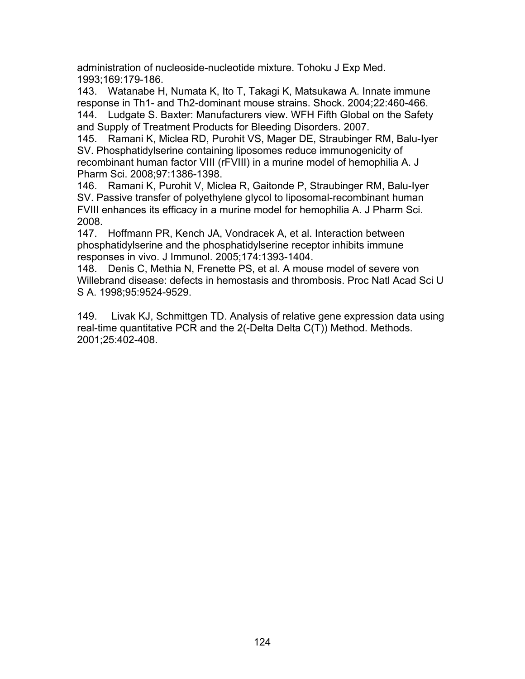administration of nucleoside-nucleotide mixture. Tohoku J Exp Med. 1993;169:179-186.

143. Watanabe H, Numata K, Ito T, Takagi K, Matsukawa A. Innate immune response in Th1- and Th2-dominant mouse strains. Shock. 2004;22:460-466. 144. Ludgate S. Baxter: Manufacturers view. WFH Fifth Global on the Safety and Supply of Treatment Products for Bleeding Disorders. 2007.

145. Ramani K, Miclea RD, Purohit VS, Mager DE, Straubinger RM, Balu-Iyer SV. Phosphatidylserine containing liposomes reduce immunogenicity of recombinant human factor VIII (rFVIII) in a murine model of hemophilia A. J Pharm Sci. 2008;97:1386-1398.

146. Ramani K, Purohit V, Miclea R, Gaitonde P, Straubinger RM, Balu-Iyer SV. Passive transfer of polyethylene glycol to liposomal-recombinant human FVIII enhances its efficacy in a murine model for hemophilia A. J Pharm Sci. 2008.

147. Hoffmann PR, Kench JA, Vondracek A, et al. Interaction between phosphatidylserine and the phosphatidylserine receptor inhibits immune responses in vivo. J Immunol. 2005;174:1393-1404.

148. Denis C, Methia N, Frenette PS, et al. A mouse model of severe von Willebrand disease: defects in hemostasis and thrombosis. Proc Natl Acad Sci U S A. 1998;95:9524-9529.

149. Livak KJ, Schmittgen TD. Analysis of relative gene expression data using real-time quantitative PCR and the 2(-Delta Delta C(T)) Method. Methods. 2001;25:402-408.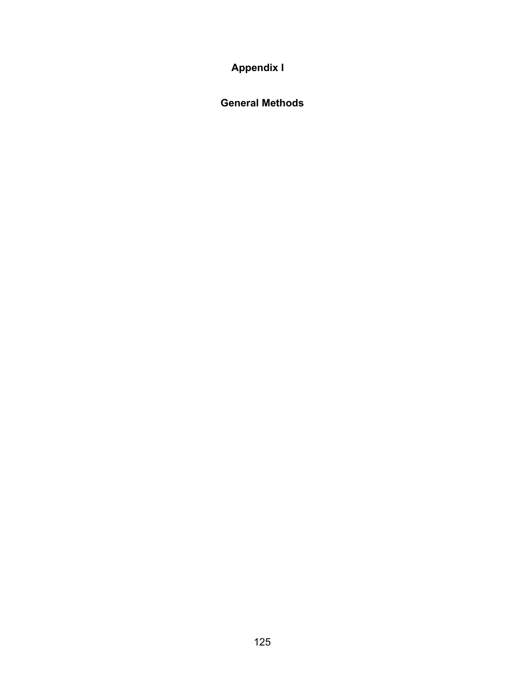**Appendix I** 

**General Methods**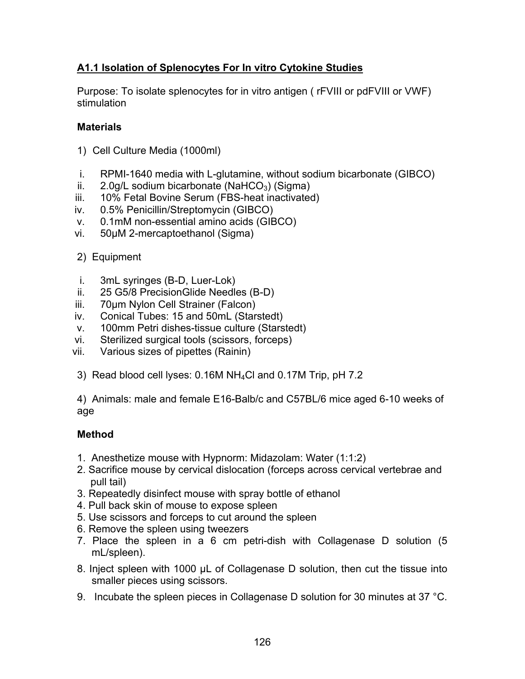# **A1.1 Isolation of Splenocytes For In vitro Cytokine Studies**

Purpose: To isolate splenocytes for in vitro antigen ( rFVIII or pdFVIII or VWF) stimulation

## **Materials**

- 1) Cell Culture Media (1000ml)
- i. RPMI-1640 media with L-glutamine, without sodium bicarbonate (GIBCO)
- ii.  $2.0$ g/L sodium bicarbonate (NaHCO<sub>3</sub>) (Sigma)
- iii. 10% Fetal Bovine Serum (FBS-heat inactivated)
- iv. 0.5% Penicillin/Streptomycin (GIBCO)
- v. 0.1mM non-essential amino acids (GIBCO)
- vi. 50μM 2-mercaptoethanol (Sigma)
- 2) Equipment
- i. 3mL syringes (B-D, Luer-Lok)
- ii. 25 G5/8 PrecisionGlide Needles (B-D)
- iii. 70μm Nylon Cell Strainer (Falcon)
- iv. Conical Tubes: 15 and 50mL (Starstedt)
- v. 100mm Petri dishes-tissue culture (Starstedt)
- vi. Sterilized surgical tools (scissors, forceps)
- vii. Various sizes of pipettes (Rainin)
- 3) Read blood cell lyses: 0.16M NH4Cl and 0.17M Trip, pH 7.2

4) Animals: male and female E16-Balb/c and C57BL/6 mice aged 6-10 weeks of age

# **Method**

- 1. Anesthetize mouse with Hypnorm: Midazolam: Water (1:1:2)
- 2. Sacrifice mouse by cervical dislocation (forceps across cervical vertebrae and pull tail)
- 3. Repeatedly disinfect mouse with spray bottle of ethanol
- 4. Pull back skin of mouse to expose spleen
- 5. Use scissors and forceps to cut around the spleen
- 6. Remove the spleen using tweezers
- 7. Place the spleen in a 6 cm petri-dish with Collagenase D solution (5 mL/spleen).
- 8. Inject spleen with 1000 μL of Collagenase D solution, then cut the tissue into smaller pieces using scissors.
- 9. Incubate the spleen pieces in Collagenase D solution for 30 minutes at 37 °C.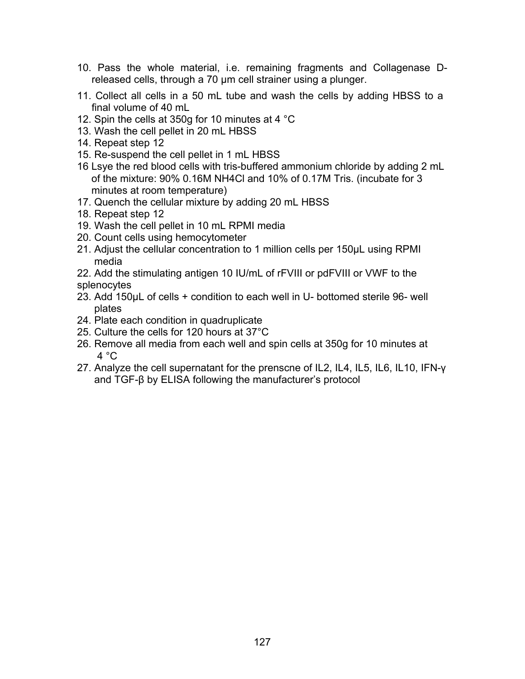- 10. Pass the whole material, i.e. remaining fragments and Collagenase Dreleased cells, through a 70 μm cell strainer using a plunger.
- 11. Collect all cells in a 50 mL tube and wash the cells by adding HBSS to a final volume of 40 mL
- 12. Spin the cells at 350g for 10 minutes at 4 °C
- 13. Wash the cell pellet in 20 mL HBSS
- 14. Repeat step 12
- 15. Re-suspend the cell pellet in 1 mL HBSS
- 16 Lsye the red blood cells with tris-buffered ammonium chloride by adding 2 mL of the mixture: 90% 0.16M NH4Cl and 10% of 0.17M Tris. (incubate for 3 minutes at room temperature)
- 17. Quench the cellular mixture by adding 20 mL HBSS
- 18. Repeat step 12
- 19. Wash the cell pellet in 10 mL RPMI media
- 20. Count cells using hemocytometer
- 21. Adjust the cellular concentration to 1 million cells per 150µL using RPMI media
- 22. Add the stimulating antigen 10 IU/mL of rFVIII or pdFVIII or VWF to the splenocytes
- 23. Add 150μL of cells + condition to each well in U- bottomed sterile 96- well plates
- 24. Plate each condition in quadruplicate
- 25. Culture the cells for 120 hours at 37°C
- 26. Remove all media from each well and spin cells at 350g for 10 minutes at  $4 °C$
- 27. Analyze the cell supernatant for the prenscne of IL2, IL4, IL5, IL6, IL10, IFN-γ and TGF-β by ELISA following the manufacturer's protocol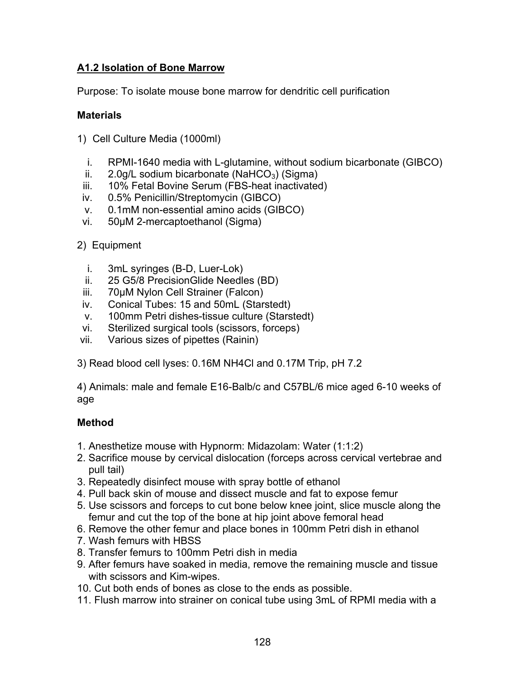# **A1.2 Isolation of Bone Marrow**

Purpose: To isolate mouse bone marrow for dendritic cell purification

## **Materials**

- 1) Cell Culture Media (1000ml)
	- i. RPMI-1640 media with L-glutamine, without sodium bicarbonate (GIBCO)
	- ii.  $2.0$ g/L sodium bicarbonate (NaHCO<sub>3</sub>) (Sigma)
	- iii. 10% Fetal Bovine Serum (FBS-heat inactivated)
	- iv. 0.5% Penicillin/Streptomycin (GIBCO)
	- v. 0.1mM non-essential amino acids (GIBCO)
- vi. 50μM 2-mercaptoethanol (Sigma)
- 2) Equipment
	- i. 3mL syringes (B-D, Luer-Lok)
	- ii. 25 G5/8 PrecisionGlide Needles (BD)
	- iii. 70μM Nylon Cell Strainer (Falcon)
	- iv. Conical Tubes: 15 and 50mL (Starstedt)
	- v. 100mm Petri dishes-tissue culture (Starstedt)
- vi. Sterilized surgical tools (scissors, forceps)
- vii. Various sizes of pipettes (Rainin)
- 3) Read blood cell lyses: 0.16M NH4Cl and 0.17M Trip, pH 7.2

4) Animals: male and female E16-Balb/c and C57BL/6 mice aged 6-10 weeks of age

## **Method**

- 1. Anesthetize mouse with Hypnorm: Midazolam: Water (1:1:2)
- 2. Sacrifice mouse by cervical dislocation (forceps across cervical vertebrae and pull tail)
- 3. Repeatedly disinfect mouse with spray bottle of ethanol
- 4. Pull back skin of mouse and dissect muscle and fat to expose femur
- 5. Use scissors and forceps to cut bone below knee joint, slice muscle along the femur and cut the top of the bone at hip joint above femoral head
- 6. Remove the other femur and place bones in 100mm Petri dish in ethanol
- 7. Wash femurs with HBSS
- 8. Transfer femurs to 100mm Petri dish in media
- 9. After femurs have soaked in media, remove the remaining muscle and tissue with scissors and Kim-wipes.
- 10. Cut both ends of bones as close to the ends as possible.
- 11. Flush marrow into strainer on conical tube using 3mL of RPMI media with a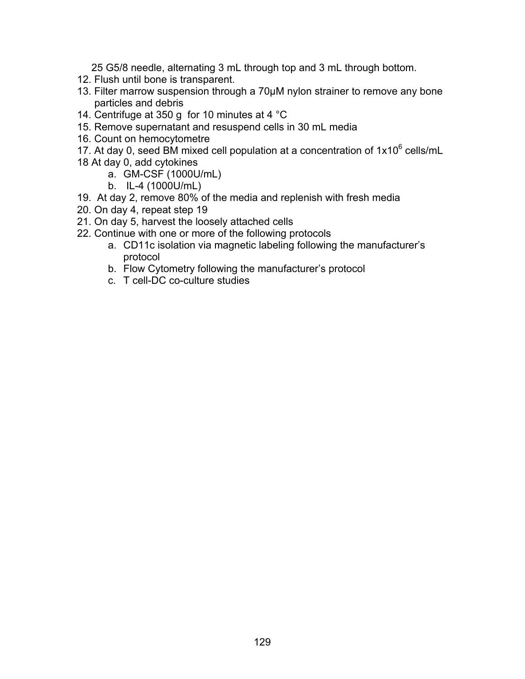25 G5/8 needle, alternating 3 mL through top and 3 mL through bottom.

- 12. Flush until bone is transparent.
- 13. Filter marrow suspension through a 70μM nylon strainer to remove any bone particles and debris
- 14. Centrifuge at 350 g for 10 minutes at 4 °C
- 15. Remove supernatant and resuspend cells in 30 mL media
- 16. Count on hemocytometre
- 17. At day 0, seed BM mixed cell population at a concentration of  $1x10^6$  cells/mL
- 18 At day 0, add cytokines
	- a. GM-CSF (1000U/mL)
	- b. IL-4 (1000U/mL)
- 19. At day 2, remove 80% of the media and replenish with fresh media
- 20. On day 4, repeat step 19
- 21. On day 5, harvest the loosely attached cells
- 22. Continue with one or more of the following protocols
	- a. CD11c isolation via magnetic labeling following the manufacturer's protocol
	- b. Flow Cytometry following the manufacturer's protocol
	- c. T cell-DC co-culture studies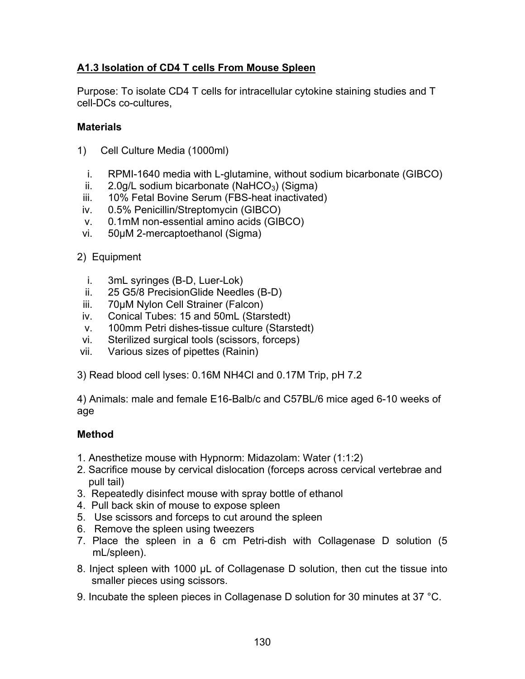# **A1.3 Isolation of CD4 T cells From Mouse Spleen**

Purpose: To isolate CD4 T cells for intracellular cytokine staining studies and T cell-DCs co-cultures,

## **Materials**

- 1) Cell Culture Media (1000ml)
	- i. RPMI-1640 media with L-glutamine, without sodium bicarbonate (GIBCO)
- ii. 2.0g/L sodium bicarbonate (NaHCO<sub>3</sub>) (Sigma)
- iii. 10% Fetal Bovine Serum (FBS-heat inactivated)
- iv. 0.5% Penicillin/Streptomycin (GIBCO)
- v. 0.1mM non-essential amino acids (GIBCO)
- vi. 50μM 2-mercaptoethanol (Sigma)
- 2) Equipment
	- i. 3mL syringes (B-D, Luer-Lok)
- ii. 25 G5/8 PrecisionGlide Needles (B-D)
- iii. 70μM Nylon Cell Strainer (Falcon)
- iv. Conical Tubes: 15 and 50mL (Starstedt)
- v. 100mm Petri dishes-tissue culture (Starstedt)
- vi. Sterilized surgical tools (scissors, forceps)
- vii. Various sizes of pipettes (Rainin)
- 3) Read blood cell lyses: 0.16M NH4Cl and 0.17M Trip, pH 7.2

4) Animals: male and female E16-Balb/c and C57BL/6 mice aged 6-10 weeks of age

## **Method**

- 1. Anesthetize mouse with Hypnorm: Midazolam: Water (1:1:2)
- 2. Sacrifice mouse by cervical dislocation (forceps across cervical vertebrae and pull tail)
- 3. Repeatedly disinfect mouse with spray bottle of ethanol
- 4. Pull back skin of mouse to expose spleen
- 5. Use scissors and forceps to cut around the spleen
- 6. Remove the spleen using tweezers
- 7. Place the spleen in a 6 cm Petri-dish with Collagenase D solution (5 mL/spleen).
- 8. Inject spleen with 1000 μL of Collagenase D solution, then cut the tissue into smaller pieces using scissors.
- 9. Incubate the spleen pieces in Collagenase D solution for 30 minutes at 37 °C.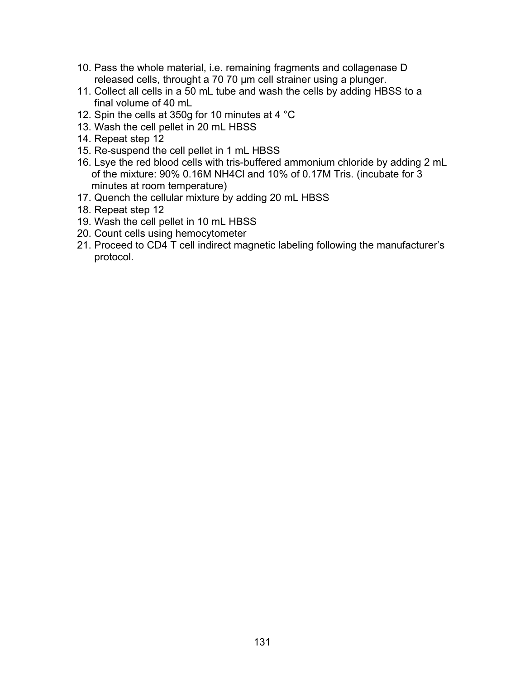- 10. Pass the whole material, i.e. remaining fragments and collagenase D released cells, throught a 70 70 μm cell strainer using a plunger.
- 11. Collect all cells in a 50 mL tube and wash the cells by adding HBSS to a final volume of 40 mL
- 12. Spin the cells at 350g for 10 minutes at 4 °C
- 13. Wash the cell pellet in 20 mL HBSS
- 14. Repeat step 12
- 15. Re-suspend the cell pellet in 1 mL HBSS
- 16. Lsye the red blood cells with tris-buffered ammonium chloride by adding 2 mL of the mixture: 90% 0.16M NH4Cl and 10% of 0.17M Tris. (incubate for 3 minutes at room temperature)
- 17. Quench the cellular mixture by adding 20 mL HBSS
- 18. Repeat step 12
- 19. Wash the cell pellet in 10 mL HBSS
- 20. Count cells using hemocytometer
- 21. Proceed to CD4 T cell indirect magnetic labeling following the manufacturer's protocol.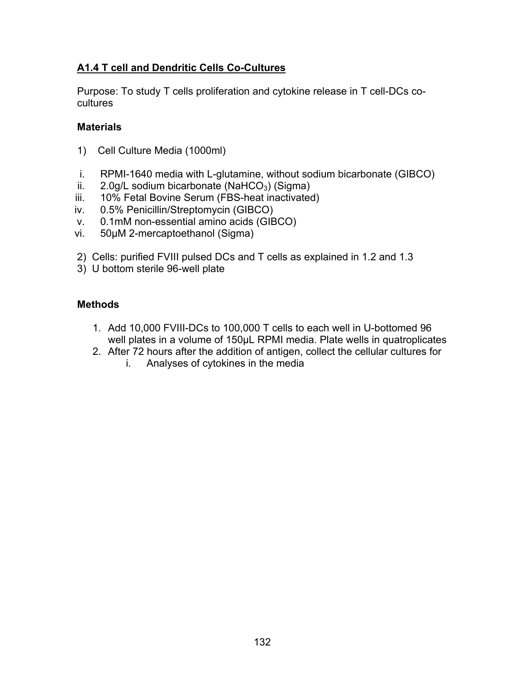## **A1.4 T cell and Dendritic Cells Co-Cultures**

Purpose: To study T cells proliferation and cytokine release in T cell-DCs cocultures

## **Materials**

- 1) Cell Culture Media (1000ml)
- i. RPMI-1640 media with L-glutamine, without sodium bicarbonate (GIBCO)
- ii.  $2.0$ g/L sodium bicarbonate (NaHCO<sub>3</sub>) (Sigma)
- iii. 10% Fetal Bovine Serum (FBS-heat inactivated)
- iv. 0.5% Penicillin/Streptomycin (GIBCO)
- v. 0.1mM non-essential amino acids (GIBCO)
- vi. 50μM 2-mercaptoethanol (Sigma)
- 2) Cells: purified FVIII pulsed DCs and T cells as explained in 1.2 and 1.3
- 3) U bottom sterile 96-well plate

### **Methods**

- 1. Add 10,000 FVIII-DCs to 100,000 T cells to each well in U-bottomed 96 well plates in a volume of 150μL RPMI media. Plate wells in quatroplicates
- 2. After 72 hours after the addition of antigen, collect the cellular cultures for
	- i. Analyses of cytokines in the media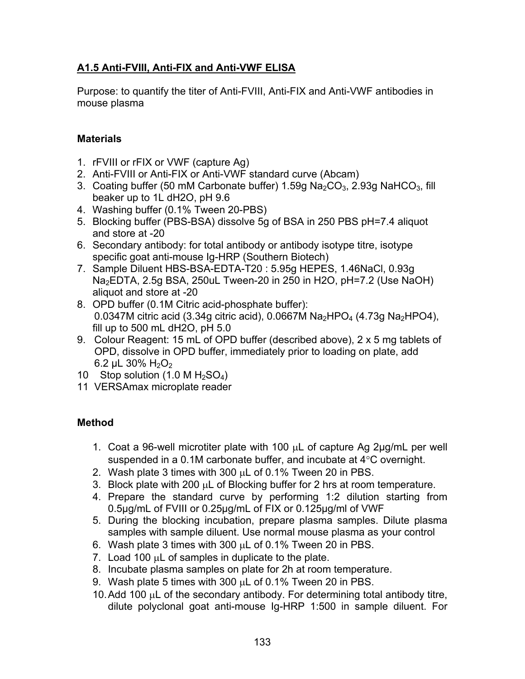# **A1.5 Anti-FVIII, Anti-FIX and Anti-VWF ELISA**

Purpose: to quantify the titer of Anti-FVIII, Anti-FIX and Anti-VWF antibodies in mouse plasma

# **Materials**

- 1. rFVIII or rFIX or VWF (capture Ag)
- 2. Anti-FVIII or Anti-FIX or Anti-VWF standard curve (Abcam)
- 3. Coating buffer (50 mM Carbonate buffer)  $1.59g$  Na<sub>2</sub>CO<sub>3</sub>, 2.93g NaHCO<sub>3</sub>, fill beaker up to 1L dH2O, pH 9.6
- 4. Washing buffer (0.1% Tween 20-PBS)
- 5. Blocking buffer (PBS-BSA) dissolve 5g of BSA in 250 PBS pH=7.4 aliquot and store at -20
- 6. Secondary antibody: for total antibody or antibody isotype titre, isotype specific goat anti-mouse Ig-HRP (Southern Biotech)
- 7. Sample Diluent HBS-BSA-EDTA-T20 : 5.95g HEPES, 1.46NaCl, 0.93g Na2EDTA, 2.5g BSA, 250uL Tween-20 in 250 in H2O, pH=7.2 (Use NaOH) aliquot and store at -20
- 8. OPD buffer (0.1M Citric acid-phosphate buffer): 0.0347M citric acid (3.34g citric acid), 0.0667M  $Na<sub>2</sub>HPO<sub>4</sub>$  (4.73g  $Na<sub>2</sub>HPO<sub>4</sub>$ ), fill up to 500 mL dH2O, pH 5.0
- 9. Colour Reagent: 15 mL of OPD buffer (described above), 2 x 5 mg tablets of OPD, dissolve in OPD buffer, immediately prior to loading on plate, add 6.2 μL 30%  $H_2O_2$
- 10 Stop solution  $(1.0 M H<sub>2</sub>SO<sub>4</sub>)$
- 11 VERSAmax microplate reader

# **Method**

- 1. Coat a 96-well microtiter plate with 100 μL of capture Ag 2μg/mL per well suspended in a 0.1M carbonate buffer, and incubate at 4°C overnight.
- 2. Wash plate 3 times with 300  $\mu$ L of 0.1% Tween 20 in PBS.
- 3. Block plate with 200 μL of Blocking buffer for 2 hrs at room temperature.
- 4. Prepare the standard curve by performing 1:2 dilution starting from 0.5μg/mL of FVIII or 0.25μg/mL of FIX or 0.125μg/ml of VWF
- 5. During the blocking incubation, prepare plasma samples. Dilute plasma samples with sample diluent. Use normal mouse plasma as your control
- 6. Wash plate 3 times with 300 μL of 0.1% Tween 20 in PBS.
- 7. Load 100 μL of samples in duplicate to the plate.
- 8. Incubate plasma samples on plate for 2h at room temperature.
- 9. Wash plate 5 times with 300 μL of 0.1% Tween 20 in PBS.
- 10. Add 100 μL of the secondary antibody. For determining total antibody titre, dilute polyclonal goat anti-mouse Ig-HRP 1:500 in sample diluent. For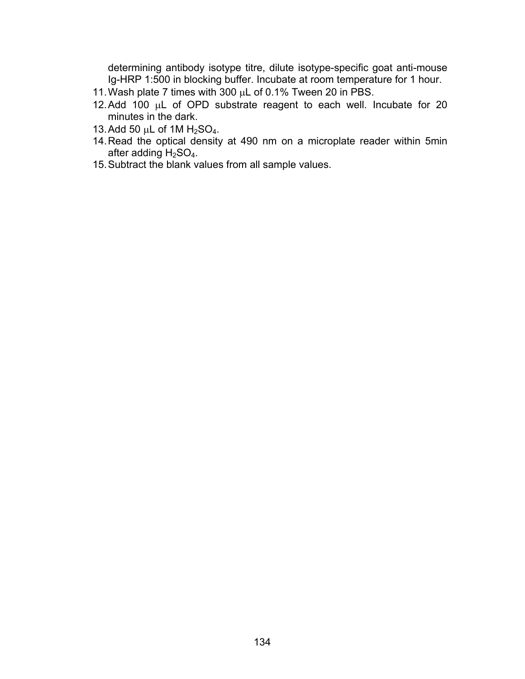determining antibody isotype titre, dilute isotype-specific goat anti-mouse Ig-HRP 1:500 in blocking buffer. Incubate at room temperature for 1 hour.

- 11. Wash plate 7 times with 300 μL of 0.1% Tween 20 in PBS.
- 12. Add 100 μL of OPD substrate reagent to each well. Incubate for 20 minutes in the dark.
- 13. Add 50 μL of 1M  $H_2$ SO<sub>4</sub>.
- 14. Read the optical density at 490 nm on a microplate reader within 5min after adding  $H<sub>2</sub>SO<sub>4</sub>$ .
- 15. Subtract the blank values from all sample values.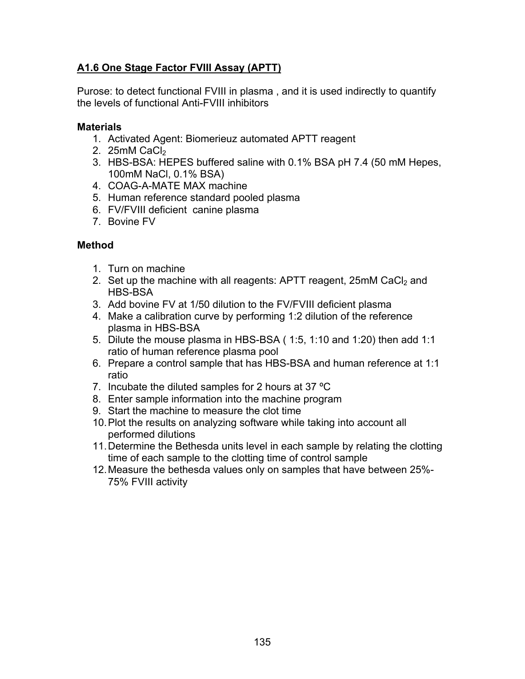# **A1.6 One Stage Factor FVIII Assay (APTT)**

Purose: to detect functional FVIII in plasma , and it is used indirectly to quantify the levels of functional Anti-FVIII inhibitors

#### **Materials**

- 1. Activated Agent: Biomerieuz automated APTT reagent
- 2.  $25mM$  CaCl<sub>2</sub>
- 3. HBS-BSA: HEPES buffered saline with 0.1% BSA pH 7.4 (50 mM Hepes, 100mM NaCl, 0.1% BSA)
- 4. COAG-A-MATE MAX machine
- 5. Human reference standard pooled plasma
- 6. FV/FVIII deficient canine plasma
- 7. Bovine FV

### **Method**

- 1. Turn on machine
- 2. Set up the machine with all reagents: APTT reagent,  $25mM$  CaCl<sub>2</sub> and HBS-BSA
- 3. Add bovine FV at 1/50 dilution to the FV/FVIII deficient plasma
- 4. Make a calibration curve by performing 1:2 dilution of the reference plasma in HBS-BSA
- 5. Dilute the mouse plasma in HBS-BSA ( 1:5, 1:10 and 1:20) then add 1:1 ratio of human reference plasma pool
- 6. Prepare a control sample that has HBS-BSA and human reference at 1:1 ratio
- 7. Incubate the diluted samples for 2 hours at 37  $^{\circ}$ C
- 8. Enter sample information into the machine program
- 9. Start the machine to measure the clot time
- 10. Plot the results on analyzing software while taking into account all performed dilutions
- 11. Determine the Bethesda units level in each sample by relating the clotting time of each sample to the clotting time of control sample
- 12. Measure the bethesda values only on samples that have between 25%- 75% FVIII activity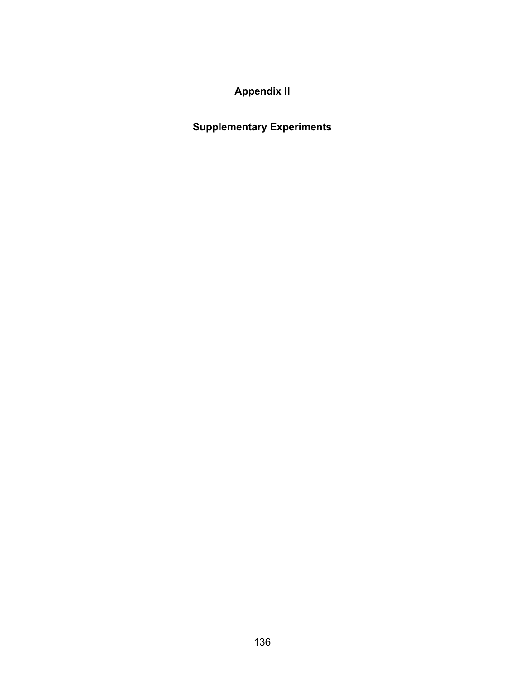# **Appendix II**

# **Supplementary Experiments**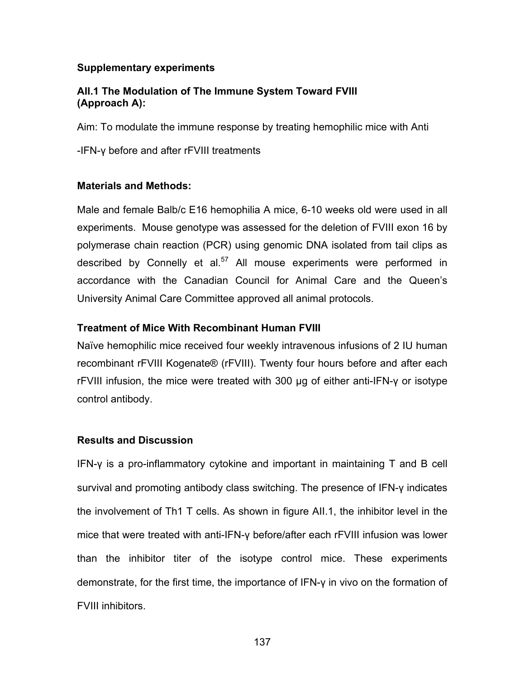#### **Supplementary experiments**

#### **AII.1 The Modulation of The Immune System Toward FVIII (Approach A):**

Aim: To modulate the immune response by treating hemophilic mice with Anti

-IFN-γ before and after rFVIII treatments

### **Materials and Methods:**

Male and female Balb/c E16 hemophilia A mice, 6-10 weeks old were used in all experiments. Mouse genotype was assessed for the deletion of FVIII exon 16 by polymerase chain reaction (PCR) using genomic DNA isolated from tail clips as described by Connelly et al. $57$  All mouse experiments were performed in accordance with the Canadian Council for Animal Care and the Queen's University Animal Care Committee approved all animal protocols.

### **Treatment of Mice With Recombinant Human FVIII**

Naïve hemophilic mice received four weekly intravenous infusions of 2 IU human recombinant rFVIII Kogenate® (rFVIII). Twenty four hours before and after each rFVIII infusion, the mice were treated with 300 μg of either anti-IFN-γ or isotype control antibody.

## **Results and Discussion**

IFN-γ is a pro-inflammatory cytokine and important in maintaining T and B cell survival and promoting antibody class switching. The presence of IFN-γ indicates the involvement of Th1 T cells. As shown in figure AII.1, the inhibitor level in the mice that were treated with anti-IFN-γ before/after each rFVIII infusion was lower than the inhibitor titer of the isotype control mice. These experiments demonstrate, for the first time, the importance of IFN-γ in vivo on the formation of FVIII inhibitors.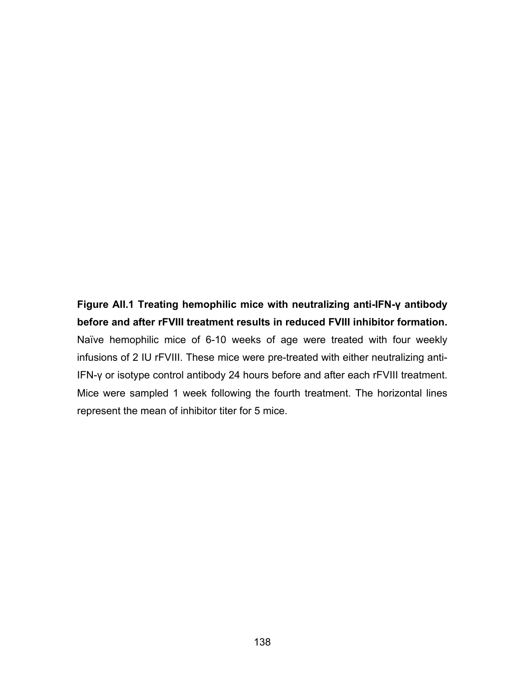# **Figure AII.1 Treating hemophilic mice with neutralizing anti-IFN-γ antibody before and after rFVIII treatment results in reduced FVIII inhibitor formation.**

Naïve hemophilic mice of 6-10 weeks of age were treated with four weekly infusions of 2 IU rFVIII. These mice were pre-treated with either neutralizing anti-IFN-γ or isotype control antibody 24 hours before and after each rFVIII treatment. Mice were sampled 1 week following the fourth treatment. The horizontal lines represent the mean of inhibitor titer for 5 mice.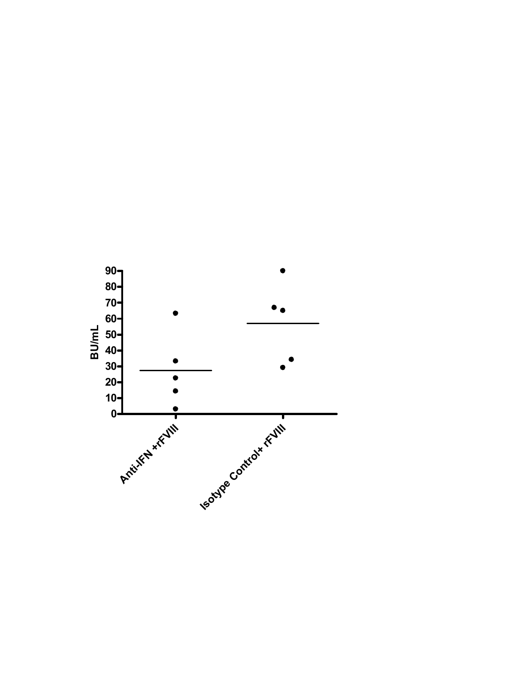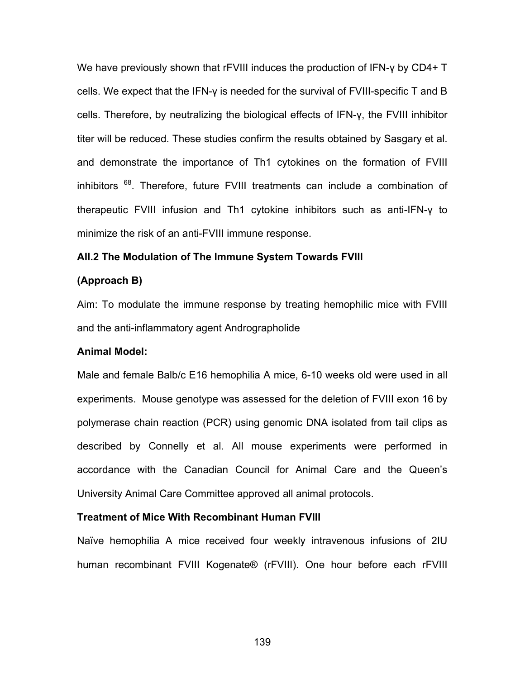We have previously shown that rFVIII induces the production of IFN-γ by CD4+ T cells. We expect that the IFN-γ is needed for the survival of FVIII-specific T and B cells. Therefore, by neutralizing the biological effects of IFN-γ, the FVIII inhibitor titer will be reduced. These studies confirm the results obtained by Sasgary et al. and demonstrate the importance of Th1 cytokines on the formation of FVIII inhibitors <sup>68</sup>. Therefore, future FVIII treatments can include a combination of therapeutic FVIII infusion and Th1 cytokine inhibitors such as anti-IFN-γ to minimize the risk of an anti-FVIII immune response.

#### **AII.2 The Modulation of The Immune System Towards FVIII**

#### **(Approach B)**

Aim: To modulate the immune response by treating hemophilic mice with FVIII and the anti-inflammatory agent Andrographolide

#### **Animal Model:**

Male and female Balb/c E16 hemophilia A mice, 6-10 weeks old were used in all experiments. Mouse genotype was assessed for the deletion of FVIII exon 16 by polymerase chain reaction (PCR) using genomic DNA isolated from tail clips as described by Connelly et al. All mouse experiments were performed in accordance with the Canadian Council for Animal Care and the Queen's University Animal Care Committee approved all animal protocols.

#### **Treatment of Mice With Recombinant Human FVIII**

Naïve hemophilia A mice received four weekly intravenous infusions of 2IU human recombinant FVIII Kogenate® (rFVIII). One hour before each rFVIII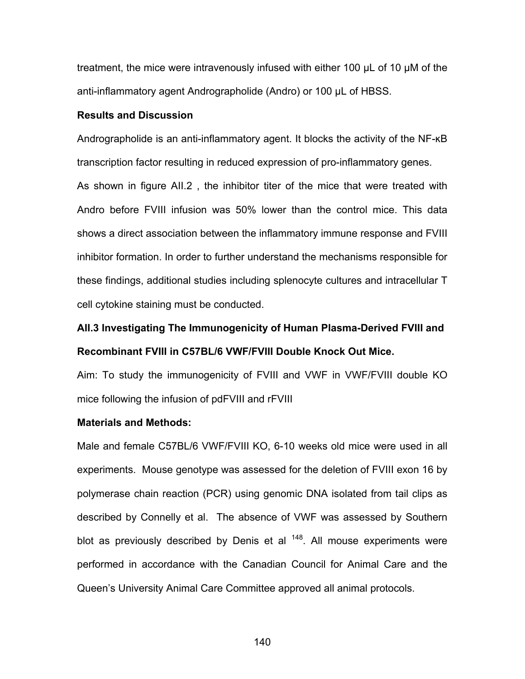treatment, the mice were intravenously infused with either 100 μL of 10 μM of the anti-inflammatory agent Andrographolide (Andro) or 100 μL of HBSS.

#### **Results and Discussion**

Andrographolide is an anti-inflammatory agent. It blocks the activity of the NF-ĸB transcription factor resulting in reduced expression of pro-inflammatory genes.

As shown in figure AII.2 , the inhibitor titer of the mice that were treated with Andro before FVIII infusion was 50% lower than the control mice. This data shows a direct association between the inflammatory immune response and FVIII inhibitor formation. In order to further understand the mechanisms responsible for these findings, additional studies including splenocyte cultures and intracellular T cell cytokine staining must be conducted.

# **AII.3 Investigating The Immunogenicity of Human Plasma-Derived FVIII and Recombinant FVIII in C57BL/6 VWF/FVIII Double Knock Out Mice.**

Aim: To study the immunogenicity of FVIII and VWF in VWF/FVIII double KO mice following the infusion of pdFVIII and rFVIII

#### **Materials and Methods:**

Male and female C57BL/6 VWF/FVIII KO, 6-10 weeks old mice were used in all experiments. Mouse genotype was assessed for the deletion of FVIII exon 16 by polymerase chain reaction (PCR) using genomic DNA isolated from tail clips as described by Connelly et al. The absence of VWF was assessed by Southern blot as previously described by Denis et al  $148$ . All mouse experiments were performed in accordance with the Canadian Council for Animal Care and the Queen's University Animal Care Committee approved all animal protocols.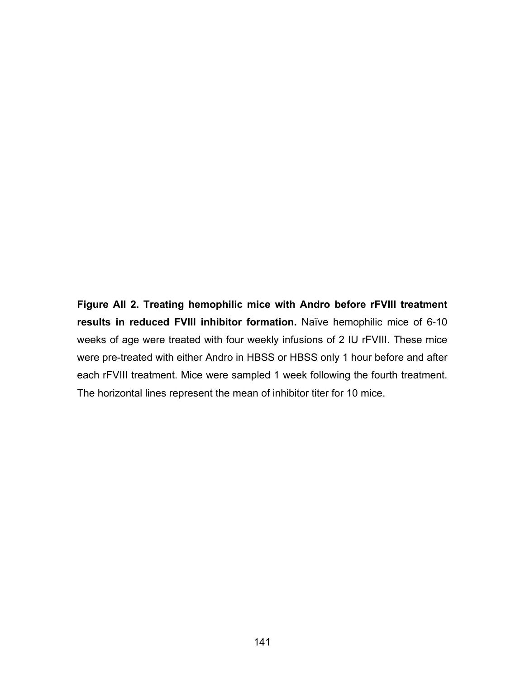**Figure AII 2. Treating hemophilic mice with Andro before rFVIII treatment results in reduced FVIII inhibitor formation.** Naïve hemophilic mice of 6-10 weeks of age were treated with four weekly infusions of 2 IU rFVIII. These mice were pre-treated with either Andro in HBSS or HBSS only 1 hour before and after each rFVIII treatment. Mice were sampled 1 week following the fourth treatment. The horizontal lines represent the mean of inhibitor titer for 10 mice.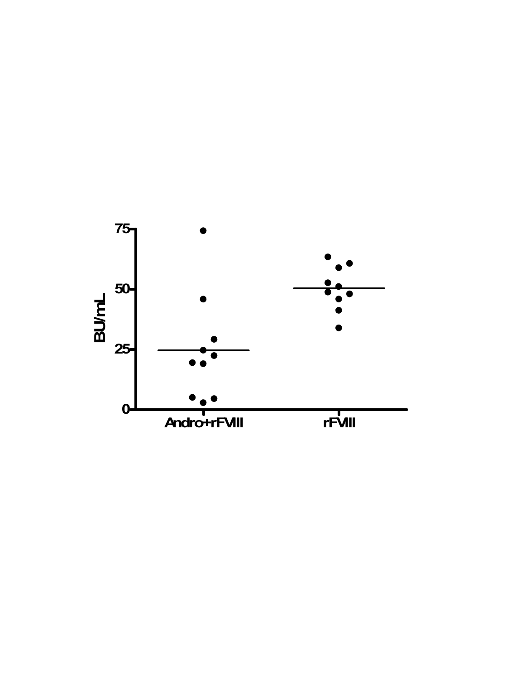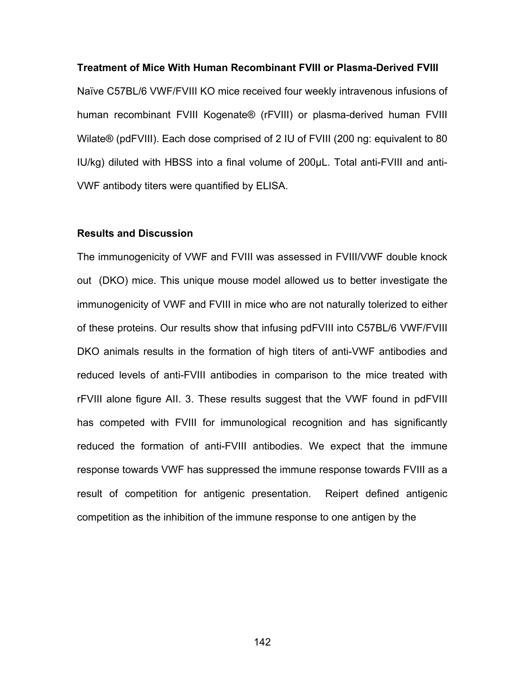#### **Treatment of Mice With Human Recombinant FVIII or Plasma-Derived FVIII**

Naïve C57BL/6 VWF/FVIII KO mice received four weekly intravenous infusions of human recombinant FVIII Kogenate® (rFVIII) or plasma-derived human FVIII Wilate® (pdFVIII). Each dose comprised of 2 IU of FVIII (200 ng: equivalent to 80 IU/kg) diluted with HBSS into a final volume of 200μL. Total anti-FVIII and anti-VWF antibody titers were quantified by ELISA.

#### **Results and Discussion**

The immunogenicity of VWF and FVIII was assessed in FVIII/VWF double knock out (DKO) mice. This unique mouse model allowed us to better investigate the immunogenicity of VWF and FVIII in mice who are not naturally tolerized to either of these proteins. Our results show that infusing pdFVIII into C57BL/6 VWF/FVIII DKO animals results in the formation of high titers of anti-VWF antibodies and reduced levels of anti-FVIII antibodies in comparison to the mice treated with rFVIII alone figure AII. 3. These results suggest that the VWF found in pdFVIII has competed with FVIII for immunological recognition and has significantly reduced the formation of anti-FVIII antibodies. We expect that the immune response towards VWF has suppressed the immune response towards FVIII as a result of competition for antigenic presentation. Reipert defined antigenic competition as the inhibition of the immune response to one antigen by the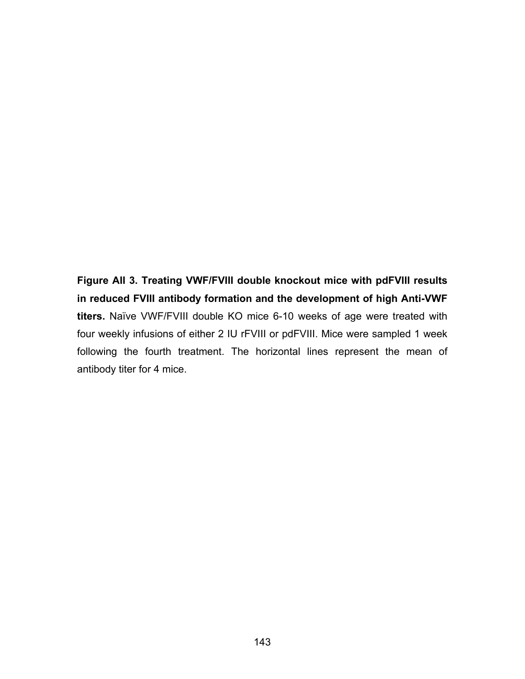**Figure AII 3. Treating VWF/FVIII double knockout mice with pdFVIII results in reduced FVIII antibody formation and the development of high Anti-VWF titers.** Naïve VWF/FVIII double KO mice 6-10 weeks of age were treated with four weekly infusions of either 2 IU rFVIII or pdFVIII. Mice were sampled 1 week following the fourth treatment. The horizontal lines represent the mean of antibody titer for 4 mice.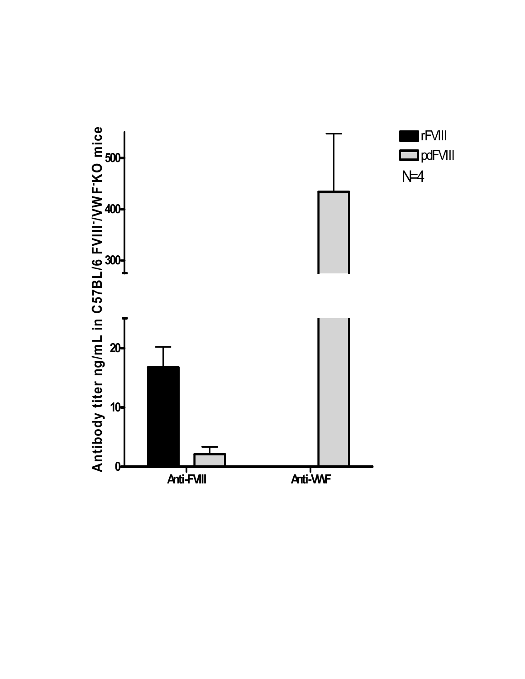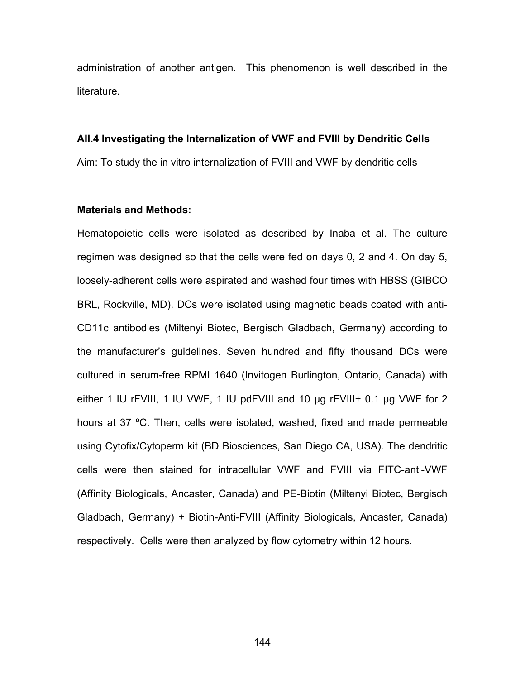administration of another antigen. This phenomenon is well described in the literature.

#### **AII.4 Investigating the Internalization of VWF and FVIII by Dendritic Cells**

Aim: To study the in vitro internalization of FVIII and VWF by dendritic cells

### **Materials and Methods:**

Hematopoietic cells were isolated as described by Inaba et al. The culture regimen was designed so that the cells were fed on days 0, 2 and 4. On day 5, loosely-adherent cells were aspirated and washed four times with HBSS (GIBCO BRL, Rockville, MD). DCs were isolated using magnetic beads coated with anti-CD11c antibodies (Miltenyi Biotec, Bergisch Gladbach, Germany) according to the manufacturer's guidelines. Seven hundred and fifty thousand DCs were cultured in serum-free RPMI 1640 (Invitogen Burlington, Ontario, Canada) with either 1 IU rFVIII, 1 IU VWF, 1 IU pdFVIII and 10 μg rFVIII+ 0.1 μg VWF for 2 hours at 37 ºC. Then, cells were isolated, washed, fixed and made permeable using Cytofix/Cytoperm kit (BD Biosciences, San Diego CA, USA). The dendritic cells were then stained for intracellular VWF and FVIII via FITC-anti-VWF (Affinity Biologicals, Ancaster, Canada) and PE-Biotin (Miltenyi Biotec, Bergisch Gladbach, Germany) + Biotin-Anti-FVIII (Affinity Biologicals, Ancaster, Canada) respectively. Cells were then analyzed by flow cytometry within 12 hours.

144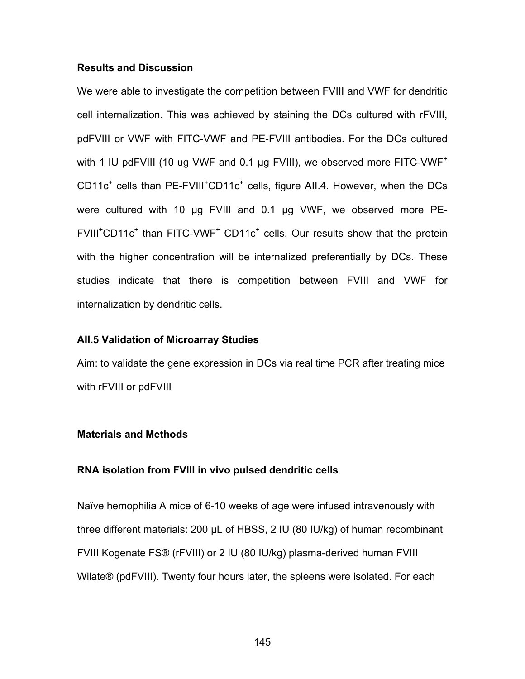## **Results and Discussion**

We were able to investigate the competition between FVIII and VWF for dendritic cell internalization. This was achieved by staining the DCs cultured with rFVIII, pdFVIII or VWF with FITC-VWF and PE-FVIII antibodies. For the DCs cultured with 1 IU pdFVIII (10 ug VWF and 0.1 µg FVIII), we observed more FITC-VWF<sup>+</sup> CD11c<sup>+</sup> cells than PE-FVIII<sup>+</sup>CD11c<sup>+</sup> cells, figure AII.4. However, when the DCs were cultured with 10 μg FVIII and 0.1 μg VWF, we observed more PE- $FVIII<sup>+</sup>CD11c<sup>+</sup>$  than  $FITC-VWF<sup>+</sup>$  CD11c<sup>+</sup> cells. Our results show that the protein with the higher concentration will be internalized preferentially by DCs. These studies indicate that there is competition between FVIII and VWF for internalization by dendritic cells.

## **AII.5 Validation of Microarray Studies**

Aim: to validate the gene expression in DCs via real time PCR after treating mice with rFVIII or pdFVIII

#### **Materials and Methods**

#### **RNA isolation from FVIII in vivo pulsed dendritic cells**

Naïve hemophilia A mice of 6-10 weeks of age were infused intravenously with three different materials: 200 μL of HBSS, 2 IU (80 IU/kg) of human recombinant FVIII Kogenate FS® (rFVIII) or 2 IU (80 IU/kg) plasma-derived human FVIII Wilate® (pdFVIII). Twenty four hours later, the spleens were isolated. For each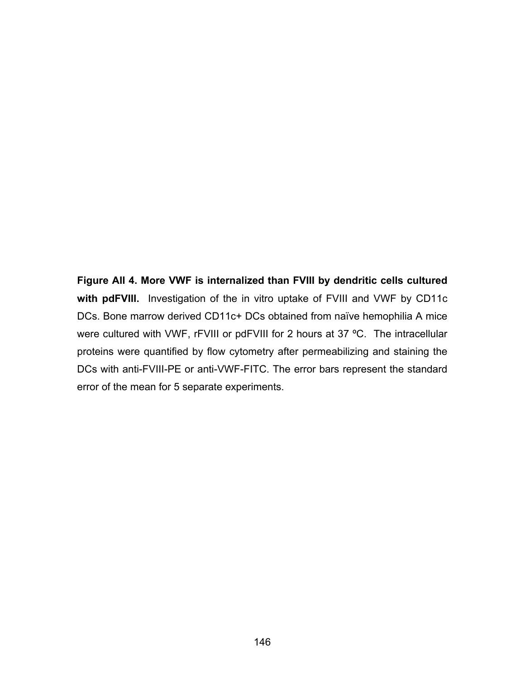**Figure AII 4. More VWF is internalized than FVIII by dendritic cells cultured with pdFVIII.** Investigation of the in vitro uptake of FVIII and VWF by CD11c DCs. Bone marrow derived CD11c+ DCs obtained from naïve hemophilia A mice were cultured with VWF, rFVIII or pdFVIII for 2 hours at 37 ºC. The intracellular proteins were quantified by flow cytometry after permeabilizing and staining the DCs with anti-FVIII-PE or anti-VWF-FITC. The error bars represent the standard error of the mean for 5 separate experiments.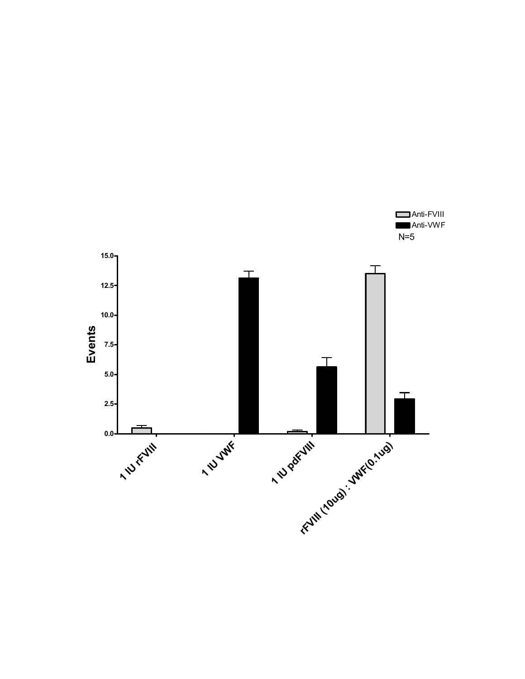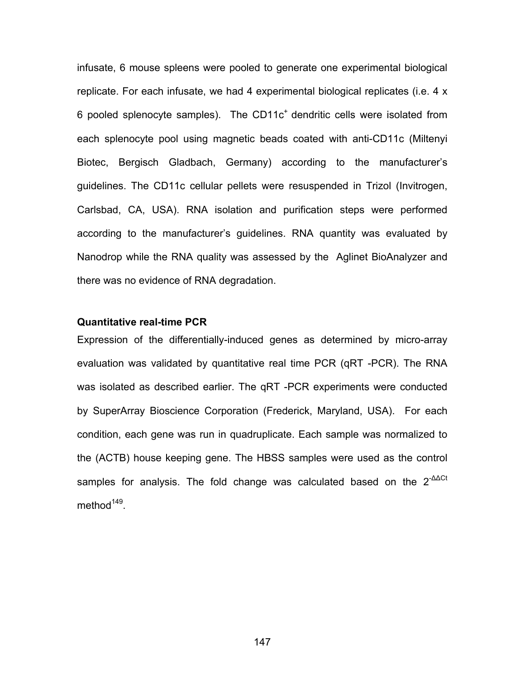infusate, 6 mouse spleens were pooled to generate one experimental biological replicate. For each infusate, we had 4 experimental biological replicates (i.e. 4 x 6 pooled splenocyte samples). The CD11 $c<sup>+</sup>$  dendritic cells were isolated from each splenocyte pool using magnetic beads coated with anti-CD11c (Miltenyi Biotec, Bergisch Gladbach, Germany) according to the manufacturer's guidelines. The CD11c cellular pellets were resuspended in Trizol (Invitrogen, Carlsbad, CA, USA). RNA isolation and purification steps were performed according to the manufacturer's guidelines. RNA quantity was evaluated by Nanodrop while the RNA quality was assessed by the Aglinet BioAnalyzer and there was no evidence of RNA degradation.

#### **Quantitative real-time PCR**

Expression of the differentially-induced genes as determined by micro-array evaluation was validated by quantitative real time PCR (qRT -PCR). The RNA was isolated as described earlier. The qRT -PCR experiments were conducted by SuperArray Bioscience Corporation (Frederick, Maryland, USA). For each condition, each gene was run in quadruplicate. Each sample was normalized to the (ACTB) house keeping gene. The HBSS samples were used as the control samples for analysis. The fold change was calculated based on the 2<sup>-∆∆Ct</sup> method $149$ .

147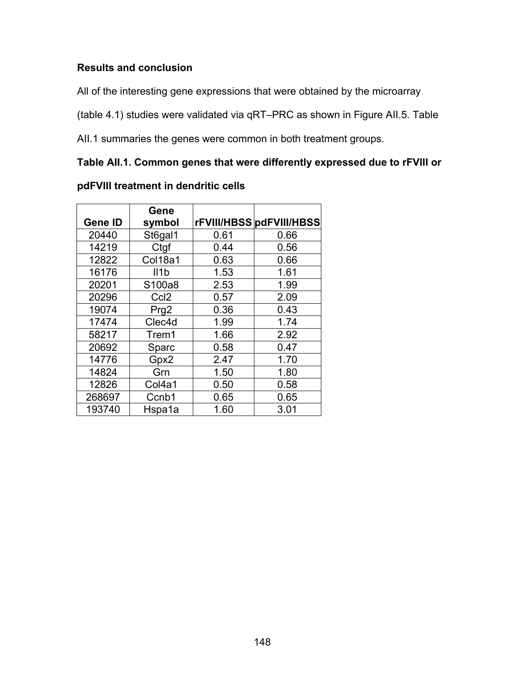## **Results and conclusion**

All of the interesting gene expressions that were obtained by the microarray

(table 4.1) studies were validated via qRT–PRC as shown in Figure AII.5. Table

AII.1 summaries the genes were common in both treatment groups.

# **Table AII.1. Common genes that were differently expressed due to rFVIII or**

|                | Gene             |      |                          |
|----------------|------------------|------|--------------------------|
| <b>Gene ID</b> | symbol           |      | rFVIII/HBSS pdFVIII/HBSS |
| 20440          | St6gal1          | 0.61 | 0.66                     |
| 14219          | Ctgf             | 0.44 | 0.56                     |
| 12822          | Col18a1          | 0.63 | 0.66                     |
| 16176          | II1b             | 1.53 | 1.61                     |
| 20201          | S100a8           | 2.53 | 1.99                     |
| 20296          | Ccl <sub>2</sub> | 0.57 | 2.09                     |
| 19074          | Prg2             | 0.36 | 0.43                     |
| 17474          | Clec4d           | 1.99 | 1.74                     |
| 58217          | Trem1            | 1.66 | 2.92                     |
| 20692          | Sparc            | 0.58 | 0.47                     |
| 14776          | Gpx2             | 2.47 | 1.70                     |
| 14824          | Grn              | 1.50 | 1.80                     |
| 12826          | Col4a1           | 0.50 | 0.58                     |
| 268697         | Ccnb1            | 0.65 | 0.65                     |
| 193740         | Hspa1a           | 1.60 | 3.01                     |

# **pdFVIII treatment in dendritic cells**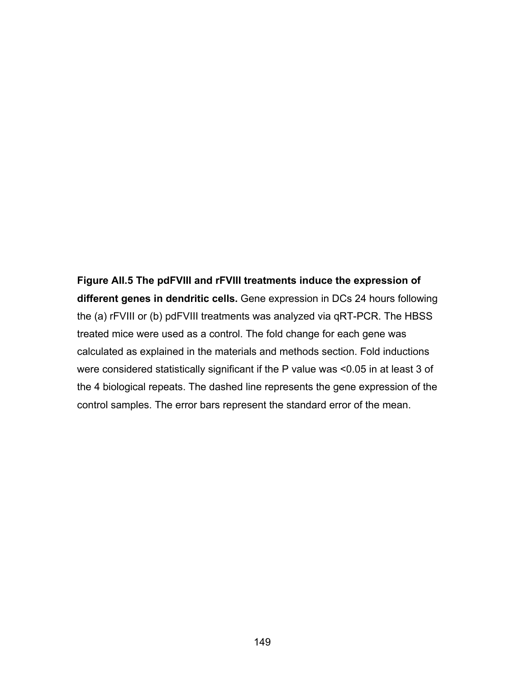**Figure AII.5 The pdFVIII and rFVIII treatments induce the expression of different genes in dendritic cells.** Gene expression in DCs 24 hours following the (a) rFVIII or (b) pdFVIII treatments was analyzed via qRT-PCR. The HBSS treated mice were used as a control. The fold change for each gene was calculated as explained in the materials and methods section. Fold inductions were considered statistically significant if the P value was <0.05 in at least 3 of the 4 biological repeats. The dashed line represents the gene expression of the control samples. The error bars represent the standard error of the mean.